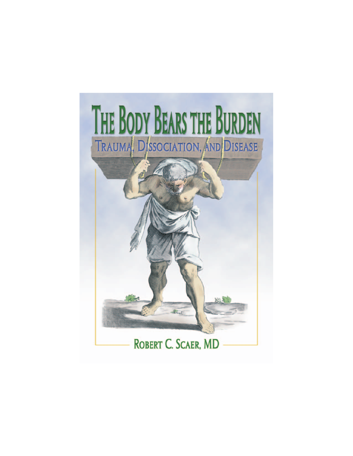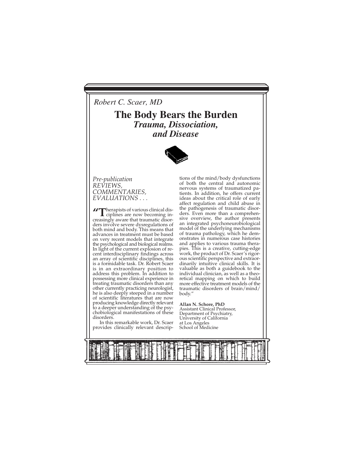*Robert C. Scaer, MD*

## **The Body Bears the Burden** *Trauma, Dissociation, and Disease*



*Pre-publication REVIEWS, COMMENTARIES, EVALUATIONS . . .*

**"T**herapists of various clinical dis-ciplines are now becoming increasingly aware that traumatic disorders involve severe dysregulations of both mind and body. This means that advances in treatment must be based on very recent models that integrate the psychological and biological realms. In light of the current explosion of recent interdisciplinary findings across an array of scientific disciplines, this is a formidable task. Dr. Robert Scaer is in an extraordinary position to address this problem. In addition to possessing more clinical experience in treating traumatic disorders than any other currently practicing neurologist, he is also deeply steeped in a number of scientific literatures that are now producing knowledge directly relevant to a deeper understanding of the psychobiological manifestations of these disorders.

In this remarkable work, Dr. Scaer provides clinically relevant descriptions of the mind/body dysfunctions of both the central and autonomic nervous systems of traumatized patients. In addition, he offers current ideas about the critical role of early affect regulation and child abuse in the pathogenesis of traumatic disorders. Even more than a comprehensive overview, the author presents an integrated psychoneurobiological model of the underlying mechanisms of trauma pathology, which he demonstrates in numerous case histories and applies to various trauma therapies. This is a creative, cutting-edge work, the product of Dr. Scaer's rigorous scientific perspective and extraordinarily intuitive clinical skills. It is valuable as both a guidebook to the individual clinician, as well as a theoretical mapping on which to build more effective treatment models of the traumatic disorders of brain/mind/ body."

**Allan N. Schore, PhD** Assistant Clinical Professor, Department of Psychiatry, University of California at Los Angeles School of Medicine

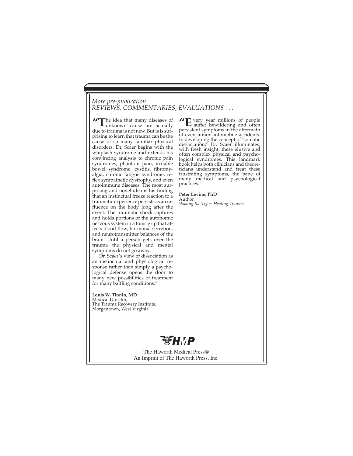### *More pre-publication REVIEWS, COMMENTARIES, EVALUATIONS . . .*

**"T**he idea that many diseases of unknown cause are actually due to trauma is not new. But is is surprising to learn that trauma can be the cause of so many familiar physical disorders. Dr. Scaer begins with the whiplash syndrome and extends his convincing analysis to chronic pain syndromes, phantom pain, irritable bowel syndrome, cystitis, fibromyalgia, chronic fatigue syndrome, reflex sympathetic dystrophy, and even autoimmune diseases. The most surprising and novel idea is his finding that an instinctual freeze reaction to a traumatic experience persists as an influence on the body long after the event. The traumatic shock captures and holds portions of the autonomic nervous system in a tonic grip that affects blood flow, hormonal secretion, and neurotransmitter balances of the brain. Until a person gets over the trauma the physical and mental symptoms do not go away.

Dr. Scaer's view of dissociation as an instinctual and physiological response rather than simply a psychological defense opens the door to many new possibilities of treatment for many baffling conditions."

**Louis W. Tinnin, MD** Medical Director, The Trauma Recovery Institute, Morgantown, West Virginia

**E** very year millions of people<br>**E** suffer bewildering and often persistent symptoms in the aftermath of even minor automobile accidents. In developing the concept of 'somatic dissociation,' Dr. Scaer illuminates, with fresh insight, these elusive and<br>often complex physical and psychological syndromes. This landmark book helps both clinicians and theore- ticians understand and treat these frustrating symptoms, the bane of many medical and psychological practices."

**Peter Levine, PhD** Author, *Waking the Tiger: Healing Trauma*



The Haworth Medical Press® An Imprint of The Haworth Press, Inc.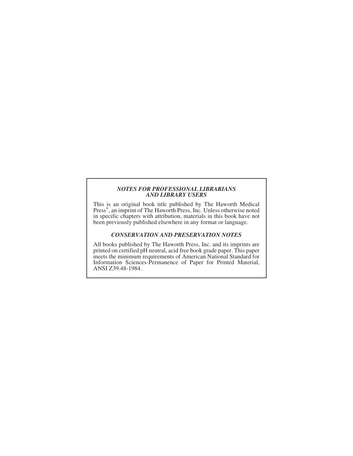#### *NOTES FOR PROFESSIONAL LIBRARIANS AND LIBRARY USERS*

This is an original book title published by The Haworth Medical Press® , an imprint of The Haworth Press, Inc. Unless otherwise noted in specific chapters with attribution, materials in this book have not been previously published elsewhere in any format or language.

### *CONSERVATION AND PRESERVATION NOTES*

All books published by The Haworth Press, Inc. and its imprints are printed on certified pH neutral, acid free book grade paper. This paper meets the minimum requirements of American National Standard for Information Sciences-Permanence of Paper for Printed Material, ANSI Z39.48-1984.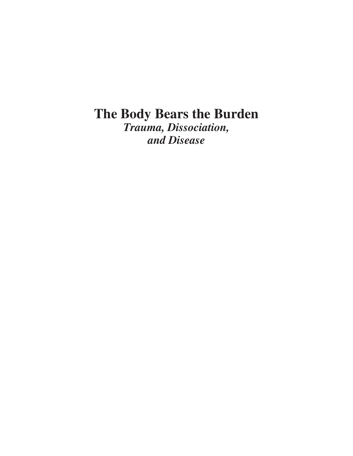# **The Body Bears the Burden** *Trauma, Dissociation, and Disease*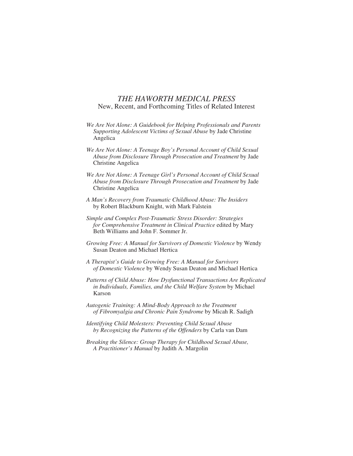## *THE HAWORTH MEDICAL PRESS* New, Recent, and Forthcoming Titles of Related Interest

- *We Are Not Alone: A Guidebook for Helping Professionals and Parents Supporting Adolescent Victims of Sexual Abuse* by Jade Christine Angelica
- *We Are Not Alone: A Teenage Boy's Personal Account of Child Sexual Abuse from Disclosure Through Prosecution and Treatment* by Jade Christine Angelica
- *We Are Not Alone: A Teenage Girl's Personal Account of Child Sexual Abuse from Disclosure Through Prosecution and Treatment* by Jade Christine Angelica
- *A Man's Recovery from Traumatic Childhood Abuse: The Insiders* by Robert Blackburn Knight, with Mark Falstein
- *Simple and Complex Post-Traumatic Stress Disorder: Strategies for Comprehensive Treatment in Clinical Practice* edited by Mary Beth Williams and John F. Sommer Jr.
- *Growing Free: A Manual for Survivors of Domestic Violence* by Wendy Susan Deaton and Michael Hertica
- *A Therapist's Guide to Growing Free: A Manual for Survivors of Domestic Violence* by Wendy Susan Deaton and Michael Hertica
- *Patterns of Child Abuse: How Dysfunctional Transactions Are Replicated in Individuals, Families, and the Child Welfare System* by Michael Karson
- *Autogenic Training: A Mind-Body Approach to the Treatment of Fibromyalgia and Chronic Pain Syndrome* by Micah R. Sadigh
- *Identifying Child Molesters: Preventing Child Sexual Abuse by Recognizing the Patterns of the Offenders* by Carla van Dam
- *Breaking the Silence: Group Therapy for Childhood Sexual Abuse, A Practitioner's Manual* by Judith A. Margolin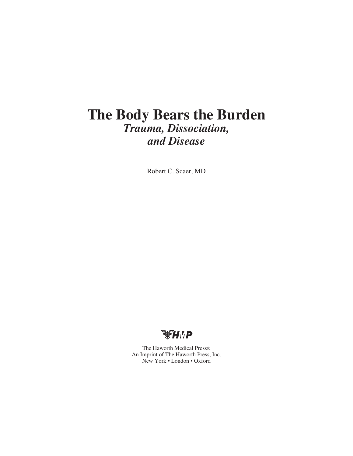# **The Body Bears the Burden** *Trauma, Dissociation, and Disease*

Robert C. Scaer, MD



The Haworth Medical Press® An Imprint of The Haworth Press, Inc. New York • London • Oxford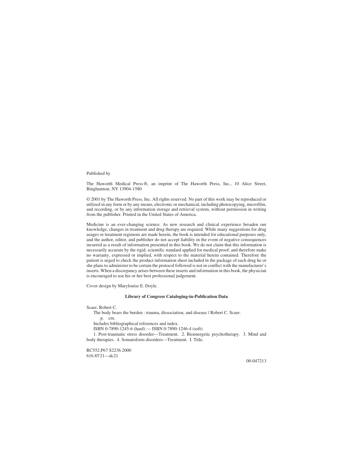#### Published by

The Haworth Medical Press ®, an imprint of The Haworth Press, Inc., 10 Alice Street, Binghamton, NY 13904-1580

© 2001 by The Haworth Press, Inc. All rights reserved. No part of this work may be reproduced or utilized in any form or by any means, electronic or mechanical, including photocopying, microfilm, and recording, or by any information storage and retrieval system, without permission in writing from the publisher. Printed in the United States of America.

Medicine is an ever-changing science. As new research and clinical experience broaden our knowledge, changes in treatment and drug therapy are required. While many suggestions for drug usages or treatment regimens are made herein, the book is intended for educational purposes only, and the author, editor, and publisher do not accept liability in the event of negative consequences incurred as a result of information presented in this book. We do not claim that this information is necessarily accurate by the rigid, scientific standard applied for medical proof, and therefore make no warranty, expressed or implied, with respect to the material herein contained. Therefore the patient is urged to check the product information sheet included in the package of each drug he or she plans to administer to be certain the protocol followed is not in conflict with the manufacturer's inserts. When a discrepancy arises between these inserts and information in this book, the physician is encouraged to use his or her best professional judgement.

Cover design by Marylouise E. Doyle.

#### **Library of Congress Cataloging-in-Publication Data**

Scaer, Robert C.

The body bears the burden : trauma, dissociation, and disease / Robert C. Scaer.

p. cm.

Includes bibliographical references and index.

ISBN 0-7890-1245-6 (hard) — ISBN 0-7890-1246-4 (soft)

1. Post-traumatic stress disorder—Treatment. 2. Bioenergetic psychotherapy. 3. Mind and body therapies. 4. Somatoform disorders—Treatment. I. Title.

RC552.P67 S2236 2000 616.85'21—dc21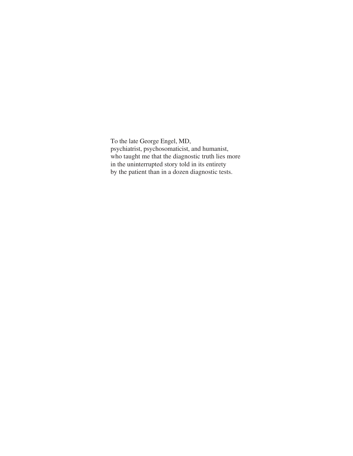To the late George Engel, MD, psychiatrist, psychosomaticist, and humanist, who taught me that the diagnostic truth lies more in the uninterrupted story told in its entirety by the patient than in a dozen diagnostic tests.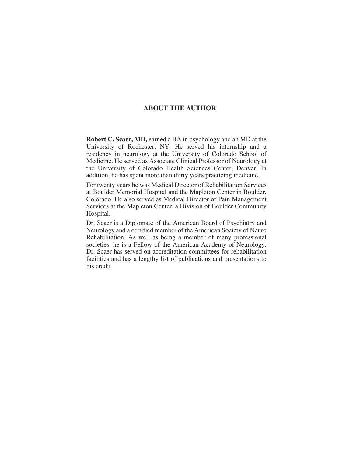## **ABOUT THE AUTHOR**

**Robert C. Scaer, MD,** earned a BA in psychology and an MD at the University of Rochester, NY. He served his internship and a residency in neurology at the University of Colorado School of Medicine. He served as Associate Clinical Professor of Neurology at the University of Colorado Health Sciences Center, Denver. In addition, he has spent more than thirty years practicing medicine.

For twenty years he was Medical Director of Rehabilitation Services at Boulder Memorial Hospital and the Mapleton Center in Boulder, Colorado. He also served as Medical Director of Pain Management Services at the Mapleton Center, a Division of Boulder Community Hospital.

Dr. Scaer is a Diplomate of the American Board of Psychiatry and Neurology and a certified member of the American Society of Neuro Rehabilitation. As well as being a member of many professional societies, he is a Fellow of the American Academy of Neurology. Dr. Scaer has served on accreditation committees for rehabilitation facilities and has a lengthy list of publications and presentations to his credit.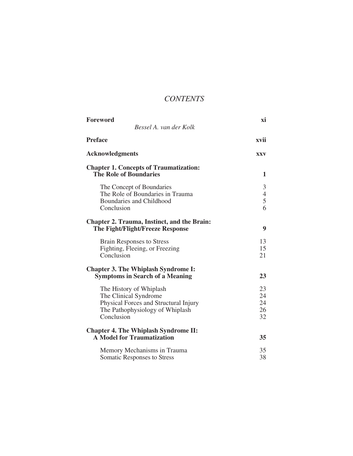## *CONTENTS*

| Foreword                                                                                                                                   | хi                         |
|--------------------------------------------------------------------------------------------------------------------------------------------|----------------------------|
| Bessel A. van der Kolk                                                                                                                     |                            |
| <b>Preface</b>                                                                                                                             | xvii                       |
| <b>Acknowledgments</b>                                                                                                                     | <b>XXV</b>                 |
| <b>Chapter 1. Concepts of Traumatization:</b><br><b>The Role of Boundaries</b>                                                             | 1                          |
| The Concept of Boundaries<br>The Role of Boundaries in Trauma<br><b>Boundaries and Childhood</b><br>Conclusion                             | 3<br>$\frac{4}{5}$<br>6    |
| <b>Chapter 2. Trauma, Instinct, and the Brain:</b><br>The Fight/Flight/Freeze Response                                                     | 9                          |
| <b>Brain Responses to Stress</b><br>Fighting, Fleeing, or Freezing<br>Conclusion                                                           | 13<br>15<br>21             |
| <b>Chapter 3. The Whiplash Syndrome I:</b><br><b>Symptoms in Search of a Meaning</b>                                                       | 23                         |
| The History of Whiplash<br>The Clinical Syndrome<br>Physical Forces and Structural Injury<br>The Pathophysiology of Whiplash<br>Conclusion | 23<br>24<br>24<br>26<br>32 |
| <b>Chapter 4. The Whiplash Syndrome II:</b><br><b>A Model for Traumatization</b>                                                           | 35                         |
| Memory Mechanisms in Trauma<br><b>Somatic Responses to Stress</b>                                                                          | 35<br>38                   |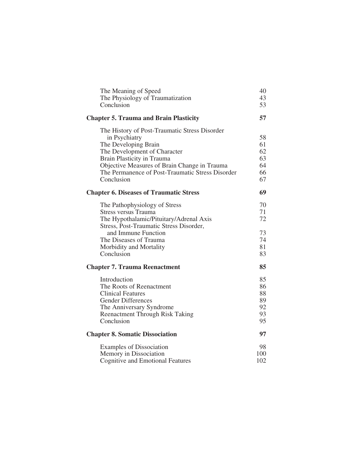| The Meaning of Speed                                                                             | 40       |
|--------------------------------------------------------------------------------------------------|----------|
| The Physiology of Traumatization                                                                 | 43       |
| Conclusion                                                                                       | 53       |
| <b>Chapter 5. Trauma and Brain Plasticity</b>                                                    | 57       |
| The History of Post-Traumatic Stress Disorder                                                    |          |
| in Psychiatry                                                                                    | 58       |
| The Developing Brain                                                                             | 61       |
| The Development of Character                                                                     | 62       |
| Brain Plasticity in Trauma                                                                       | 63       |
| Objective Measures of Brain Change in Trauma<br>The Permanence of Post-Traumatic Stress Disorder | 64<br>66 |
| Conclusion                                                                                       | 67       |
| <b>Chapter 6. Diseases of Traumatic Stress</b>                                                   | 69       |
| The Pathophysiology of Stress                                                                    | 70       |
| Stress versus Trauma                                                                             | 71       |
| The Hypothalamic/Pituitary/Adrenal Axis                                                          | 72       |
| Stress, Post-Traumatic Stress Disorder,                                                          |          |
| and Immune Function                                                                              | 73       |
| The Diseases of Trauma                                                                           | 74       |
| Morbidity and Mortality                                                                          | 81       |
| Conclusion                                                                                       | 83       |
| <b>Chapter 7. Trauma Reenactment</b>                                                             | 85       |
| Introduction                                                                                     | 85       |
| The Roots of Reenactment                                                                         | 86       |
| <b>Clinical Features</b>                                                                         | 88       |
| <b>Gender Differences</b>                                                                        | 89       |
| The Anniversary Syndrome                                                                         | 92       |
| Reenactment Through Risk Taking<br>Conclusion                                                    | 93<br>95 |
| <b>Chapter 8. Somatic Dissociation</b>                                                           | 97       |
| <b>Examples of Dissociation</b>                                                                  | 98       |
| Memory in Dissociation                                                                           | 100      |
| <b>Cognitive and Emotional Features</b>                                                          | 102      |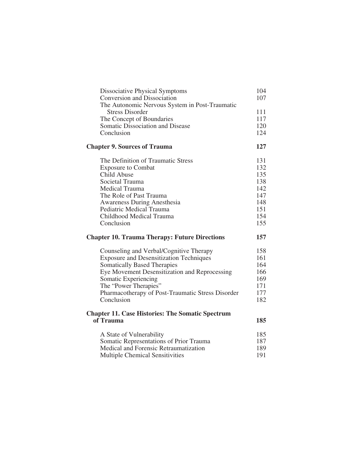| <b>Dissociative Physical Symptoms</b><br><b>Conversion and Dissociation</b> | 104<br>107 |
|-----------------------------------------------------------------------------|------------|
| The Autonomic Nervous System in Post-Traumatic                              |            |
| <b>Stress Disorder</b>                                                      | 111        |
| The Concept of Boundaries                                                   | 117        |
| Somatic Dissociation and Disease<br>Conclusion                              | 120<br>124 |
|                                                                             |            |
| <b>Chapter 9. Sources of Trauma</b>                                         | 127        |
| The Definition of Traumatic Stress                                          | 131        |
| <b>Exposure to Combat</b>                                                   | 132        |
| <b>Child Abuse</b>                                                          | 135        |
| Societal Trauma                                                             | 138        |
| Medical Trauma                                                              | 142        |
| The Role of Past Trauma                                                     | 147        |
| <b>Awareness During Anesthesia</b>                                          | 148        |
| Pediatric Medical Trauma                                                    | 151        |
| Childhood Medical Trauma                                                    | 154        |
| Conclusion                                                                  | 155        |
| <b>Chapter 10. Trauma Therapy: Future Directions</b>                        | 157        |
| Counseling and Verbal/Cognitive Therapy                                     | 158        |
| <b>Exposure and Desensitization Techniques</b>                              | 161        |
| <b>Somatically Based Therapies</b>                                          | 164        |
| Eye Movement Desensitization and Reprocessing                               | 166        |
| Somatic Experiencing                                                        | 169        |
| The "Power Therapies"                                                       | 171        |
| Pharmacotherapy of Post-Traumatic Stress Disorder                           | 177        |
| Conclusion                                                                  | 182        |
| <b>Chapter 11. Case Histories: The Somatic Spectrum</b>                     |            |
| of Trauma                                                                   | 185        |
| A State of Vulnerability                                                    | 185        |
| Somatic Representations of Prior Trauma                                     | 187        |
| Medical and Forensic Retraumatization                                       | 189        |
| <b>Multiple Chemical Sensitivities</b>                                      | 191        |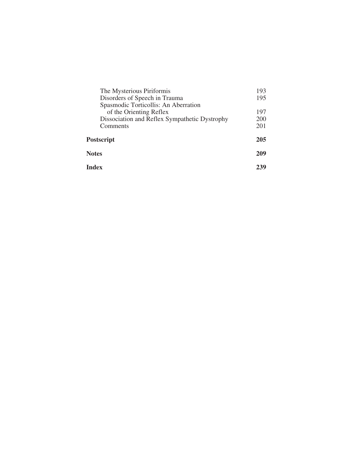| The Mysterious Piriformis                     | 193        |
|-----------------------------------------------|------------|
| Disorders of Speech in Trauma                 | 195        |
| Spasmodic Torticollis: An Aberration          |            |
| of the Orienting Reflex                       | 197        |
| Dissociation and Reflex Sympathetic Dystrophy | <b>200</b> |
| Comments                                      | 201        |
| Postscript                                    |            |
| <b>Notes</b>                                  | 209        |
| Index                                         | 239        |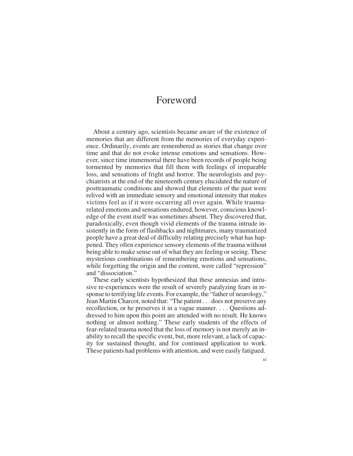## Foreword

About a century ago, scientists became aware of the existence of memories that are different from the memories of everyday experience. Ordinarily, events are remembered as stories that change over time and that do not evoke intense emotions and sensations. However, since time immemorial there have been records of people being tormented by memories that fill them with feelings of irreparable loss, and sensations of fright and horror. The neurologists and psychiatrists at the end of the nineteenth century elucidated the nature of posttraumatic conditions and showed that elements of the past were relived with an immediate sensory and emotional intensity that makes victims feel as if it were occurring all over again. While traumarelated emotions and sensations endured, however, conscious knowledge of the event itself was sometimes absent. They discovered that, paradoxically, even though vivid elements of the trauma intrude insistently in the form of flashbacks and nightmares, many traumatized people have a great deal of difficulty relating precisely what has happened. They often experience sensory elements of the trauma without being able to make sense out of what they are feeling or seeing. These mysterious combinations of remembering emotions and sensations, while forgetting the origin and the content, were called "repression" and "dissociation."

These early scientists hypothesized that these amnesias and intrusive re-experiences were the result of severely paralyzing fears in response to terrifying life events. For example, the "father of neurology," Jean Martin Charcot, noted that: "The patient . . . does not preserve any recollection, or he preserves it in a vague manner.... Questions addressed to him upon this point are attended with no result. He knows nothing or almost nothing." These early students of the effects of fear-related trauma noted that the loss of memory is not merely an inability to recall the specific event, but, more relevant, a lack of capacity for sustained thought, and for continued application to work. These patients had problems with attention, and were easily fatigued.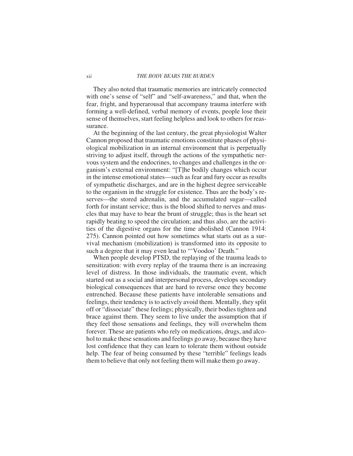They also noted that traumatic memories are intricately connected with one's sense of "self" and "self-awareness," and that, when the fear, fright, and hyperarousal that accompany trauma interfere with forming a well-defined, verbal memory of events, people lose their sense of themselves, start feeling helpless and look to others for reassurance.

At the beginning of the last century, the great physiologist Walter Cannon proposed that traumatic emotions constitute phases of physiological mobilization in an internal environment that is perpetually striving to adjust itself, through the actions of the sympathetic nervous system and the endocrines, to changes and challenges in the organism's external environment: "[T]he bodily changes which occur in the intense emotional states—such as fear and fury occur as results of sympathetic discharges, and are in the highest degree serviceable to the organism in the struggle for existence. Thus are the body's reserves—the stored adrenalin, and the accumulated sugar—called forth for instant service; thus is the blood shifted to nerves and muscles that may have to bear the brunt of struggle; thus is the heart set rapidly beating to speed the circulation; and thus also, are the activities of the digestive organs for the time abolished (Cannon 1914: 275). Cannon pointed out how sometimes what starts out as a survival mechanism (mobilization) is transformed into its opposite to such a degree that it may even lead to "'Voodoo' Death."

When people develop PTSD, the replaying of the trauma leads to sensitization: with every replay of the trauma there is an increasing level of distress. In those individuals, the traumatic event, which started out as a social and interpersonal process, develops secondary biological consequences that are hard to reverse once they become entrenched. Because these patients have intolerable sensations and feelings, their tendency is to actively avoid them. Mentally, they split off or "dissociate" these feelings; physically, their bodies tighten and brace against them. They seem to live under the assumption that if they feel those sensations and feelings, they will overwhelm them forever. These are patients who rely on medications, drugs, and alcohol to make these sensations and feelings go away, because they have lost confidence that they can learn to tolerate them without outside help. The fear of being consumed by these "terrible" feelings leads them to believe that only not feeling them will make them go away.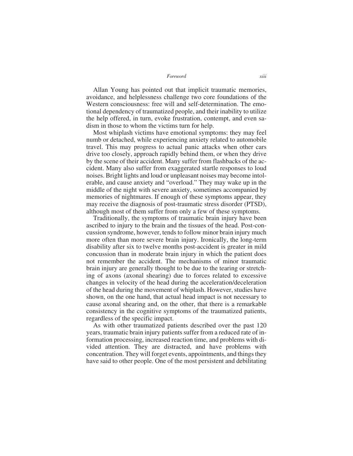#### *Foreword xiii*

Allan Young has pointed out that implicit traumatic memories, avoidance, and helplessness challenge two core foundations of the Western consciousness: free will and self-determination. The emotional dependency of traumatized people, and their inability to utilize the help offered, in turn, evoke frustration, contempt, and even sadism in those to whom the victims turn for help.

Most whiplash victims have emotional symptoms: they may feel numb or detached, while experiencing anxiety related to automobile travel. This may progress to actual panic attacks when other cars drive too closely, approach rapidly behind them, or when they drive by the scene of their accident. Many suffer from flashbacks of the accident. Many also suffer from exaggerated startle responses to loud noises. Bright lights and loud or unpleasant noises may become intolerable, and cause anxiety and "overload." They may wake up in the middle of the night with severe anxiety, sometimes accompanied by memories of nightmares. If enough of these symptoms appear, they may receive the diagnosis of post-traumatic stress disorder (PTSD), although most of them suffer from only a few of these symptoms.

Traditionally, the symptoms of traumatic brain injury have been ascribed to injury to the brain and the tissues of the head. Post-concussion syndrome, however, tends to follow minor brain injury much more often than more severe brain injury. Ironically, the long-term disability after six to twelve months post-accident is greater in mild concussion than in moderate brain injury in which the patient does not remember the accident. The mechanisms of minor traumatic brain injury are generally thought to be due to the tearing or stretching of axons (axonal shearing) due to forces related to excessive changes in velocity of the head during the acceleration/deceleration of the head during the movement of whiplash. However, studies have shown, on the one hand, that actual head impact is not necessary to cause axonal shearing and, on the other, that there is a remarkable consistency in the cognitive symptoms of the traumatized patients, regardless of the specific impact.

As with other traumatized patients described over the past 120 years, traumatic brain injury patients suffer from a reduced rate of information processing, increased reaction time, and problems with divided attention. They are distracted, and have problems with concentration. They will forget events, appointments, and things they have said to other people. One of the most persistent and debilitating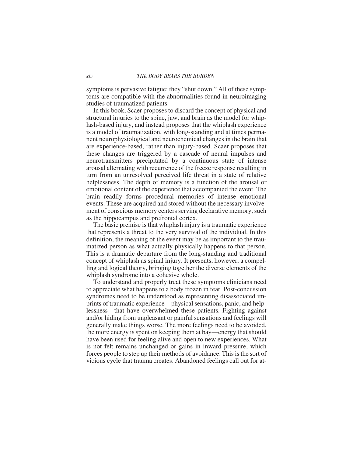symptoms is pervasive fatigue: they "shut down." All of these symptoms are compatible with the abnormalities found in neuroimaging studies of traumatized patients.

In this book, Scaer proposes to discard the concept of physical and structural injuries to the spine, jaw, and brain as the model for whiplash-based injury, and instead proposes that the whiplash experience is a model of traumatization, with long-standing and at times permanent neurophysiological and neurochemical changes in the brain that are experience-based, rather than injury-based. Scaer proposes that these changes are triggered by a cascade of neural impulses and neurotransmitters precipitated by a continuous state of intense arousal alternating with recurrence of the freeze response resulting in turn from an unresolved perceived life threat in a state of relative helplessness. The depth of memory is a function of the arousal or emotional content of the experience that accompanied the event. The brain readily forms procedural memories of intense emotional events. These are acquired and stored without the necessary involvement of conscious memory centers serving declarative memory, such as the hippocampus and prefrontal cortex.

The basic premise is that whiplash injury is a traumatic experience that represents a threat to the very survival of the individual. In this definition, the meaning of the event may be as important to the traumatized person as what actually physically happens to that person. This is a dramatic departure from the long-standing and traditional concept of whiplash as spinal injury. It presents, however, a compelling and logical theory, bringing together the diverse elements of the whiplash syndrome into a cohesive whole.

To understand and properly treat these symptoms clinicians need to appreciate what happens to a body frozen in fear. Post-concussion syndromes need to be understood as representing disassociated imprints of traumatic experience—physical sensations, panic, and helplessness—that have overwhelmed these patients. Fighting against and/or hiding from unpleasant or painful sensations and feelings will generally make things worse. The more feelings need to be avoided, the more energy is spent on keeping them at bay—energy that should have been used for feeling alive and open to new experiences. What is not felt remains unchanged or gains in inward pressure, which forces people to step up their methods of avoidance. This is the sort of vicious cycle that trauma creates. Abandoned feelings call out for at-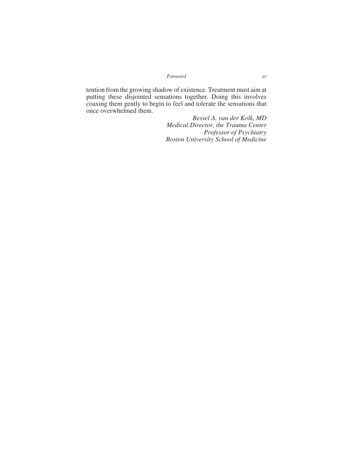tention from the growing shadow of existence. Treatment must aim at putting these disjointed sensations together. Doing this involves coaxing them gently to begin to feel and tolerate the sensations that once overwhelmed them.

> *Bessel A. van der Kolk, MD Medical Director, the Trauma Center Professor of Psychiatry Boston University School of Medicine*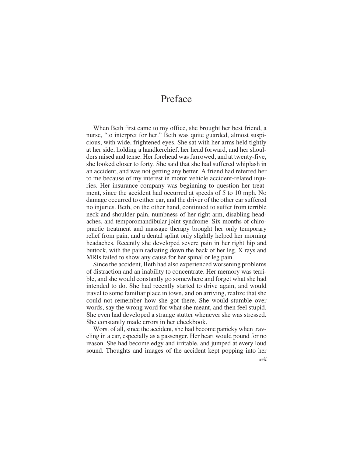## Preface

When Beth first came to my office, she brought her best friend, a nurse, "to interpret for her." Beth was quite guarded, almost suspicious, with wide, frightened eyes. She sat with her arms held tightly at her side, holding a handkerchief, her head forward, and her shoulders raised and tense. Her forehead was furrowed, and at twenty-five, she looked closer to forty. She said that she had suffered whiplash in an accident, and was not getting any better. A friend had referred her to me because of my interest in motor vehicle accident-related injuries. Her insurance company was beginning to question her treatment, since the accident had occurred at speeds of 5 to 10 mph. No damage occurred to either car, and the driver of the other car suffered no injuries. Beth, on the other hand, continued to suffer from terrible neck and shoulder pain, numbness of her right arm, disabling headaches, and temporomandibular joint syndrome. Six months of chiropractic treatment and massage therapy brought her only temporary relief from pain, and a dental splint only slightly helped her morning headaches. Recently she developed severe pain in her right hip and buttock, with the pain radiating down the back of her leg. X rays and MRIs failed to show any cause for her spinal or leg pain.

Since the accident, Beth had also experienced worsening problems of distraction and an inability to concentrate. Her memory was terrible, and she would constantly go somewhere and forget what she had intended to do. She had recently started to drive again, and would travel to some familiar place in town, and on arriving, realize that she could not remember how she got there. She would stumble over words, say the wrong word for what she meant, and then feel stupid. She even had developed a strange stutter whenever she was stressed. She constantly made errors in her checkbook.

Worst of all, since the accident, she had become panicky when traveling in a car, especially as a passenger. Her heart would pound for no reason. She had become edgy and irritable, and jumped at every loud sound. Thoughts and images of the accident kept popping into her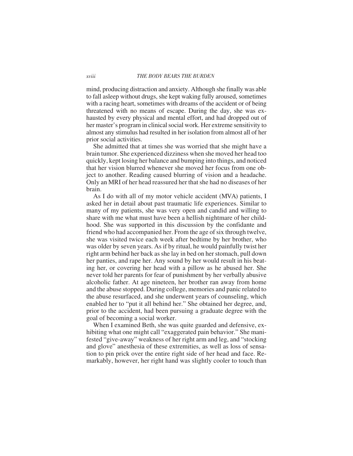mind, producing distraction and anxiety. Although she finally was able to fall asleep without drugs, she kept waking fully aroused, sometimes with a racing heart, sometimes with dreams of the accident or of being threatened with no means of escape. During the day, she was exhausted by every physical and mental effort, and had dropped out of her master's program in clinical social work. Her extreme sensitivity to almost any stimulus had resulted in her isolation from almost all of her prior social activities.

She admitted that at times she was worried that she might have a brain tumor. She experienced dizziness when she moved her head too quickly, kept losing her balance and bumping into things, and noticed that her vision blurred whenever she moved her focus from one object to another. Reading caused blurring of vision and a headache. Only an MRI of her head reassured her that she had no diseases of her brain.

As I do with all of my motor vehicle accident (MVA) patients, I asked her in detail about past traumatic life experiences. Similar to many of my patients, she was very open and candid and willing to share with me what must have been a hellish nightmare of her childhood. She was supported in this discussion by the confidante and friend who had accompanied her. From the age of six through twelve, she was visited twice each week after bedtime by her brother, who was older by seven years. As if by ritual, he would painfully twist her right arm behind her back as she lay in bed on her stomach, pull down her panties, and rape her. Any sound by her would result in his beating her, or covering her head with a pillow as he abused her. She never told her parents for fear of punishment by her verbally abusive alcoholic father. At age nineteen, her brother ran away from home and the abuse stopped. During college, memories and panic related to the abuse resurfaced, and she underwent years of counseling, which enabled her to "put it all behind her." She obtained her degree, and, prior to the accident, had been pursuing a graduate degree with the goal of becoming a social worker.

When I examined Beth, she was quite guarded and defensive, exhibiting what one might call "exaggerated pain behavior." She manifested "give-away" weakness of her right arm and leg, and "stocking and glove" anesthesia of these extremities, as well as loss of sensation to pin prick over the entire right side of her head and face. Remarkably, however, her right hand was slightly cooler to touch than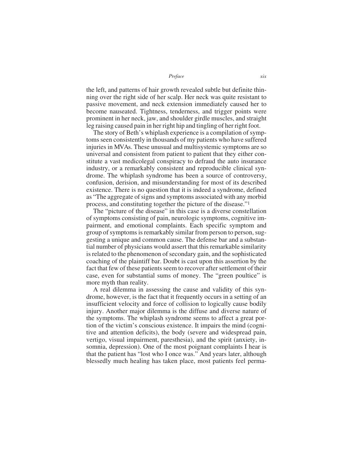#### *Preface xix*

the left, and patterns of hair growth revealed subtle but definite thinning over the right side of her scalp. Her neck was quite resistant to passive movement, and neck extension immediately caused her to become nauseated. Tightness, tenderness, and trigger points were prominent in her neck, jaw, and shoulder girdle muscles, and straight leg raising caused pain in her right hip and tingling of her right foot.

The story of Beth's whiplash experience is a compilation of symptoms seen consistently in thousands of my patients who have suffered injuries in MVAs. These unusual and multisystemic symptoms are so universal and consistent from patient to patient that they either constitute a vast medicolegal conspiracy to defraud the auto insurance industry, or a remarkably consistent and reproducible clinical syndrome. The whiplash syndrome has been a source of controversy, confusion, derision, and misunderstanding for most of its described existence. There is no question that it is indeed a syndrome, defined as "The aggregate of signs and symptoms associated with any morbid process, and constituting together the picture of the disease."1

The "picture of the disease" in this case is a diverse constellation of symptoms consisting of pain, neurologic symptoms, cognitive impairment, and emotional complaints. Each specific symptom and group of symptoms is remarkably similar from person to person, suggesting a unique and common cause. The defense bar and a substantial number of physicians would assert that this remarkable similarity is related to the phenomenon of secondary gain, and the sophisticated coaching of the plaintiff bar. Doubt is cast upon this assertion by the fact that few of these patients seem to recover after settlement of their case, even for substantial sums of money. The "green poultice" is more myth than reality.

A real dilemma in assessing the cause and validity of this syndrome, however, is the fact that it frequently occurs in a setting of an insufficient velocity and force of collision to logically cause bodily injury. Another major dilemma is the diffuse and diverse nature of the symptoms. The whiplash syndrome seems to affect a great portion of the victim's conscious existence. It impairs the mind (cognitive and attention deficits), the body (severe and widespread pain, vertigo, visual impairment, paresthesia), and the spirit (anxiety, insomnia, depression). One of the most poignant complaints I hear is that the patient has "lost who I once was." And years later, although blessedly much healing has taken place, most patients feel perma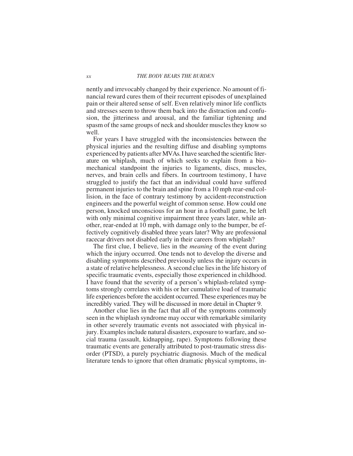nently and irrevocably changed by their experience. No amount of financial reward cures them of their recurrent episodes of unexplained pain or their altered sense of self. Even relatively minor life conflicts and stresses seem to throw them back into the distraction and confusion, the jitteriness and arousal, and the familiar tightening and spasm of the same groups of neck and shoulder muscles they know so well.

For years I have struggled with the inconsistencies between the physical injuries and the resulting diffuse and disabling symptoms experienced by patients after MVAs.I have searched the scientific literature on whiplash, much of which seeks to explain from a biomechanical standpoint the injuries to ligaments, discs, muscles, nerves, and brain cells and fibers. In courtroom testimony, I have struggled to justify the fact that an individual could have suffered permanent injuries to the brain and spine from a 10 mph rear-end collision, in the face of contrary testimony by accident-reconstruction engineers and the powerful weight of common sense. How could one person, knocked unconscious for an hour in a football game, be left with only minimal cognitive impairment three years later, while another, rear-ended at 10 mph, with damage only to the bumper, be effectively cognitively disabled three years later? Why are professional racecar drivers not disabled early in their careers from whiplash?

The first clue, I believe, lies in the *meaning* of the event during which the injury occurred. One tends not to develop the diverse and disabling symptoms described previously unless the injury occurs in a state of relative helplessness. A second clue lies in the life history of specific traumatic events, especially those experienced in childhood. I have found that the severity of a person's whiplash-related symptoms strongly correlates with his or her cumulative load of traumatic life experiences before the accident occurred. These experiences may be incredibly varied. They will be discussed in more detail in Chapter 9.

Another clue lies in the fact that all of the symptoms commonly seen in the whiplash syndrome may occur with remarkable similarity in other severely traumatic events not associated with physical injury. Examples include natural disasters, exposure to warfare, and social trauma (assault, kidnapping, rape). Symptoms following these traumatic events are generally attributed to post-traumatic stress disorder (PTSD), a purely psychiatric diagnosis. Much of the medical literature tends to ignore that often dramatic physical symptoms, in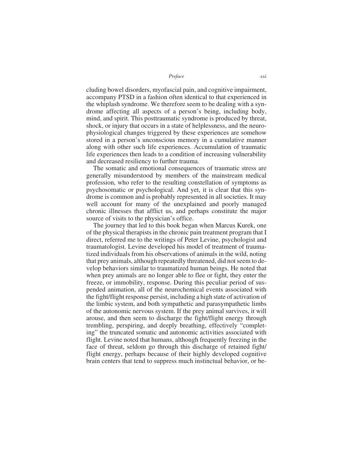cluding bowel disorders, myofascial pain, and cognitive impairment, accompany PTSD in a fashion often identical to that experienced in the whiplash syndrome. We therefore seem to be dealing with a syndrome affecting all aspects of a person's being, including body, mind, and spirit. This posttraumatic syndrome is produced by threat, shock, or injury that occurs in a state of helplessness, and the neurophysiological changes triggered by these experiences are somehow stored in a person's unconscious memory in a cumulative manner along with other such life experiences. Accumulation of traumatic life experiences then leads to a condition of increasing vulnerability and decreased resiliency to further trauma.

The somatic and emotional consequences of traumatic stress are generally misunderstood by members of the mainstream medical profession, who refer to the resulting constellation of symptoms as psychosomatic or psychological. And yet, it is clear that this syndrome is common and is probably represented in all societies. It may well account for many of the unexplained and poorly managed chronic illnesses that afflict us, and perhaps constitute the major source of visits to the physician's office.

The journey that led to this book began when Marcus Kurek, one of the physical therapists in the chronic pain treatment program that I direct, referred me to the writings of Peter Levine, psychologist and traumatologist. Levine developed his model of treatment of traumatized individuals from his observations of animals in the wild, noting that prey animals, although repeatedly threatened, did not seem to develop behaviors similar to traumatized human beings. He noted that when prey animals are no longer able to flee or fight, they enter the freeze, or immobility, response. During this peculiar period of suspended animation, all of the neurochemical events associated with the fight/flight response persist, including a high state of activation of the limbic system, and both sympathetic and parasympathetic limbs of the autonomic nervous system. If the prey animal survives, it will arouse, and then seem to discharge the fight/flight energy through trembling, perspiring, and deeply breathing, effectively "completing" the truncated somatic and autonomic activities associated with flight. Levine noted that humans, although frequently freezing in the face of threat, seldom go through this discharge of retained fight/ flight energy, perhaps because of their highly developed cognitive brain centers that tend to suppress much instinctual behavior, or be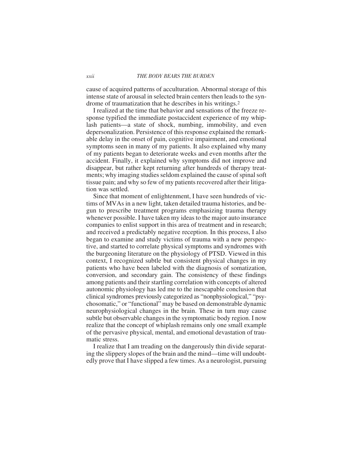cause of acquired patterns of acculturation. Abnormal storage of this intense state of arousal in selected brain centers then leads to the syndrome of traumatization that he describes in his writings.2

I realized at the time that behavior and sensations of the freeze response typified the immediate postaccident experience of my whiplash patients—a state of shock, numbing, immobility, and even depersonalization. Persistence of this response explained the remarkable delay in the onset of pain, cognitive impairment, and emotional symptoms seen in many of my patients. It also explained why many of my patients began to deteriorate weeks and even months after the accident. Finally, it explained why symptoms did not improve and disappear, but rather kept returning after hundreds of therapy treatments; why imaging studies seldom explained the cause of spinal soft tissue pain; and why so few of my patients recovered after their litigation was settled.

Since that moment of enlightenment, I have seen hundreds of victims of MVAs in a new light, taken detailed trauma histories, and begun to prescribe treatment programs emphasizing trauma therapy whenever possible. I have taken my ideas to the major auto insurance companies to enlist support in this area of treatment and in research; and received a predictably negative reception. In this process, I also began to examine and study victims of trauma with a new perspective, and started to correlate physical symptoms and syndromes with the burgeoning literature on the physiology of PTSD. Viewed in this context, I recognized subtle but consistent physical changes in my patients who have been labeled with the diagnosis of somatization, conversion, and secondary gain. The consistency of these findings among patients and their startling correlation with concepts of altered autonomic physiology has led me to the inescapable conclusion that clinical syndromes previously categorized as "nonphysiological," "psychosomatic," or "functional" may be based on demonstrable dynamic neurophysiological changes in the brain. These in turn may cause subtle but observable changes in the symptomatic body region. I now realize that the concept of whiplash remains only one small example of the pervasive physical, mental, and emotional devastation of traumatic stress.

I realize that I am treading on the dangerously thin divide separating the slippery slopes of the brain and the mind—time will undoubtedly prove that I have slipped a few times. As a neurologist, pursuing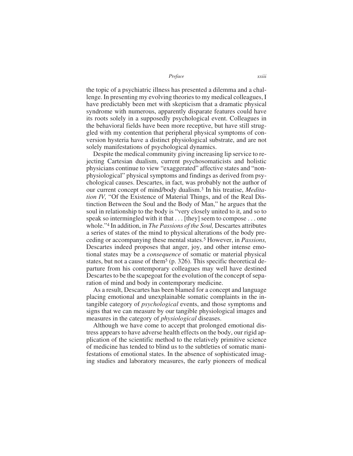the topic of a psychiatric illness has presented a dilemma and a challenge. In presenting my evolving theories to my medical colleagues, I have predictably been met with skepticism that a dramatic physical syndrome with numerous, apparently disparate features could have its roots solely in a supposedly psychological event. Colleagues in the behavioral fields have been more receptive, but have still struggled with my contention that peripheral physical symptoms of conversion hysteria have a distinct physiological substrate, and are not solely manifestations of psychological dynamics.

Despite the medical community giving increasing lip service to rejecting Cartesian dualism, current psychosomaticists and holistic physicians continue to view "exaggerated" affective states and "nonphysiological" physical symptoms and findings as derived from psychological causes. Descartes, in fact, was probably not the author of our current concept of mind/body dualism.3 In his treatise, *Meditation IV,* "Of the Existence of Material Things, and of the Real Distinction Between the Soul and the Body of Man," he argues that the soul in relationship to the body is "very closely united to it, and so to speak so intermingled with it that . . . [they] seem to compose . . . one whole."4 In addition, in *The Passions of the Soul,* Descartes attributes a series of states of the mind to physical alterations of the body preceding or accompanying these mental states.5 However, in *Passions,* Descartes indeed proposes that anger, joy, and other intense emotional states may be a *consequence* of somatic or material physical states, but not a cause of them<sup>5</sup> (p. 326). This specific theoretical departure from his contemporary colleagues may well have destined Descartes to be the scapegoat for the evolution of the concept of separation of mind and body in contemporary medicine.

As a result, Descartes has been blamed for a concept and language placing emotional and unexplainable somatic complaints in the intangible category of *psychological* events, and those symptoms and signs that we can measure by our tangible physiological images and measures in the category of *physiological* diseases.

Although we have come to accept that prolonged emotional distress appears to have adverse health effects on the body, our rigid application of the scientific method to the relatively primitive science of medicine has tended to blind us to the subtleties of somatic manifestations of emotional states. In the absence of sophisticated imaging studies and laboratory measures, the early pioneers of medical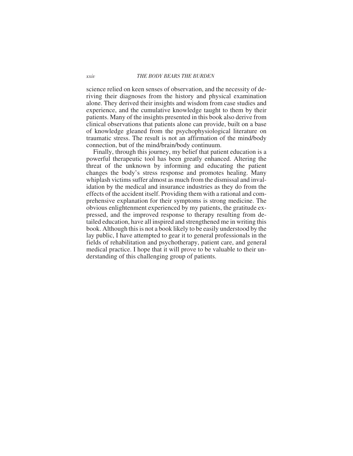science relied on keen senses of observation, and the necessity of deriving their diagnoses from the history and physical examination alone. They derived their insights and wisdom from case studies and experience, and the cumulative knowledge taught to them by their patients. Many of the insights presented in this book also derive from clinical observations that patients alone can provide, built on a base of knowledge gleaned from the psychophysiological literature on traumatic stress. The result is not an affirmation of the mind/body connection, but of the mind/brain/body continuum.

Finally, through this journey, my belief that patient education is a powerful therapeutic tool has been greatly enhanced. Altering the threat of the unknown by informing and educating the patient changes the body's stress response and promotes healing. Many whiplash victims suffer almost as much from the dismissal and invalidation by the medical and insurance industries as they do from the effects of the accident itself. Providing them with a rational and comprehensive explanation for their symptoms is strong medicine. The obvious enlightenment experienced by my patients, the gratitude expressed, and the improved response to therapy resulting from detailed education, have all inspired and strengthened me in writing this book. Although this is not a book likely to be easily understood by the lay public, I have attempted to gear it to general professionals in the fields of rehabilitation and psychotherapy, patient care, and general medical practice. I hope that it will prove to be valuable to their understanding of this challenging group of patients.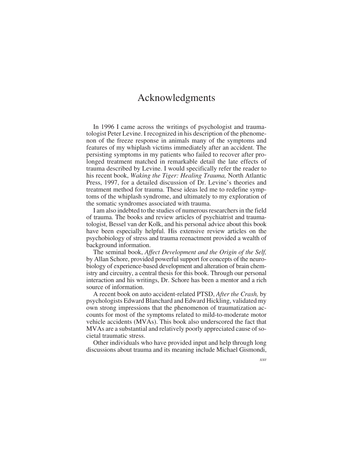## Acknowledgments Acknowledgments

In 1996 I came across the writings of psychologist and traumatologist Peter Levine. I recognized in his description of the phenomenon of the freeze response in animals many of the symptoms and features of my whiplash victims immediately after an accident. The persisting symptoms in my patients who failed to recover after prolonged treatment matched in remarkable detail the late effects of trauma described by Levine. I would specifically refer the reader to his recent book, *Waking the Tiger: Healing Trauma,* North Atlantic Press, 1997, for a detailed discussion of Dr. Levine's theories and treatment method for trauma. These ideas led me to redefine symptoms of the whiplash syndrome, and ultimately to my exploration of the somatic syndromes associated with trauma.

I am also indebted to the studies of numerous researchers in the field of trauma. The books and review articles of psychiatrist and traumatologist, Bessel van der Kolk, and his personal advice about this book have been especially helpful. His extensive review articles on the psychobiology of stress and trauma reenactment provided a wealth of background information.

The seminal book, *Affect Development and the Origin of the Self,* by Allan Schore, provided powerful support for concepts of the neurobiology of experience-based development and alteration of brain chemistry and circuitry, a central thesis for this book. Through our personal interaction and his writings, Dr. Schore has been a mentor and a rich source of information.

A recent book on auto accident-related PTSD, *After the Crash,* by psychologists Edward Blanchard and Edward Hickling, validated my own strong impressions that the phenomenon of traumatization accounts for most of the symptoms related to mild-to-moderate motor vehicle accidents (MVAs). This book also underscored the fact that MVAs are a substantial and relatively poorly appreciated cause of societal traumatic stress.

Other individuals who have provided input and help through long discussions about trauma and its meaning include Michael Gismondi,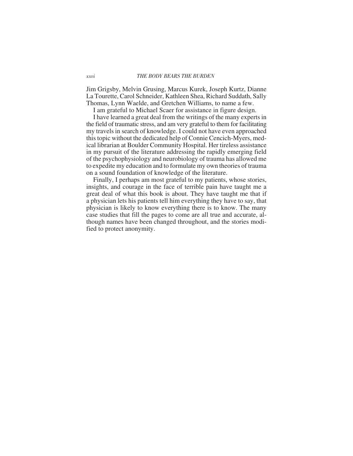Jim Grigsby, Melvin Grusing, Marcus Kurek, Joseph Kurtz, Dianne La Tourette, Carol Schneider, Kathleen Shea, Richard Suddath, Sally Thomas, Lynn Waelde, and Gretchen Williams, to name a few.

I am grateful to Michael Scaer for assistance in figure design.

I have learned a great deal from the writings of the many experts in the field of traumatic stress, and am very grateful to them for facilitating my travels in search of knowledge. I could not have even approached this topic without the dedicated help of Connie Cencich-Myers, medical librarian at Boulder Community Hospital. Her tireless assistance in my pursuit of the literature addressing the rapidly emerging field of the psychophysiology and neurobiology of trauma has allowed me to expedite my education and to formulate my own theories of trauma on a sound foundation of knowledge of the literature.

Finally, I perhaps am most grateful to my patients, whose stories, insights, and courage in the face of terrible pain have taught me a great deal of what this book is about. They have taught me that if a physician lets his patients tell him everything they have to say, that physician is likely to know everything there is to know. The many case studies that fill the pages to come are all true and accurate, although names have been changed throughout, and the stories modified to protect anonymity.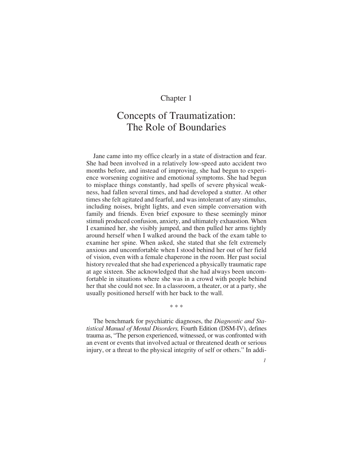## Chapter 1

## Concepts of Traumatization: The Role of Boundaries

Jane came into my office clearly in a state of distraction and fear. She had been involved in a relatively low-speed auto accident two months before, and instead of improving, she had begun to experience worsening cognitive and emotional symptoms. She had begun to misplace things constantly, had spells of severe physical weakness, had fallen several times, and had developed a stutter. At other times she felt agitated and fearful, and was intolerant of any stimulus, including noises, bright lights, and even simple conversation with family and friends. Even brief exposure to these seemingly minor stimuli produced confusion, anxiety, and ultimately exhaustion. When I examined her, she visibly jumped, and then pulled her arms tightly around herself when I walked around the back of the exam table to examine her spine. When asked, she stated that she felt extremely anxious and uncomfortable when I stood behind her out of her field of vision, even with a female chaperone in the room. Her past social history revealed that she had experienced a physically traumatic rape at age sixteen. She acknowledged that she had always been uncomfortable in situations where she was in a crowd with people behind her that she could not see. In a classroom, a theater, or at a party, she usually positioned herself with her back to the wall.

\* \* \*

The benchmark for psychiatric diagnoses, the *Diagnostic and Statistical Manual of Mental Disorders,* Fourth Edition (DSM-IV), defines trauma as, "The person experienced, witnessed, or was confronted with an event or events that involved actual or threatened death or serious injury, or a threat to the physical integrity of self or others." In addi-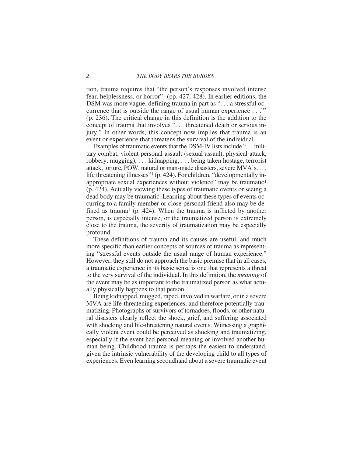tion, trauma requires that "the person's responses involved intense fear, helplessness, or horror"1 (pp. 427, 428). In earlier editions, the DSM was more vague, defining trauma in part as "...a stressful occurrence that is outside the range of usual human experience . . ."2 (p. 236). The critical change in this definition is the addition to the concept of trauma that involves ". . . threatened death or serious injury." In other words, this concept now implies that trauma is an event or experience that threatens the survival of the individual.

Examples of traumatic events that the DSM-IV lists include ". . . military combat, violent personal assault (sexual assault, physical attack, robbery, mugging),... kidnapping,... being taken hostage, terrorist attack, torture, POW, natural or man-made disasters, severe MVA's,... life threatening illnesses"<sup>1</sup> (p. 424). For children, "developmentally inappropriate sexual experiences without violence" may be traumatic<sup>1</sup> (p. 424). Actually viewing these types of traumatic events or seeing a dead body may be traumatic. Learning about these types of events occurring to a family member or close personal friend also may be defined as trauma<sup>1</sup> (p. 424). When the trauma is inflicted by another person, is especially intense, or the traumatized person is extremely close to the trauma, the severity of traumatization may be especially profound.

These definitions of trauma and its causes are useful, and much more specific than earlier concepts of sources of trauma as representing "stressful events outside the usual range of human experience." However, they still do not approach the basic premise that in all cases, a traumatic experience in its basic sense is one that represents a threat to the very survival of the individual. In this definition, the *meaning* of the event may be as important to the traumatized person as what actually physically happens to that person.

Being kidnapped, mugged, raped, involved in warfare, or in a severe MVA are life-threatening experiences, and therefore potentially traumatizing. Photographs of survivors of tornadoes, floods, or other natural disasters clearly reflect the shock, grief, and suffering associated with shocking and life-threatening natural events. Witnessing a graphically violent event could be perceived as shocking and traumatizing, especially if the event had personal meaning or involved another human being. Childhood trauma is perhaps the easiest to understand, given the intrinsic vulnerability of the developing child to all types of experiences. Even learning secondhand about a severe traumatic event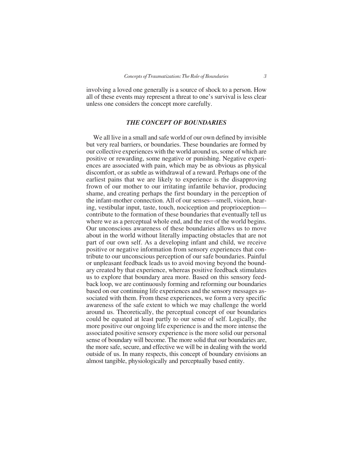involving a loved one generally is a source of shock to a person. How all of these events may represent a threat to one's survival is less clear unless one considers the concept more carefully.

#### *THE CONCEPT OF BOUNDARIES*

We all live in a small and safe world of our own defined by invisible but very real barriers, or boundaries. These boundaries are formed by our collective experiences with the world around us, some of which are positive or rewarding, some negative or punishing. Negative experiences are associated with pain, which may be as obvious as physical discomfort, or as subtle as withdrawal of a reward. Perhaps one of the earliest pains that we are likely to experience is the disapproving frown of our mother to our irritating infantile behavior, producing shame, and creating perhaps the first boundary in the perception of the infant-mother connection. All of our senses—smell, vision, hearing, vestibular input, taste, touch, nociception and proprioception contribute to the formation of these boundaries that eventually tell us where we as a perceptual whole end, and the rest of the world begins. Our unconscious awareness of these boundaries allows us to move about in the world without literally impacting obstacles that are not part of our own self. As a developing infant and child, we receive positive or negative information from sensory experiences that contribute to our unconscious perception of our safe boundaries. Painful or unpleasant feedback leads us to avoid moving beyond the boundary created by that experience, whereas positive feedback stimulates us to explore that boundary area more. Based on this sensory feedback loop, we are continuously forming and reforming our boundaries based on our continuing life experiences and the sensory messages associated with them. From these experiences, we form a very specific awareness of the safe extent to which we may challenge the world around us. Theoretically, the perceptual concept of our boundaries could be equated at least partly to our sense of self. Logically, the more positive our ongoing life experience is and the more intense the associated positive sensory experience is the more solid our personal sense of boundary will become. The more solid that our boundaries are, the more safe, secure, and effective we will be in dealing with the world outside of us. In many respects, this concept of boundary envisions an almost tangible, physiologically and perceptually based entity.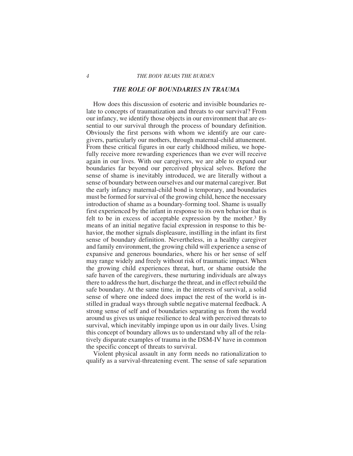### *THE ROLE OF BOUNDARIES IN TRAUMA*

How does this discussion of esoteric and invisible boundaries relate to concepts of traumatization and threats to our survival? From our infancy, we identify those objects in our environment that are essential to our survival through the process of boundary definition. Obviously the first persons with whom we identify are our caregivers, particularly our mothers, through maternal-child attunement. From these critical figures in our early childhood milieu, we hopefully receive more rewarding experiences than we ever will receive again in our lives. With our caregivers, we are able to expand our boundaries far beyond our perceived physical selves. Before the sense of shame is inevitably introduced, we are literally without a sense of boundary between ourselves and our maternal caregiver. But the early infancy maternal-child bond is temporary, and boundaries must be formed for survival of the growing child, hence the necessary introduction of shame as a boundary-forming tool. Shame is usually first experienced by the infant in response to its own behavior that is felt to be in excess of acceptable expression by the mother.3 By means of an initial negative facial expression in response to this behavior, the mother signals displeasure, instilling in the infant its first sense of boundary definition. Nevertheless, in a healthy caregiver and family environment, the growing child will experience a sense of expansive and generous boundaries, where his or her sense of self may range widely and freely without risk of traumatic impact. When the growing child experiences threat, hurt, or shame outside the safe haven of the caregivers, these nurturing individuals are always there to address the hurt, discharge the threat, and in effect rebuild the safe boundary. At the same time, in the interests of survival, a solid sense of where one indeed does impact the rest of the world is instilled in gradual ways through subtle negative maternal feedback. A strong sense of self and of boundaries separating us from the world around us gives us unique resilience to deal with perceived threats to survival, which inevitably impinge upon us in our daily lives. Using this concept of boundary allows us to understand why all of the relatively disparate examples of trauma in the DSM-IV have in common the specific concept of threats to survival.

Violent physical assault in any form needs no rationalization to qualify as a survival-threatening event. The sense of safe separation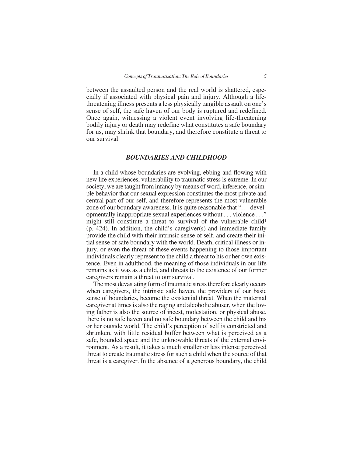between the assaulted person and the real world is shattered, especially if associated with physical pain and injury. Although a lifethreatening illness presents a less physically tangible assault on one's sense of self, the safe haven of our body is ruptured and redefined. Once again, witnessing a violent event involving life-threatening bodily injury or death may redefine what constitutes a safe boundary for us, may shrink that boundary, and therefore constitute a threat to our survival.

### *BOUNDARIES AND CHILDHOOD*

In a child whose boundaries are evolving, ebbing and flowing with new life experiences, vulnerability to traumatic stress is extreme. In our society, we are taught from infancy by means of word, inference, or simple behavior that our sexual expression constitutes the most private and central part of our self, and therefore represents the most vulnerable zone of our boundary awareness. It is quite reasonable that "... developmentally inappropriate sexual experiences without... violence . . ." might still constitute a threat to survival of the vulnerable child<sup>1</sup> (p. 424). In addition, the child's caregiver(s) and immediate family provide the child with their intrinsic sense of self, and create their initial sense of safe boundary with the world. Death, critical illness or injury, or even the threat of these events happening to those important individuals clearly represent to the child a threat to his or her own existence. Even in adulthood, the meaning of those individuals in our life remains as it was as a child, and threats to the existence of our former caregivers remain a threat to our survival.

The most devastating form of traumatic stress therefore clearly occurs when caregivers, the intrinsic safe haven, the providers of our basic sense of boundaries, become the existential threat. When the maternal caregiver at times is also the raging and alcoholic abuser, when the loving father is also the source of incest, molestation, or physical abuse, there is no safe haven and no safe boundary between the child and his or her outside world. The child's perception of self is constricted and shrunken, with little residual buffer between what is perceived as a safe, bounded space and the unknowable threats of the external environment. As a result, it takes a much smaller or less intense perceived threat to create traumatic stress for such a child when the source of that threat is a caregiver. In the absence of a generous boundary, the child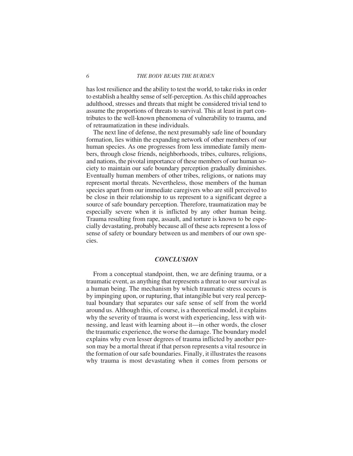has lost resilience and the ability to test the world, to take risks in order to establish a healthy sense of self-perception. As this child approaches adulthood, stresses and threats that might be considered trivial tend to assume the proportions of threats to survival. This at least in part contributes to the well-known phenomena of vulnerability to trauma, and of retraumatization in these individuals.

The next line of defense, the next presumably safe line of boundary formation, lies within the expanding network of other members of our human species. As one progresses from less immediate family members, through close friends, neighborhoods, tribes, cultures, religions, and nations, the pivotal importance of these members of our human society to maintain our safe boundary perception gradually diminishes. Eventually human members of other tribes, religions, or nations may represent mortal threats. Nevertheless, those members of the human species apart from our immediate caregivers who are still perceived to be close in their relationship to us represent to a significant degree a source of safe boundary perception. Therefore, traumatization may be especially severe when it is inflicted by any other human being. Trauma resulting from rape, assault, and torture is known to be especially devastating, probably because all of these acts represent a loss of sense of safety or boundary between us and members of our own species.

#### *CONCLUSION*

From a conceptual standpoint, then, we are defining trauma, or a traumatic event, as anything that represents a threat to our survival as a human being. The mechanism by which traumatic stress occurs is by impinging upon, or rupturing, that intangible but very real perceptual boundary that separates our safe sense of self from the world around us. Although this, of course, is a theoretical model, it explains why the severity of trauma is worst with experiencing, less with witnessing, and least with learning about it—in other words, the closer the traumatic experience, the worse the damage. The boundary model explains why even lesser degrees of trauma inflicted by another person may be a mortal threat if that person represents a vital resource in the formation of our safe boundaries. Finally, it illustrates the reasons why trauma is most devastating when it comes from persons or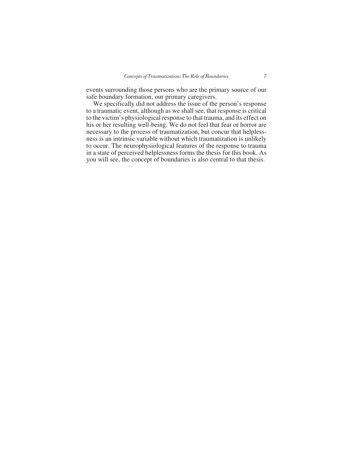events surrounding those persons who are the primary source of our safe boundary formation, our primary caregivers.

We specifically did not address the issue of the person's response to a traumatic event, although as we shall see, that response is critical to the victim's physiological response to that trauma, and its effect on his or her resulting well-being. We do not feel that fear or horror are necessary to the process of traumatization, but concur that helplessness is an intrinsic variable without which traumatization is unlikely to occur. The neurophysiological features of the response to trauma in a state of perceived helplessness forms the thesis for this book. As you will see, the concept of boundaries is also central to that thesis.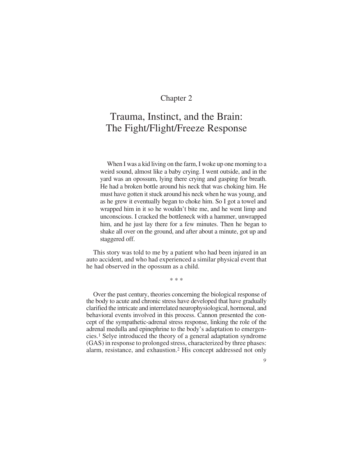## Chapter 2

# Trauma, Instinct, and the Brain: The Fight/Flight/Freeze Response

When I was a kid living on the farm, I woke up one morning to a weird sound, almost like a baby crying. I went outside, and in the yard was an opossum, lying there crying and gasping for breath. He had a broken bottle around his neck that was choking him. He must have gotten it stuck around his neck when he was young, and as he grew it eventually began to choke him. So I got a towel and wrapped him in it so he wouldn't bite me, and he went limp and unconscious. I cracked the bottleneck with a hammer, unwrapped him, and he just lay there for a few minutes. Then he began to shake all over on the ground, and after about a minute, got up and staggered off.

This story was told to me by a patient who had been injured in an auto accident, and who had experienced a similar physical event that he had observed in the opossum as a child.

\* \* \*

Over the past century, theories concerning the biological response of the body to acute and chronic stress have developed that have gradually clarified the intricate and interrelated neurophysiological, hormonal, and behavioral events involved in this process. Cannon presented the concept of the sympathetic-adrenal stress response, linking the role of the adrenal medulla and epinephrine to the body's adaptation to emergencies.1 Selye introduced the theory of a general adaptation syndrome (GAS) in response to prolonged stress, characterized by three phases: alarm, resistance, and exhaustion.2 His concept addressed not only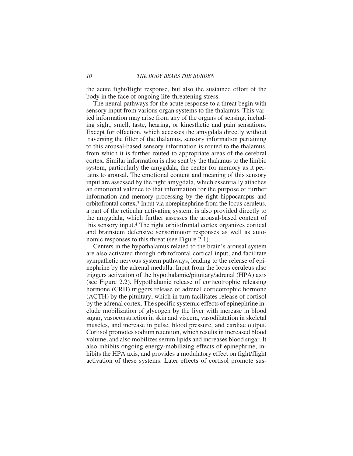the acute fight/flight response, but also the sustained effort of the body in the face of ongoing life-threatening stress.

The neural pathways for the acute response to a threat begin with sensory input from various organ systems to the thalamus. This varied information may arise from any of the organs of sensing, including sight, smell, taste, hearing, or kinesthetic and pain sensations. Except for olfaction, which accesses the amygdala directly without traversing the filter of the thalamus, sensory information pertaining to this arousal-based sensory information is routed to the thalamus, from which it is further routed to appropriate areas of the cerebral cortex. Similar information is also sent by the thalamus to the limbic system, particularly the amygdala, the center for memory as it pertains to arousal. The emotional content and meaning of this sensory input are assessed by the right amygdala, which essentially attaches an emotional valence to that information for the purpose of further information and memory processing by the right hippocampus and orbitofrontal cortex.3 Input via norepinephrine from the locus ceruleus, a part of the reticular activating system, is also provided directly to the amygdala, which further assesses the arousal-based content of this sensory input.4 The right orbitofrontal cortex organizes cortical and brainstem defensive sensorimotor responses as well as autonomic responses to this threat (see Figure 2.1).

Centers in the hypothalamus related to the brain's arousal system are also activated through orbitofrontal cortical input, and facilitate sympathetic nervous system pathways, leading to the release of epinephrine by the adrenal medulla. Input from the locus ceruleus also triggers activation of the hypothalamic/pituitary/adrenal (HPA) axis (see Figure 2.2). Hypothalamic release of corticotrophic releasing hormone (CRH) triggers release of adrenal corticotrophic hormone (ACTH) by the pituitary, which in turn facilitates release of cortisol by the adrenal cortex. The specific systemic effects of epinephrine include mobilization of glycogen by the liver with increase in blood sugar, vasoconstriction in skin and viscera, vasodilatation in skeletal muscles, and increase in pulse, blood pressure, and cardiac output. Cortisol promotes sodium retention, which results in increased blood volume, and also mobilizes serum lipids and increases blood sugar. It also inhibits ongoing energy-mobilizing effects of epinephrine, inhibits the HPA axis, and provides a modulatory effect on fight/flight activation of these systems. Later effects of cortisol promote sus-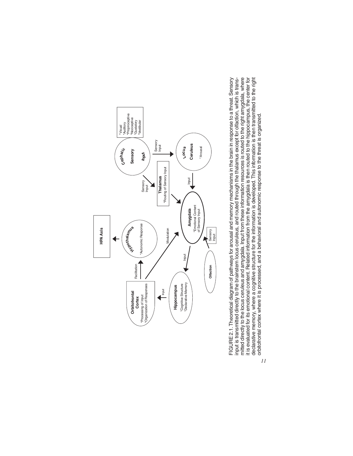

mitted directly to the locus ceruleus and armygdala. Input from these information resources is routed to the right armygdala, where it is evaluated for its emotional content. Related information from the amygdala is then routed to the hippocampus, the center for FIGURE 2.1. Theoretical diagram of pathways for arousal and memory mechanisms in the brain in response to a threat. Sensory FIGURE 2.1. Theoretical diagram of pathways for arousal and memory mechanisms in the brain in response to a threat. Sensory input is transmitted directly to the brainstern locus ceruleus, and routed through the thalamus except for olfaction, which is transmitted directly to the locus ceruleus and amygdala. Input from these information resources is routed to the right amygdala, where it is evaluated for its emotional content. Related information from the amygdala is then routed to the hippocampus, the center for declarative memory, where a cognitive structure for the information is developed. This information is then transmitted to the right declarative memory, where a cognitive structure for the information is developed. This information is then transmitted to the right input is transmitted directly to the brainstem locus ceruleus, and routed through the thalamus except for olfaction, which is transorbitofrontal cortex where it is processed, and a behavioral and autonomic response to the threat is organized. orbitofrontal cortex where it is processed, and a behavioral and autonomic response to the threat is organized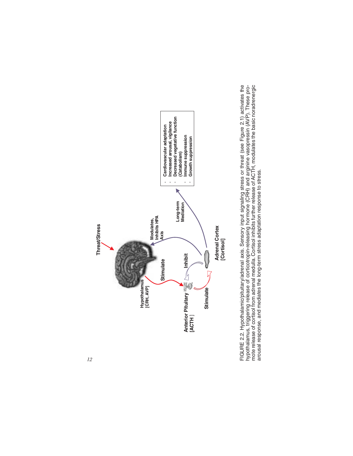

FIGURE 2.2. Hypothalamic/pituitary/adrenal axis. Sensory input signaling stress or threat (see Figure 2.1) activates the hypothalamus, triggering release of corticotropin-releasing hormone (CRH) and arginine vasopressin (AVP). These promote release of cortisol from adrenal medulla. Cortisol inhibits further release of ACTH, modulates the basic noradrenergic FIGURE 2.2. Hypothalamic/pituitary/adrenal axis. Sensory input signaling stress or threat (see Figure 2.1) activates the hypothalamus, triggering release of corticotropin-releasing hormone (CRH) and arginine vasopressin (AVP). These promote release of cortisol from adrenal medulla. Cortisol inhibits further release of ACTH, modulates the basic noradrenergic arousal response, and mediates the long-term stress adaptation response to stress. arousal response, and mediates the long-term stress adaptation response to stress.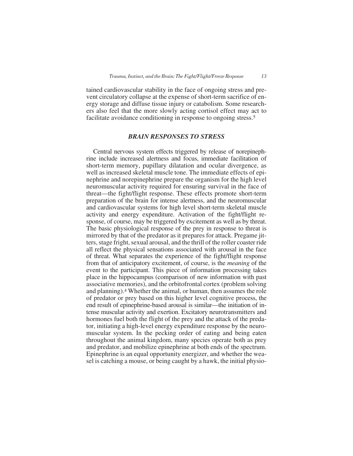tained cardiovascular stability in the face of ongoing stress and prevent circulatory collapse at the expense of short-term sacrifice of energy storage and diffuse tissue injury or catabolism. Some researchers also feel that the more slowly acting cortisol effect may act to facilitate avoidance conditioning in response to ongoing stress.<sup>5</sup>

#### *BRAIN RESPONSES TO STRESS*

Central nervous system effects triggered by release of norepinephrine include increased alertness and focus, immediate facilitation of short-term memory, pupillary dilatation and ocular divergence, as well as increased skeletal muscle tone. The immediate effects of epinephrine and norepinephrine prepare the organism for the high level neuromuscular activity required for ensuring survival in the face of threat—the fight/flight response. These effects promote short-term preparation of the brain for intense alertness, and the neuromuscular and cardiovascular systems for high level short-term skeletal muscle activity and energy expenditure. Activation of the fight/flight response, of course, may be triggered by excitement as well as by threat. The basic physiological response of the prey in response to threat is mirrored by that of the predator as it prepares for attack. Pregame jitters, stage fright, sexual arousal, and the thrill of the roller coaster ride all reflect the physical sensations associated with arousal in the face of threat. What separates the experience of the fight/flight response from that of anticipatory excitement, of course, is the *meaning* of the event to the participant. This piece of information processing takes place in the hippocampus (comparison of new information with past associative memories), and the orbitofrontal cortex (problem solving and planning).4 Whether the animal, or human, then assumes the role of predator or prey based on this higher level cognitive process, the end result of epinephrine-based arousal is similar—the initiation of intense muscular activity and exertion. Excitatory neurotransmitters and hormones fuel both the flight of the prey and the attack of the predator, initiating a high-level energy expenditure response by the neuromuscular system. In the pecking order of eating and being eaten throughout the animal kingdom, many species operate both as prey and predator, and mobilize epinephrine at both ends of the spectrum. Epinephrine is an equal opportunity energizer, and whether the weasel is catching a mouse, or being caught by a hawk, the initial physio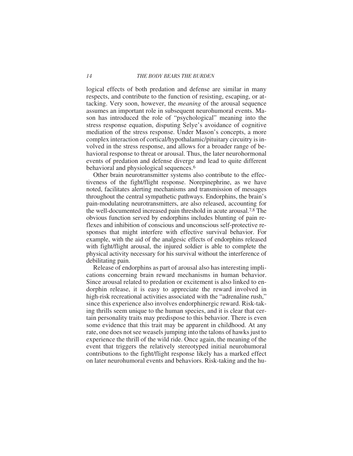logical effects of both predation and defense are similar in many respects, and contribute to the function of resisting, escaping, or attacking. Very soon, however, the *meaning* of the arousal sequence assumes an important role in subsequent neurohumoral events. Mason has introduced the role of "psychological" meaning into the stress response equation, disputing Selye's avoidance of cognitive mediation of the stress response. Under Mason's concepts, a more complex interaction of cortical/hypothalamic/pituitary circuitry is involved in the stress response, and allows for a broader range of behavioral response to threat or arousal. Thus, the later neurohormonal events of predation and defense diverge and lead to quite different behavioral and physiological sequences.6

Other brain neurotransmitter systems also contribute to the effectiveness of the fight/flight response. Norepinephrine, as we have noted, facilitates alerting mechanisms and transmission of messages throughout the central sympathetic pathways. Endorphins, the brain's pain-modulating neurotransmitters, are also released, accounting for the well-documented increased pain threshold in acute arousal.7,8 The obvious function served by endorphins includes blunting of pain reflexes and inhibition of conscious and unconscious self-protective responses that might interfere with effective survival behavior. For example, with the aid of the analgesic effects of endorphins released with fight/flight arousal, the injured soldier is able to complete the physical activity necessary for his survival without the interference of debilitating pain.

Release of endorphins as part of arousal also has interesting implications concerning brain reward mechanisms in human behavior. Since arousal related to predation or excitement is also linked to endorphin release, it is easy to appreciate the reward involved in high-risk recreational activities associated with the "adrenaline rush," since this experience also involves endorphinergic reward. Risk-taking thrills seem unique to the human species, and it is clear that certain personality traits may predispose to this behavior. There is even some evidence that this trait may be apparent in childhood. At any rate, one does not see weasels jumping into the talons of hawks just to experience the thrill of the wild ride. Once again, the meaning of the event that triggers the relatively stereotyped initial neurohumoral contributions to the fight/flight response likely has a marked effect on later neurohumoral events and behaviors. Risk-taking and the hu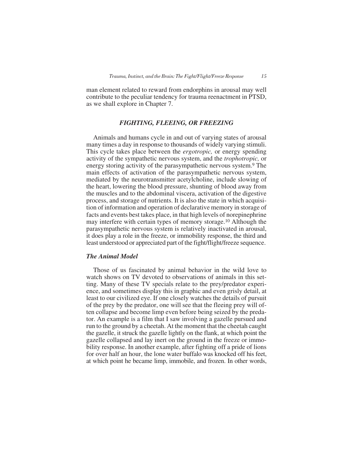man element related to reward from endorphins in arousal may well contribute to the peculiar tendency for trauma reenactment in PTSD, as we shall explore in Chapter 7.

## *FIGHTING, FLEEING, OR FREEZING*

Animals and humans cycle in and out of varying states of arousal many times a day in response to thousands of widely varying stimuli. This cycle takes place between the *ergotropic,* or energy spending activity of the sympathetic nervous system, and the *trophotropic,* or energy storing activity of the parasympathetic nervous system.9 The main effects of activation of the parasympathetic nervous system, mediated by the neurotransmitter acetylcholine, include slowing of the heart, lowering the blood pressure, shunting of blood away from the muscles and to the abdominal viscera, activation of the digestive process, and storage of nutrients. It is also the state in which acquisition of information and operation of declarative memory in storage of facts and events best takes place, in that high levels of norepinephrine may interfere with certain types of memory storage.10 Although the parasympathetic nervous system is relatively inactivated in arousal, it does play a role in the freeze, or immobility response, the third and least understood or appreciated part of the fight/flight/freeze sequence.

#### *The Animal Model*

Those of us fascinated by animal behavior in the wild love to watch shows on TV devoted to observations of animals in this setting. Many of these TV specials relate to the prey/predator experience, and sometimes display this in graphic and even grisly detail, at least to our civilized eye. If one closely watches the details of pursuit of the prey by the predator, one will see that the fleeing prey will often collapse and become limp even before being seized by the predator. An example is a film that I saw involving a gazelle pursued and run to the ground by a cheetah. At the moment that the cheetah caught the gazelle, it struck the gazelle lightly on the flank, at which point the gazelle collapsed and lay inert on the ground in the freeze or immobility response. In another example, after fighting off a pride of lions for over half an hour, the lone water buffalo was knocked off his feet, at which point he became limp, immobile, and frozen. In other words,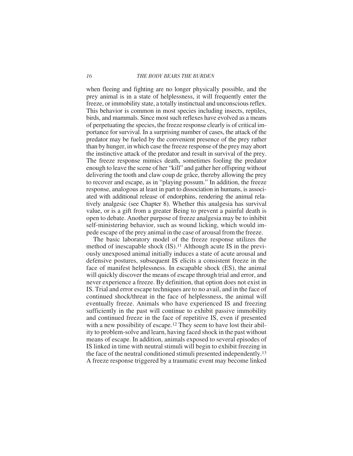when fleeing and fighting are no longer physically possible, and the prey animal is in a state of helplessness, it will frequently enter the freeze, or immobility state, a totally instinctual and unconscious reflex. This behavior is common in most species including insects, reptiles, birds, and mammals. Since most such reflexes have evolved as a means of perpetuating the species, the freeze response clearly is of critical importance for survival. In a surprising number of cases, the attack of the predator may be fueled by the convenient presence of the prey rather than by hunger, in which case the freeze response of the prey may abort the instinctive attack of the predator and result in survival of the prey. The freeze response mimics death, sometimes fooling the predator enough to leave the scene of her "kill" and gather her offspring without delivering the tooth and claw coup de grâce, thereby allowing the prey to recover and escape, as in "playing possum." In addition, the freeze response, analogous at least in part to dissociation in humans, is associated with additional release of endorphins, rendering the animal relatively analgesic (see Chapter 8). Whether this analgesia has survival value, or is a gift from a greater Being to prevent a painful death is open to debate. Another purpose of freeze analgesia may be to inhibit self-ministering behavior, such as wound licking, which would impede escape of the prey animal in the case of arousal from the freeze.

The basic laboratory model of the freeze response utilizes the method of inescapable shock (IS).<sup>11</sup> Although acute IS in the previously unexposed animal initially induces a state of acute arousal and defensive postures, subsequent IS elicits a consistent freeze in the face of manifest helplessness. In escapable shock (ES), the animal will quickly discover the means of escape through trial and error, and never experience a freeze. By definition, that option does not exist in IS. Trial and error escape techniques are to no avail, and in the face of continued shock/threat in the face of helplessness, the animal will eventually freeze. Animals who have experienced IS and freezing sufficiently in the past will continue to exhibit passive immobility and continued freeze in the face of repetitive IS, even if presented with a new possibility of escape.12 They seem to have lost their ability to problem-solve and learn, having faced shock in the past without means of escape. In addition, animals exposed to several episodes of IS linked in time with neutral stimuli will begin to exhibit freezing in the face of the neutral conditioned stimuli presented independently.13 A freeze response triggered by a traumatic event may become linked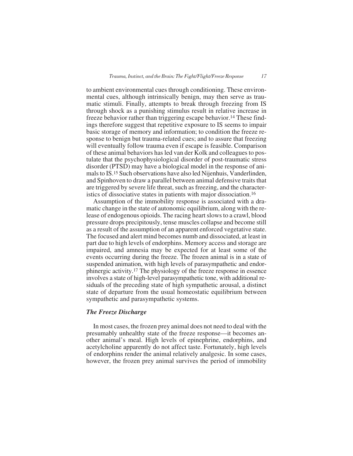to ambient environmental cues through conditioning. These environmental cues, although intrinsically benign, may then serve as traumatic stimuli. Finally, attempts to break through freezing from IS through shock as a punishing stimulus result in relative increase in freeze behavior rather than triggering escape behavior.14 These findings therefore suggest that repetitive exposure to IS seems to impair basic storage of memory and information; to condition the freeze response to benign but trauma-related cues; and to assure that freezing will eventually follow trauma even if escape is feasible. Comparison of these animal behaviors has led van der Kolk and colleagues to postulate that the psychophysiological disorder of post-traumatic stress disorder (PTSD) may have a biological model in the response of animals to IS.15 Such observations have also led Nijenhuis, Vanderlinden, and Spinhoven to draw a parallel between animal defensive traits that are triggered by severe life threat, such as freezing, and the characteristics of dissociative states in patients with major dissociation.16

Assumption of the immobility response is associated with a dramatic change in the state of autonomic equilibrium, along with the release of endogenous opioids. The racing heart slows to a crawl, blood pressure drops precipitously, tense muscles collapse and become still as a result of the assumption of an apparent enforced vegetative state. The focused and alert mind becomes numb and dissociated, at least in part due to high levels of endorphins. Memory access and storage are impaired, and amnesia may be expected for at least some of the events occurring during the freeze. The frozen animal is in a state of suspended animation, with high levels of parasympathetic and endorphinergic activity.17 The physiology of the freeze response in essence involves a state of high-level parasympathetic tone, with additional residuals of the preceding state of high sympathetic arousal, a distinct state of departure from the usual homeostatic equilibrium between sympathetic and parasympathetic systems.

### *The Freeze Discharge*

In most cases, the frozen prey animal does not need to deal with the presumably unhealthy state of the freeze response—it becomes another animal's meal. High levels of epinephrine, endorphins, and acetylcholine apparently do not affect taste. Fortunately, high levels of endorphins render the animal relatively analgesic. In some cases, however, the frozen prey animal survives the period of immobility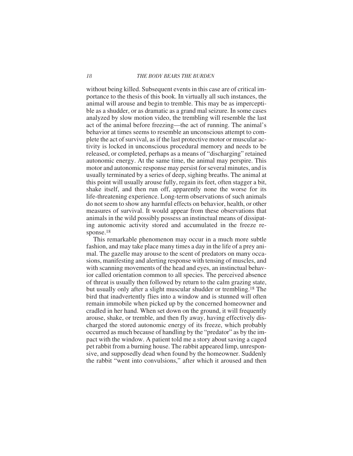without being killed. Subsequent events in this case are of critical importance to the thesis of this book. In virtually all such instances, the animal will arouse and begin to tremble. This may be as imperceptible as a shudder, or as dramatic as a grand mal seizure. In some cases analyzed by slow motion video, the trembling will resemble the last act of the animal before freezing—the act of running. The animal's behavior at times seems to resemble an unconscious attempt to complete the act of survival, as if the last protective motor or muscular activity is locked in unconscious procedural memory and needs to be released, or completed, perhaps as a means of "discharging" retained autonomic energy. At the same time, the animal may perspire. This motor and autonomic response may persist for several minutes, and is usually terminated by a series of deep, sighing breaths. The animal at this point will usually arouse fully, regain its feet, often stagger a bit, shake itself, and then run off, apparently none the worse for its life-threatening experience. Long-term observations of such animals do not seem to show any harmful effects on behavior, health, or other measures of survival. It would appear from these observations that animals in the wild possibly possess an instinctual means of dissipating autonomic activity stored and accumulated in the freeze response.18

This remarkable phenomenon may occur in a much more subtle fashion, and may take place many times a day in the life of a prey animal. The gazelle may arouse to the scent of predators on many occasions, manifesting and alerting response with tensing of muscles, and with scanning movements of the head and eyes, an instinctual behavior called orientation common to all species. The perceived absence of threat is usually then followed by return to the calm grazing state, but usually only after a slight muscular shudder or trembling.18 The bird that inadvertently flies into a window and is stunned will often remain immobile when picked up by the concerned homeowner and cradled in her hand. When set down on the ground, it will frequently arouse, shake, or tremble, and then fly away, having effectively discharged the stored autonomic energy of its freeze, which probably occurred as much because of handling by the "predator" as by the impact with the window. A patient told me a story about saving a caged pet rabbit from a burning house. The rabbit appeared limp, unresponsive, and supposedly dead when found by the homeowner. Suddenly the rabbit "went into convulsions," after which it aroused and then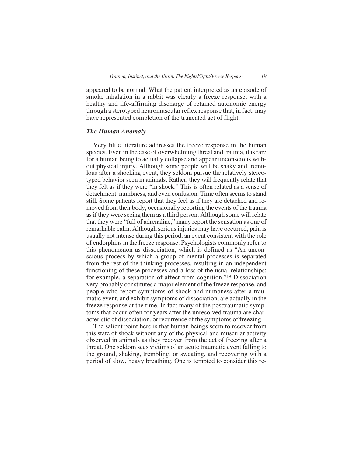appeared to be normal. What the patient interpreted as an episode of smoke inhalation in a rabbit was clearly a freeze response, with a healthy and life-affirming discharge of retained autonomic energy through a sterotyped neuromuscular reflex response that, in fact, may have represented completion of the truncated act of flight.

## *The Human Anomaly*

Very little literature addresses the freeze response in the human species. Even in the case of overwhelming threat and trauma, it is rare for a human being to actually collapse and appear unconscious without physical injury. Although some people will be shaky and tremulous after a shocking event, they seldom pursue the relatively stereotyped behavior seen in animals. Rather, they will frequently relate that they felt as if they were "in shock." This is often related as a sense of detachment, numbness, and even confusion. Time often seems to stand still. Some patients report that they feel as if they are detached and removed from their body, occasionally reporting the events of the trauma as if they were seeing them as a third person. Although some will relate that they were "full of adrenaline," many report the sensation as one of remarkable calm. Although serious injuries may have occurred, pain is usually not intense during this period, an event consistent with the role of endorphins in the freeze response. Psychologists commonly refer to this phenomenon as dissociation, which is defined as "An unconscious process by which a group of mental processes is separated from the rest of the thinking processes, resulting in an independent functioning of these processes and a loss of the usual relationships; for example, a separation of affect from cognition."19 Dissociation very probably constitutes a major element of the freeze response, and people who report symptoms of shock and numbness after a traumatic event, and exhibit symptoms of dissociation, are actually in the freeze response at the time. In fact many of the posttraumatic symptoms that occur often for years after the unresolved trauma are characteristic of dissociation, or recurrence of the symptoms of freezing.

The salient point here is that human beings seem to recover from this state of shock without any of the physical and muscular activity observed in animals as they recover from the act of freezing after a threat. One seldom sees victims of an acute traumatic event falling to the ground, shaking, trembling, or sweating, and recovering with a period of slow, heavy breathing. One is tempted to consider this re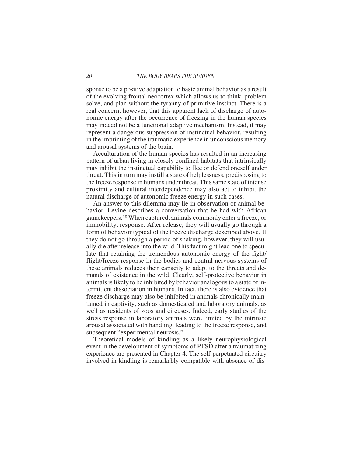sponse to be a positive adaptation to basic animal behavior as a result of the evolving frontal neocortex which allows us to think, problem solve, and plan without the tyranny of primitive instinct. There is a real concern, however, that this apparent lack of discharge of autonomic energy after the occurrence of freezing in the human species may indeed not be a functional adaptive mechanism. Instead, it may represent a dangerous suppression of instinctual behavior, resulting in the imprinting of the traumatic experience in unconscious memory and arousal systems of the brain.

Acculturation of the human species has resulted in an increasing pattern of urban living in closely confined habitats that intrinsically may inhibit the instinctual capability to flee or defend oneself under threat. This in turn may instill a state of helplessness, predisposing to the freeze response in humans under threat. This same state of intense proximity and cultural interdependence may also act to inhibit the natural discharge of autonomic freeze energy in such cases.

An answer to this dilemma may lie in observation of animal behavior. Levine describes a conversation that he had with African gamekeepers.18 When captured, animals commonly enter a freeze, or immobility, response. After release, they will usually go through a form of behavior typical of the freeze discharge described above. If they do not go through a period of shaking, however, they will usually die after release into the wild. This fact might lead one to speculate that retaining the tremendous autonomic energy of the fight/ flight/freeze response in the bodies and central nervous systems of these animals reduces their capacity to adapt to the threats and demands of existence in the wild. Clearly, self-protective behavior in animals is likely to be inhibited by behavior analogous to a state of intermittent dissociation in humans. In fact, there is also evidence that freeze discharge may also be inhibited in animals chronically maintained in captivity, such as domesticated and laboratory animals, as well as residents of zoos and circuses. Indeed, early studies of the stress response in laboratory animals were limited by the intrinsic arousal associated with handling, leading to the freeze response, and subsequent "experimental neurosis."

Theoretical models of kindling as a likely neurophysiological event in the development of symptoms of PTSD after a traumatizing experience are presented in Chapter 4. The self-perpetuated circuitry involved in kindling is remarkably compatible with absence of dis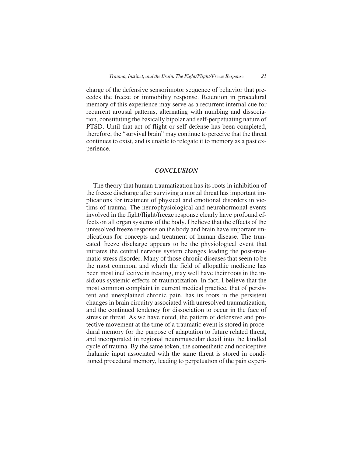charge of the defensive sensorimotor sequence of behavior that precedes the freeze or immobility response. Retention in procedural memory of this experience may serve as a recurrent internal cue for recurrent arousal patterns, alternating with numbing and dissociation, constituting the basically bipolar and self-perpetuating nature of PTSD. Until that act of flight or self defense has been completed, therefore, the "survival brain" may continue to perceive that the threat continues to exist, and is unable to relegate it to memory as a past experience.

#### *CONCLUSION*

The theory that human traumatization has its roots in inhibition of the freeze discharge after surviving a mortal threat has important implications for treatment of physical and emotional disorders in victims of trauma. The neurophysiological and neurohormonal events involved in the fight/flight/freeze response clearly have profound effects on all organ systems of the body. I believe that the effects of the unresolved freeze response on the body and brain have important implications for concepts and treatment of human disease. The truncated freeze discharge appears to be the physiological event that initiates the central nervous system changes leading the post-traumatic stress disorder. Many of those chronic diseases that seem to be the most common, and which the field of allopathic medicine has been most ineffective in treating, may well have their roots in the insidious systemic effects of traumatization. In fact, I believe that the most common complaint in current medical practice, that of persistent and unexplained chronic pain, has its roots in the persistent changes in brain circuitry associated with unresolved traumatization, and the continued tendency for dissociation to occur in the face of stress or threat. As we have noted, the pattern of defensive and protective movement at the time of a traumatic event is stored in procedural memory for the purpose of adaptation to future related threat, and incorporated in regional neuromuscular detail into the kindled cycle of trauma. By the same token, the somesthetic and nociceptive thalamic input associated with the same threat is stored in conditioned procedural memory, leading to perpetuation of the pain experi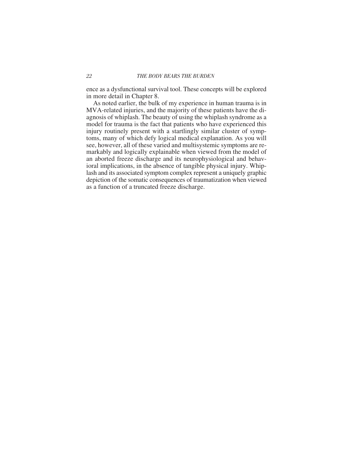ence as a dysfunctional survival tool. These concepts will be explored in more detail in Chapter 8.

As noted earlier, the bulk of my experience in human trauma is in MVA-related injuries, and the majority of these patients have the diagnosis of whiplash. The beauty of using the whiplash syndrome as a model for trauma is the fact that patients who have experienced this injury routinely present with a startlingly similar cluster of symptoms, many of which defy logical medical explanation. As you will see, however, all of these varied and multisystemic symptoms are remarkably and logically explainable when viewed from the model of an aborted freeze discharge and its neurophysiological and behavioral implications, in the absence of tangible physical injury. Whiplash and its associated symptom complex represent a uniquely graphic depiction of the somatic consequences of traumatization when viewed as a function of a truncated freeze discharge.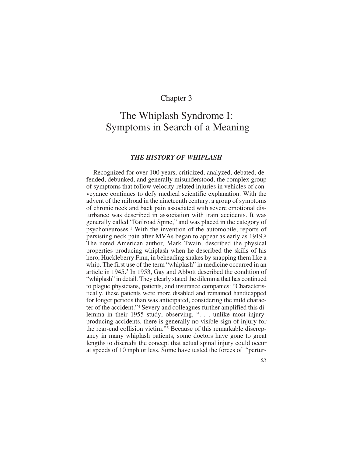## Chapter 3

# The Whiplash Syndrome I: Symptoms in Search of a Meaning

#### *THE HISTORY OF WHIPLASH*

Recognized for over 100 years, criticized, analyzed, debated, defended, debunked, and generally misunderstood, the complex group of symptoms that follow velocity-related injuries in vehicles of conveyance continues to defy medical scientific explanation. With the advent of the railroad in the nineteenth century, a group of symptoms of chronic neck and back pain associated with severe emotional disturbance was described in association with train accidents. It was generally called "Railroad Spine," and was placed in the category of psychoneuroses.1 With the invention of the automobile, reports of persisting neck pain after MVAs began to appear as early as 1919.2 The noted American author, Mark Twain, described the physical properties producing whiplash when he described the skills of his hero, Huckleberry Finn, in beheading snakes by snapping them like a whip. The first use of the term "whiplash" in medicine occurred in an article in 1945.3 In 1953, Gay and Abbott described the condition of "whiplash" in detail. They clearly stated the dilemma that has continued to plague physicians, patients, and insurance companies: "Characteristically, these patients were more disabled and remained handicapped for longer periods than was anticipated, considering the mild character of the accident."4 Severy and colleagues further amplified this dilemma in their 1955 study, observing, ". . . unlike most injuryproducing accidents, there is generally no visible sign of injury for the rear-end collision victim."5 Because of this remarkable discrepancy in many whiplash patients, some doctors have gone to great lengths to discredit the concept that actual spinal injury could occur at speeds of 10 mph or less. Some have tested the forces of "pertur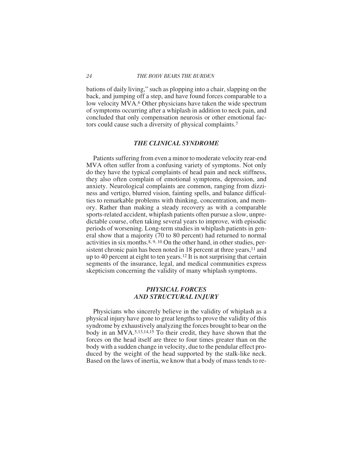bations of daily living," such as plopping into a chair, slapping on the back, and jumping off a step, and have found forces comparable to a low velocity MVA.<sup>6</sup> Other physicians have taken the wide spectrum of symptoms occurring after a whiplash in addition to neck pain, and concluded that only compensation neurosis or other emotional factors could cause such a diversity of physical complaints.7

### *THE CLINICAL SYNDROME*

Patients suffering from even a minor to moderate velocity rear-end MVA often suffer from a confusing variety of symptoms. Not only do they have the typical complaints of head pain and neck stiffness, they also often complain of emotional symptoms, depression, and anxiety. Neurological complaints are common, ranging from dizziness and vertigo, blurred vision, fainting spells, and balance difficulties to remarkable problems with thinking, concentration, and memory. Rather than making a steady recovery as with a comparable sports-related accident, whiplash patients often pursue a slow, unpredictable course, often taking several years to improve, with episodic periods of worsening. Long-term studies in whiplash patients in general show that a majority (70 to 80 percent) had returned to normal activities in six months.<sup>8, 9, 10</sup> On the other hand, in other studies, persistent chronic pain has been noted in 18 percent at three years,  $11$  and up to 40 percent at eight to ten years.<sup>12</sup> It is not surprising that certain segments of the insurance, legal, and medical communities express skepticism concerning the validity of many whiplash symptoms.

#### *PHYSICAL FORCES AND STRUCTURAL INJURY*

Physicians who sincerely believe in the validity of whiplash as a physical injury have gone to great lengths to prove the validity of this syndrome by exhaustively analyzing the forces brought to bear on the body in an MVA.5,13,14,15 To their credit, they have shown that the forces on the head itself are three to four times greater than on the body with a sudden change in velocity, due to the pendular effect produced by the weight of the head supported by the stalk-like neck. Based on the laws of inertia, we know that a body of mass tends to re-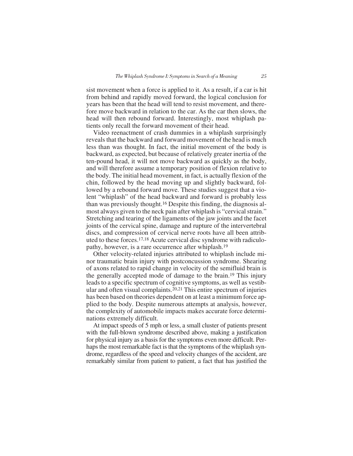sist movement when a force is applied to it. As a result, if a car is hit from behind and rapidly moved forward, the logical conclusion for years has been that the head will tend to resist movement, and therefore move backward in relation to the car. As the car then slows, the head will then rebound forward. Interestingly, most whiplash patients only recall the forward movement of their head.

Video reenactment of crash dummies in a whiplash surprisingly reveals that the backward and forward movement of the head is much less than was thought. In fact, the initial movement of the body is backward, as expected, but because of relatively greater inertia of the ten-pound head, it will not move backward as quickly as the body, and will therefore assume a temporary position of flexion relative to the body. The initial head movement, in fact, is actually flexion of the chin, followed by the head moving up and slightly backward, followed by a rebound forward move. These studies suggest that a violent "whiplash" of the head backward and forward is probably less than was previously thought.16 Despite this finding, the diagnosis almost always given to the neck pain after whiplash is "cervical strain." Stretching and tearing of the ligaments of the jaw joints and the facet joints of the cervical spine, damage and rupture of the intervertebral discs, and compression of cervical nerve roots have all been attributed to these forces.17,18 Acute cervical disc syndrome with radiculopathy, however, is a rare occurrence after whiplash.19

Other velocity-related injuries attributed to whiplash include minor traumatic brain injury with postconcussion syndrome. Shearing of axons related to rapid change in velocity of the semifluid brain is the generally accepted mode of damage to the brain.19 This injury leads to a specific spectrum of cognitive symptoms, as well as vestibular and often visual complaints.20,21 This entire spectrum of injuries has been based on theories dependent on at least a minimum force applied to the body. Despite numerous attempts at analysis, however, the complexity of automobile impacts makes accurate force determinations extremely difficult.

At impact speeds of 5 mph or less, a small cluster of patients present with the full-blown syndrome described above, making a justification for physical injury as a basis for the symptoms even more difficult. Perhaps the most remarkable fact is that the symptoms of the whiplash syndrome, regardless of the speed and velocity changes of the accident, are remarkably similar from patient to patient, a fact that has justified the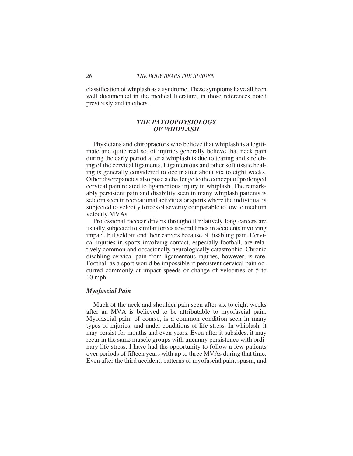classification of whiplash as a syndrome. These symptoms have all been well documented in the medical literature, in those references noted previously and in others.

## *THE PATHOPHYSIOLOGY OF WHIPLASH*

Physicians and chiropractors who believe that whiplash is a legitimate and quite real set of injuries generally believe that neck pain during the early period after a whiplash is due to tearing and stretching of the cervical ligaments. Ligamentous and other soft tissue healing is generally considered to occur after about six to eight weeks. Other discrepancies also pose a challenge to the concept of prolonged cervical pain related to ligamentous injury in whiplash. The remarkably persistent pain and disability seen in many whiplash patients is seldom seen in recreational activities or sports where the individual is subjected to velocity forces of severity comparable to low to medium velocity MVAs.

Professional racecar drivers throughout relatively long careers are usually subjected to similar forces several times in accidents involving impact, but seldom end their careers because of disabling pain. Cervical injuries in sports involving contact, especially football, are relatively common and occasionally neurologically catastrophic. Chronic disabling cervical pain from ligamentous injuries, however, is rare. Football as a sport would be impossible if persistent cervical pain occurred commonly at impact speeds or change of velocities of 5 to 10 mph.

## *Myofascial Pain*

Much of the neck and shoulder pain seen after six to eight weeks after an MVA is believed to be attributable to myofascial pain. Myofascial pain, of course, is a common condition seen in many types of injuries, and under conditions of life stress. In whiplash, it may persist for months and even years. Even after it subsides, it may recur in the same muscle groups with uncanny persistence with ordinary life stress. I have had the opportunity to follow a few patients over periods of fifteen years with up to three MVAs during that time. Even after the third accident, patterns of myofascial pain, spasm, and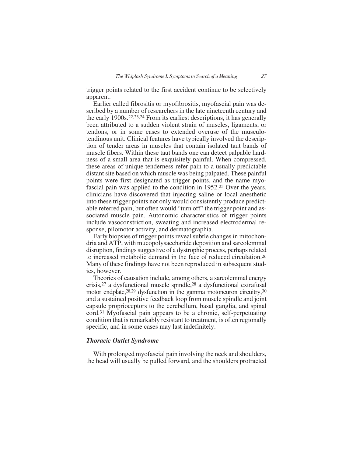trigger points related to the first accident continue to be selectively apparent.

Earlier called fibrositis or myofibrositis, myofascial pain was described by a number of researchers in the late nineteenth century and the early 1900s.22,23,24 From its earliest descriptions, it has generally been attributed to a sudden violent strain of muscles, ligaments, or tendons, or in some cases to extended overuse of the musculotendinous unit. Clinical features have typically involved the description of tender areas in muscles that contain isolated taut bands of muscle fibers. Within these taut bands one can detect palpable hardness of a small area that is exquisitely painful. When compressed, these areas of unique tenderness refer pain to a usually predictable distant site based on which muscle was being palpated. These painful points were first designated as trigger points, and the name myofascial pain was applied to the condition in 1952.25 Over the years, clinicians have discovered that injecting saline or local anesthetic into these trigger points not only would consistently produce predictable referred pain, but often would "turn off" the trigger point and associated muscle pain. Autonomic characteristics of trigger points include vasoconstriction, sweating and increased electrodermal response, pilomotor activity, and dermatographia.

Early biopsies of trigger points reveal subtle changes in mitochondria and ATP, with mucopolysaccharide deposition and sarcolemmal disruption, findings suggestive of a dystrophic process, perhaps related to increased metabolic demand in the face of reduced circulation.26 Many of these findings have not been reproduced in subsequent studies, however.

Theories of causation include, among others, a sarcolemmal energy crisis,27 a dysfunctional muscle spindle,28 a dysfunctional extrafusal motor endplate, <sup>28, 29</sup> dysfunction in the gamma motoneuron circuitry, <sup>30</sup> and a sustained positive feedback loop from muscle spindle and joint capsule proprioceptors to the cerebellum, basal ganglia, and spinal cord.31 Myofascial pain appears to be a chronic, self-perpetuating condition that is remarkably resistant to treatment, is often regionally specific, and in some cases may last indefinitely.

## *Thoracic Outlet Syndrome*

With prolonged myofascial pain involving the neck and shoulders, the head will usually be pulled forward, and the shoulders protracted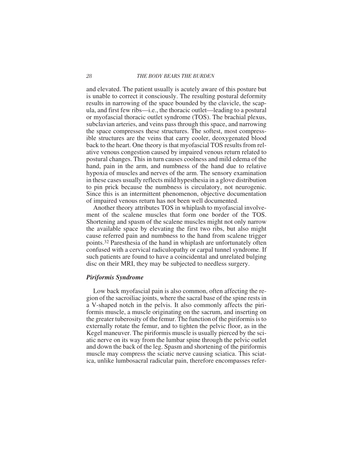and elevated. The patient usually is acutely aware of this posture but is unable to correct it consciously. The resulting postural deformity results in narrowing of the space bounded by the clavicle, the scapula, and first few ribs—i.e., the thoracic outlet—leading to a postural or myofascial thoracic outlet syndrome (TOS). The brachial plexus, subclavian arteries, and veins pass through this space, and narrowing the space compresses these structures. The softest, most compressible structures are the veins that carry cooler, deoxygenated blood back to the heart. One theory is that myofascial TOS results from relative venous congestion caused by impaired venous return related to postural changes. This in turn causes coolness and mild edema of the hand, pain in the arm, and numbness of the hand due to relative hypoxia of muscles and nerves of the arm. The sensory examination in these cases usually reflects mild hypesthesia in a glove distribution to pin prick because the numbness is circulatory, not neurogenic. Since this is an intermittent phenomenon, objective documentation of impaired venous return has not been well documented.

Another theory attributes TOS in whiplash to myofascial involvement of the scalene muscles that form one border of the TOS. Shortening and spasm of the scalene muscles might not only narrow the available space by elevating the first two ribs, but also might cause referred pain and numbness to the hand from scalene trigger points.32 Paresthesia of the hand in whiplash are unfortunately often confused with a cervical radiculopathy or carpal tunnel syndrome. If such patients are found to have a coincidental and unrelated bulging disc on their MRI, they may be subjected to needless surgery.

#### *Piriformis Syndrome*

Low back myofascial pain is also common, often affecting the region of the sacroiliac joints, where the sacral base of the spine rests in a V-shaped notch in the pelvis. It also commonly affects the piriformis muscle, a muscle originating on the sacrum, and inserting on the greater tuberosity of the femur. The function of the piriformis is to externally rotate the femur, and to tighten the pelvic floor, as in the Kegel maneuver. The piriformis muscle is usually pierced by the sciatic nerve on its way from the lumbar spine through the pelvic outlet and down the back of the leg. Spasm and shortening of the piriformis muscle may compress the sciatic nerve causing sciatica. This sciatica, unlike lumbosacral radicular pain, therefore encompasses refer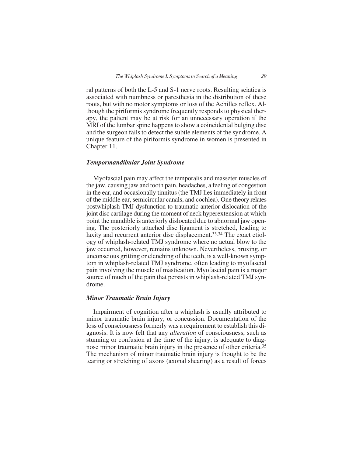ral patterns of both the L-5 and S-1 nerve roots. Resulting sciatica is associated with numbness or paresthesia in the distribution of these roots, but with no motor symptoms or loss of the Achilles reflex. Although the piriformis syndrome frequently responds to physical therapy, the patient may be at risk for an unnecessary operation if the MRI of the lumbar spine happens to show a coincidental bulging disc and the surgeon fails to detect the subtle elements of the syndrome. A unique feature of the piriformis syndrome in women is presented in Chapter 11.

## *Tempormandibular Joint Syndrome*

Myofascial pain may affect the temporalis and masseter muscles of the jaw, causing jaw and tooth pain, headaches, a feeling of congestion in the ear, and occasionally tinnitus (the TMJ lies immediately in front of the middle ear, semicircular canals, and cochlea). One theory relates postwhiplash TMJ dysfunction to traumatic anterior dislocation of the joint disc cartilage during the moment of neck hyperextension at which point the mandible is anteriorly dislocated due to abnormal jaw opening. The posteriorly attached disc ligament is stretched, leading to laxity and recurrent anterior disc displacement.33,34 The exact etiology of whiplash-related TMJ syndrome where no actual blow to the jaw occurred, however, remains unknown. Nevertheless, bruxing, or unconscious gritting or clenching of the teeth, is a well-known symptom in whiplash-related TMJ syndrome, often leading to myofascial pain involving the muscle of mastication. Myofascial pain is a major source of much of the pain that persists in whiplash-related TMJ syndrome.

#### *Minor Traumatic Brain Injury*

Impairment of cognition after a whiplash is usually attributed to minor traumatic brain injury, or concussion. Documentation of the loss of consciousness formerly was a requirement to establish this diagnosis. It is now felt that any *alteration* of consciousness, such as stunning or confusion at the time of the injury, is adequate to diagnose minor traumatic brain injury in the presence of other criteria.35 The mechanism of minor traumatic brain injury is thought to be the tearing or stretching of axons (axonal shearing) as a result of forces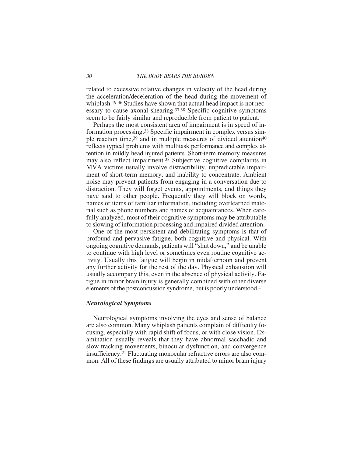related to excessive relative changes in velocity of the head during the acceleration/deceleration of the head during the movement of whiplash.19,36 Studies have shown that actual head impact is not necessary to cause axonal shearing.37,38 Specific cognitive symptoms seem to be fairly similar and reproducible from patient to patient.

Perhaps the most consistent area of impairment is in speed of information processing.38 Specific impairment in complex versus simple reaction time,<sup>39</sup> and in multiple measures of divided attention<sup>40</sup> reflects typical problems with multitask performance and complex attention in mildly head injured patients. Short-term memory measures may also reflect impairment.<sup>38</sup> Subjective cognitive complaints in MVA victims usually involve distractibility, unpredictable impairment of short-term memory, and inability to concentrate. Ambient noise may prevent patients from engaging in a conversation due to distraction. They will forget events, appointments, and things they have said to other people. Frequently they will block on words, names or items of familiar information, including overlearned material such as phone numbers and names of acquaintances. When carefully analyzed, most of their cognitive symptoms may be attributable to slowing of information processing and impaired divided attention.

One of the most persistent and debilitating symptoms is that of profound and pervasive fatigue, both cognitive and physical. With ongoing cognitive demands, patients will "shut down," and be unable to continue with high level or sometimes even routine cognitive activity. Usually this fatigue will begin in midafternoon and prevent any further activity for the rest of the day. Physical exhaustion will usually accompany this, even in the absence of physical activity. Fatigue in minor brain injury is generally combined with other diverse elements of the postconcussion syndrome, but is poorly understood.41

## *Neurological Symptoms*

Neurological symptoms involving the eyes and sense of balance are also common. Many whiplash patients complain of difficulty focusing, especially with rapid shift of focus, or with close vision. Examination usually reveals that they have abnormal sacchadic and slow tracking movements, binocular dysfunction, and convergence insufficiency.21 Fluctuating monocular refractive errors are also common. All of these findings are usually attributed to minor brain injury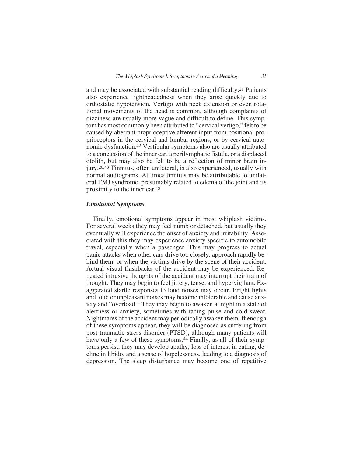and may be associated with substantial reading difficulty.21 Patients also experience lightheadedness when they arise quickly due to orthostatic hypotension. Vertigo with neck extension or even rotational movements of the head is common, although complaints of dizziness are usually more vague and difficult to define. This symptom has most commonly been attributed to "cervical vertigo," felt to be caused by aberrant proprioceptive afferent input from positional proprioceptors in the cervical and lumbar regions, or by cervical autonomic dysfunction.42 Vestibular symptoms also are usually attributed to a concussion of the inner ear, a perilymphatic fistula, or a displaced otolith, but may also be felt to be a reflection of minor brain injury.20,43 Tinnitus, often unilateral, is also experienced, usually with normal audiograms. At times tinnitus may be attributable to unilateral TMJ syndrome, presumably related to edema of the joint and its proximity to the inner ear.18

## *Emotional Symptoms*

Finally, emotional symptoms appear in most whiplash victims. For several weeks they may feel numb or detached, but usually they eventually will experience the onset of anxiety and irritability. Associated with this they may experience anxiety specific to automobile travel, especially when a passenger. This may progress to actual panic attacks when other cars drive too closely, approach rapidly behind them, or when the victims drive by the scene of their accident. Actual visual flashbacks of the accident may be experienced. Repeated intrusive thoughts of the accident may interrupt their train of thought. They may begin to feel jittery, tense, and hypervigilant. Exaggerated startle responses to loud noises may occur. Bright lights and loud or unpleasant noises may become intolerable and cause anxiety and "overload." They may begin to awaken at night in a state of alertness or anxiety, sometimes with racing pulse and cold sweat. Nightmares of the accident may periodically awaken them. If enough of these symptoms appear, they will be diagnosed as suffering from post-traumatic stress disorder (PTSD), although many patients will have only a few of these symptoms.<sup>44</sup> Finally, as all of their symptoms persist, they may develop apathy, loss of interest in eating, decline in libido, and a sense of hopelessness, leading to a diagnosis of depression. The sleep disturbance may become one of repetitive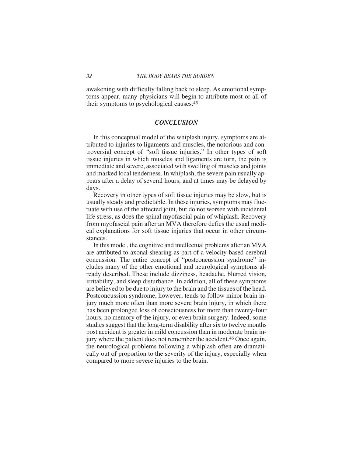awakening with difficulty falling back to sleep. As emotional symptoms appear, many physicians will begin to attribute most or all of their symptoms to psychological causes.45

## *CONCLUSION*

In this conceptual model of the whiplash injury, symptoms are attributed to injuries to ligaments and muscles, the notorious and controversial concept of "soft tissue injuries." In other types of soft tissue injuries in which muscles and ligaments are torn, the pain is immediate and severe, associated with swelling of muscles and joints and marked local tenderness. In whiplash, the severe pain usually appears after a delay of several hours, and at times may be delayed by days.

Recovery in other types of soft tissue injuries may be slow, but is usually steady and predictable. In these injuries, symptoms may fluctuate with use of the affected joint, but do not worsen with incidental life stress, as does the spinal myofascial pain of whiplash. Recovery from myofascial pain after an MVA therefore defies the usual medical explanations for soft tissue injuries that occur in other circumstances.

In this model, the cognitive and intellectual problems after an MVA are attributed to axonal shearing as part of a velocity-based cerebral concussion. The entire concept of "postconcussion syndrome" includes many of the other emotional and neurological symptoms already described. These include dizziness, headache, blurred vision, irritability, and sleep disturbance. In addition, all of these symptoms are believed to be due to injury to the brain and the tissues of the head. Postconcussion syndrome, however, tends to follow minor brain injury much more often than more severe brain injury, in which there has been prolonged loss of consciousness for more than twenty-four hours, no memory of the injury, or even brain surgery. Indeed, some studies suggest that the long-term disability after six to twelve months post accident is greater in mild concussion than in moderate brain injury where the patient does not remember the accident.46 Once again, the neurological problems following a whiplash often are dramatically out of proportion to the severity of the injury, especially when compared to more severe injuries to the brain.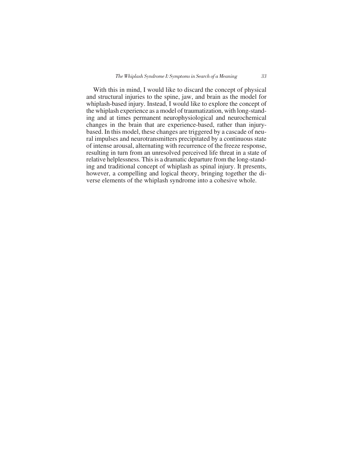With this in mind, I would like to discard the concept of physical and structural injuries to the spine, jaw, and brain as the model for whiplash-based injury. Instead, I would like to explore the concept of the whiplash experience as a model of traumatization, with long-standing and at times permanent neurophysiological and neurochemical changes in the brain that are experience-based, rather than injurybased. In this model, these changes are triggered by a cascade of neural impulses and neurotransmitters precipitated by a continuous state of intense arousal, alternating with recurrence of the freeze response, resulting in turn from an unresolved perceived life threat in a state of relative helplessness. This is a dramatic departure from the long-standing and traditional concept of whiplash as spinal injury. It presents, however, a compelling and logical theory, bringing together the diverse elements of the whiplash syndrome into a cohesive whole.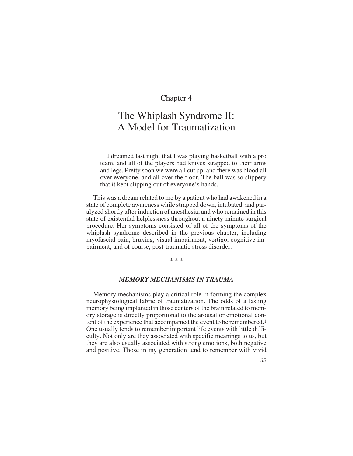## Chapter 4

# The Whiplash Syndrome II: A Model for Traumatization

I dreamed last night that I was playing basketball with a pro team, and all of the players had knives strapped to their arms and legs. Pretty soon we were all cut up, and there was blood all over everyone, and all over the floor. The ball was so slippery that it kept slipping out of everyone's hands.

This was a dream related to me by a patient who had awakened in a state of complete awareness while strapped down, intubated, and paralyzed shortly after induction of anesthesia, and who remained in this state of existential helplessness throughout a ninety-minute surgical procedure. Her symptoms consisted of all of the symptoms of the whiplash syndrome described in the previous chapter, including myofascial pain, bruxing, visual impairment, vertigo, cognitive impairment, and of course, post-traumatic stress disorder.

\* \* \*

#### *MEMORY MECHANISMS IN TRAUMA*

Memory mechanisms play a critical role in forming the complex neurophysiological fabric of traumatization. The odds of a lasting memory being implanted in those centers of the brain related to memory storage is directly proportional to the arousal or emotional content of the experience that accompanied the event to be remembered.<sup>1</sup> One usually tends to remember important life events with little difficulty. Not only are they associated with specific meanings to us, but they are also usually associated with strong emotions, both negative and positive. Those in my generation tend to remember with vivid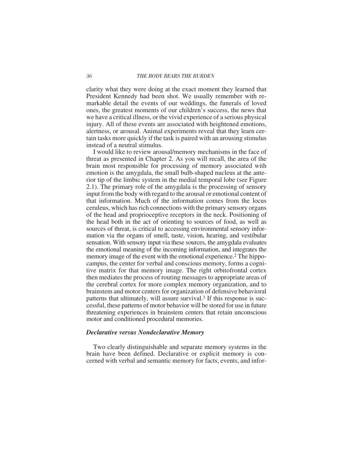clarity what they were doing at the exact moment they learned that President Kennedy had been shot. We usually remember with remarkable detail the events of our weddings, the funerals of loved ones, the greatest moments of our children's success, the news that we have a critical illness, or the vivid experience of a serious physical injury. All of these events are associated with heightened emotions, alertness, or arousal. Animal experiments reveal that they learn certain tasks more quickly if the task is paired with an arousing stimulus instead of a neutral stimulus.

I would like to review arousal/memory mechanisms in the face of threat as presented in Chapter 2. As you will recall, the area of the brain most responsible for processing of memory associated with emotion is the amygdala, the small bulb-shaped nucleus at the anterior tip of the limbic system in the medial temporal lobe (see Figure 2.1). The primary role of the amygdala is the processing of sensory input from the body with regard to the arousal or emotional content of that information. Much of the information comes from the locus ceruleus, which has rich connections with the primary sensory organs of the head and proprioceptive receptors in the neck. Positioning of the head both in the act of orienting to sources of food, as well as sources of threat, is critical to accessing environmental sensory information via the organs of smell, taste, vision, hearing, and vestibular sensation. With sensory input via these sources, the amygdala evaluates the emotional meaning of the incoming information, and integrates the memory image of the event with the emotional experience.2 The hippocampus, the center for verbal and conscious memory, forms a cognitive matrix for that memory image. The right orbitofrontal cortex then mediates the process of routing messages to appropriate areas of the cerebral cortex for more complex memory organization, and to brainstem and motor centers for organization of defensive behavioral patterns that ultimately, will assure survival.3 If this response is successful, these patterns of motor behavior will be stored for use in future threatening experiences in brainstem centers that retain unconscious motor and conditioned procedural memories.

#### *Declarative versus Nondeclarative Memory*

Two clearly distinguishable and separate memory systems in the brain have been defined. Declarative or explicit memory is concerned with verbal and semantic memory for facts, events, and infor-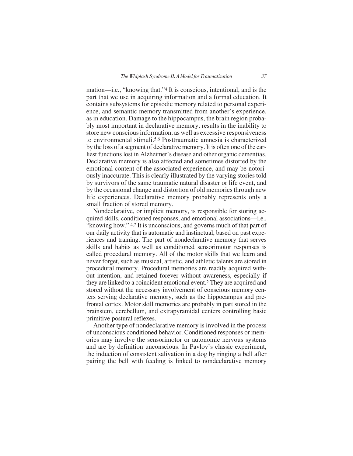mation—i.e., "knowing that."4 It is conscious, intentional, and is the part that we use in acquiring information and a formal education. It contains subsystems for episodic memory related to personal experience, and semantic memory transmitted from another's experience, as in education. Damage to the hippocampus, the brain region probably most important in declarative memory, results in the inability to store new conscious information, as well as excessive responsiveness to environmental stimuli.5,6 Posttraumatic amnesia is characterized by the loss of a segment of declarative memory. It is often one of the earliest functions lost in Alzheimer's disease and other organic dementias. Declarative memory is also affected and sometimes distorted by the emotional content of the associated experience, and may be notoriously inaccurate. This is clearly illustrated by the varying stories told by survivors of the same traumatic natural disaster or life event, and by the occasional change and distortion of old memories through new life experiences. Declarative memory probably represents only a small fraction of stored memory.

Nondeclarative, or implicit memory, is responsible for storing acquired skills, conditioned responses, and emotional associations—i.e., "knowing how." 4,7 It is unconscious, and governs much of that part of our daily activity that is automatic and instinctual, based on past experiences and training. The part of nondeclarative memory that serves skills and habits as well as conditioned sensorimotor responses is called procedural memory. All of the motor skills that we learn and never forget, such as musical, artistic, and athletic talents are stored in procedural memory. Procedural memories are readily acquired without intention, and retained forever without awareness, especially if they are linked to a coincident emotional event.2 They are acquired and stored without the necessary involvement of conscious memory centers serving declarative memory, such as the hippocampus and prefrontal cortex. Motor skill memories are probably in part stored in the brainstem, cerebellum, and extrapyramidal centers controlling basic primitive postural reflexes.

Another type of nondeclarative memory is involved in the process of unconscious conditioned behavior. Conditioned responses or memories may involve the sensorimotor or autonomic nervous systems and are by definition unconscious. In Pavlov's classic experiment, the induction of consistent salivation in a dog by ringing a bell after pairing the bell with feeding is linked to nondeclarative memory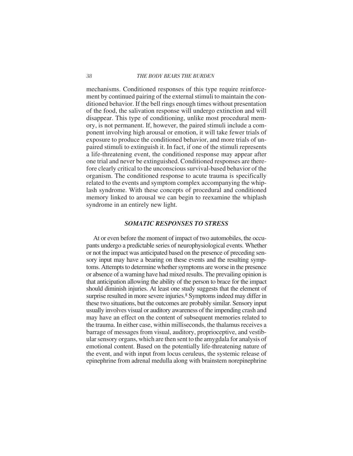mechanisms. Conditioned responses of this type require reinforcement by continued pairing of the external stimuli to maintain the conditioned behavior. If the bell rings enough times without presentation of the food, the salivation response will undergo extinction and will disappear. This type of conditioning, unlike most procedural memory, is not permanent. If, however, the paired stimuli include a component involving high arousal or emotion, it will take fewer trials of exposure to produce the conditioned behavior, and more trials of unpaired stimuli to extinguish it. In fact, if one of the stimuli represents a life-threatening event, the conditioned response may appear after one trial and never be extinguished. Conditioned responses are therefore clearly critical to the unconscious survival-based behavior of the organism. The conditioned response to acute trauma is specifically related to the events and symptom complex accompanying the whiplash syndrome. With these concepts of procedural and conditioned memory linked to arousal we can begin to reexamine the whiplash syndrome in an entirely new light.

## *SOMATIC RESPONSES TO STRESS*

At or even before the moment of impact of two automobiles, the occupants undergo a predictable series of neurophysiological events. Whether or not the impact was anticipated based on the presence of preceding sensory input may have a bearing on these events and the resulting symptoms. Attempts to determine whether symptoms are worse in the presence or absence of a warning have had mixed results. The prevailing opinion is that anticipation allowing the ability of the person to brace for the impact should diminish injuries. At least one study suggests that the element of surprise resulted in more severe injuries.<sup>8</sup> Symptoms indeed may differ in these two situations, but the outcomes are probably similar. Sensory input usually involves visual or auditory awareness of the impending crash and may have an effect on the content of subsequent memories related to the trauma. In either case, within milliseconds, the thalamus receives a barrage of messages from visual, auditory, proprioceptive, and vestibular sensory organs, which are then sent to the amygdala for analysis of emotional content. Based on the potentially life-threatening nature of the event, and with input from locus ceruleus, the systemic release of epinephrine from adrenal medulla along with brainstem norepinephrine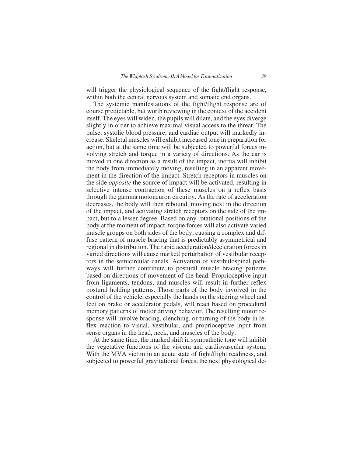will trigger the physiological sequence of the fight/flight response, within both the central nervous system and somatic end organs.

The systemic manifestations of the fight/flight response are of course predictable, but worth reviewing in the context of the accident itself. The eyes will widen, the pupils will dilate, and the eyes diverge slightly in order to achieve maximal visual access to the threat. The pulse, systolic blood pressure, and cardiac output will markedly increase. Skeletal muscles will exhibit increased tone in preparation for action, but at the same time will be subjected to powerful forces involving stretch and torque in a variety of directions. As the car is moved in one direction as a result of the impact, inertia will inhibit the body from immediately moving, resulting in an apparent movement in the direction of the impact. Stretch receptors in muscles on the side *opposite* the source of impact will be activated, resulting in selective intense contraction of these muscles on a reflex basis through the gamma motoneuron circuitry. As the rate of acceleration decreases, the body will then rebound, moving next in the direction of the impact, and activating stretch receptors on the side of the impact, but to a lesser degree. Based on any rotational positions of the body at the moment of impact, torque forces will also activate varied muscle groups on both sides of the body, causing a complex and diffuse pattern of muscle bracing that is predictably asymmetrical and regional in distribution. The rapid acceleration/deceleration forces in varied directions will cause marked perturbation of vestibular receptors in the semicircular canals. Activation of vestibulospinal pathways will further contribute to postural muscle bracing patterns based on directions of movement of the head. Proprioceptive input from ligaments, tendons, and muscles will result in further reflex postural holding patterns. Those parts of the body involved in the control of the vehicle, especially the hands on the steering wheel and feet on brake or accelerator pedals, will react based on procedural memory patterns of motor driving behavior. The resulting motor response will involve bracing, clenching, or turning of the body in reflex reaction to visual, vestibular, and proprioceptive input from sense organs in the head, neck, and muscles of the body.

At the same time, the marked shift in sympathetic tone will inhibit the vegetative functions of the viscera and cardiovascular system. With the MVA victim in an acute state of fight/flight readiness, and subjected to powerful gravitational forces, the next physiological de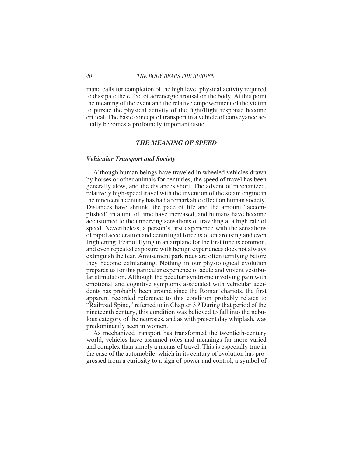mand calls for completion of the high level physical activity required to dissipate the effect of adrenergic arousal on the body. At this point the meaning of the event and the relative empowerment of the victim to pursue the physical activity of the fight/flight response become critical. The basic concept of transport in a vehicle of conveyance actually becomes a profoundly important issue.

#### *THE MEANING OF SPEED*

#### *Vehicular Transport and Society*

Although human beings have traveled in wheeled vehicles drawn by horses or other animals for centuries, the speed of travel has been generally slow, and the distances short. The advent of mechanized, relatively high-speed travel with the invention of the steam engine in the nineteenth century has had a remarkable effect on human society. Distances have shrunk, the pace of life and the amount "accomplished" in a unit of time have increased, and humans have become accustomed to the unnerving sensations of traveling at a high rate of speed. Nevertheless, a person's first experience with the sensations of rapid acceleration and centrifugal force is often arousing and even frightening. Fear of flying in an airplane for the first time is common, and even repeated exposure with benign experiences does not always extinguish the fear. Amusement park rides are often terrifying before they become exhilarating. Nothing in our physiological evolution prepares us for this particular experience of acute and violent vestibular stimulation. Although the peculiar syndrome involving pain with emotional and cognitive symptoms associated with vehicular accidents has probably been around since the Roman chariots, the first apparent recorded reference to this condition probably relates to "Railroad Spine," referred to in Chapter 3.9 During that period of the nineteenth century, this condition was believed to fall into the nebulous category of the neuroses, and as with present day whiplash, was predominantly seen in women.

As mechanized transport has transformed the twentieth-century world, vehicles have assumed roles and meanings far more varied and complex than simply a means of travel. This is especially true in the case of the automobile, which in its century of evolution has progressed from a curiosity to a sign of power and control, a symbol of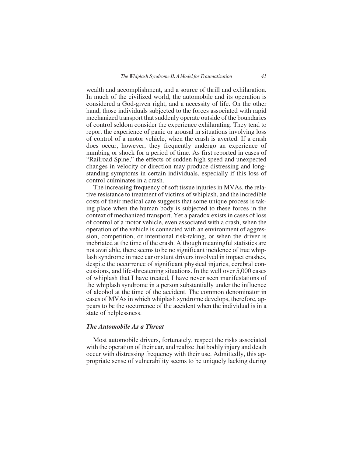wealth and accomplishment, and a source of thrill and exhilaration. In much of the civilized world, the automobile and its operation is considered a God-given right, and a necessity of life. On the other hand, those individuals subjected to the forces associated with rapid mechanized transport that suddenly operate outside of the boundaries of control seldom consider the experience exhilarating. They tend to report the experience of panic or arousal in situations involving loss of control of a motor vehicle, when the crash is averted. If a crash does occur, however, they frequently undergo an experience of numbing or shock for a period of time. As first reported in cases of "Railroad Spine," the effects of sudden high speed and unexpected changes in velocity or direction may produce distressing and longstanding symptoms in certain individuals, especially if this loss of control culminates in a crash.

The increasing frequency of soft tissue injuries in MVAs, the relative resistance to treatment of victims of whiplash, and the incredible costs of their medical care suggests that some unique process is taking place when the human body is subjected to these forces in the context of mechanized transport. Yet a paradox exists in cases of loss of control of a motor vehicle, even associated with a crash, when the operation of the vehicle is connected with an environment of aggression, competition, or intentional risk-taking, or when the driver is inebriated at the time of the crash. Although meaningful statistics are not available, there seems to be no significant incidence of true whiplash syndrome in race car or stunt drivers involved in impact crashes, despite the occurrence of significant physical injuries, cerebral concussions, and life-threatening situations. In the well over 5,000 cases of whiplash that I have treated, I have never seen manifestations of the whiplash syndrome in a person substantially under the influence of alcohol at the time of the accident. The common denominator in cases of MVAs in which whiplash syndrome develops, therefore, appears to be the occurrence of the accident when the individual is in a state of helplessness.

#### *The Automobile As a Threat*

Most automobile drivers, fortunately, respect the risks associated with the operation of their car, and realize that bodily injury and death occur with distressing frequency with their use. Admittedly, this appropriate sense of vulnerability seems to be uniquely lacking during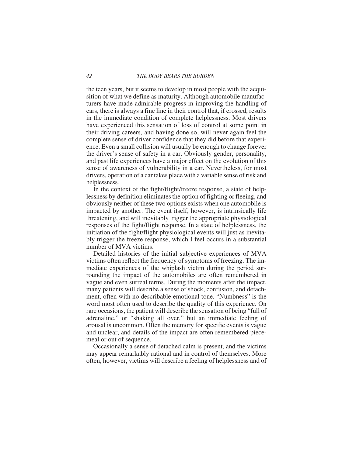the teen years, but it seems to develop in most people with the acquisition of what we define as maturity. Although automobile manufacturers have made admirable progress in improving the handling of cars, there is always a fine line in their control that, if crossed, results in the immediate condition of complete helplessness. Most drivers have experienced this sensation of loss of control at some point in their driving careers, and having done so, will never again feel the complete sense of driver confidence that they did before that experience. Even a small collision will usually be enough to change forever the driver's sense of safety in a car. Obviously gender, personality, and past life experiences have a major effect on the evolution of this sense of awareness of vulnerability in a car. Nevertheless, for most drivers, operation of a car takes place with a variable sense of risk and helplessness.

In the context of the fight/flight/freeze response, a state of helplessness by definition eliminates the option of fighting or fleeing, and obviously neither of these two options exists when one automobile is impacted by another. The event itself, however, is intrinsically life threatening, and will inevitably trigger the appropriate physiological responses of the fight/flight response. In a state of helplessness, the initiation of the fight/flight physiological events will just as inevitably trigger the freeze response, which I feel occurs in a substantial number of MVA victims.

Detailed histories of the initial subjective experiences of MVA victims often reflect the frequency of symptoms of freezing. The immediate experiences of the whiplash victim during the period surrounding the impact of the automobiles are often remembered in vague and even surreal terms. During the moments after the impact, many patients will describe a sense of shock, confusion, and detachment, often with no describable emotional tone. "Numbness" is the word most often used to describe the quality of this experience. On rare occasions, the patient will describe the sensation of being "full of adrenaline," or "shaking all over," but an immediate feeling of arousal is uncommon. Often the memory for specific events is vague and unclear, and details of the impact are often remembered piecemeal or out of sequence.

Occasionally a sense of detached calm is present, and the victims may appear remarkably rational and in control of themselves. More often, however, victims will describe a feeling of helplessness and of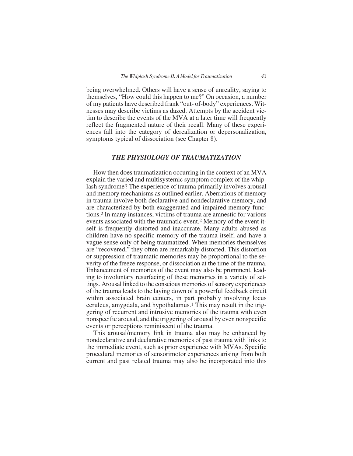being overwhelmed. Others will have a sense of unreality, saying to themselves, "How could this happen to me?" On occasion, a number of my patients have described frank "out- of-body" experiences. Witnesses may describe victims as dazed. Attempts by the accident victim to describe the events of the MVA at a later time will frequently reflect the fragmented nature of their recall. Many of these experiences fall into the category of derealization or depersonalization, symptoms typical of dissociation (see Chapter 8).

#### *THE PHYSIOLOGY OF TRAUMATIZATION*

How then does traumatization occurring in the context of an MVA explain the varied and multisystemic symptom complex of the whiplash syndrome? The experience of trauma primarily involves arousal and memory mechanisms as outlined earlier. Aberrations of memory in trauma involve both declarative and nondeclarative memory, and are characterized by both exaggerated and impaired memory functions.2 In many instances, victims of trauma are amnestic for various events associated with the traumatic event.2 Memory of the event itself is frequently distorted and inaccurate. Many adults abused as children have no specific memory of the trauma itself, and have a vague sense only of being traumatized. When memories themselves are "recovered," they often are remarkably distorted. This distortion or suppression of traumatic memories may be proportional to the severity of the freeze response, or dissociation at the time of the trauma. Enhancement of memories of the event may also be prominent, leading to involuntary resurfacing of these memories in a variety of settings. Arousal linked to the conscious memories of sensory experiences of the trauma leads to the laying down of a powerful feedback circuit within associated brain centers, in part probably involving locus ceruleus, amygdala, and hypothalamus.1 This may result in the triggering of recurrent and intrusive memories of the trauma with even nonspecific arousal, and the triggering of arousal by even nonspecific events or perceptions reminiscent of the trauma.

This arousal/memory link in trauma also may be enhanced by nondeclarative and declarative memories of past trauma with links to the immediate event, such as prior experience with MVAs. Specific procedural memories of sensorimotor experiences arising from both current and past related trauma may also be incorporated into this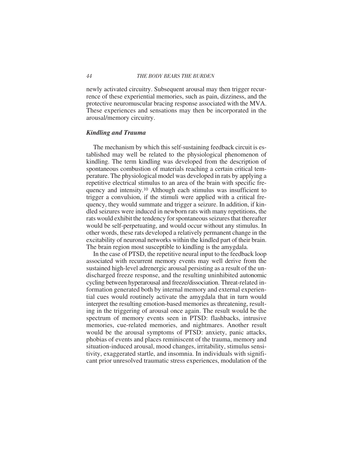newly activated circuitry. Subsequent arousal may then trigger recurrence of these experiential memories, such as pain, dizziness, and the protective neuromuscular bracing response associated with the MVA. These experiences and sensations may then be incorporated in the arousal/memory circuitry.

### *Kindling and Trauma*

The mechanism by which this self-sustaining feedback circuit is established may well be related to the physiological phenomenon of kindling. The term kindling was developed from the description of spontaneous combustion of materials reaching a certain critical temperature. The physiological model was developed in rats by applying a repetitive electrical stimulus to an area of the brain with specific frequency and intensity.10 Although each stimulus was insufficient to trigger a convulsion, if the stimuli were applied with a critical frequency, they would summate and trigger a seizure. In addition, if kindled seizures were induced in newborn rats with many repetitions, the rats would exhibit the tendency for spontaneous seizures that thereafter would be self-perpetuating, and would occur without any stimulus. In other words, these rats developed a relatively permanent change in the excitability of neuronal networks within the kindled part of their brain. The brain region most susceptible to kindling is the amygdala.

In the case of PTSD, the repetitive neural input to the feedback loop associated with recurrent memory events may well derive from the sustained high-level adrenergic arousal persisting as a result of the undischarged freeze response, and the resulting uninhibited autonomic cycling between hyperarousal and freeze/dissociation. Threat-related information generated both by internal memory and external experiential cues would routinely activate the amygdala that in turn would interpret the resulting emotion-based memories as threatening, resulting in the triggering of arousal once again. The result would be the spectrum of memory events seen in PTSD: flashbacks, intrusive memories, cue-related memories, and nightmares. Another result would be the arousal symptoms of PTSD: anxiety, panic attacks, phobias of events and places reminiscent of the trauma, memory and situation-induced arousal, mood changes, irritability, stimulus sensitivity, exaggerated startle, and insomnia. In individuals with significant prior unresolved traumatic stress experiences, modulation of the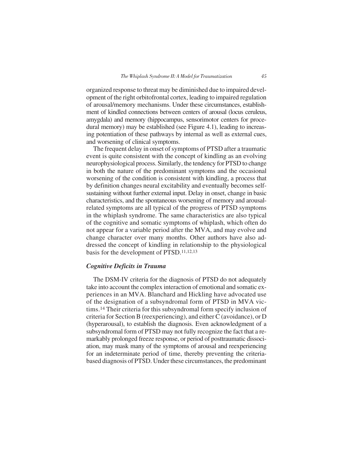organized response to threat may be diminished due to impaired development of the right orbitofrontal cortex, leading to impaired regulation of arousal/memory mechanisms. Under these circumstances, establishment of kindled connections between centers of arousal (locus ceruleus, amygdala) and memory (hippocampus, sensorimotor centers for procedural memory) may be established (see Figure 4.1), leading to increasing potentiation of these pathways by internal as well as external cues, and worsening of clinical symptoms.

The frequent delay in onset of symptoms of PTSD after a traumatic event is quite consistent with the concept of kindling as an evolving neurophysiological process. Similarly, the tendency for PTSD to change in both the nature of the predominant symptoms and the occasional worsening of the condition is consistent with kindling, a process that by definition changes neural excitability and eventually becomes selfsustaining without further external input. Delay in onset, change in basic characteristics, and the spontaneous worsening of memory and arousalrelated symptoms are all typical of the progress of PTSD symptoms in the whiplash syndrome. The same characteristics are also typical of the cognitive and somatic symptoms of whiplash, which often do not appear for a variable period after the MVA, and may evolve and change character over many months. Other authors have also addressed the concept of kindling in relationship to the physiological basis for the development of PTSD.11,12,13

# *Cognitive Deficits in Trauma*

The DSM-IV criteria for the diagnosis of PTSD do not adequately take into account the complex interaction of emotional and somatic experiences in an MVA. Blanchard and Hickling have advocated use of the designation of a subsyndromal form of PTSD in MVA victims.14 Their criteria for this subsyndromal form specify inclusion of criteria for Section B (reexperiencing), and either C (avoidance), or D (hyperarousal), to establish the diagnosis. Even acknowledgment of a subsyndromal form of PTSD may not fully recognize the fact that a remarkably prolonged freeze response, or period of posttraumatic dissociation, may mask many of the symptoms of arousal and reexperiencing for an indeterminate period of time, thereby preventing the criteriabased diagnosis of PTSD. Under these circumstances, the predominant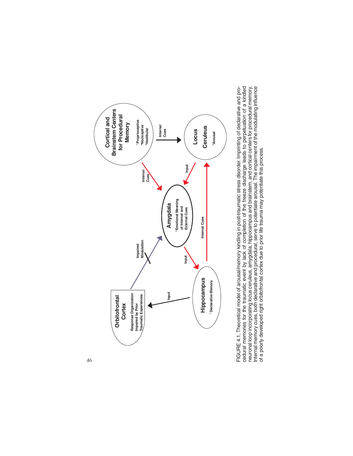

FIGURE 4.1. Theoretical model of arousal/memory kindling in post-traumatic stress disorder. Imprinting of declarative and procedural memories for the traumatic event by lack of completion of the freeze discharge leads to perpetuation of a kindled neuronal loop incorporating locus ceruleus, arnygdala, hippocampus and brainstem, and cortical centers for procedural memory. Internal memory cues, both declarative and procedural, serve to potentiate arousal. The impairment of the modulating influence FIGURE 4.1. Theoretical model of arousal/memory kindling in post-traumatic stress disorder. Imprinting of declarative and procedural memories for the traumatic event by lack of completion of the freeze discharge leads to perpetuation of a kindled neuronal loop incorporating locus ceruleus, amygdala, hippocampus and brainstem, and cortical centers for procedural memory. Internal memory cues, both declarative and procedural, serve to potentiate arousal. The impairment of the modulating influence of a poorly developed right orbitofrontal cortex due to prior life trauma may potentiate this process. of a poorly developed right orbitofrontal cortex due to prior life trauma may potentiate this process.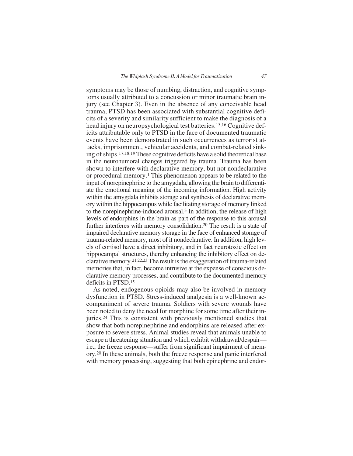symptoms may be those of numbing, distraction, and cognitive symptoms usually attributed to a concussion or minor traumatic brain injury (see Chapter 3). Even in the absence of any conceivable head trauma, PTSD has been associated with substantial cognitive deficits of a severity and similarity sufficient to make the diagnosis of a head injury on neuropsychological test batteries.15,16 Cognitive deficits attributable only to PTSD in the face of documented traumatic events have been demonstrated in such occurrences as terrorist attacks, imprisonment, vehicular accidents, and combat-related sinking of ships.17,18,19These cognitive deficits have a solid theoretical base in the neurohumoral changes triggered by trauma. Trauma has been shown to interfere with declarative memory, but not nondeclarative or procedural memory.1 This phenomenon appears to be related to the input of norepinephrine to the amygdala, allowing the brain to differentiate the emotional meaning of the incoming information. High activity within the amygdala inhibits storage and synthesis of declarative memory within the hippocampus while facilitating storage of memory linked to the norepinephrine-induced arousal.3 In addition, the release of high levels of endorphins in the brain as part of the response to this arousal further interferes with memory consolidation.20 The result is a state of impaired declarative memory storage in the face of enhanced storage of trauma-related memory, most of it nondeclarative. In addition, high levels of cortisol have a direct inhibitory, and in fact neurotoxic effect on hippocampal structures, thereby enhancing the inhibitory effect on declarative memory.21,22,23 The result is the exaggeration of trauma-related memories that, in fact, become intrusive at the expense of conscious declarative memory processes, and contribute to the documented memory deficits in PTSD.15

As noted, endogenous opioids may also be involved in memory dysfunction in PTSD. Stress-induced analgesia is a well-known accompaniment of severe trauma. Soldiers with severe wounds have been noted to deny the need for morphine for some time after their injuries.24 This is consistent with previously mentioned studies that show that both norepinephrine and endorphins are released after exposure to severe stress. Animal studies reveal that animals unable to escape a threatening situation and which exhibit withdrawal/despair i.e., the freeze response—suffer from significant impairment of memory.20 In these animals, both the freeze response and panic interfered with memory processing, suggesting that both epinephrine and endor-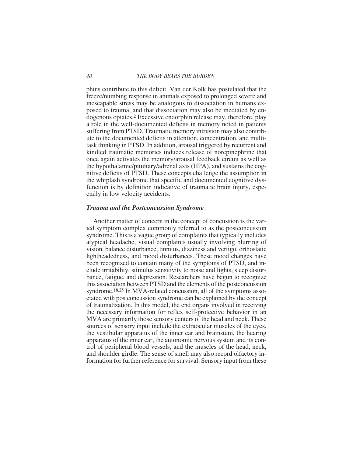phins contribute to this deficit. Van der Kolk has postulated that the freeze/numbing response in animals exposed to prolonged severe and inescapable stress may be analogous to dissociation in humans exposed to trauma, and that dissociation may also be mediated by endogenous opiates.2 Excessive endorphin release may, therefore, play a role in the well-documented deficits in memory noted in patients suffering from PTSD. Traumatic memory intrusion may also contribute to the documented deficits in attention, concentration, and multitask thinking in PTSD. In addition, arousal triggered by recurrent and kindled traumatic memories induces release of norepinephrine that once again activates the memory/arousal feedback circuit as well as the hypothalamic/pituitary/adrenal axis (HPA), and sustains the cognitive deficits of PTSD. These concepts challenge the assumption in the whiplash syndrome that specific and documented cognitive dysfunction is by definition indicative of traumatic brain injury, especially in low velocity accidents.

# *Trauma and the Postconcussion Syndrome*

Another matter of concern in the concept of concussion is the varied symptom complex commonly referred to as the postconcussion syndrome. This is a vague group of complaints that typically includes atypical headache, visual complaints usually involving blurring of vision, balance disturbance, tinnitus, dizziness and vertigo, orthostatic lightheadedness, and mood disturbances. These mood changes have been recognized to contain many of the symptoms of PTSD, and include irritability, stimulus sensitivity to noise and lights, sleep disturbance, fatigue, and depression. Researchers have begun to recognize this association between PTSD and the elements of the postconcussion syndrome.18,25 In MVA-related concussion, all of the symptoms associated with postconcussion syndrome can be explained by the concept of traumatization. In this model, the end organs involved in receiving the necessary information for reflex self-protective behavior in an MVA are primarily those sensory centers of the head and neck. These sources of sensory input include the extraocular muscles of the eyes, the vestibular apparatus of the inner ear and brainstem, the hearing apparatus of the inner ear, the autonomic nervous system and its control of peripheral blood vessels, and the muscles of the head, neck, and shoulder girdle. The sense of smell may also record olfactory information for further reference for survival. Sensory input from these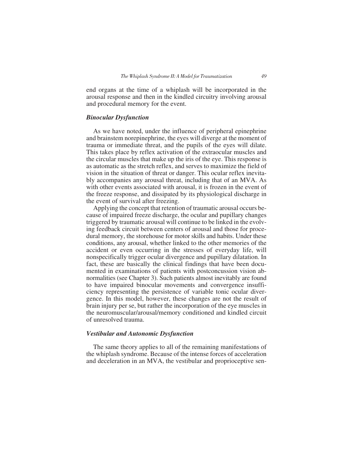end organs at the time of a whiplash will be incorporated in the arousal response and then in the kindled circuitry involving arousal and procedural memory for the event.

#### *Binocular Dysfunction*

As we have noted, under the influence of peripheral epinephrine and brainstem norepinephrine, the eyes will diverge at the moment of trauma or immediate threat, and the pupils of the eyes will dilate. This takes place by reflex activation of the extraocular muscles and the circular muscles that make up the iris of the eye. This response is as automatic as the stretch reflex, and serves to maximize the field of vision in the situation of threat or danger. This ocular reflex inevitably accompanies any arousal threat, including that of an MVA. As with other events associated with arousal, it is frozen in the event of the freeze response, and dissipated by its physiological discharge in the event of survival after freezing.

Applying the concept that retention of traumatic arousal occurs because of impaired freeze discharge, the ocular and pupillary changes triggered by traumatic arousal will continue to be linked in the evolving feedback circuit between centers of arousal and those for procedural memory, the storehouse for motor skills and habits. Under these conditions, any arousal, whether linked to the other memories of the accident or even occurring in the stresses of everyday life, will nonspecifically trigger ocular divergence and pupillary dilatation. In fact, these are basically the clinical findings that have been documented in examinations of patients with postconcussion vision abnormalities (see Chapter 3). Such patients almost inevitably are found to have impaired binocular movements and convergence insufficiency representing the persistence of variable tonic ocular divergence. In this model, however, these changes are not the result of brain injury per se, but rather the incorporation of the eye muscles in the neuromuscular/arousal/memory conditioned and kindled circuit of unresolved trauma.

#### *Vestibular and Autonomic Dysfunction*

The same theory applies to all of the remaining manifestations of the whiplash syndrome. Because of the intense forces of acceleration and deceleration in an MVA, the vestibular and proprioceptive sen-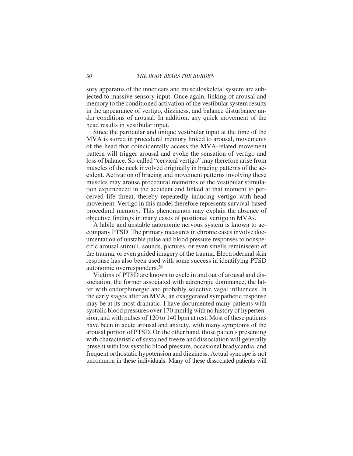sory apparatus of the inner ears and musculoskeletal system are subjected to massive sensory input. Once again, linking of arousal and memory to the conditioned activation of the vestibular system results in the appearance of vertigo, dizziness, and balance disturbance under conditions of arousal. In addition, any quick movement of the head results in vestibular input.

Since the particular and unique vestibular input at the time of the MVA is stored in procedural memory linked to arousal, movements of the head that coincidentally access the MVA-related movement pattern will trigger arousal and evoke the sensation of vertigo and loss of balance. So-called "cervical vertigo" may therefore arise from muscles of the neck involved originally in bracing patterns of the accident. Activation of bracing and movement patterns involving these muscles may arouse procedural memories of the vestibular stimulation experienced in the accident and linked at that moment to perceived life threat, thereby repeatedly inducing vertigo with head movement. Vertigo in this model therefore represents survival-based procedural memory. This phenomenon may explain the absence of objective findings in many cases of positional vertigo in MVAs.

A labile and unstable autonomic nervous system is known to accompany PTSD. The primary measures in chronic cases involve documentation of unstable pulse and blood pressure responses to nonspecific arousal stimuli, sounds, pictures, or even smells reminiscent of the trauma, or even guided imagery of the trauma. Electrodermal skin response has also been used with some success in identifying PTSD autonomic overresponders.26

Victims of PTSD are known to cycle in and out of arousal and dissociation, the former associated with adrenergic dominance, the latter with endorphinergic and probably selective vagal influences. In the early stages after an MVA, an exaggerated sympathetic response may be at its most dramatic. I have documented many patients with systolic blood pressures over 170 mmHg with no history of hypertension, and with pulses of 120 to 140 bpm at rest. Most of these patients have been in acute arousal and anxiety, with many symptoms of the arousal portion of PTSD. On the other hand, those patients presenting with characteristic of sustained freeze and dissociation will generally present with low systolic blood pressure, occasional bradycardia, and frequent orthostatic hypotension and dizziness. Actual syncope is not uncommon in these individuals. Many of these dissociated patients will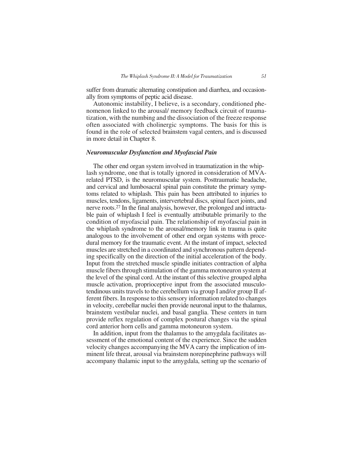suffer from dramatic alternating constipation and diarrhea, and occasionally from symptoms of peptic acid disease.

Autonomic instability, I believe, is a secondary, conditioned phenomenon linked to the arousal/ memory feedback circuit of traumatization, with the numbing and the dissociation of the freeze response often associated with cholinergic symptoms. The basis for this is found in the role of selected brainstem vagal centers, and is discussed in more detail in Chapter 8.

## *Neuromuscular Dysfunction and Myofascial Pain*

The other end organ system involved in traumatization in the whiplash syndrome, one that is totally ignored in consideration of MVArelated PTSD, is the neuromuscular system. Posttraumatic headache, and cervical and lumbosacral spinal pain constitute the primary symptoms related to whiplash. This pain has been attributed to injuries to muscles, tendons, ligaments, intervertebral discs, spinal facet joints, and nerve roots.27 In the final analysis, however, the prolonged and intractable pain of whiplash I feel is eventually attributable primarily to the condition of myofascial pain. The relationship of myofascial pain in the whiplash syndrome to the arousal/memory link in trauma is quite analogous to the involvement of other end organ systems with procedural memory for the traumatic event. At the instant of impact, selected muscles are stretched in a coordinated and synchronous pattern depending specifically on the direction of the initial acceleration of the body. Input from the stretched muscle spindle initiates contraction of alpha muscle fibers through stimulation of the gamma motoneuron system at the level of the spinal cord. At the instant of this selective grouped alpha muscle activation, proprioceptive input from the associated musculotendinous units travels to the cerebellum via group I and/or group II afferent fibers. In response to this sensory information related to changes in velocity, cerebellar nuclei then provide neuronal input to the thalamus, brainstem vestibular nuclei, and basal ganglia. These centers in turn provide reflex regulation of complex postural changes via the spinal cord anterior horn cells and gamma motoneuron system.

In addition, input from the thalamus to the amygdala facilitates assessment of the emotional content of the experience. Since the sudden velocity changes accompanying the MVA carry the implication of imminent life threat, arousal via brainstem norepinephrine pathways will accompany thalamic input to the amygdala, setting up the scenario of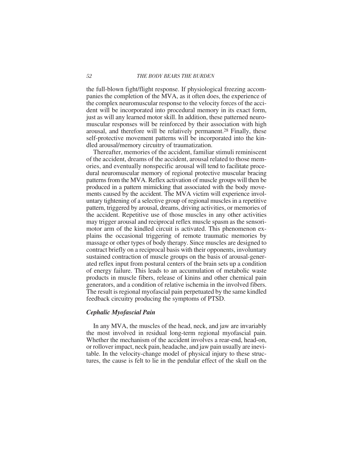the full-blown fight/flight response. If physiological freezing accompanies the completion of the MVA, as it often does, the experience of the complex neuromuscular response to the velocity forces of the accident will be incorporated into procedural memory in its exact form, just as will any learned motor skill. In addition, these patterned neuromuscular responses will be reinforced by their association with high arousal, and therefore will be relatively permanent.28 Finally, these self-protective movement patterns will be incorporated into the kindled arousal/memory circuitry of traumatization.

Thereafter, memories of the accident, familiar stimuli reminiscent of the accident, dreams of the accident, arousal related to those memories, and eventually nonspecific arousal will tend to facilitate procedural neuromuscular memory of regional protective muscular bracing patterns from the MVA. Reflex activation of muscle groups will then be produced in a pattern mimicking that associated with the body movements caused by the accident. The MVA victim will experience involuntary tightening of a selective group of regional muscles in a repetitive pattern, triggered by arousal, dreams, driving activities, or memories of the accident. Repetitive use of those muscles in any other activities may trigger arousal and reciprocal reflex muscle spasm as the sensorimotor arm of the kindled circuit is activated. This phenomenon explains the occasional triggering of remote traumatic memories by massage or other types of body therapy. Since muscles are designed to contract briefly on a reciprocal basis with their opponents, involuntary sustained contraction of muscle groups on the basis of arousal-generated reflex input from postural centers of the brain sets up a condition of energy failure. This leads to an accumulation of metabolic waste products in muscle fibers, release of kinins and other chemical pain generators, and a condition of relative ischemia in the involved fibers. The result is regional myofascial pain perpetuated by the same kindled feedback circuitry producing the symptoms of PTSD.

# *Cephalic Myofascial Pain*

In any MVA, the muscles of the head, neck, and jaw are invariably the most involved in residual long-term regional myofascial pain. Whether the mechanism of the accident involves a rear-end, head-on, or rollover impact, neck pain, headache, and jaw pain usually are inevitable. In the velocity-change model of physical injury to these structures, the cause is felt to lie in the pendular effect of the skull on the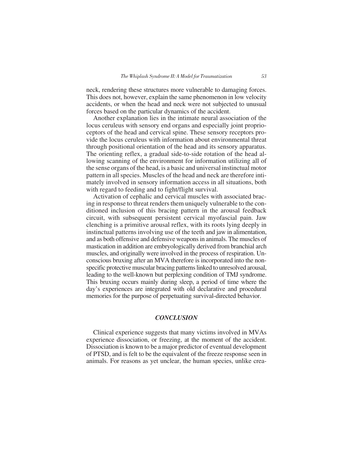neck, rendering these structures more vulnerable to damaging forces. This does not, however, explain the same phenomenon in low velocity accidents, or when the head and neck were not subjected to unusual forces based on the particular dynamics of the accident.

Another explanation lies in the intimate neural association of the locus ceruleus with sensory end organs and especially joint proprioceptors of the head and cervical spine. These sensory receptors provide the locus ceruleus with information about environmental threat through positional orientation of the head and its sensory apparatus. The orienting reflex, a gradual side-to-side rotation of the head allowing scanning of the environment for information utilizing all of the sense organs of the head, is a basic and universal instinctual motor pattern in all species. Muscles of the head and neck are therefore intimately involved in sensory information access in all situations, both with regard to feeding and to fight/flight survival.

Activation of cephalic and cervical muscles with associated bracing in response to threat renders them uniquely vulnerable to the conditioned inclusion of this bracing pattern in the arousal feedback circuit, with subsequent persistent cervical myofascial pain. Jaw clenching is a primitive arousal reflex, with its roots lying deeply in instinctual patterns involving use of the teeth and jaw in alimentation, and as both offensive and defensive weapons in animals. The muscles of mastication in addition are embryologically derived from branchial arch muscles, and originally were involved in the process of respiration. Unconscious bruxing after an MVA therefore is incorporated into the nonspecific protective muscular bracing patterns linked to unresolved arousal, leading to the well-known but perplexing condition of TMJ syndrome. This bruxing occurs mainly during sleep, a period of time where the day's experiences are integrated with old declarative and procedural memories for the purpose of perpetuating survival-directed behavior.

#### *CONCLUSION*

Clinical experience suggests that many victims involved in MVAs experience dissociation, or freezing, at the moment of the accident. Dissociation is known to be a major predictor of eventual development of PTSD, and is felt to be the equivalent of the freeze response seen in animals. For reasons as yet unclear, the human species, unlike crea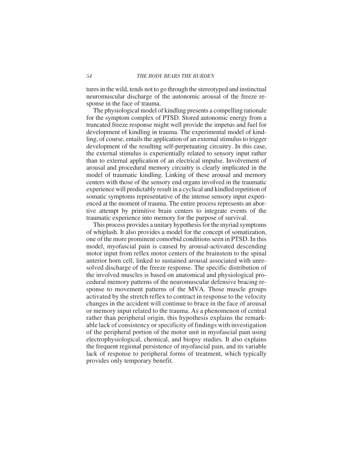tures in the wild, tends not to go through the stereotyped and instinctual neuromuscular discharge of the autonomic arousal of the freeze response in the face of trauma.

The physiological model of kindling presents a compelling rationale for the symptom complex of PTSD. Stored autonomic energy from a truncated freeze response might well provide the impetus and fuel for development of kindling in trauma. The experimental model of kindling, of course, entails the application of an external stimulus to trigger development of the resulting self-perpetuating circuitry. In this case, the external stimulus is experientially related to sensory input rather than to external application of an electrical impulse. Involvement of arousal and procedural memory circuitry is clearly implicated in the model of traumatic kindling. Linking of these arousal and memory centers with those of the sensory end organs involved in the traumatic experience will predictably result in a cyclical and kindled repetition of somatic symptoms representative of the intense sensory input experienced at the moment of trauma. The entire process represents an abortive attempt by primitive brain centers to integrate events of the traumatic experience into memory for the purpose of survival.

This process provides a unitary hypothesis for the myriad symptoms of whiplash. It also provides a model for the concept of somatization, one of the more prominent comorbid conditions seen in PTSD. In this model, myofascial pain is caused by arousal-activated descending motor input from reflex motor centers of the brainstem to the spinal anterior horn cell, linked to sustained arousal associated with unresolved discharge of the freeze response. The specific distribution of the involved muscles is based on anatomical and physiological procedural memory patterns of the neuromuscular defensive bracing response to movement patterns of the MVA. Those muscle groups activated by the stretch reflex to contract in response to the velocity changes in the accident will continue to brace in the face of arousal or memory input related to the trauma. As a phenomenon of central rather than peripheral origin, this hypothesis explains the remarkable lack of consistency or specificity of findings with investigation of the peripheral portion of the motor unit in myofascial pain using electrophysiological, chemical, and biopsy studies. It also explains the frequent regional persistence of myofascial pain, and its variable lack of response to peripheral forms of treatment, which typically provides only temporary benefit.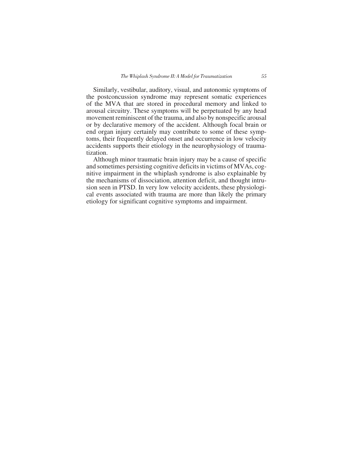Similarly, vestibular, auditory, visual, and autonomic symptoms of the postconcussion syndrome may represent somatic experiences of the MVA that are stored in procedural memory and linked to arousal circuitry. These symptoms will be perpetuated by any head movement reminiscent of the trauma, and also by nonspecific arousal or by declarative memory of the accident. Although focal brain or end organ injury certainly may contribute to some of these symptoms, their frequently delayed onset and occurrence in low velocity accidents supports their etiology in the neurophysiology of traumatization.

Although minor traumatic brain injury may be a cause of specific and sometimes persisting cognitive deficits in victims of MVAs, cognitive impairment in the whiplash syndrome is also explainable by the mechanisms of dissociation, attention deficit, and thought intrusion seen in PTSD. In very low velocity accidents, these physiological events associated with trauma are more than likely the primary etiology for significant cognitive symptoms and impairment.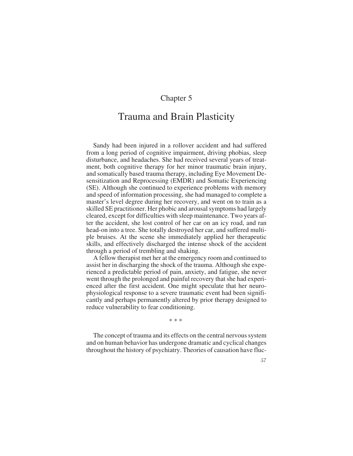# Chapter 5

# Trauma and Brain Plasticity

Sandy had been injured in a rollover accident and had suffered from a long period of cognitive impairment, driving phobias, sleep disturbance, and headaches. She had received several years of treatment, both cognitive therapy for her minor traumatic brain injury, and somatically based trauma therapy, including Eye Movement Desensitization and Reprocessing (EMDR) and Somatic Experiencing (SE). Although she continued to experience problems with memory and speed of information processing, she had managed to complete a master's level degree during her recovery, and went on to train as a skilled SE practitioner. Her phobic and arousal symptoms had largely cleared, except for difficulties with sleep maintenance. Two years after the accident, she lost control of her car on an icy road, and ran head-on into a tree. She totally destroyed her car, and suffered multiple bruises. At the scene she immediately applied her therapeutic skills, and effectively discharged the intense shock of the accident through a period of trembling and shaking.

A fellow therapist met her at the emergency room and continued to assist her in discharging the shock of the trauma. Although she experienced a predictable period of pain, anxiety, and fatigue, she never went through the prolonged and painful recovery that she had experienced after the first accident. One might speculate that her neurophysiological response to a severe traumatic event had been significantly and perhaps permanently altered by prior therapy designed to reduce vulnerability to fear conditioning.

\* \* \*

The concept of trauma and its effects on the central nervous system and on human behavior has undergone dramatic and cyclical changes throughout the history of psychiatry. Theories of causation have fluc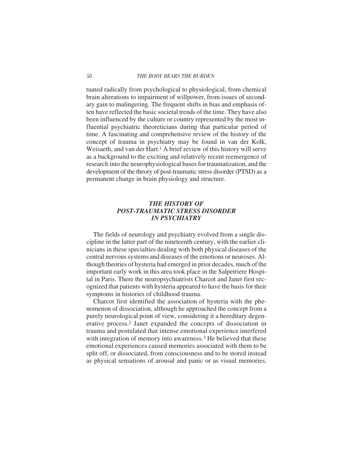tuated radically from psychological to physiological, from chemical brain alterations to impairment of willpower, from issues of secondary gain to malingering. The frequent shifts in bias and emphasis often have reflected the basic societal trends of the time. They have also been influenced by the culture or country represented by the most influential psychiatric theoreticians during that particular period of time. A fascinating and comprehensive review of the history of the concept of trauma in psychiatry may be found in van der Kolk, Weisaeth, and van der Hart.<sup>1</sup> A brief review of this history will serve as a background to the exciting and relatively recent reemergence of research into the neurophysiological bases for traumatization, and the development of the theory of post-traumatic stress disorder (PTSD) as a permanent change in brain physiology and structure.

# *THE HISTORY OF POST-TRAUMATIC STRESS DISORDER IN PSYCHIATRY*

The fields of neurology and psychiatry evolved from a single discipline in the latter part of the nineteenth century, with the earlier clinicians in these specialties dealing with both physical diseases of the central nervous systems and diseases of the emotions or neuroses. Although theories of hysteria had emerged in prior decades, much of the important early work in this area took place in the Salpetriere Hospital in Paris. There the neuropsychiatrists Charcot and Janet first recognized that patients with hysteria appeared to have the basis for their symptoms in histories of childhood trauma.

Charcot first identified the association of hysteria with the phenomenon of dissociation, although he approached the concept from a purely neurological point of view, considering it a hereditary degenerative process.2 Janet expanded the concepts of dissociation in trauma and postulated that intense emotional experience interfered with integration of memory into awareness.<sup>3</sup> He believed that these emotional experiences caused memories associated with them to be split off, or dissociated, from consciousness and to be stored instead as physical sensations of arousal and panic or as visual memories,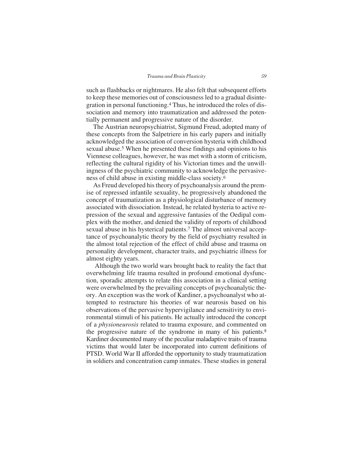such as flashbacks or nightmares. He also felt that subsequent efforts to keep these memories out of consciousness led to a gradual disintegration in personal functioning.4 Thus, he introduced the roles of dissociation and memory into traumatization and addressed the potentially permanent and progressive nature of the disorder.

The Austrian neuropsychiatrist, Sigmund Freud, adopted many of these concepts from the Salpetriere in his early papers and initially acknowledged the association of conversion hysteria with childhood sexual abuse.<sup>5</sup> When he presented these findings and opinions to his Viennese colleagues, however, he was met with a storm of criticism, reflecting the cultural rigidity of his Victorian times and the unwillingness of the psychiatric community to acknowledge the pervasiveness of child abuse in existing middle-class society.6

As Freud developed his theory of psychoanalysis around the premise of repressed infantile sexuality, he progressively abandoned the concept of traumatization as a physiological disturbance of memory associated with dissociation. Instead, he related hysteria to active repression of the sexual and aggressive fantasies of the Oedipal complex with the mother, and denied the validity of reports of childhood sexual abuse in his hysterical patients.7 The almost universal acceptance of psychoanalytic theory by the field of psychiatry resulted in the almost total rejection of the effect of child abuse and trauma on personality development, character traits, and psychiatric illness for almost eighty years.

Although the two world wars brought back to reality the fact that overwhelming life trauma resulted in profound emotional dysfunction, sporadic attempts to relate this association in a clinical setting were overwhelmed by the prevailing concepts of psychoanalytic theory. An exception was the work of Kardiner, a psychoanalyst who attempted to restructure his theories of war neurosis based on his observations of the pervasive hypervigilance and sensitivity to environmental stimuli of his patients. He actually introduced the concept of a *physioneurosis* related to trauma exposure, and commented on the progressive nature of the syndrome in many of his patients.8 Kardiner documented many of the peculiar maladaptive traits of trauma victims that would later be incorporated into current definitions of PTSD. World War II afforded the opportunity to study traumatization in soldiers and concentration camp inmates. These studies in general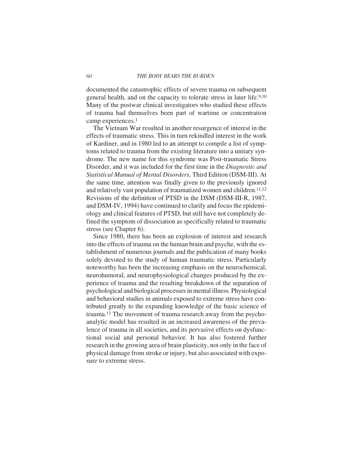documented the catastrophic effects of severe trauma on subsequent general health, and on the capacity to tolerate stress in later life.<sup>9,10</sup> Many of the postwar clinical investigators who studied these effects of trauma had themselves been part of wartime or concentration camp experiences.1

The Vietnam War resulted in another resurgence of interest in the effects of traumatic stress. This in turn rekindled interest in the work of Kardiner, and in 1980 led to an attempt to compile a list of symptoms related to trauma from the existing literature into a unitary syndrome. The new name for this syndrome was Post-traumatic Stress Disorder, and it was included for the first time in the *Diagnostic and Statistical Manual of Mental Disorders,* Third Edition (DSM-III). At the same time, attention was finally given to the previously ignored and relatively vast population of traumatized women and children.<sup>11,12</sup> Revisions of the definition of PTSD in the DSM (DSM-III-R, 1987, and DSM-IV, 1994) have continued to clarify and focus the epidemiology and clinical features of PTSD, but still have not completely defined the symptom of dissociation as specifically related to traumatic stress (see Chapter 6).

Since 1980, there has been an explosion of interest and research into the effects of trauma on the human brain and psyche, with the establishment of numerous journals and the publication of many books solely devoted to the study of human traumatic stress. Particularly noteworthy has been the increasing emphasis on the neurochemical, neurohumoral, and neurophysiological changes produced by the experience of trauma and the resulting breakdown of the separation of psychological and biological processes in mental illness. Physiological and behavioral studies in animals exposed to extreme stress have contributed greatly to the expanding knowledge of the basic science of trauma.13 The movement of trauma research away from the psychoanalytic model has resulted in an increased awareness of the prevalence of trauma in all societies, and its pervasive effects on dysfunctional social and personal behavior. It has also fostered further research in the growing area of brain plasticity, not only in the face of physical damage from stroke or injury, but also associated with exposure to extreme stress.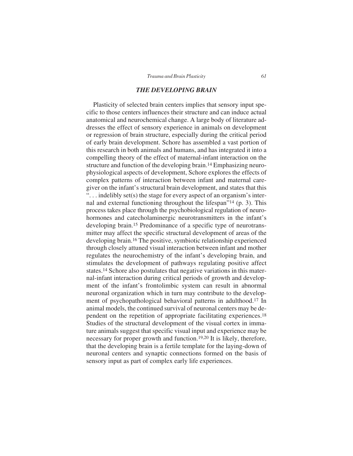#### *THE DEVELOPING BRAIN*

Plasticity of selected brain centers implies that sensory input specific to those centers influences their structure and can induce actual anatomical and neurochemical change. A large body of literature addresses the effect of sensory experience in animals on development or regression of brain structure, especially during the critical period of early brain development. Schore has assembled a vast portion of this research in both animals and humans, and has integrated it into a compelling theory of the effect of maternal-infant interaction on the structure and function of the developing brain.14 Emphasizing neurophysiological aspects of development, Schore explores the effects of complex patterns of interaction between infant and maternal caregiver on the infant's structural brain development, and states that this ". . . indelibly set(s) the stage for every aspect of an organism's internal and external functioning throughout the lifespan"14 (p. 3). This process takes place through the psychobiological regulation of neurohormones and catecholaminergic neurotransmitters in the infant's developing brain.<sup>15</sup> Predominance of a specific type of neurotransmitter may affect the specific structural development of areas of the developing brain.<sup>16</sup> The positive, symbiotic relationship experienced through closely attuned visual interaction between infant and mother regulates the neurochemistry of the infant's developing brain, and stimulates the development of pathways regulating positive affect states.14 Schore also postulates that negative variations in this maternal-infant interaction during critical periods of growth and development of the infant's frontolimbic system can result in abnormal neuronal organization which in turn may contribute to the development of psychopathological behavioral patterns in adulthood.17 In animal models, the continued survival of neuronal centers may be dependent on the repetition of appropriate facilitating experiences.18 Studies of the structural development of the visual cortex in immature animals suggest that specific visual input and experience may be necessary for proper growth and function.19,20 It is likely, therefore, that the developing brain is a fertile template for the laying-down of neuronal centers and synaptic connections formed on the basis of sensory input as part of complex early life experiences.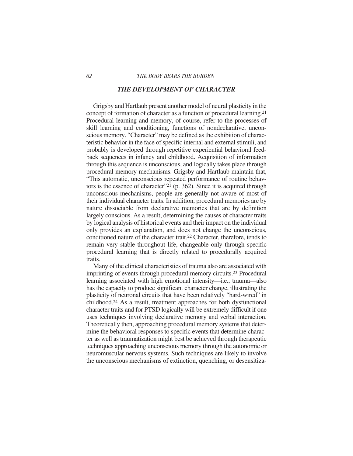# *THE DEVELOPMENT OF CHARACTER*

Grigsby and Hartlaub present another model of neural plasticity in the concept of formation of character as a function of procedural learning.21 Procedural learning and memory, of course, refer to the processes of skill learning and conditioning, functions of nondeclarative, unconscious memory. "Character" may be defined as the exhibition of characteristic behavior in the face of specific internal and external stimuli, and probably is developed through repetitive experiential behavioral feedback sequences in infancy and childhood. Acquisition of information through this sequence is unconscious, and logically takes place through procedural memory mechanisms. Grigsby and Hartlaub maintain that, "This automatic, unconscious repeated performance of routine behaviors is the essence of character"<sup>21</sup> (p. 362). Since it is acquired through unconscious mechanisms, people are generally not aware of most of their individual character traits. In addition, procedural memories are by nature dissociable from declarative memories that are by definition largely conscious. As a result, determining the causes of character traits by logical analysis of historical events and their impact on the individual only provides an explanation, and does not change the unconscious, conditioned nature of the character trait.22 Character, therefore, tends to remain very stable throughout life, changeable only through specific procedural learning that is directly related to procedurally acquired traits.

Many of the clinical characteristics of trauma also are associated with imprinting of events through procedural memory circuits.23 Procedural learning associated with high emotional intensity—i.e., trauma—also has the capacity to produce significant character change, illustrating the plasticity of neuronal circuits that have been relatively "hard-wired" in childhood.24 As a result, treatment approaches for both dysfunctional character traits and for PTSD logically will be extremely difficult if one uses techniques involving declarative memory and verbal interaction. Theoretically then, approaching procedural memory systems that determine the behavioral responses to specific events that determine character as well as traumatization might best be achieved through therapeutic techniques approaching unconscious memory through the autonomic or neuromuscular nervous systems. Such techniques are likely to involve the unconscious mechanisms of extinction, quenching, or desensitiza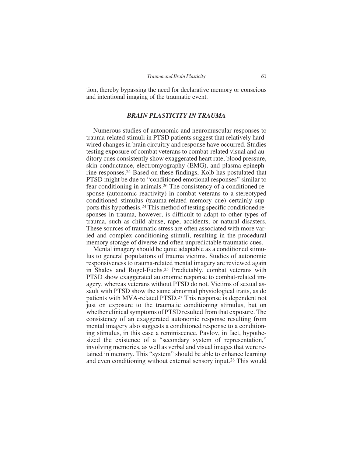tion, thereby bypassing the need for declarative memory or conscious and intentional imaging of the traumatic event.

#### *BRAIN PLASTICITY IN TRAUMA*

Numerous studies of autonomic and neuromuscular responses to trauma-related stimuli in PTSD patients suggest that relatively hardwired changes in brain circuitry and response have occurred. Studies testing exposure of combat veterans to combat-related visual and auditory cues consistently show exaggerated heart rate, blood pressure, skin conductance, electromyography (EMG), and plasma epinephrine responses.24 Based on these findings, Kolb has postulated that PTSD might be due to "conditioned emotional responses" similar to fear conditioning in animals.26 The consistency of a conditioned response (autonomic reactivity) in combat veterans to a stereotyped conditioned stimulus (trauma-related memory cue) certainly supports this hypothesis.24 This method of testing specific conditioned responses in trauma, however, is difficult to adapt to other types of trauma, such as child abuse, rape, accidents, or natural disasters. These sources of traumatic stress are often associated with more varied and complex conditioning stimuli, resulting in the procedural memory storage of diverse and often unpredictable traumatic cues.

Mental imagery should be quite adaptable as a conditioned stimulus to general populations of trauma victims. Studies of autonomic responsiveness to trauma-related mental imagery are reviewed again in Shalev and Rogel-Fuchs.25 Predictably, combat veterans with PTSD show exaggerated autonomic response to combat-related imagery, whereas veterans without PTSD do not. Victims of sexual assault with PTSD show the same abnormal physiological traits, as do patients with MVA-related PTSD.27 This response is dependent not just on exposure to the traumatic conditioning stimulus, but on whether clinical symptoms of PTSD resulted from that exposure. The consistency of an exaggerated autonomic response resulting from mental imagery also suggests a conditioned response to a conditioning stimulus, in this case a reminiscence. Pavlov, in fact, hypothesized the existence of a "secondary system of representation," involving memories, as well as verbal and visual images that were retained in memory. This "system" should be able to enhance learning and even conditioning without external sensory input.28 This would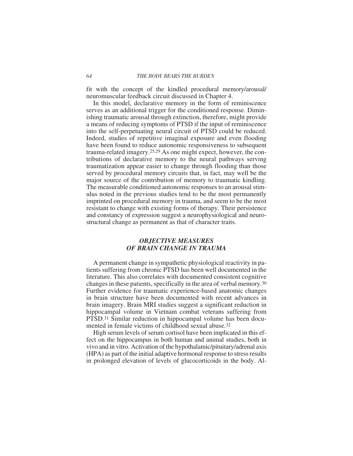fit with the concept of the kindled procedural memory/arousal/ neuromuscular feedback circuit discussed in Chapter 4.

In this model, declarative memory in the form of reminiscence serves as an additional trigger for the conditioned response. Diminishing traumatic arousal through extinction, therefore, might provide a means of reducing symptoms of PTSD if the input of reminiscence into the self-perpetuating neural circuit of PTSD could be reduced. Indeed, studies of repetitive imaginal exposure and even flooding have been found to reduce autonomic responsiveness to subsequent trauma-related imagery.25,29 As one might expect, however, the contributions of declarative memory to the neural pathways serving traumatization appear easier to change through flooding than those served by procedural memory circuits that, in fact, may well be the major source of the contribution of memory to traumatic kindling. The measurable conditioned autonomic responses to an arousal stimulus noted in the previous studies tend to be the most permanently imprinted on procedural memory in trauma, and seem to be the most resistant to change with existing forms of therapy. Their persistence and constancy of expression suggest a neurophysiological and neurostructural change as permanent as that of character traits.

# *OBJECTIVE MEASURES OF BRAIN CHANGE IN TRAUMA*

A permanent change in sympathetic physiological reactivity in patients suffering from chronic PTSD has been well documented in the literature. This also correlates with documented consistent cognitive changes in these patients, specifically in the area of verbal memory.30 Further evidence for traumatic experience-based anatomic changes in brain structure have been documented with recent advances in brain imagery. Brain MRI studies suggest a significant reduction in hippocampal volume in Vietnam combat veterans suffering from PTSD.31 Similar reduction in hippocampal volume has been documented in female victims of childhood sexual abuse.32

High serum levels of serum cortisol have been implicated in this effect on the hippocampus in both human and animal studies, both in vivo and in vitro. Activation of the hypothalamic/pituitary/adrenal axis (HPA) as part of the initial adaptive hormonal response to stress results in prolonged elevation of levels of glucocorticoids in the body. Al-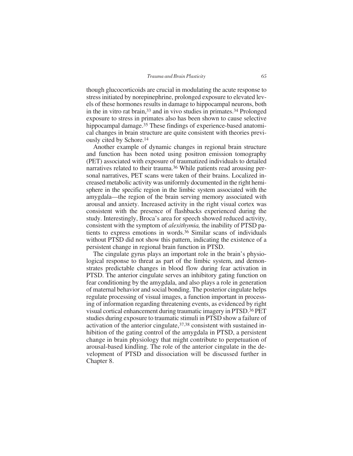though glucocorticoids are crucial in modulating the acute response to stress initiated by norepinephrine, prolonged exposure to elevated levels of these hormones results in damage to hippocampal neurons, both in the in vitro rat brain,33 and in vivo studies in primates.34 Prolonged exposure to stress in primates also has been shown to cause selective hippocampal damage.<sup>35</sup> These findings of experience-based anatomical changes in brain structure are quite consistent with theories previously cited by Schore.14

Another example of dynamic changes in regional brain structure and function has been noted using positron emission tomography (PET) associated with exposure of traumatized individuals to detailed narratives related to their trauma.36 While patients read arousing personal narratives, PET scans were taken of their brains. Localized increased metabolic activity was uniformly documented in the right hemisphere in the specific region in the limbic system associated with the amygdala—the region of the brain serving memory associated with arousal and anxiety. Increased activity in the right visual cortex was consistent with the presence of flashbacks experienced during the study. Interestingly, Broca's area for speech showed reduced activity, consistent with the symptom of *alexithymia,* the inability of PTSD patients to express emotions in words.36 Similar scans of individuals without PTSD did not show this pattern, indicating the existence of a persistent change in regional brain function in PTSD.

The cingulate gyrus plays an important role in the brain's physiological response to threat as part of the limbic system, and demonstrates predictable changes in blood flow during fear activation in PTSD. The anterior cingulate serves an inhibitory gating function on fear conditioning by the amygdala, and also plays a role in generation of maternal behavior and social bonding. The posterior cingulate helps regulate processing of visual images, a function important in processing of information regarding threatening events, as evidenced by right visual cortical enhancement during traumatic imagery in PTSD.36 PET studies during exposure to traumatic stimuli in PTSD show a failure of activation of the anterior cingulate,37,38 consistent with sustained inhibition of the gating control of the amygdala in PTSD, a persistent change in brain physiology that might contribute to perpetuation of arousal-based kindling. The role of the anterior cingulate in the development of PTSD and dissociation will be discussed further in Chapter 8.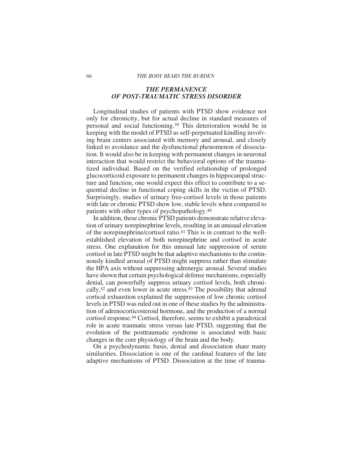# *THE PERMANENCE OF POST-TRAUMATIC STRESS DISORDER*

Longitudinal studies of patients with PTSD show evidence not only for chronicity, but for actual decline in standard measures of personal and social functioning.39 This deterioration would be in keeping with the model of PTSD as self-perpetuated kindling involving brain centers associated with memory and arousal, and closely linked to avoidance and the dysfunctional phenomenon of dissociation. It would also be in keeping with permanent changes in neuronal interaction that would restrict the behavioral options of the traumatized individual. Based on the verified relationship of prolonged glucocorticoid exposure to permanent changes in hippocampal structure and function, one would expect this effect to contribute to a sequential decline in functional coping skills in the victim of PTSD. Surprisingly, studies of urinary free-cortisol levels in those patients with late or chronic PTSD show low, stable levels when compared to patients with other types of psychopathology.40

In addition, these chronic PTSD patients demonstrate relative elevation of urinary norepinephrine levels, resulting in an unusual elevation of the norepinephrine/cortisol ratio.41 This is in contrast to the wellestablished elevation of both norepinephrine and cortisol in acute stress. One explanation for this unusual late suppression of serum cortisol in late PTSD might be that adaptive mechanisms to the continuously kindled arousal of PTSD might suppress rather than stimulate the HPA axis without suppressing adrenergic arousal. Several studies have shown that certain psychological defense mechanisms, especially denial, can powerfully suppress urinary cortisol levels, both chronically,42 and even lower in acute stress.43 The possibility that adrenal cortical exhaustion explained the suppression of low chronic cortisol levels in PTSD was ruled out in one of these studies by the administration of adrenocorticosteroid hormone, and the production of a normal cortisol response.44 Cortisol, therefore, seems to exhibit a paradoxical role in acute traumatic stress versus late PTSD, suggesting that the evolution of the posttraumatic syndrome is associated with basic changes in the core physiology of the brain and the body.

On a psychodynamic basis, denial and dissociation share many similarities. Dissociation is one of the cardinal features of the late adaptive mechanisms of PTSD. Dissociation at the time of trauma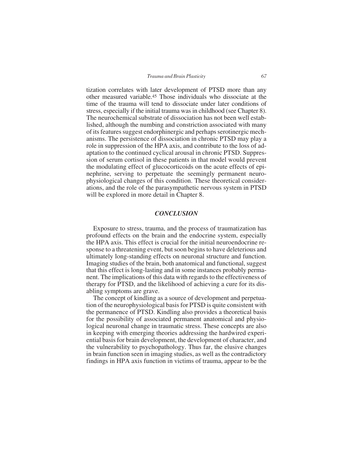tization correlates with later development of PTSD more than any other measured variable.45 Those individuals who dissociate at the time of the trauma will tend to dissociate under later conditions of stress, especially if the initial trauma was in childhood (see Chapter 8). The neurochemical substrate of dissociation has not been well established, although the numbing and constriction associated with many of its features suggest endorphinergic and perhaps serotinergic mechanisms. The persistence of dissociation in chronic PTSD may play a role in suppression of the HPA axis, and contribute to the loss of adaptation to the continued cyclical arousal in chronic PTSD. Suppression of serum cortisol in these patients in that model would prevent the modulating effect of glucocorticoids on the acute effects of epinephrine, serving to perpetuate the seemingly permanent neurophysiological changes of this condition. These theoretical considerations, and the role of the parasympathetic nervous system in PTSD will be explored in more detail in Chapter 8.

#### *CONCLUSION*

Exposure to stress, trauma, and the process of traumatization has profound effects on the brain and the endocrine system, especially the HPA axis. This effect is crucial for the initial neuroendocrine response to a threatening event, but soon begins to have deleterious and ultimately long-standing effects on neuronal structure and function. Imaging studies of the brain, both anatomical and functional, suggest that this effect is long-lasting and in some instances probably permanent. The implications of this data with regards to the effectiveness of therapy for PTSD, and the likelihood of achieving a cure for its disabling symptoms are grave.

The concept of kindling as a source of development and perpetuation of the neurophysiological basis for PTSD is quite consistent with the permanence of PTSD. Kindling also provides a theoretical basis for the possibility of associated permanent anatomical and physiological neuronal change in traumatic stress. These concepts are also in keeping with emerging theories addressing the hardwired experiential basis for brain development, the development of character, and the vulnerability to psychopathology. Thus far, the elusive changes in brain function seen in imaging studies, as well as the contradictory findings in HPA axis function in victims of trauma, appear to be the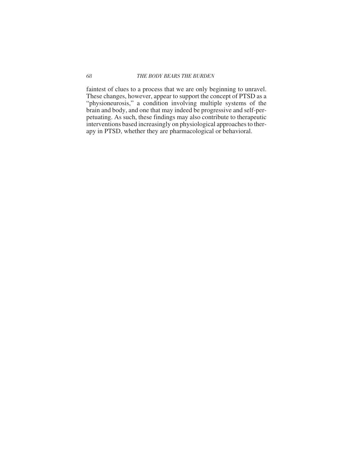faintest of clues to a process that we are only beginning to unravel. These changes, however, appear to support the concept of PTSD as a "physioneurosis," a condition involving multiple systems of the brain and body, and one that may indeed be progressive and self-perpetuating. As such, these findings may also contribute to therapeutic interventions based increasingly on physiological approaches to therapy in PTSD, whether they are pharmacological or behavioral.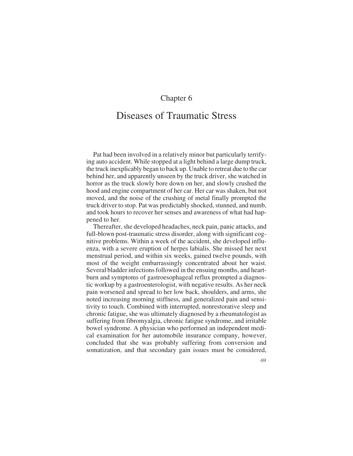# Chapter 6

# Diseases of Traumatic Stress

Pat had been involved in a relatively minor but particularly terrifying auto accident. While stopped at a light behind a large dump truck, the truck inexplicably began to back up. Unable to retreat due to the car behind her, and apparently unseen by the truck driver, she watched in horror as the truck slowly bore down on her, and slowly crushed the hood and engine compartment of her car. Her car was shaken, but not moved, and the noise of the crushing of metal finally prompted the truck driver to stop. Pat was predictably shocked, stunned, and numb, and took hours to recover her senses and awareness of what had happened to her.

Thereafter, she developed headaches, neck pain, panic attacks, and full-blown post-traumatic stress disorder, along with significant cognitive problems. Within a week of the accident, she developed influenza, with a severe eruption of herpes labialis. She missed her next menstrual period, and within six weeks, gained twelve pounds, with most of the weight embarrassingly concentrated about her waist. Several bladder infections followed in the ensuing months, and heartburn and symptoms of gastroesophageal reflux prompted a diagnostic workup by a gastroenterologist, with negative results. As her neck pain worsened and spread to her low back, shoulders, and arms, she noted increasing morning stiffness, and generalized pain and sensitivity to touch. Combined with interrupted, nonrestorative sleep and chronic fatigue, she was ultimately diagnosed by a rheumatologist as suffering from fibromyalgia, chronic fatigue syndrome, and irritable bowel syndrome. A physician who performed an independent medical examination for her automobile insurance company, however, concluded that she was probably suffering from conversion and somatization, and that secondary gain issues must be considered,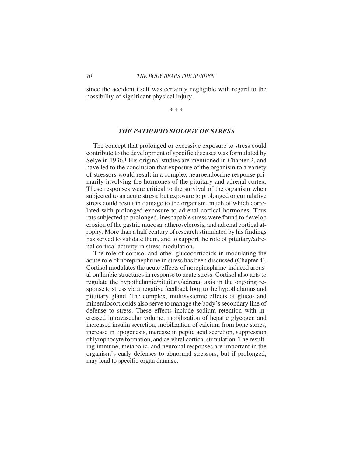since the accident itself was certainly negligible with regard to the possibility of significant physical injury.

\* \* \*

# *THE PATHOPHYSIOLOGY OF STRESS*

The concept that prolonged or excessive exposure to stress could contribute to the development of specific diseases was formulated by Selye in 1936.1 His original studies are mentioned in Chapter 2, and have led to the conclusion that exposure of the organism to a variety of stressors would result in a complex neuroendocrine response primarily involving the hormones of the pituitary and adrenal cortex. These responses were critical to the survival of the organism when subjected to an acute stress, but exposure to prolonged or cumulative stress could result in damage to the organism, much of which correlated with prolonged exposure to adrenal cortical hormones. Thus rats subjected to prolonged, inescapable stress were found to develop erosion of the gastric mucosa, atherosclerosis, and adrenal cortical atrophy. More than a half century of research stimulated by his findings has served to validate them, and to support the role of pituitary/adrenal cortical activity in stress modulation.

The role of cortisol and other glucocorticoids in modulating the acute role of norepinephrine in stress has been discussed (Chapter 4). Cortisol modulates the acute effects of norepinephrine-induced arousal on limbic structures in response to acute stress. Cortisol also acts to regulate the hypothalamic/pituitary/adrenal axis in the ongoing response to stress via a negative feedback loop to the hypothalamus and pituitary gland. The complex, multisystemic effects of gluco- and mineralocorticoids also serve to manage the body's secondary line of defense to stress. These effects include sodium retention with increased intravascular volume, mobilization of hepatic glycogen and increased insulin secretion, mobilization of calcium from bone stores, increase in lipogenesis, increase in peptic acid secretion, suppression of lymphocyte formation, and cerebral cortical stimulation. The resulting immune, metabolic, and neuronal responses are important in the organism's early defenses to abnormal stressors, but if prolonged, may lead to specific organ damage.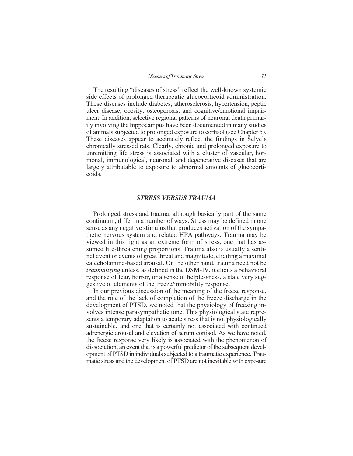The resulting "diseases of stress" reflect the well-known systemic side effects of prolonged therapeutic glucocorticoid administration. These diseases include diabetes, atherosclerosis, hypertension, peptic ulcer disease, obesity, osteoporosis, and cognitive/emotional impairment. In addition, selective regional patterns of neuronal death primarily involving the hippocampus have been documented in many studies of animals subjected to prolonged exposure to cortisol (see Chapter 5). These diseases appear to accurately reflect the findings in Selye's chronically stressed rats. Clearly, chronic and prolonged exposure to unremitting life stress is associated with a cluster of vascular, hormonal, immunological, neuronal, and degenerative diseases that are largely attributable to exposure to abnormal amounts of glucocorticoids.

#### *STRESS VERSUS TRAUMA*

Prolonged stress and trauma, although basically part of the same continuum, differ in a number of ways. Stress may be defined in one sense as any negative stimulus that produces activation of the sympathetic nervous system and related HPA pathways. Trauma may be viewed in this light as an extreme form of stress, one that has assumed life-threatening proportions. Trauma also is usually a sentinel event or events of great threat and magnitude, eliciting a maximal catecholamine-based arousal. On the other hand, trauma need not be *traumatizing* unless, as defined in the DSM-IV, it elicits a behavioral response of fear, horror, or a sense of helplessness, a state very suggestive of elements of the freeze/immobility response.

In our previous discussion of the meaning of the freeze response, and the role of the lack of completion of the freeze discharge in the development of PTSD, we noted that the physiology of freezing involves intense parasympathetic tone. This physiological state represents a temporary adaptation to acute stress that is not physiologically sustainable, and one that is certainly not associated with continued adrenergic arousal and elevation of serum cortisol. As we have noted, the freeze response very likely is associated with the phenomenon of dissociation, an event that is a powerful predictor of the subsequent development of PTSD in individuals subjected to a traumatic experience. Traumatic stress and the development of PTSD are not inevitable with exposure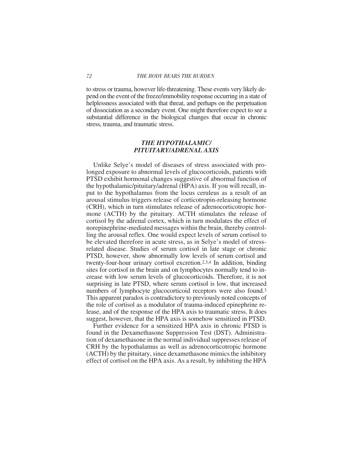to stress or trauma, however life-threatening. These events very likely depend on the event of the freeze/immobility response occurring in a state of helplessness associated with that threat, and perhaps on the perpetuation of dissociation as a secondary event. One might therefore expect to see a substantial difference in the biological changes that occur in chronic stress, trauma, and traumatic stress.

### *THE HYPOTHALAMIC/ PITUITARY/ADRENAL AXIS*

Unlike Selye's model of diseases of stress associated with prolonged exposure to abnormal levels of glucocorticoids, patients with PTSD exhibit hormonal changes suggestive of abnormal function of the hypothalamic/pituitary/adrenal (HPA) axis. If you will recall, input to the hypothalamus from the locus ceruleus as a result of an arousal stimulus triggers release of corticotropin-releasing hormone (CRH), which in turn stimulates release of adrenocorticotropic hormone (ACTH) by the pituitary. ACTH stimulates the release of cortisol by the adrenal cortex, which in turn modulates the effect of norepinephrine-mediated messages within the brain, thereby controlling the arousal reflex. One would expect levels of serum cortisol to be elevated therefore in acute stress, as in Selye's model of stressrelated disease. Studies of serum cortisol in late stage or chronic PTSD, however, show abnormally low levels of serum cortisol and twenty-four-hour urinary cortisol excretion.2,3,4 In addition, binding sites for cortisol in the brain and on lymphocytes normally tend to increase with low serum levels of glucocorticoids. Therefore, it is not surprising in late PTSD, where serum cortisol is low, that increased numbers of lymphocyte glucocorticoid receptors were also found.<sup>3</sup> This apparent paradox is contradictory to previously noted concepts of the role of cortisol as a modulator of trauma-induced epinephrine release, and of the response of the HPA axis to traumatic stress. It does suggest, however, that the HPA axis is somehow sensitized in PTSD.

Further evidence for a sensitized HPA axis in chronic PTSD is found in the Dexamethasone Suppression Test (DST). Administration of dexamethasone in the normal individual suppresses release of CRH by the hypothalamus as well as adrenocorticotropic hormone (ACTH) by the pituitary, since dexamethasone mimics the inhibitory effect of cortisol on the HPA axis. As a result, by inhibiting the HPA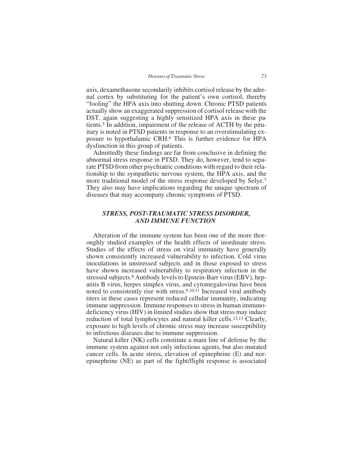axis, dexamethasone secondarily inhibits cortisol release by the adrenal cortex by substituting for the patient's own cortisol, thereby "fooling" the HPA axis into shutting down. Chronic PTSD patients actually show an exaggerated suppression of cortisol release with the DST, again suggesting a highly sensitized HPA axis in these patients.5 In addition, impairment of the release of ACTH by the pituitary is noted in PTSD patients in response to an overstimulating exposure to hypothalamic CRH.6 This is further evidence for HPA dysfunction in this group of patients.

Admittedly these findings are far from conclusive in defining the abnormal stress response in PTSD. They do, however, tend to separate PTSD from other psychiatric conditions with regard to their relationship to the sympathetic nervous system, the HPA axis, and the more traditional model of the stress response developed by Selye.7 They also may have implications regarding the unique spectrum of diseases that may accompany chronic symptoms of PTSD.

# *STRESS, POST-TRAUMATIC STRESS DISORDER, AND IMMUNE FUNCTION*

Alteration of the immune system has been one of the more thoroughly studied examples of the health effects of inordinate stress. Studies of the effects of stress on viral immunity have generally shown consistently increased vulnerability to infection. Cold virus inoculations in unstressed subjects and in those exposed to stress have shown increased vulnerability to respiratory infection in the stressed subjects.8 Antibody levels to Epstein-Barr virus (EBV), hepatitis B virus, herpes simplex virus, and cytomegalovirus have been noted to consistently rise with stress.9,10,11 Increased viral antibody titers in these cases represent reduced cellular immunity, indicating immune suppression. Immune responses to stress in human immunodeficiency virus (HIV) in limited studies show that stress may induce reduction of total lymphocytes and natural killer cells.<sup>12,13</sup> Clearly, exposure to high levels of chronic stress may increase susceptibility to infectious diseases due to immune suppression.

Natural killer (NK) cells constitute a main line of defense by the immune system against not only infectious agents, but also mutated cancer cells. In acute stress, elevation of epinephrine (E) and norepinephrine (NE) as part of the fight/flight response is associated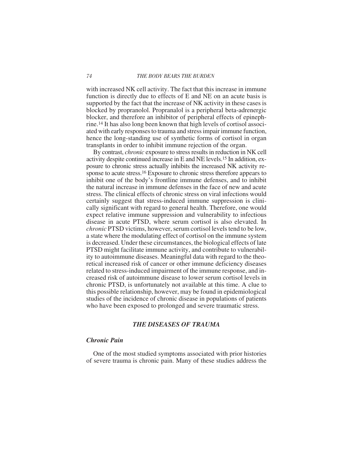with increased NK cell activity. The fact that this increase in immune function is directly due to effects of E and NE on an acute basis is supported by the fact that the increase of NK activity in these cases is blocked by propranolol. Propranalol is a peripheral beta-adrenergic blocker, and therefore an inhibitor of peripheral effects of epinephrine.14 It has also long been known that high levels of cortisol associated with early responses to trauma and stress impair immune function, hence the long-standing use of synthetic forms of cortisol in organ transplants in order to inhibit immune rejection of the organ.

By contrast, *chronic* exposure to stress results in reduction in NK cell activity despite continued increase in E and NE levels.15 In addition, exposure to chronic stress actually inhibits the increased NK activity response to acute stress.<sup>16</sup> Exposure to chronic stress therefore appears to inhibit one of the body's frontline immune defenses, and to inhibit the natural increase in immune defenses in the face of new and acute stress. The clinical effects of chronic stress on viral infections would certainly suggest that stress-induced immune suppression is clinically significant with regard to general health. Therefore, one would expect relative immune suppression and vulnerability to infectious disease in acute PTSD, where serum cortisol is also elevated. In *chronic* PTSD victims, however, serum cortisol levels tend to be low, a state where the modulating effect of cortisol on the immune system is decreased. Under these circumstances, the biological effects of late PTSD might facilitate immune activity, and contribute to vulnerability to autoimmune diseases. Meaningful data with regard to the theoretical increased risk of cancer or other immune deficiency diseases related to stress-induced impairment of the immune response, and increased risk of autoimmune disease to lower serum cortisol levels in chronic PTSD, is unfortunately not available at this time. A clue to this possible relationship, however, may be found in epidemiological studies of the incidence of chronic disease in populations of patients who have been exposed to prolonged and severe traumatic stress.

# *THE DISEASES OF TRAUMA*

#### *Chronic Pain*

One of the most studied symptoms associated with prior histories of severe trauma is chronic pain. Many of these studies address the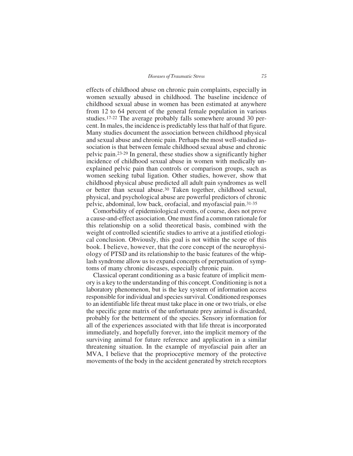effects of childhood abuse on chronic pain complaints, especially in women sexually abused in childhood. The baseline incidence of childhood sexual abuse in women has been estimated at anywhere from 12 to 64 percent of the general female population in various studies.17-22 The average probably falls somewhere around 30 percent. In males, the incidence is predictably less that half of that figure. Many studies document the association between childhood physical and sexual abuse and chronic pain. Perhaps the most well-studied association is that between female childhood sexual abuse and chronic pelvic pain.23-29 In general, these studies show a significantly higher incidence of childhood sexual abuse in women with medically unexplained pelvic pain than controls or comparison groups, such as women seeking tubal ligation. Other studies, however, show that childhood physical abuse predicted all adult pain syndromes as well or better than sexual abuse.30 Taken together, childhood sexual, physical, and psychological abuse are powerful predictors of chronic pelvic, abdominal, low back, orofacial, and myofascial pain.31-35

Comorbidity of epidemiological events, of course, does not prove a cause-and-effect association. One must find a common rationale for this relationship on a solid theoretical basis, combined with the weight of controlled scientific studies to arrive at a justified etiological conclusion. Obviously, this goal is not within the scope of this book. I believe, however, that the core concept of the neurophysiology of PTSD and its relationship to the basic features of the whiplash syndrome allow us to expand concepts of perpetuation of symptoms of many chronic diseases, especially chronic pain.

Classical operant conditioning as a basic feature of implicit memory is a key to the understanding of this concept. Conditioning is not a laboratory phenomenon, but is the key system of information access responsible for individual and species survival. Conditioned responses to an identifiable life threat must take place in one or two trials, or else the specific gene matrix of the unfortunate prey animal is discarded, probably for the betterment of the species. Sensory information for all of the experiences associated with that life threat is incorporated immediately, and hopefully forever, into the implicit memory of the surviving animal for future reference and application in a similar threatening situation. In the example of myofascial pain after an MVA, I believe that the proprioceptive memory of the protective movements of the body in the accident generated by stretch receptors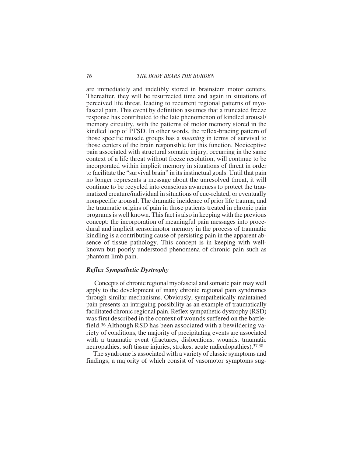are immediately and indelibly stored in brainstem motor centers. Thereafter, they will be resurrected time and again in situations of perceived life threat, leading to recurrent regional patterns of myofascial pain. This event by definition assumes that a truncated freeze response has contributed to the late phenomenon of kindled arousal/ memory circuitry, with the patterns of motor memory stored in the kindled loop of PTSD. In other words, the reflex-bracing pattern of those specific muscle groups has a *meaning* in terms of survival to those centers of the brain responsible for this function. Nociceptive pain associated with structural somatic injury, occurring in the same context of a life threat without freeze resolution, will continue to be incorporated within implicit memory in situations of threat in order to facilitate the "survival brain" in its instinctual goals. Until that pain no longer represents a message about the unresolved threat, it will continue to be recycled into conscious awareness to protect the traumatized creature/individual in situations of cue-related, or eventually nonspecific arousal. The dramatic incidence of prior life trauma, and the traumatic origins of pain in those patients treated in chronic pain programs is well known. This fact is also in keeping with the previous concept: the incorporation of meaningful pain messages into procedural and implicit sensorimotor memory in the process of traumatic kindling is a contributing cause of persisting pain in the apparent absence of tissue pathology. This concept is in keeping with wellknown but poorly understood phenomena of chronic pain such as phantom limb pain.

# *Reflex Sympathetic Dystrophy*

Concepts of chronic regional myofascial and somatic pain may well apply to the development of many chronic regional pain syndromes through similar mechanisms. Obviously, sympathetically maintained pain presents an intriguing possibility as an example of traumatically facilitated chronic regional pain. Reflex sympathetic dystrophy (RSD) was first described in the context of wounds suffered on the battlefield.36 Although RSD has been associated with a bewildering variety of conditions, the majority of precipitating events are associated with a traumatic event (fractures, dislocations, wounds, traumatic neuropathies, soft tissue injuries, strokes, acute radiculopathies).37,38

The syndrome is associated with a variety of classic symptoms and findings, a majority of which consist of vasomotor symptoms sug-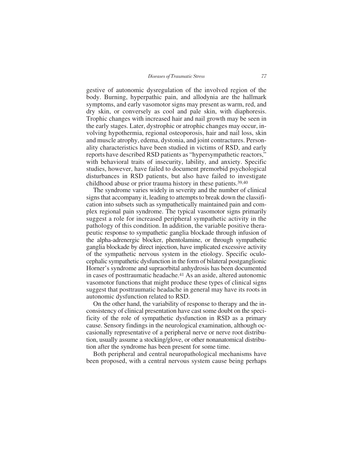gestive of autonomic dysregulation of the involved region of the body. Burning, hyperpathic pain, and allodynia are the hallmark symptoms, and early vasomotor signs may present as warm, red, and dry skin, or conversely as cool and pale skin, with diaphoresis. Trophic changes with increased hair and nail growth may be seen in the early stages. Later, dystrophic or atrophic changes may occur, involving hypothermia, regional osteoporosis, hair and nail loss, skin and muscle atrophy, edema, dystonia, and joint contractures. Personality characteristics have been studied in victims of RSD, and early reports have described RSD patients as "hypersympathetic reactors," with behavioral traits of insecurity, lability, and anxiety. Specific studies, however, have failed to document premorbid psychological disturbances in RSD patients, but also have failed to investigate childhood abuse or prior trauma history in these patients.39,40

The syndrome varies widely in severity and the number of clinical signs that accompany it, leading to attempts to break down the classification into subsets such as sympathetically maintained pain and complex regional pain syndrome. The typical vasomotor signs primarily suggest a role for increased peripheral sympathetic activity in the pathology of this condition. In addition, the variable positive therapeutic response to sympathetic ganglia blockade through infusion of the alpha-adrenergic blocker, phentolamine, or through sympathetic ganglia blockade by direct injection, have implicated excessive activity of the sympathetic nervous system in the etiology. Specific oculocephalic sympathetic dysfunction in the form of bilateral postganglionic Horner's syndrome and supraorbital anhydrosis has been documented in cases of posttraumatic headache.41 As an aside, altered autonomic vasomotor functions that might produce these types of clinical signs suggest that posttraumatic headache in general may have its roots in autonomic dysfunction related to RSD.

On the other hand, the variability of response to therapy and the inconsistency of clinical presentation have cast some doubt on the specificity of the role of sympathetic dysfunction in RSD as a primary cause. Sensory findings in the neurological examination, although occasionally representative of a peripheral nerve or nerve root distribution, usually assume a stocking/glove, or other nonanatomical distribution after the syndrome has been present for some time.

Both peripheral and central neuropathological mechanisms have been proposed, with a central nervous system cause being perhaps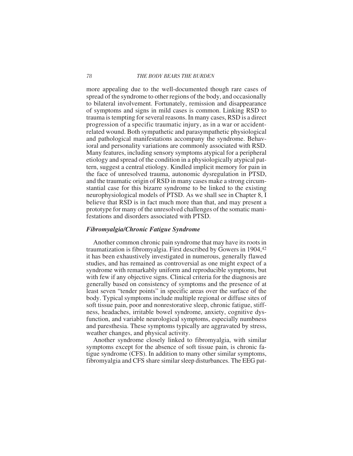more appealing due to the well-documented though rare cases of spread of the syndrome to other regions of the body, and occasionally to bilateral involvement. Fortunately, remission and disappearance of symptoms and signs in mild cases is common. Linking RSD to trauma is tempting for several reasons. In many cases, RSD is a direct progression of a specific traumatic injury, as in a war or accidentrelated wound. Both sympathetic and parasympathetic physiological and pathological manifestations accompany the syndrome. Behavioral and personality variations are commonly associated with RSD. Many features, including sensory symptoms atypical for a peripheral etiology and spread of the condition in a physiologically atypical pattern, suggest a central etiology. Kindled implicit memory for pain in the face of unresolved trauma, autonomic dysregulation in PTSD, and the traumatic origin of RSD in many cases make a strong circumstantial case for this bizarre syndrome to be linked to the existing neurophysiological models of PTSD. As we shall see in Chapter 8, I believe that RSD is in fact much more than that, and may present a prototype for many of the unresolved challenges of the somatic manifestations and disorders associated with PTSD.

#### *Fibromyalgia/Chronic Fatigue Syndrome*

Another common chronic pain syndrome that may have its roots in traumatization is fibromyalgia. First described by Gowers in 1904,42 it has been exhaustively investigated in numerous, generally flawed studies, and has remained as controversial as one might expect of a syndrome with remarkably uniform and reproducible symptoms, but with few if any objective signs. Clinical criteria for the diagnosis are generally based on consistency of symptoms and the presence of at least seven "tender points" in specific areas over the surface of the body. Typical symptoms include multiple regional or diffuse sites of soft tissue pain, poor and nonrestorative sleep, chronic fatigue, stiffness, headaches, irritable bowel syndrome, anxiety, cognitive dysfunction, and variable neurological symptoms, especially numbness and paresthesia. These symptoms typically are aggravated by stress, weather changes, and physical activity.

Another syndrome closely linked to fibromyalgia, with similar symptoms except for the absence of soft tissue pain, is chronic fatigue syndrome (CFS). In addition to many other similar symptoms, fibromyalgia and CFS share similar sleep disturbances. The EEG pat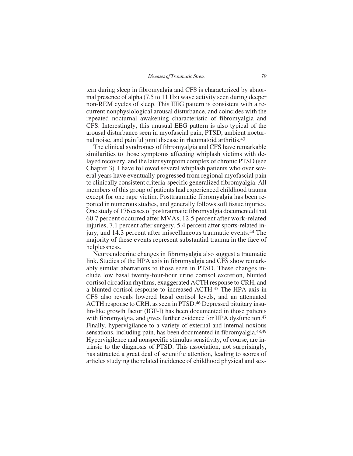tern during sleep in fibromyalgia and CFS is characterized by abnormal presence of alpha (7.5 to 11 Hz) wave activity seen during deeper non-REM cycles of sleep. This EEG pattern is consistent with a recurrent nonphysiological arousal disturbance, and coincides with the repeated nocturnal awakening characteristic of fibromyalgia and CFS. Interestingly, this unusual EEG pattern is also typical of the arousal disturbance seen in myofascial pain, PTSD, ambient nocturnal noise, and painful joint disease in rheumatoid arthritis.43

The clinical syndromes of fibromyalgia and CFS have remarkable similarities to those symptoms affecting whiplash victims with delayed recovery, and the later symptom complex of chronic PTSD (see Chapter 3). I have followed several whiplash patients who over several years have eventually progressed from regional myofascial pain to clinically consistent criteria-specific generalized fibromyalgia. All members of this group of patients had experienced childhood trauma except for one rape victim. Posttraumatic fibromyalgia has been reported in numerous studies, and generally follows soft tissue injuries. One study of 176 cases of posttraumatic fibromyalgia documented that 60.7 percent occurred after MVAs, 12.5 percent after work-related injuries, 7.1 percent after surgery, 5.4 percent after sports-related injury, and 14.3 percent after miscellaneous traumatic events.44 The majority of these events represent substantial trauma in the face of helplessness.

Neuroendocrine changes in fibromyalgia also suggest a traumatic link. Studies of the HPA axis in fibromyalgia and CFS show remarkably similar aberrations to those seen in PTSD. These changes include low basal twenty-four-hour urine cortisol excretion, blunted cortisol circadian rhythms, exaggerated ACTH response to CRH, and a blunted cortisol response to increased ACTH.45 The HPA axis in CFS also reveals lowered basal cortisol levels, and an attenuated ACTH response to CRH, as seen in PTSD.46 Depressed pituitary insulin-like growth factor (IGF-I) has been documented in those patients with fibromyalgia, and gives further evidence for HPA dysfunction.<sup>47</sup> Finally, hypervigilance to a variety of external and internal noxious sensations, including pain, has been documented in fibromyalgia.<sup>48,49</sup> Hypervigilence and nonspecific stimulus sensitivity, of course, are intrinsic to the diagnosis of PTSD. This association, not surprisingly, has attracted a great deal of scientific attention, leading to scores of articles studying the related incidence of childhood physical and sex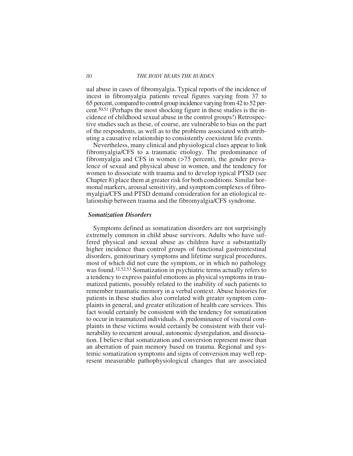ual abuse in cases of fibromyalgia. Typical reports of the incidence of incest in fibromyalgia patients reveal figures varying from 37 to 65 percent, compared to control group incidence varying from 42 to 52 percent.50,51 (Perhaps the most shocking figure in these studies is the incidence of childhood sexual abuse in the control groups!) Retrospective studies such as these, of course, are vulnerable to bias on the part of the respondents, as well as to the problems associated with attributing a causative relationship to consistently coexistent life events.

Nevertheless, many clinical and physiological clues appear to link fibromyalgia/CFS to a traumatic etiology. The predominance of fibromyalgia and CFS in women (>75 percent), the gender prevalence of sexual and physical abuse in women, and the tendency for women to dissociate with trauma and to develop typical PTSD (see Chapter 8) place them at greater risk for both conditions. Similar hormonal markers, arousal sensitivity, and symptom complexes of fibromyalgia/CFS and PTSD demand consideration for an etiological relationship between trauma and the fibromyalgia/CFS syndrome.

#### *Somatization Disorders*

Symptoms defined as somatization disorders are not surprisingly extremely common in child abuse survivors. Adults who have suffered physical and sexual abuse as children have a substantially higher incidence than control groups of functional gastrointestinal disorders, genitourinary symptoms and lifetime surgical procedures, most of which did not cure the symptom, or in which no pathology was found.32,52,53 Somatization in psychiatric terms actually refers to a tendency to express painful emotions as physical symptoms in traumatized patients, possibly related to the inability of such patients to remember traumatic memory in a verbal context. Abuse histories for patients in these studies also correlated with greater symptom complaints in general, and greater utilization of health care services. This fact would certainly be consistent with the tendency for somatization to occur in traumatized individuals. A predominance of visceral complaints in these victims would certainly be consistent with their vulnerability to recurrent arousal, autonomic dysregulation, and dissociation. I believe that somatization and conversion represent more than an aberration of pain memory based on trauma. Regional and systemic somatization symptoms and signs of conversion may well represent measurable pathophysiological changes that are associated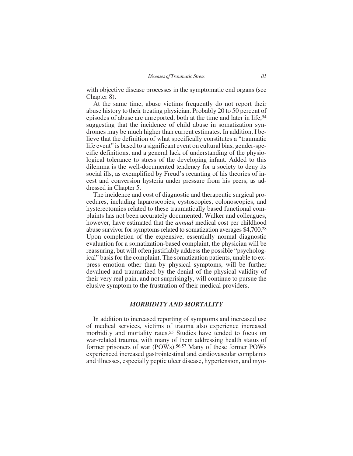with objective disease processes in the symptomatic end organs (see Chapter 8).

At the same time, abuse victims frequently do not report their abuse history to their treating physician. Probably 20 to 50 percent of episodes of abuse are unreported, both at the time and later in life,54 suggesting that the incidence of child abuse in somatization syndromes may be much higher than current estimates. In addition, I believe that the definition of what specifically constitutes a "traumatic life event" is based to a significant event on cultural bias, gender-specific definitions, and a general lack of understanding of the physiological tolerance to stress of the developing infant. Added to this dilemma is the well-documented tendency for a society to deny its social ills, as exemplified by Freud's recanting of his theories of incest and conversion hysteria under pressure from his peers, as addressed in Chapter 5.

The incidence and cost of diagnostic and therapeutic surgical procedures, including laparoscopies, cystoscopies, colonoscopies, and hysterectomies related to these traumatically based functional complaints has not been accurately documented. Walker and colleagues, however, have estimated that the *annual* medical cost per childhood abuse survivor for symptoms related to somatization averages \$4,700.28 Upon completion of the expensive, essentially normal diagnostic evaluation for a somatization-based complaint, the physician will be reassuring, but will often justifiably address the possible "psychological" basis for the complaint. The somatization patients, unable to express emotion other than by physical symptoms, will be further devalued and traumatized by the denial of the physical validity of their very real pain, and not surprisingly, will continue to pursue the elusive symptom to the frustration of their medical providers.

#### *MORBIDITY AND MORTALITY*

In addition to increased reporting of symptoms and increased use of medical services, victims of trauma also experience increased morbidity and mortality rates.55 Studies have tended to focus on war-related trauma, with many of them addressing health status of former prisoners of war (POWs).56,57 Many of these former POWs experienced increased gastrointestinal and cardiovascular complaints and illnesses, especially peptic ulcer disease, hypertension, and myo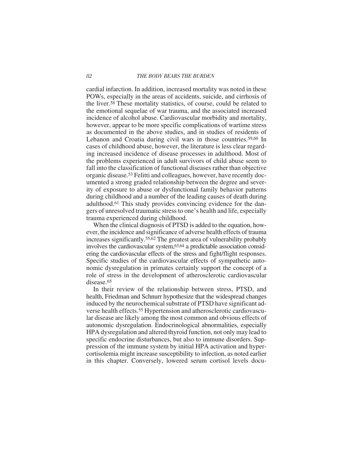cardial infarction. In addition, increased mortality was noted in these POWs, especially in the areas of accidents, suicide, and cirrhosis of the liver.58 These mortality statistics, of course, could be related to the emotional sequelae of war trauma, and the associated increased incidence of alcohol abuse. Cardiovascular morbidity and mortality, however, appear to be more specific complications of wartime stress as documented in the above studies, and in studies of residents of Lebanon and Croatia during civil wars in those countries.59,60 In cases of childhood abuse, however, the literature is less clear regarding increased incidence of disease processes in adulthood. Most of the problems experienced in adult survivors of child abuse seem to fall into the classification of functional diseases rather than objective organic disease.53 Felitti and colleagues, however, have recently documented a strong graded relationship between the degree and severity of exposure to abuse or dysfunctional family behavior patterns during childhood and a number of the leading causes of death during adulthood.61 This study provides convincing evidence for the dangers of unresolved traumatic stress to one's health and life, especially trauma experienced during childhood.

When the clinical diagnosis of PTSD is added to the equation, however, the incidence and significance of adverse health effects of trauma increases significantly.55,62 The greatest area of vulnerability probably involves the cardiovascular system,63,64 a predictable association considering the cardiovascular effects of the stress and fight/flight responses. Specific studies of the cardiovascular effects of sympathetic autonomic dysregulation in primates certainly support the concept of a role of stress in the development of atherosclerotic cardiovascular disease.65

In their review of the relationship between stress, PTSD, and health, Friedman and Schnurr hypothesize that the widespread changes induced by the neurochemical substrate of PTSD have significant adverse health effects.55 Hypertension and atherosclerotic cardiovascular disease are likely among the most common and obvious effects of autonomic dysregulation. Endocrinological abnormalities, especially HPA dysregulation and altered thyroid function, not only may lead to specific endocrine disturbances, but also to immune disorders. Suppression of the immune system by initial HPA activation and hypercortisolemia might increase susceptibility to infection, as noted earlier in this chapter. Conversely, lowered serum cortisol levels docu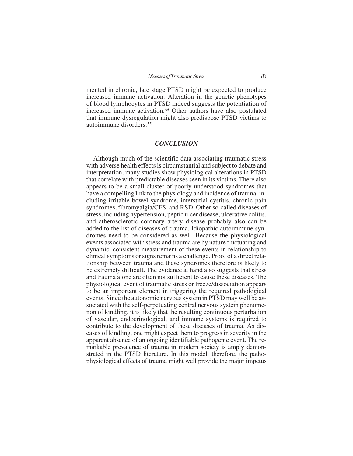mented in chronic, late stage PTSD might be expected to produce increased immune activation. Alteration in the genetic phenotypes of blood lymphocytes in PTSD indeed suggests the potentiation of increased immune activation.66 Other authors have also postulated that immune dysregulation might also predispose PTSD victims to autoimmune disorders.55

#### *CONCLUSION*

Although much of the scientific data associating traumatic stress with adverse health effects is circumstantial and subject to debate and interpretation, many studies show physiological alterations in PTSD that correlate with predictable diseases seen in its victims. There also appears to be a small cluster of poorly understood syndromes that have a compelling link to the physiology and incidence of trauma, including irritable bowel syndrome, interstitial cystitis, chronic pain syndromes, fibromyalgia/CFS, and RSD. Other so-called diseases of stress, including hypertension, peptic ulcer disease, ulcerative colitis, and atherosclerotic coronary artery disease probably also can be added to the list of diseases of trauma. Idiopathic autoimmune syndromes need to be considered as well. Because the physiological events associated with stress and trauma are by nature fluctuating and dynamic, consistent measurement of these events in relationship to clinical symptoms or signs remains a challenge. Proof of a direct relationship between trauma and these syndromes therefore is likely to be extremely difficult. The evidence at hand also suggests that stress and trauma alone are often not sufficient to cause these diseases. The physiological event of traumatic stress or freeze/dissociation appears to be an important element in triggering the required pathological events. Since the autonomic nervous system in PTSD may well be associated with the self-perpetuating central nervous system phenomenon of kindling, it is likely that the resulting continuous perturbation of vascular, endocrinological, and immune systems is required to contribute to the development of these diseases of trauma. As diseases of kindling, one might expect them to progress in severity in the apparent absence of an ongoing identifiable pathogenic event. The remarkable prevalence of trauma in modern society is amply demonstrated in the PTSD literature. In this model, therefore, the pathophysiological effects of trauma might well provide the major impetus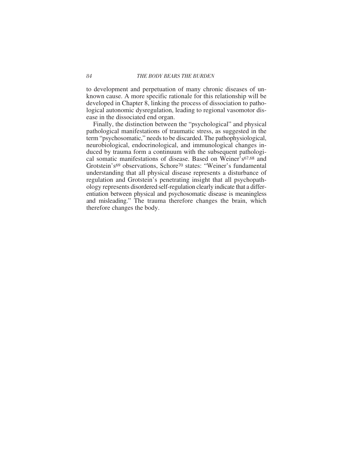to development and perpetuation of many chronic diseases of unknown cause. A more specific rationale for this relationship will be developed in Chapter 8, linking the process of dissociation to pathological autonomic dysregulation, leading to regional vasomotor disease in the dissociated end organ.

Finally, the distinction between the "psychological" and physical pathological manifestations of traumatic stress, as suggested in the term "psychosomatic," needs to be discarded. The pathophysiological, neurobiological, endocrinological, and immunological changes induced by trauma form a continuum with the subsequent pathological somatic manifestations of disease. Based on Weiner's67,68 and Grotstein's69 observations, Schore70 states: "Weiner's fundamental understanding that all physical disease represents a disturbance of regulation and Grotstein's penetrating insight that all psychopathology represents disordered self-regulation clearly indicate that a differentiation between physical and psychosomatic disease is meaningless and misleading." The trauma therefore changes the brain, which therefore changes the body.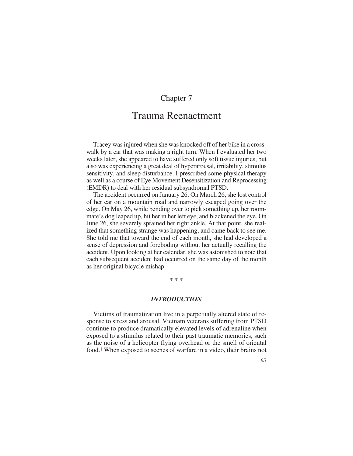# Chapter 7

# **Trauma Reenactment**

Tracey was injured when she was knocked off of her bike in a crosswalk by a car that was making a right turn. When I evaluated her two weeks later, she appeared to have suffered only soft tissue injuries, but also was experiencing a great deal of hyperarousal, irritability, stimulus sensitivity, and sleep disturbance. I prescribed some physical therapy as well as a course of Eye Movement Desensitization and Reprocessing (EMDR) to deal with her residual subsyndromal PTSD.

The accident occurred on January 26. On March 26, she lost control of her car on a mountain road and narrowly escaped going over the edge. On May 26, while bending over to pick something up, her roommate's dog leaped up, hit her in her left eye, and blackened the eye. On June 26, she severely sprained her right ankle. At that point, she realized that something strange was happening, and came back to see me. She told me that toward the end of each month, she had developed a sense of depression and foreboding without her actually recalling the accident. Upon looking at her calendar, she was astonished to note that each subsequent accident had occurred on the same day of the month as her original bicycle mishap.

\* \* \*

#### *INTRODUCTION*

Victims of traumatization live in a perpetually altered state of response to stress and arousal. Vietnam veterans suffering from PTSD continue to produce dramatically elevated levels of adrenaline when exposed to a stimulus related to their past traumatic memories, such as the noise of a helicopter flying overhead or the smell of oriental food.1 When exposed to scenes of warfare in a video, their brains not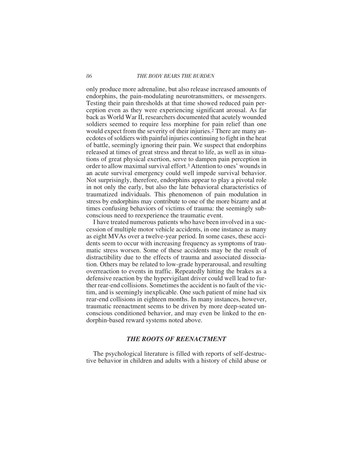only produce more adrenaline, but also release increased amounts of endorphins, the pain-modulating neurotransmitters, or messengers. Testing their pain thresholds at that time showed reduced pain perception even as they were experiencing significant arousal. As far back as World War II, researchers documented that acutely wounded soldiers seemed to require less morphine for pain relief than one would expect from the severity of their injuries.2 There are many anecdotes of soldiers with painful injuries continuing to fight in the heat of battle, seemingly ignoring their pain. We suspect that endorphins released at times of great stress and threat to life, as well as in situations of great physical exertion, serve to dampen pain perception in order to allow maximal survival effort.3 Attention to ones' wounds in an acute survival emergency could well impede survival behavior. Not surprisingly, therefore, endorphins appear to play a pivotal role in not only the early, but also the late behavioral characteristics of traumatized individuals. This phenomenon of pain modulation in stress by endorphins may contribute to one of the more bizarre and at times confusing behaviors of victims of trauma: the seemingly subconscious need to reexperience the traumatic event.

I have treated numerous patients who have been involved in a succession of multiple motor vehicle accidents, in one instance as many as eight MVAs over a twelve-year period. In some cases, these accidents seem to occur with increasing frequency as symptoms of traumatic stress worsen. Some of these accidents may be the result of distractibility due to the effects of trauma and associated dissociation. Others may be related to low-grade hyperarousal, and resulting overreaction to events in traffic. Repeatedly hitting the brakes as a defensive reaction by the hypervigilant driver could well lead to further rear-end collisions. Sometimes the accident is no fault of the victim, and is seemingly inexplicable. One such patient of mine had six rear-end collisions in eighteen months. In many instances, however, traumatic reenactment seems to be driven by more deep-seated unconscious conditioned behavior, and may even be linked to the endorphin-based reward systems noted above.

#### *THE ROOTS OF REENACTMENT*

The psychological literature is filled with reports of self-destructive behavior in children and adults with a history of child abuse or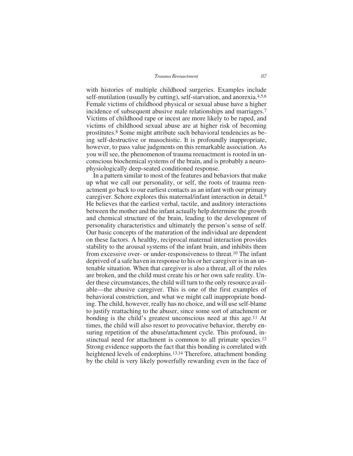with histories of multiple childhood surgeries. Examples include self-mutilation (usually by cutting), self-starvation, and anorexia.4,5,6 Female victims of childhood physical or sexual abuse have a higher incidence of subsequent abusive male relationships and marriages.7 Victims of childhood rape or incest are more likely to be raped, and victims of childhood sexual abuse are at higher risk of becoming prostitutes.8 Some might attribute such behavioral tendencies as being self-destructive or masochistic. It is profoundly inappropriate, however, to pass value judgments on this remarkable association. As you will see, the phenomenon of trauma reenactment is rooted in unconscious biochemical systems of the brain, and is probably a neurophysiologically deep-seated conditioned response.

In a pattern similar to most of the features and behaviors that make up what we call our personality, or self, the roots of trauma reenactment go back to our earliest contacts as an infant with our primary caregiver. Schore explores this maternal/infant interaction in detail.<sup>9</sup> He believes that the earliest verbal, tactile, and auditory interactions between the mother and the infant actually help determine the growth and chemical structure of the brain, leading to the development of personality characteristics and ultimately the person's sense of self. Our basic concepts of the maturation of the individual are dependent on these factors. A healthy, reciprocal maternal interaction provides stability to the arousal systems of the infant brain, and inhibits them from excessive over- or under-responsiveness to threat.10 The infant deprived of a safe haven in response to his or her caregiver is in an untenable situation. When that caregiver is also a threat, all of the rules are broken, and the child must create his or her own safe reality. Under these circumstances, the child will turn to the only resource available—the abusive caregiver. This is one of the first examples of behavioral constriction, and what we might call inappropriate bonding. The child, however, really has no choice, and will use self-blame to justify reattaching to the abuser, since some sort of attachment or bonding is the child's greatest unconscious need at this age.<sup>11</sup> At times, the child will also resort to provocative behavior, thereby ensuring repetition of the abuse/attachment cycle. This profound, instinctual need for attachment is common to all primate species.12 Strong evidence supports the fact that this bonding is correlated with heightened levels of endorphins.13,14 Therefore, attachment bonding by the child is very likely powerfully rewarding even in the face of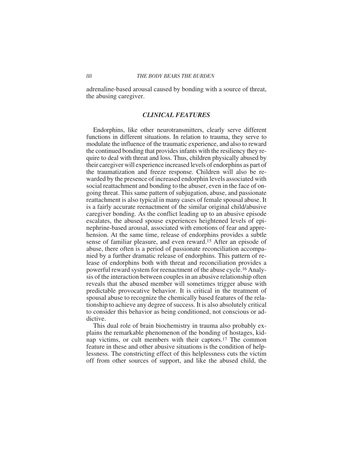adrenaline-based arousal caused by bonding with a source of threat, the abusing caregiver.

#### *CLINICAL FEATURES*

Endorphins, like other neurotransmitters, clearly serve different functions in different situations. In relation to trauma, they serve to modulate the influence of the traumatic experience, and also to reward the continued bonding that provides infants with the resiliency they require to deal with threat and loss. Thus, children physically abused by their caregiver will experience increased levels of endorphins as part of the traumatization and freeze response. Children will also be rewarded by the presence of increased endorphin levels associated with social reattachment and bonding to the abuser, even in the face of ongoing threat. This same pattern of subjugation, abuse, and passionate reattachment is also typical in many cases of female spousal abuse. It is a fairly accurate reenactment of the similar original child/abusive caregiver bonding. As the conflict leading up to an abusive episode escalates, the abused spouse experiences heightened levels of epinephrine-based arousal, associated with emotions of fear and apprehension. At the same time, release of endorphins provides a subtle sense of familiar pleasure, and even reward.15 After an episode of abuse, there often is a period of passionate reconciliation accompanied by a further dramatic release of endorphins. This pattern of release of endorphins both with threat and reconciliation provides a powerful reward system for reenactment of the abuse cycle.16 Analysis of the interaction between couples in an abusive relationship often reveals that the abused member will sometimes trigger abuse with predictable provocative behavior. It is critical in the treatment of spousal abuse to recognize the chemically based features of the relationship to achieve any degree of success. It is also absolutely critical to consider this behavior as being conditioned, not conscious or addictive.

This dual role of brain biochemistry in trauma also probably explains the remarkable phenomenon of the bonding of hostages, kidnap victims, or cult members with their captors.17 The common feature in these and other abusive situations is the condition of helplessness. The constricting effect of this helplessness cuts the victim off from other sources of support, and like the abused child, the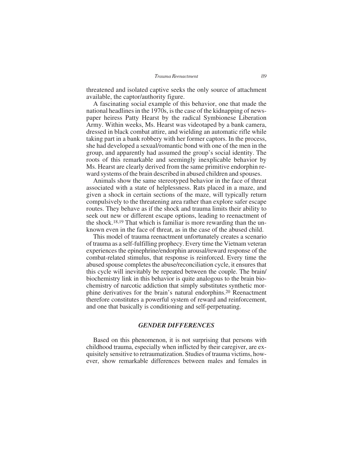threatened and isolated captive seeks the only source of attachment available, the captor/authority figure.

A fascinating social example of this behavior, one that made the national headlines in the 1970s, is the case of the kidnapping of newspaper heiress Patty Hearst by the radical Symbionese Liberation Army. Within weeks, Ms. Hearst was videotaped by a bank camera, dressed in black combat attire, and wielding an automatic rifle while taking part in a bank robbery with her former captors. In the process, she had developed a sexual/romantic bond with one of the men in the group, and apparently had assumed the group's social identity. The roots of this remarkable and seemingly inexplicable behavior by Ms. Hearst are clearly derived from the same primitive endorphin reward systems of the brain described in abused children and spouses.

Animals show the same stereotyped behavior in the face of threat associated with a state of helplessness. Rats placed in a maze, and given a shock in certain sections of the maze, will typically return compulsively to the threatening area rather than explore safer escape routes. They behave as if the shock and trauma limits their ability to seek out new or different escape options, leading to reenactment of the shock.18,19 That which is familiar is more rewarding than the unknown even in the face of threat, as in the case of the abused child.

This model of trauma reenactment unfortunately creates a scenario of trauma as a self-fulfilling prophecy. Every time the Vietnam veteran experiences the epinephrine/endorphin arousal/reward response of the combat-related stimulus, that response is reinforced. Every time the abused spouse completes the abuse/reconciliation cycle, it ensures that this cycle will inevitably be repeated between the couple. The brain/ biochemistry link in this behavior is quite analogous to the brain biochemistry of narcotic addiction that simply substitutes synthetic morphine derivatives for the brain's natural endorphins.20 Reenactment therefore constitutes a powerful system of reward and reinforcement, and one that basically is conditioning and self-perpetuating.

#### *GENDER DIFFERENCES*

Based on this phenomenon, it is not surprising that persons with childhood trauma, especially when inflicted by their caregiver, are exquisitely sensitive to retraumatization. Studies of trauma victims, however, show remarkable differences between males and females in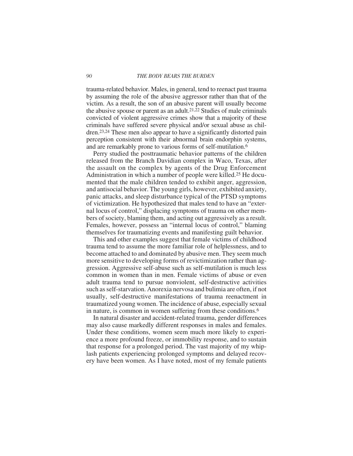trauma-related behavior. Males, in general, tend to reenact past trauma by assuming the role of the abusive aggressor rather than that of the victim. As a result, the son of an abusive parent will usually become the abusive spouse or parent as an adult.<sup>21, $\bar{2}^2$ </sup> Studies of male criminals convicted of violent aggressive crimes show that a majority of these criminals have suffered severe physical and/or sexual abuse as children.23,24 These men also appear to have a significantly distorted pain perception consistent with their abnormal brain endorphin systems, and are remarkably prone to various forms of self-mutilation.<sup>6</sup>

Perry studied the posttraumatic behavior patterns of the children released from the Branch Davidian complex in Waco, Texas, after the assault on the complex by agents of the Drug Enforcement Administration in which a number of people were killed.25 He documented that the male children tended to exhibit anger, aggression, and antisocial behavior. The young girls, however, exhibited anxiety, panic attacks, and sleep disturbance typical of the PTSD symptoms of victimization. He hypothesized that males tend to have an "external locus of control," displacing symptoms of trauma on other members of society, blaming them, and acting out aggressively as a result. Females, however, possess an "internal locus of control," blaming themselves for traumatizing events and manifesting guilt behavior.

This and other examples suggest that female victims of childhood trauma tend to assume the more familiar role of helplessness, and to become attached to and dominated by abusive men. They seem much more sensitive to developing forms of revictimization rather than aggression. Aggressive self-abuse such as self-mutilation is much less common in women than in men. Female victims of abuse or even adult trauma tend to pursue nonviolent, self-destructive activities such as self-starvation. Anorexia nervosa and bulimia are often, if not usually, self-destructive manifestations of trauma reenactment in traumatized young women. The incidence of abuse, especially sexual in nature, is common in women suffering from these conditions.6

In natural disaster and accident-related trauma, gender differences may also cause markedly different responses in males and females. Under these conditions, women seem much more likely to experience a more profound freeze, or immobility response, and to sustain that response for a prolonged period. The vast majority of my whiplash patients experiencing prolonged symptoms and delayed recovery have been women. As I have noted, most of my female patients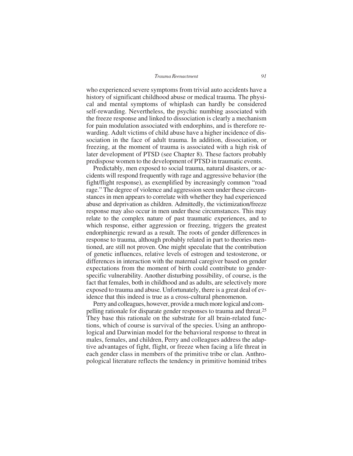who experienced severe symptoms from trivial auto accidents have a history of significant childhood abuse or medical trauma. The physical and mental symptoms of whiplash can hardly be considered self-rewarding. Nevertheless, the psychic numbing associated with the freeze response and linked to dissociation is clearly a mechanism for pain modulation associated with endorphins, and is therefore rewarding. Adult victims of child abuse have a higher incidence of dissociation in the face of adult trauma. In addition, dissociation, or freezing, at the moment of trauma is associated with a high risk of later development of PTSD (see Chapter 8). These factors probably predispose women to the development of PTSD in traumatic events.

Predictably, men exposed to social trauma, natural disasters, or accidents will respond frequently with rage and aggressive behavior (the fight/flight response), as exemplified by increasingly common "road rage." The degree of violence and aggression seen under these circumstances in men appears to correlate with whether they had experienced abuse and deprivation as children. Admittedly, the victimization/freeze response may also occur in men under these circumstances. This may relate to the complex nature of past traumatic experiences, and to which response, either aggression or freezing, triggers the greatest endorphinergic reward as a result. The roots of gender differences in response to trauma, although probably related in part to theories mentioned, are still not proven. One might speculate that the contribution of genetic influences, relative levels of estrogen and testosterone, or differences in interaction with the maternal caregiver based on gender expectations from the moment of birth could contribute to genderspecific vulnerability. Another disturbing possibility, of course, is the fact that females, both in childhood and as adults, are selectively more exposed to trauma and abuse. Unfortunately, there is a great deal of evidence that this indeed is true as a cross-cultural phenomenon.

Perry and colleagues, however, provide a much more logical and compelling rationale for disparate gender responses to trauma and threat.25 They base this rationale on the substrate for all brain-related functions, which of course is survival of the species. Using an anthropological and Darwinian model for the behavioral response to threat in males, females, and children, Perry and colleagues address the adaptive advantages of fight, flight, or freeze when facing a life threat in each gender class in members of the primitive tribe or clan. Anthropological literature reflects the tendency in primitive hominid tribes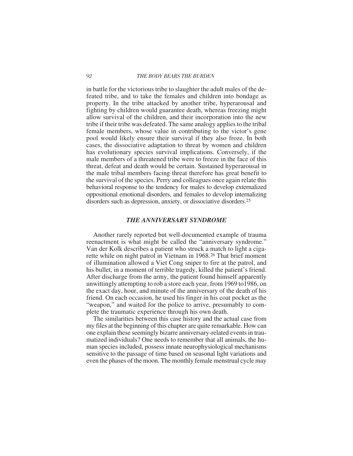in battle for the victorious tribe to slaughter the adult males of the defeated tribe, and to take the females and children into bondage as property. In the tribe attacked by another tribe, hyperarousal and fighting by children would guarantee death, whereas freezing might allow survival of the children, and their incorporation into the new tribe if their tribe was defeated. The same analogy applies to the tribal female members, whose value in contributing to the victor's gene pool would likely ensure their survival if they also froze. In both cases, the dissociative adaptation to threat by women and children has evolutionary species survival implications. Conversely, if the male members of a threatened tribe were to freeze in the face of this threat, defeat and death would be certain. Sustained hyperarousal in the male tribal members facing threat therefore has great benefit to the survival of the species. Perry and colleagues once again relate this behavioral response to the tendency for males to develop externalized oppositional emotional disorders, and females to develop internalizing disorders such as depression, anxiety, or dissociative disorders.25

## *THE ANNIVERSARY SYNDROME*

Another rarely reported but well-documented example of trauma reenactment is what might be called the "anniversary syndrome." Van der Kolk describes a patient who struck a match to light a cigarette while on night patrol in Vietnam in 1968.26 That brief moment of illumination allowed a Viet Cong sniper to fire at the patrol, and his bullet, in a moment of terrible tragedy, killed the patient's friend. After discharge from the army, the patient found himself apparently unwittingly attempting to rob a store each year, from 1969 to1986, on the exact day, hour, and minute of the anniversary of the death of his friend. On each occasion, he used his finger in his coat pocket as the "weapon," and waited for the police to arrive, presumably to complete the traumatic experience through his own death.

The similarities between this case history and the actual case from my files at the beginning of this chapter are quite remarkable. How can one explain these seemingly bizarre anniversary-related events in traumatized individuals? One needs to remember that all animals, the human species included, possess innate neurophysiological mechanisms sensitive to the passage of time based on seasonal light variations and even the phases of the moon. The monthly female menstrual cycle may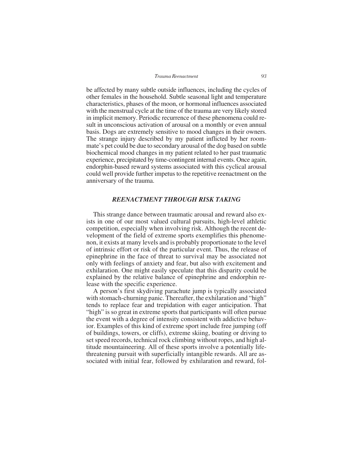be affected by many subtle outside influences, including the cycles of other females in the household. Subtle seasonal light and temperature characteristics, phases of the moon, or hormonal influences associated with the menstrual cycle at the time of the trauma are very likely stored in implicit memory. Periodic recurrence of these phenomena could result in unconscious activation of arousal on a monthly or even annual basis. Dogs are extremely sensitive to mood changes in their owners. The strange injury described by my patient inflicted by her roommate's pet could be due to secondary arousal of the dog based on subtle biochemical mood changes in my patient related to her past traumatic experience, precipitated by time-contingent internal events. Once again, endorphin-based reward systems associated with this cyclical arousal could well provide further impetus to the repetitive reenactment on the anniversary of the trauma.

#### *REENACTMENT THROUGH RISK TAKING*

This strange dance between traumatic arousal and reward also exists in one of our most valued cultural pursuits, high-level athletic competition, especially when involving risk. Although the recent development of the field of extreme sports exemplifies this phenomenon, it exists at many levels and is probably proportionate to the level of intrinsic effort or risk of the particular event. Thus, the release of epinephrine in the face of threat to survival may be associated not only with feelings of anxiety and fear, but also with excitement and exhilaration. One might easily speculate that this disparity could be explained by the relative balance of epinephrine and endorphin release with the specific experience.

A person's first skydiving parachute jump is typically associated with stomach-churning panic. Thereafter, the exhilaration and "high" tends to replace fear and trepidation with eager anticipation. That "high" is so great in extreme sports that participants will often pursue the event with a degree of intensity consistent with addictive behavior. Examples of this kind of extreme sport include free jumping (off of buildings, towers, or cliffs), extreme skiing, boating or driving to set speed records, technical rock climbing without ropes, and high altitude mountaineering. All of these sports involve a potentially lifethreatening pursuit with superficially intangible rewards. All are associated with initial fear, followed by exhilaration and reward, fol-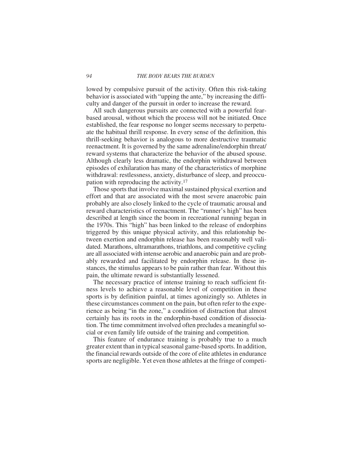lowed by compulsive pursuit of the activity. Often this risk-taking behavior is associated with "upping the ante," by increasing the difficulty and danger of the pursuit in order to increase the reward.

All such dangerous pursuits are connected with a powerful fearbased arousal, without which the process will not be initiated. Once established, the fear response no longer seems necessary to perpetuate the habitual thrill response. In every sense of the definition, this thrill-seeking behavior is analogous to more destructive traumatic reenactment. It is governed by the same adrenaline/endorphin threat/ reward systems that characterize the behavior of the abused spouse. Although clearly less dramatic, the endorphin withdrawal between episodes of exhilaration has many of the characteristics of morphine withdrawal: restlessness, anxiety, disturbance of sleep, and preoccupation with reproducing the activity.17

Those sports that involve maximal sustained physical exertion and effort and that are associated with the most severe anaerobic pain probably are also closely linked to the cycle of traumatic arousal and reward characteristics of reenactment. The "runner's high" has been described at length since the boom in recreational running began in the 1970s. This "high" has been linked to the release of endorphins triggered by this unique physical activity, and this relationship between exertion and endorphin release has been reasonably well validated. Marathons, ultramarathons, triathlons, and competitive cycling are all associated with intense aerobic and anaerobic pain and are probably rewarded and facilitated by endorphin release. In these instances, the stimulus appears to be pain rather than fear. Without this pain, the ultimate reward is substantially lessened.

The necessary practice of intense training to reach sufficient fitness levels to achieve a reasonable level of competition in these sports is by definition painful, at times agonizingly so. Athletes in these circumstances comment on the pain, but often refer to the experience as being "in the zone," a condition of distraction that almost certainly has its roots in the endorphin-based condition of dissociation. The time commitment involved often precludes a meaningful social or even family life outside of the training and competition.

This feature of endurance training is probably true to a much greater extent than in typical seasonal game-based sports. In addition, the financial rewards outside of the core of elite athletes in endurance sports are negligible. Yet even those athletes at the fringe of competi-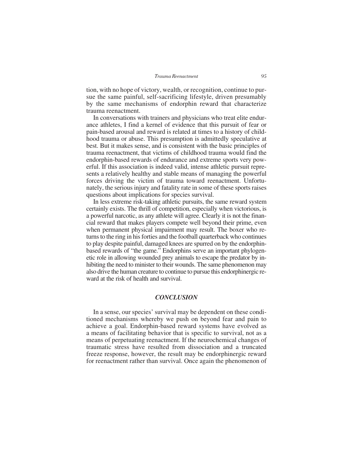tion, with no hope of victory, wealth, or recognition, continue to pursue the same painful, self-sacrificing lifestyle, driven presumably by the same mechanisms of endorphin reward that characterize trauma reenactment.

In conversations with trainers and physicians who treat elite endurance athletes, I find a kernel of evidence that this pursuit of fear or pain-based arousal and reward is related at times to a history of childhood trauma or abuse. This presumption is admittedly speculative at best. But it makes sense, and is consistent with the basic principles of trauma reenactment, that victims of childhood trauma would find the endorphin-based rewards of endurance and extreme sports very powerful. If this association is indeed valid, intense athletic pursuit represents a relatively healthy and stable means of managing the powerful forces driving the victim of trauma toward reenactment. Unfortunately, the serious injury and fatality rate in some of these sports raises questions about implications for species survival.

In less extreme risk-taking athletic pursuits, the same reward system certainly exists. The thrill of competition, especially when victorious, is a powerful narcotic, as any athlete will agree. Clearly it is not the financial reward that makes players compete well beyond their prime, even when permanent physical impairment may result. The boxer who returns to the ring in his forties and the football quarterback who continues to play despite painful, damaged knees are spurred on by the endorphinbased rewards of "the game." Endorphins serve an important phylogenetic role in allowing wounded prey animals to escape the predator by inhibiting the need to minister to their wounds. The same phenomenon may also drive the human creature to continue to pursue this endorphinergic reward at the risk of health and survival.

#### *CONCLUSION*

In a sense, our species' survival may be dependent on these conditioned mechanisms whereby we push on beyond fear and pain to achieve a goal. Endorphin-based reward systems have evolved as a means of facilitating behavior that is specific to survival, not as a means of perpetuating reenactment. If the neurochemical changes of traumatic stress have resulted from dissociation and a truncated freeze response, however, the result may be endorphinergic reward for reenactment rather than survival. Once again the phenomenon of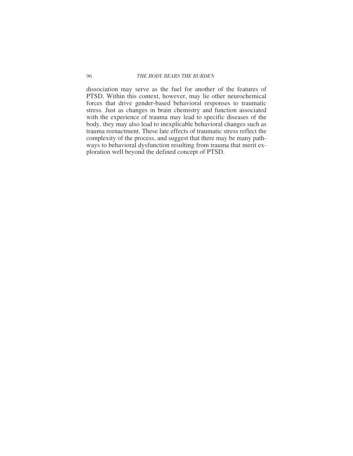dissociation may serve as the fuel for another of the features of PTSD. Within this context, however, may lie other neurochemical forces that drive gender-based behavioral responses to traumatic stress. Just as changes in brain chemistry and function associated with the experience of trauma may lead to specific diseases of the body, they may also lead to inexplicable behavioral changes such as trauma reenactment. These late effects of traumatic stress reflect the complexity of the process, and suggest that there may be many pathways to behavioral dysfunction resulting from trauma that merit exploration well beyond the defined concept of PTSD.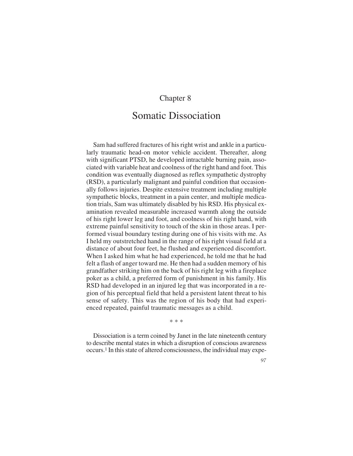# Chapter 8

# Somatic Dissociation

Sam had suffered fractures of his right wrist and ankle in a particularly traumatic head-on motor vehicle accident. Thereafter, along with significant PTSD, he developed intractable burning pain, associated with variable heat and coolness of the right hand and foot. This condition was eventually diagnosed as reflex sympathetic dystrophy (RSD), a particularly malignant and painful condition that occasionally follows injuries. Despite extensive treatment including multiple sympathetic blocks, treatment in a pain center, and multiple medication trials, Sam was ultimately disabled by his RSD. His physical examination revealed measurable increased warmth along the outside of his right lower leg and foot, and coolness of his right hand, with extreme painful sensitivity to touch of the skin in those areas. I performed visual boundary testing during one of his visits with me. As I held my outstretched hand in the range of his right visual field at a distance of about four feet, he flushed and experienced discomfort. When I asked him what he had experienced, he told me that he had felt a flash of anger toward me. He then had a sudden memory of his grandfather striking him on the back of his right leg with a fireplace poker as a child, a preferred form of punishment in his family. His RSD had developed in an injured leg that was incorporated in a region of his perceptual field that held a persistent latent threat to his sense of safety. This was the region of his body that had experienced repeated, painful traumatic messages as a child.

\*\*\*

Dissociation is a term coined by Janet in the late nineteenth century to describe mental states in which a disruption of conscious awareness occurs.1 In this state of altered consciousness, the individual may expe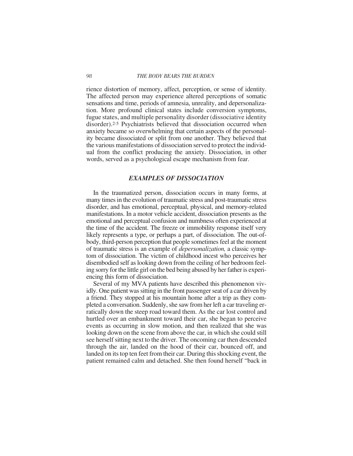rience distortion of memory, affect, perception, or sense of identity. The affected person may experience altered perceptions of somatic sensations and time, periods of amnesia, unreality, and depersonalization. More profound clinical states include conversion symptoms, fugue states, and multiple personality disorder (dissociative identity disorder).2-5 Psychiatrists believed that dissociation occurred when anxiety became so overwhelming that certain aspects of the personality became dissociated or split from one another. They believed that the various manifestations of dissociation served to protect the individual from the conflict producing the anxiety. Dissociation, in other words, served as a psychological escape mechanism from fear.

#### *EXAMPLES OF DISSOCIATION*

In the traumatized person, dissociation occurs in many forms, at many times in the evolution of traumatic stress and post-traumatic stress disorder, and has emotional, perceptual, physical, and memory-related manifestations. In a motor vehicle accident, dissociation presents as the emotional and perceptual confusion and numbness often experienced at the time of the accident. The freeze or immobility response itself very likely represents a type, or perhaps a part, of dissociation. The out-ofbody, third-person perception that people sometimes feel at the moment of traumatic stress is an example of *depersonalization,* a classic symptom of dissociation. The victim of childhood incest who perceives her disembodied self as looking down from the ceiling of her bedroom feeling sorry for the little girl on the bed being abused by her father is experiencing this form of dissociation.

Several of my MVA patients have described this phenomenon vividly. One patient was sitting in the front passenger seat of a car driven by a friend. They stopped at his mountain home after a trip as they completed a conversation. Suddenly, she saw from her left a car traveling erratically down the steep road toward them. As the car lost control and hurtled over an embankment toward their car, she began to perceive events as occurring in slow motion, and then realized that she was looking down on the scene from above the car, in which she could still see herself sitting next to the driver. The oncoming car then descended through the air, landed on the hood of their car, bounced off, and landed on its top ten feet from their car. During this shocking event, the patient remained calm and detached. She then found herself "back in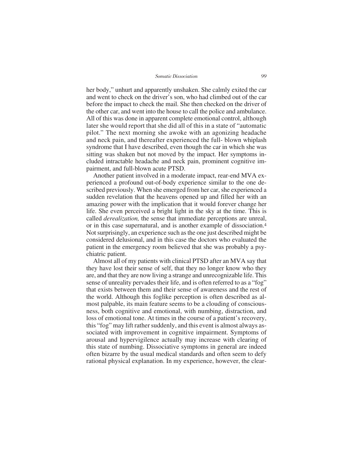her body," unhurt and apparently unshaken. She calmly exited the car and went to check on the driver's son, who had climbed out of the car before the impact to check the mail. She then checked on the driver of the other car, and went into the house to call the police and ambulance. All of this was done in apparent complete emotional control, although later she would report that she did all of this in a state of "automatic pilot." The next morning she awoke with an agonizing headache and neck pain, and thereafter experienced the full- blown whiplash syndrome that I have described, even though the car in which she was sitting was shaken but not moved by the impact. Her symptoms included intractable headache and neck pain, prominent cognitive impairment, and full-blown acute PTSD.

Another patient involved in a moderate impact, rear-end MVA experienced a profound out-of-body experience similar to the one described previously. When she emerged from her car, she experienced a sudden revelation that the heavens opened up and filled her with an amazing power with the implication that it would forever change her life. She even perceived a bright light in the sky at the time. This is called *derealization,* the sense that immediate perceptions are unreal, or in this case supernatural, and is another example of dissociation.4 Not surprisingly, an experience such as the one just described might be considered delusional, and in this case the doctors who evaluated the patient in the emergency room believed that she was probably a psychiatric patient.

Almost all of my patients with clinical PTSD after an MVA say that they have lost their sense of self, that they no longer know who they are, and that they are now living a strange and unrecognizable life. This sense of unreality pervades their life, and is often referred to as a "fog" that exists between them and their sense of awareness and the rest of the world. Although this foglike perception is often described as almost palpable, its main feature seems to be a clouding of consciousness, both cognitive and emotional, with numbing, distraction, and loss of emotional tone. At times in the course of a patient's recovery, this "fog" may lift rather suddenly, and this event is almost always associated with improvement in cognitive impairment. Symptoms of arousal and hypervigilence actually may increase with clearing of this state of numbing. Dissociative symptoms in general are indeed often bizarre by the usual medical standards and often seem to defy rational physical explanation. In my experience, however, the clear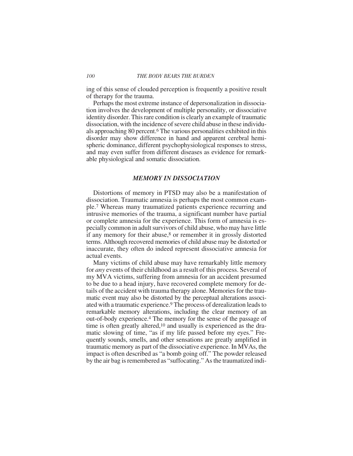ing of this sense of clouded perception is frequently a positive result of therapy for the trauma.

Perhaps the most extreme instance of depersonalization in dissociation involves the development of multiple personality, or dissociative identity disorder. This rare condition is clearly an example of traumatic dissociation, with the incidence of severe child abuse in these individuals approaching 80 percent.6 The various personalities exhibited in this disorder may show difference in hand and apparent cerebral hemispheric dominance, different psychophysiological responses to stress, and may even suffer from different diseases as evidence for remarkable physiological and somatic dissociation.

#### *MEMORY IN DISSOCIATION*

Distortions of memory in PTSD may also be a manifestation of dissociation. Traumatic amnesia is perhaps the most common example.7 Whereas many traumatized patients experience recurring and intrusive memories of the trauma, a significant number have partial or complete amnesia for the experience. This form of amnesia is especially common in adult survivors of child abuse, who may have little if any memory for their abuse, $8$  or remember it in grossly distorted terms. Although recovered memories of child abuse may be distorted or inaccurate, they often do indeed represent dissociative amnesia for actual events.

Many victims of child abuse may have remarkably little memory for *any* events of their childhood as a result of this process. Several of my MVA victims, suffering from amnesia for an accident presumed to be due to a head injury, have recovered complete memory for details of the accident with trauma therapy alone. Memories for the traumatic event may also be distorted by the perceptual alterations associated with a traumatic experience.9 The process of derealization leads to remarkable memory alterations, including the clear memory of an out-of-body experience.4 The memory for the sense of the passage of time is often greatly altered,10 and usually is experienced as the dramatic slowing of time, "as if my life passed before my eyes." Frequently sounds, smells, and other sensations are greatly amplified in traumatic memory as part of the dissociative experience. In MVAs, the impact is often described as "a bomb going off." The powder released by the air bag is remembered as "suffocating." As the traumatized indi-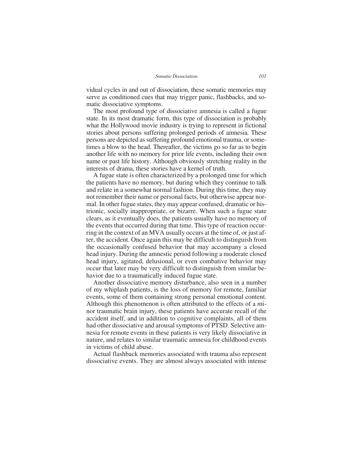vidual cycles in and out of dissociation, these somatic memories may serve as conditioned cues that may trigger panic, flashbacks, and somatic dissociative symptoms.

The most profound type of dissociative amnesia is called a fugue state. In its most dramatic form, this type of dissociation is probably what the Hollywood movie industry is trying to represent in fictional stories about persons suffering prolonged periods of amnesia. These persons are depicted as suffering profound emotional trauma, or sometimes a blow to the head. Thereafter, the victims go so far as to begin another life with no memory for prior life events, including their own name or past life history. Although obviously stretching reality in the interests of drama, these stories have a kernel of truth.

A fugue state is often characterized by a prolonged time for which the patients have no memory, but during which they continue to talk and relate in a somewhat normal fashion. During this time, they may not remember their name or personal facts, but otherwise appear normal. In other fugue states, they may appear confused, dramatic or histrionic, socially inappropriate, or bizarre. When such a fugue state clears, as it eventually does, the patients usually have no memory of the events that occurred during that time. This type of reaction occurring in the context of an MVA usually occurs at the time of, or just after, the accident. Once again this may be difficult to distinguish from the occasionally confused behavior that may accompany a closed head injury. During the amnestic period following a moderate closed head injury, agitated, delusional, or even combative behavior may occur that later may be very difficult to distinguish from similar behavior due to a traumatically induced fugue state.

Another dissociative memory disturbance, also seen in a number of my whiplash patients, is the loss of memory for remote, familiar events, some of them containing strong personal emotional content. Although this phenomenon is often attributed to the effects of a minor traumatic brain injury, these patients have accurate recall of the accident itself, and in addition to cognitive complaints, all of them had other dissociative and arousal symptoms of PTSD. Selective amnesia for remote events in these patients is very likely dissociative in nature, and relates to similar traumatic amnesia for childhood events in victims of child abuse.

Actual flashback memories associated with trauma also represent dissociative events. They are almost always associated with intense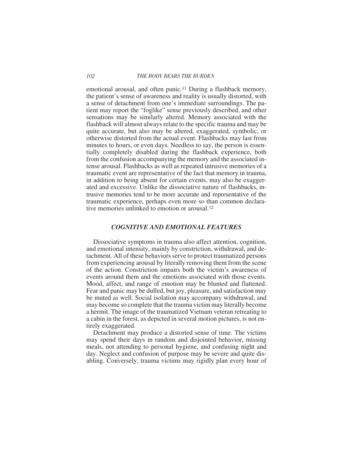emotional arousal, and often panic.11 During a flashback memory, the patient's sense of awareness and reality is usually distorted, with a sense of detachment from one's immediate surroundings. The patient may report the "foglike" sense previously described, and other sensations may be similarly altered. Memory associated with the flashback will almost always relate to the specific trauma and may be quite accurate, but also may be altered, exaggerated, symbolic, or otherwise distorted from the actual event. Flashbacks may last from minutes to hours, or even days. Needless to say, the person is essentially completely disabled during the flashback experience, both from the confusion accompanying the memory and the associated intense arousal. Flashbacks as well as repeated intrusive memories of a traumatic event are representative of the fact that memory in trauma, in addition to being absent for certain events, may also be exaggerated and excessive. Unlike the dissociative nature of flashbacks, intrusive memories tend to be more accurate and representative of the traumatic experience, perhaps even more so than common declarative memories unlinked to emotion or arousal.12

## *COGNITIVE AND EMOTIONAL FEATURES*

Dissociative symptoms in trauma also affect attention, cognition, and emotional intensity, mainly by constriction, withdrawal, and detachment. All of these behaviors serve to protect traumatized persons from experiencing arousal by literally removing them from the scene of the action. Constriction impairs both the victim's awareness of events around them and the emotions associated with those events. Mood, affect, and range of emotion may be blunted and flattened. Fear and panic may be dulled, but joy, pleasure, and satisfaction may be muted as well. Social isolation may accompany withdrawal, and may become so complete that the trauma victim may literally become a hermit. The image of the traumatized Vietnam veteran retreating to a cabin in the forest, as depicted in several motion pictures, is not entirely exaggerated.

Detachment may produce a distorted sense of time. The victims may spend their days in random and disjointed behavior, missing meals, not attending to personal hygiene, and confusing night and day. Neglect and confusion of purpose may be severe and quite disabling. Conversely, trauma victims may rigidly plan every hour of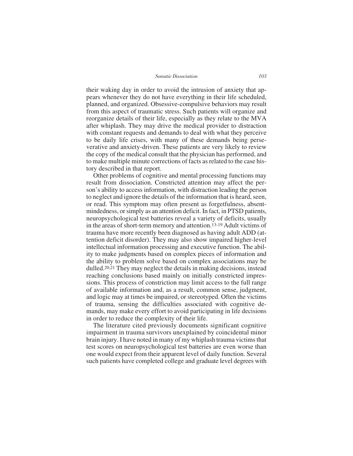their waking day in order to avoid the intrusion of anxiety that appears whenever they do not have everything in their life scheduled, planned, and organized. Obsessive-compulsive behaviors may result from this aspect of traumatic stress. Such patients will organize and reorganize details of their life, especially as they relate to the MVA after whiplash. They may drive the medical provider to distraction with constant requests and demands to deal with what they perceive to be daily life crises, with many of these demands being perseverative and anxiety-driven. These patients are very likely to review the copy of the medical consult that the physician has performed, and to make multiple minute corrections of facts as related to the case history described in that report.

Other problems of cognitive and mental processing functions may result from dissociation. Constricted attention may affect the person's ability to access information, with distraction leading the person to neglect and ignore the details of the information that is heard, seen, or read. This symptom may often present as forgetfulness, absentmindedness, or simply as an attention deficit. In fact, in PTSD patients, neuropsychological test batteries reveal a variety of deficits, usually in the areas of short-term memory and attention.13-19 Adult victims of trauma have more recently been diagnosed as having adult ADD (attention deficit disorder). They may also show impaired higher-level intellectual information processing and executive function. The ability to make judgments based on complex pieces of information and the ability to problem solve based on complex associations may be dulled.20,21 They may neglect the details in making decisions, instead reaching conclusions based mainly on initially constricted impressions. This process of constriction may limit access to the full range of available information and, as a result, common sense, judgment, and logic may at times be impaired, or stereotyped. Often the victims of trauma, sensing the difficulties associated with cognitive demands, may make every effort to avoid participating in life decisions in order to reduce the complexity of their life.

The literature cited previously documents significant cognitive impairment in trauma survivors unexplained by coincidental minor brain injury. I have noted in many of my whiplash trauma victims that test scores on neuropsychological test batteries are even worse than one would expect from their apparent level of daily function. Several such patients have completed college and graduate level degrees with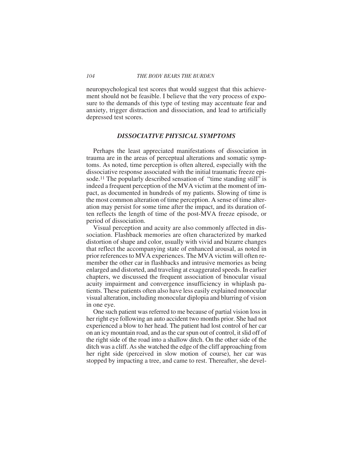neuropsychological test scores that would suggest that this achievement should not be feasible. I believe that the very process of exposure to the demands of this type of testing may accentuate fear and anxiety, trigger distraction and dissociation, and lead to artificially depressed test scores.

#### *DISSOCIATIVE PHYSICAL SYMPTOMS*

Perhaps the least appreciated manifestations of dissociation in trauma are in the areas of perceptual alterations and somatic symptoms. As noted, time perception is often altered, especially with the dissociative response associated with the initial traumatic freeze episode.<sup>11</sup> The popularly described sensation of "time standing still" is indeed a frequent perception of the MVA victim at the moment of impact, as documented in hundreds of my patients. Slowing of time is the most common alteration of time perception. A sense of time alteration may persist for some time after the impact, and its duration often reflects the length of time of the post-MVA freeze episode, or period of dissociation.

Visual perception and acuity are also commonly affected in dissociation. Flashback memories are often characterized by marked distortion of shape and color, usually with vivid and bizarre changes that reflect the accompanying state of enhanced arousal, as noted in prior references to MVA experiences. The MVA victim will often remember the other car in flashbacks and intrusive memories as being enlarged and distorted, and traveling at exaggerated speeds. In earlier chapters, we discussed the frequent association of binocular visual acuity impairment and convergence insufficiency in whiplash patients. These patients often also have less easily explained monocular visual alteration, including monocular diplopia and blurring of vision in one eye.

One such patient was referred to me because of partial vision loss in her right eye following an auto accident two months prior. She had not experienced a blow to her head. The patient had lost control of her car on an icy mountain road, and as the car spun out of control, it slid off of the right side of the road into a shallow ditch. On the other side of the ditch was a cliff. As she watched the edge of the cliff approaching from her right side (perceived in slow motion of course), her car was stopped by impacting a tree, and came to rest. Thereafter, she devel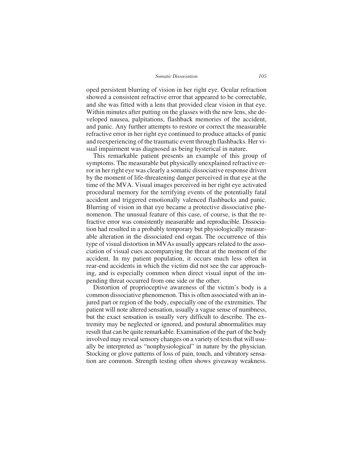oped persistent blurring of vision in her right eye. Ocular refraction showed a consistent refractive error that appeared to be correctable, and she was fitted with a lens that provided clear vision in that eye. Within minutes after putting on the glasses with the new lens, she developed nausea, palpitations, flashback memories of the accident, and panic. Any further attempts to restore or correct the measurable refractive error in her right eye continued to produce attacks of panic and reexperiencing of the traumatic event through flashbacks. Her visual impairment was diagnosed as being hysterical in nature.

This remarkable patient presents an example of this group of symptoms. The measurable but physically unexplained refractive error in her right eye was clearly a somatic dissociative response driven by the moment of life-threatening danger perceived in that eye at the time of the MVA. Visual images perceived in her right eye activated procedural memory for the terrifying events of the potentially fatal accident and triggered emotionally valenced flashbacks and panic. Blurring of vision in that eye became a protective dissociative phenomenon. The unusual feature of this case, of course, is that the refractive error was consistently measurable and reproducible. Dissociation had resulted in a probably temporary but physiologically measurable alteration in the dissociated end organ. The occurrence of this type of visual distortion in MVAs usually appears related to the association of visual cues accompanying the threat at the moment of the accident. In my patient population, it occurs much less often in rear-end accidents in which the victim did not see the car approaching, and is especially common when direct visual input of the impending threat occurred from one side or the other.

Distortion of proprioceptive awareness of the victim's body is a common dissociative phenomenon. This is often associated with an injured part or region of the body, especially one of the extremities. The patient will note altered sensation, usually a vague sense of numbness, but the exact sensation is usually very difficult to describe. The extremity may be neglected or ignored, and postural abnormalities may result that can be quite remarkable. Examination of the part of the body involved may reveal sensory changes on a variety of tests that will usually be interpreted as "nonphysiological" in nature by the physician. Stocking or glove patterns of loss of pain, touch, and vibratory sensation are common. Strength testing often shows giveaway weakness.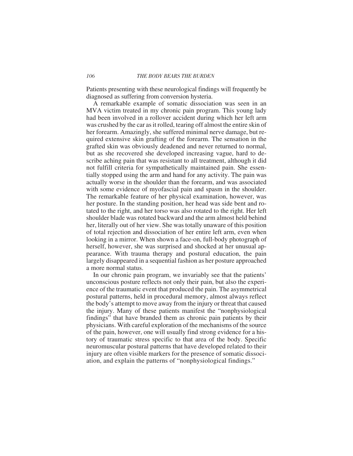Patients presenting with these neurological findings will frequently be diagnosed as suffering from conversion hysteria.

A remarkable example of somatic dissociation was seen in an MVA victim treated in my chronic pain program. This young lady had been involved in a rollover accident during which her left arm was crushed by the car as it rolled, tearing off almost the entire skin of her forearm. Amazingly, she suffered minimal nerve damage, but required extensive skin grafting of the forearm. The sensation in the grafted skin was obviously deadened and never returned to normal, but as she recovered she developed increasing vague, hard to describe aching pain that was resistant to all treatment, although it did not fulfill criteria for sympathetically maintained pain. She essentially stopped using the arm and hand for any activity. The pain was actually worse in the shoulder than the forearm, and was associated with some evidence of myofascial pain and spasm in the shoulder. The remarkable feature of her physical examination, however, was her posture. In the standing position, her head was side bent and rotated to the right, and her torso was also rotated to the right. Her left shoulder blade was rotated backward and the arm almost held behind her, literally out of her view. She was totally unaware of this position of total rejection and dissociation of her entire left arm, even when looking in a mirror. When shown a face-on, full-body photograph of herself, however, she was surprised and shocked at her unusual appearance. With trauma therapy and postural education, the pain largely disappeared in a sequential fashion as her posture approached a more normal status.

In our chronic pain program, we invariably see that the patients' unconscious posture reflects not only their pain, but also the experience of the traumatic event that produced the pain. The asymmetrical postural patterns, held in procedural memory, almost always reflect the body's attempt to move away from the injury or threat that caused the injury. Many of these patients manifest the "nonphysiological findings" that have branded them as chronic pain patients by their physicians. With careful exploration of the mechanisms of the source of the pain, however, one will usually find strong evidence for a history of traumatic stress specific to that area of the body. Specific neuromuscular postural patterns that have developed related to their injury are often visible markers for the presence of somatic dissociation, and explain the patterns of "nonphysiological findings."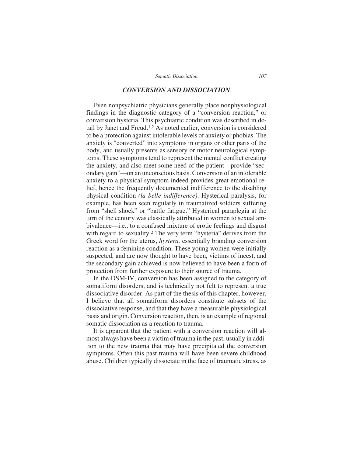## *CONVERSION AND DISSOCIATION*

Even nonpsychiatric physicians generally place nonphysiological findings in the diagnostic category of a "conversion reaction," or conversion hysteria. This psychiatric condition was described in detail by Janet and Freud.1,2 As noted earlier, conversion is considered to be a protection against intolerable levels of anxiety or phobias. The anxiety is "converted" into symptoms in organs or other parts of the body, and usually presents as sensory or motor neurological symptoms. These symptoms tend to represent the mental conflict creating the anxiety, and also meet some need of the patient—provide "secondary gain"—on an unconscious basis. Conversion of an intolerable anxiety to a physical symptom indeed provides great emotional relief, hence the frequently documented indifference to the disabling physical condition *(la belle indifference)*. Hysterical paralysis, for example, has been seen regularly in traumatized soldiers suffering from "shell shock" or "battle fatigue." Hysterical paraplegia at the turn of the century was classically attributed in women to sexual ambivalence—i.e., to a confused mixture of erotic feelings and disgust with regard to sexuality.2 The very term "hysteria" derives from the Greek word for the uterus, *hystera,* essentially branding conversion reaction as a feminine condition. These young women were initially suspected, and are now thought to have been, victims of incest, and the secondary gain achieved is now believed to have been a form of protection from further exposure to their source of trauma.

In the DSM-IV, conversion has been assigned to the category of somatiform disorders, and is technically not felt to represent a true dissociative disorder. As part of the thesis of this chapter, however, I believe that all somatiform disorders constitute subsets of the dissociative response, and that they have a measurable physiological basis and origin. Conversion reaction, then, is an example of regional somatic dissociation as a reaction to trauma.

It is apparent that the patient with a conversion reaction will almost always have been a victim of trauma in the past, usually in addition to the new trauma that may have precipitated the conversion symptoms. Often this past trauma will have been severe childhood abuse. Children typically dissociate in the face of traumatic stress, as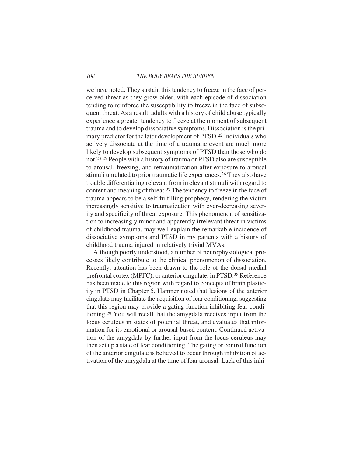we have noted. They sustain this tendency to freeze in the face of perceived threat as they grow older, with each episode of dissociation tending to reinforce the susceptibility to freeze in the face of subsequent threat. As a result, adults with a history of child abuse typically experience a greater tendency to freeze at the moment of subsequent trauma and to develop dissociative symptoms. Dissociation is the primary predictor for the later development of PTSD.22 Individuals who actively dissociate at the time of a traumatic event are much more likely to develop subsequent symptoms of PTSD than those who do not.23-25 People with a history of trauma or PTSD also are susceptible to arousal, freezing, and retraumatization after exposure to arousal stimuli unrelated to prior traumatic life experiences.26 They also have trouble differentiating relevant from irrelevant stimuli with regard to content and meaning of threat.27 The tendency to freeze in the face of trauma appears to be a self-fulfilling prophecy, rendering the victim increasingly sensitive to traumatization with ever-decreasing severity and specificity of threat exposure. This phenomenon of sensitization to increasingly minor and apparently irrelevant threat in victims of childhood trauma, may well explain the remarkable incidence of dissociative symptoms and PTSD in my patients with a history of childhood trauma injured in relatively trivial MVAs.

Although poorly understood, a number of neurophysiological processes likely contribute to the clinical phenomenon of dissociation. Recently, attention has been drawn to the role of the dorsal medial prefrontal cortex (MPFC), or anterior cingulate, in PTSD.28 Reference has been made to this region with regard to concepts of brain plasticity in PTSD in Chapter 5. Hamner noted that lesions of the anterior cingulate may facilitate the acquisition of fear conditioning, suggesting that this region may provide a gating function inhibiting fear conditioning.29 You will recall that the amygdala receives input from the locus ceruleus in states of potential threat, and evaluates that information for its emotional or arousal-based content. Continued activation of the amygdala by further input from the locus ceruleus may then set up a state of fear conditioning. The gating or control function of the anterior cingulate is believed to occur through inhibition of activation of the amygdala at the time of fear arousal. Lack of this inhi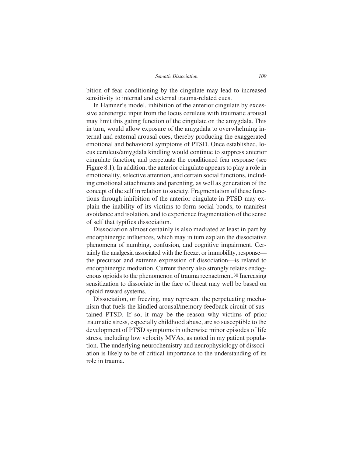bition of fear conditioning by the cingulate may lead to increased sensitivity to internal and external trauma-related cues.

In Hamner's model, inhibition of the anterior cingulate by excessive adrenergic input from the locus ceruleus with traumatic arousal may limit this gating function of the cingulate on the amygdala. This in turn, would allow exposure of the amygdala to overwhelming internal and external arousal cues, thereby producing the exaggerated emotional and behavioral symptoms of PTSD. Once established, locus ceruleus/amygdala kindling would continue to suppress anterior cingulate function, and perpetuate the conditioned fear response (see Figure 8.1). In addition, the anterior cingulate appears to play a role in emotionality, selective attention, and certain social functions, including emotional attachments and parenting, as well as generation of the concept of the self in relation to society. Fragmentation of these functions through inhibition of the anterior cingulate in PTSD may explain the inability of its victims to form social bonds, to manifest avoidance and isolation, and to experience fragmentation of the sense of self that typifies dissociation.

Dissociation almost certainly is also mediated at least in part by endorphinergic influences, which may in turn explain the dissociative phenomena of numbing, confusion, and cognitive impairment. Certainly the analgesia associated with the freeze, or immobility, response the precursor and extreme expression of dissociation—is related to endorphinergic mediation. Current theory also strongly relates endogenous opioids to the phenomenon of trauma reenactment.30 Increasing sensitization to dissociate in the face of threat may well be based on opioid reward systems.

Dissociation, or freezing, may represent the perpetuating mechanism that fuels the kindled arousal/memory feedback circuit of sustained PTSD. If so, it may be the reason why victims of prior traumatic stress, especially childhood abuse, are so susceptible to the development of PTSD symptoms in otherwise minor episodes of life stress, including low velocity MVAs, as noted in my patient population. The underlying neurochemistry and neurophysiology of dissociation is likely to be of critical importance to the understanding of its role in trauma.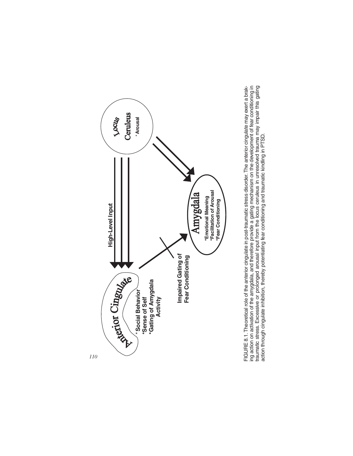

traumatic stress. Excessive or prolonged arousal input from the locus ceruleus in unresolved trauma may impair this gating FIGURE 8.1. Theoretical role of the anterior cingulate in post-traumatic stress disorder. The anterior cingulate may exert a braking action on activation of the amygdala, and therefore provide a gating mechanism on the development of fear conditioning in FIGURE 8.1. Theoretical role of the anterior cingulate in post-traumatic stress disorder. The anterior cingulate may exert a braking action on activation of the amygdala, and therefore provide a gating mechanism on the development of fear conditioning in traumatic stress. Excessive or prolonged arousal input from the locus ceruleus in unresolved trauma may impair this gating action through cingulate inhibition, thereby potentiating fear conditioning and traumatic kindling in PTSD. action through cingulate inhibition, thereby potentiating fear conditioning and traumatic kindling in PTSD.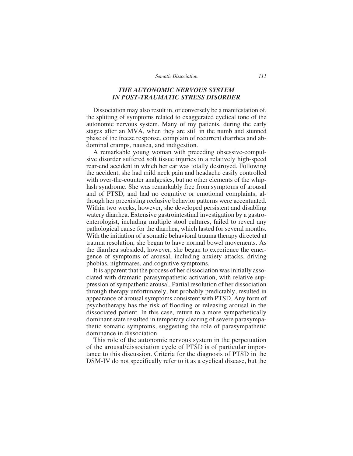## *THE AUTONOMIC NERVOUS SYSTEM IN POST-TRAUMATIC STRESS DISORDER*

Dissociation may also result in, or conversely be a manifestation of, the splitting of symptoms related to exaggerated cyclical tone of the autonomic nervous system. Many of my patients, during the early stages after an MVA, when they are still in the numb and stunned phase of the freeze response, complain of recurrent diarrhea and abdominal cramps, nausea, and indigestion.

A remarkable young woman with preceding obsessive-compulsive disorder suffered soft tissue injuries in a relatively high-speed rear-end accident in which her car was totally destroyed. Following the accident, she had mild neck pain and headache easily controlled with over-the-counter analgesics, but no other elements of the whiplash syndrome. She was remarkably free from symptoms of arousal and of PTSD, and had no cognitive or emotional complaints, although her preexisting reclusive behavior patterns were accentuated. Within two weeks, however, she developed persistent and disabling watery diarrhea. Extensive gastrointestinal investigation by a gastroenterologist, including multiple stool cultures, failed to reveal any pathological cause for the diarrhea, which lasted for several months. With the initiation of a somatic behavioral trauma therapy directed at trauma resolution, she began to have normal bowel movements. As the diarrhea subsided, however, she began to experience the emergence of symptoms of arousal, including anxiety attacks, driving phobias, nightmares, and cognitive symptoms.

It is apparent that the process of her dissociation was initially associated with dramatic parasympathetic activation, with relative suppression of sympathetic arousal. Partial resolution of her dissociation through therapy unfortunately, but probably predictably, resulted in appearance of arousal symptoms consistent with PTSD. Any form of psychotherapy has the risk of flooding or releasing arousal in the dissociated patient. In this case, return to a more sympathetically dominant state resulted in temporary clearing of severe parasympathetic somatic symptoms, suggesting the role of parasympathetic dominance in dissociation.

This role of the autonomic nervous system in the perpetuation of the arousal/dissociation cycle of PTSD is of particular importance to this discussion. Criteria for the diagnosis of PTSD in the DSM-IV do not specifically refer to it as a cyclical disease, but the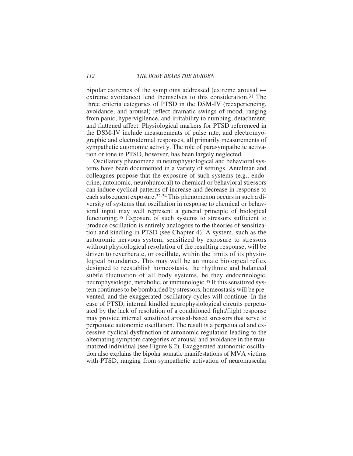bipolar extremes of the symptoms addressed (extreme arousal  $\leftrightarrow$ extreme avoidance) lend themselves to this consideration.31 The three criteria categories of PTSD in the DSM-IV (reexperiencing, avoidance, and arousal) reflect dramatic swings of mood, ranging from panic, hypervigilence, and irritability to numbing, detachment, and flattened affect. Physiological markers for PTSD referenced in the DSM-IV include measurements of pulse rate, and electromyographic and electrodermal responses, all primarily measurements of sympathetic autonomic activity. The role of parasympathetic activation or tone in PTSD, however, has been largely neglected.

Oscillatory phenomena in neurophysiological and behavioral systems have been documented in a variety of settings. Antelman and colleagues propose that the exposure of such systems (e.g., endocrine, autonomic, neurohumoral) to chemical or behavioral stressors can induce cyclical patterns of increase and decrease in response to each subsequent exposure.32-34 This phenomenon occurs in such a diversity of systems that oscillation in response to chemical or behavioral input may well represent a general principle of biological functioning.<sup>35</sup> Exposure of such systems to stressors sufficient to produce oscillation is entirely analogous to the theories of sensitization and kindling in PTSD (see Chapter 4). A system, such as the autonomic nervous system, sensitized by exposure to stressors without physiological resolution of the resulting response, will be driven to reverberate, or oscillate, within the limits of its physiological boundaries. This may well be an innate biological reflex designed to reestablish homeostasis, the rhythmic and balanced subtle fluctuation of all body systems, be they endocrinologic, neurophysiologic, metabolic, or immunologic.35 If this sensitized system continues to be bombarded by stressors, homeostasis will be prevented, and the exaggerated oscillatory cycles will continue. In the case of PTSD, internal kindled neurophysiological circuits perpetuated by the lack of resolution of a conditioned fight/flight response may provide internal sensitized arousal-based stressors that serve to perpetuate autonomic oscillation. The result is a perpetuated and excessive cyclical dysfunction of autonomic regulation leading to the alternating symptom categories of arousal and avoidance in the traumatized individual (see Figure 8.2). Exaggerated autonomic oscillation also explains the bipolar somatic manifestations of MVA victims with PTSD, ranging from sympathetic activation of neuromuscular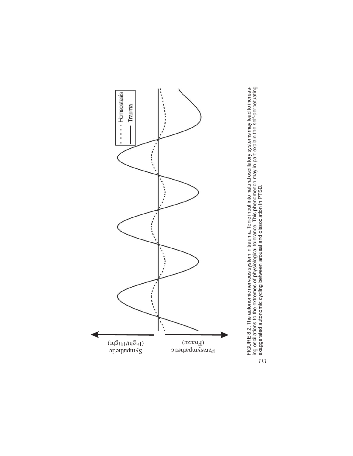

FIGURE 8.2. The autonomic nervous system in trauma. Tonic input into natural oscillatory systems may lead to increasing oscillations to the extremes of physiological tolerance. This phenomenon may in part explain the self-perpetuating<br>exaggerated autonomic cycling between arousal and dissociation in PTSD. FIGURE 8.2. The autonomic nervous system in trauma. Tonic input into natural oscillatory systems may lead to increasing oscillations to the extremes of physiological tolerance. This phenomenon may in part explain the self-perpetuating exaggerated autonomic cycling between arousal and dissociation in PTSD.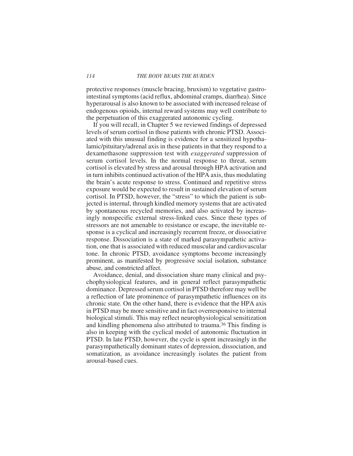protective responses (muscle bracing, bruxism) to vegetative gastrointestinal symptoms (acid reflux, abdominal cramps, diarrhea). Since hyperarousal is also known to be associated with increased release of endogenous opioids, internal reward systems may well contribute to the perpetuation of this exaggerated autonomic cycling.

If you will recall, in Chapter 5 we reviewed findings of depressed levels of serum cortisol in those patients with chronic PTSD. Associated with this unusual finding is evidence for a sensitized hypothalamic/pituitary/adrenal axis in these patients in that they respond to a dexamethasone suppression test with *exaggerated* suppression of serum cortisol levels. In the normal response to threat, serum cortisol is elevated by stress and arousal through HPA activation and in turn inhibits continued activation of the HPA axis, thus modulating the brain's acute response to stress. Continued and repetitive stress exposure would be expected to result in sustained elevation of serum cortisol. In PTSD, however, the "stress" to which the patient is subjected is internal, through kindled memory systems that are activated by spontaneous recycled memories, and also activated by increasingly nonspecific external stress-linked cues. Since these types of stressors are not amenable to resistance or escape, the inevitable response is a cyclical and increasingly recurrent freeze, or dissociative response. Dissociation is a state of marked parasympathetic activation, one that is associated with reduced muscular and cardiovascular tone. In chronic PTSD, avoidance symptoms become increasingly prominent, as manifested by progressive social isolation, substance abuse, and constricted affect.

Avoidance, denial, and dissociation share many clinical and psychophysiological features, and in general reflect parasympathetic dominance. Depressed serum cortisol in PTSD therefore may well be a reflection of late prominence of parasympathetic influences on its chronic state. On the other hand, there is evidence that the HPA axis in PTSD may be more sensitive and in fact overresponsive to internal biological stimuli. This may reflect neurophysiological sensitization and kindling phenomena also attributed to trauma.36 This finding is also in keeping with the cyclical model of autonomic fluctuation in PTSD. In late PTSD, however, the cycle is spent increasingly in the parasympathetically dominant states of depression, dissociation, and somatization, as avoidance increasingly isolates the patient from arousal-based cues.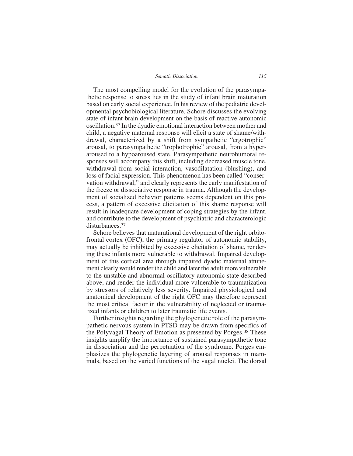The most compelling model for the evolution of the parasympathetic response to stress lies in the study of infant brain maturation based on early social experience. In his review of the pediatric developmental psychobiological literature, Schore discusses the evolving state of infant brain development on the basis of reactive autonomic oscillation.37 In the dyadic emotional interaction between mother and child, a negative maternal response will elicit a state of shame/withdrawal, characterized by a shift from sympathetic "ergotrophic" arousal, to parasympathetic "trophotrophic" arousal, from a hyperaroused to a hypoaroused state. Parasympathetic neurohumoral responses will accompany this shift, including decreased muscle tone, withdrawal from social interaction, vasodilatation (blushing), and loss of facial expression. This phenomenon has been called "conservation withdrawal," and clearly represents the early manifestation of the freeze or dissociative response in trauma. Although the development of socialized behavior patterns seems dependent on this process, a pattern of excessive elicitation of this shame response will result in inadequate development of coping strategies by the infant, and contribute to the development of psychiatric and characterologic disturbances.<sup>37</sup>

Schore believes that maturational development of the right orbitofrontal cortex (OFC), the primary regulator of autonomic stability, may actually be inhibited by excessive elicitation of shame, rendering these infants more vulnerable to withdrawal. Impaired development of this cortical area through impaired dyadic maternal attunement clearly would render the child and later the adult more vulnerable to the unstable and abnormal oscillatory autonomic state described above, and render the individual more vulnerable to traumatization by stressors of relatively less severity. Impaired physiological and anatomical development of the right OFC may therefore represent the most critical factor in the vulnerability of neglected or traumatized infants or children to later traumatic life events.

Further insights regarding the phylogenetic role of the parasympathetic nervous system in PTSD may be drawn from specifics of the Polyvagal Theory of Emotion as presented by Porges.38 These insights amplify the importance of sustained parasympathetic tone in dissociation and the perpetuation of the syndrome. Porges emphasizes the phylogenetic layering of arousal responses in mammals, based on the varied functions of the vagal nuclei. The dorsal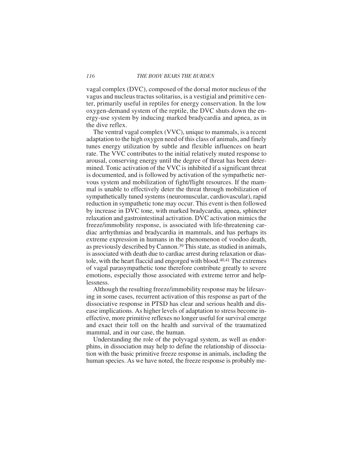vagal complex (DVC), composed of the dorsal motor nucleus of the vagus and nucleus tractus solitarius, is a vestigial and primitive center, primarily useful in reptiles for energy conservation. In the low oxygen-demand system of the reptile, the DVC shuts down the energy-use system by inducing marked bradycardia and apnea, as in the dive reflex.

The ventral vagal complex (VVC), unique to mammals, is a recent adaptation to the high oxygen need of this class of animals, and finely tunes energy utilization by subtle and flexible influences on heart rate. The VVC contributes to the initial relatively muted response to arousal, conserving energy until the degree of threat has been determined. Tonic activation of the VVC is inhibited if a significant threat is documented, and is followed by activation of the sympathetic nervous system and mobilization of fight/flight resources. If the mammal is unable to effectively deter the threat through mobilization of sympathetically tuned systems (neuromuscular, cardiovascular), rapid reduction in sympathetic tone may occur. This event is then followed by increase in DVC tone, with marked bradycardia, apnea, sphincter relaxation and gastrointestinal activation. DVC activation mimics the freeze/immobility response, is associated with life-threatening cardiac arrhythmias and bradycardia in mammals, and has perhaps its extreme expression in humans in the phenomenon of voodoo death, as previously described by Cannon.39 This state, as studied in animals, is associated with death due to cardiac arrest during relaxation or diastole, with the heart flaccid and engorged with blood.40,41 The extremes of vagal parasympathetic tone therefore contribute greatly to severe emotions, especially those associated with extreme terror and helplessness.

Although the resulting freeze/immobility response may be lifesaving in some cases, recurrent activation of this response as part of the dissociative response in PTSD has clear and serious health and disease implications. As higher levels of adaptation to stress become ineffective, more primitive reflexes no longer useful for survival emerge and exact their toll on the health and survival of the traumatized mammal, and in our case, the human.

Understanding the role of the polyvagal system, as well as endorphins, in dissociation may help to define the relationship of dissociation with the basic primitive freeze response in animals, including the human species. As we have noted, the freeze response is probably me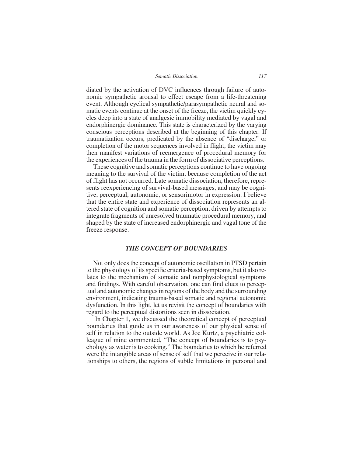diated by the activation of DVC influences through failure of autonomic sympathetic arousal to effect escape from a life-threatening event. Although cyclical sympathetic/parasympathetic neural and somatic events continue at the onset of the freeze, the victim quickly cycles deep into a state of analgesic immobility mediated by vagal and endorphinergic dominance. This state is characterized by the varying conscious perceptions described at the beginning of this chapter. If traumatization occurs, predicated by the absence of "discharge," or completion of the motor sequences involved in flight, the victim may then manifest variations of reemergence of procedural memory for the experiences of the trauma in the form of dissociative perceptions.

These cognitive and somatic perceptions continue to have ongoing meaning to the survival of the victim, because completion of the act of flight has not occurred. Late somatic dissociation, therefore, represents reexperiencing of survival-based messages, and may be cognitive, perceptual, autonomic, or sensorimotor in expression. I believe that the entire state and experience of dissociation represents an altered state of cognition and somatic perception, driven by attempts to integrate fragments of unresolved traumatic procedural memory, and shaped by the state of increased endorphinergic and vagal tone of the freeze response.

# *THE CONCEPT OF BOUNDARIES*

Not only does the concept of autonomic oscillation in PTSD pertain to the physiology of its specific criteria-based symptoms, but it also relates to the mechanism of somatic and nonphysiological symptoms and findings. With careful observation, one can find clues to perceptual and autonomic changes in regions of the body and the surrounding environment, indicating trauma-based somatic and regional autonomic dysfunction. In this light, let us revisit the concept of boundaries with regard to the perceptual distortions seen in dissociation.

In Chapter 1, we discussed the theoretical concept of perceptual boundaries that guide us in our awareness of our physical sense of self in relation to the outside world. As Joe Kurtz, a psychiatric colleague of mine commented, "The concept of boundaries is to psychology as water is to cooking." The boundaries to which he referred were the intangible areas of sense of self that we perceive in our relationships to others, the regions of subtle limitations in personal and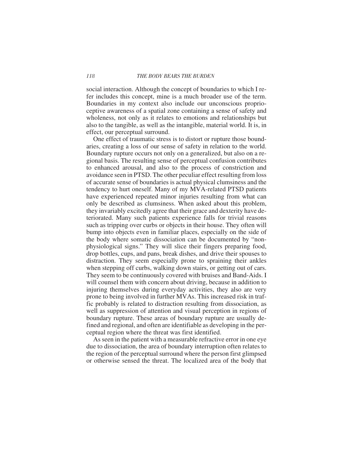social interaction. Although the concept of boundaries to which I refer includes this concept, mine is a much broader use of the term. Boundaries in my context also include our unconscious proprioceptive awareness of a spatial zone containing a sense of safety and wholeness, not only as it relates to emotions and relationships but also to the tangible, as well as the intangible, material world. It is, in effect, our perceptual surround.

One effect of traumatic stress is to distort or rupture those boundaries, creating a loss of our sense of safety in relation to the world. Boundary rupture occurs not only on a generalized, but also on a regional basis. The resulting sense of perceptual confusion contributes to enhanced arousal, and also to the process of constriction and avoidance seen in PTSD. The other peculiar effect resulting from loss of accurate sense of boundaries is actual physical clumsiness and the tendency to hurt oneself. Many of my MVA-related PTSD patients have experienced repeated minor injuries resulting from what can only be described as clumsiness. When asked about this problem, they invariably excitedly agree that their grace and dexterity have deteriorated. Many such patients experience falls for trivial reasons such as tripping over curbs or objects in their house. They often will bump into objects even in familiar places, especially on the side of the body where somatic dissociation can be documented by "nonphysiological signs." They will slice their fingers preparing food, drop bottles, cups, and pans, break dishes, and drive their spouses to distraction. They seem especially prone to spraining their ankles when stepping off curbs, walking down stairs, or getting out of cars. They seem to be continuously covered with bruises and Band-Aids. I will counsel them with concern about driving, because in addition to injuring themselves during everyday activities, they also are very prone to being involved in further MVAs. This increased risk in traffic probably is related to distraction resulting from dissociation, as well as suppression of attention and visual perception in regions of boundary rupture. These areas of boundary rupture are usually defined and regional, and often are identifiable as developing in the perceptual region where the threat was first identified.

As seen in the patient with a measurable refractive error in one eye due to dissociation, the area of boundary interruption often relates to the region of the perceptual surround where the person first glimpsed or otherwise sensed the threat. The localized area of the body that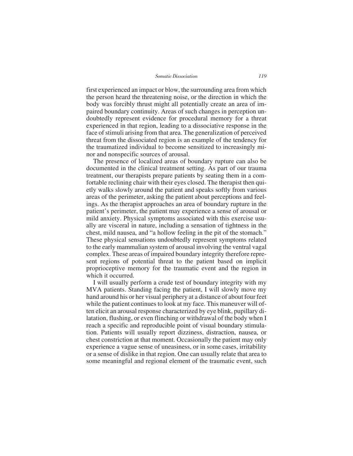first experienced an impact or blow, the surrounding area from which the person heard the threatening noise, or the direction in which the body was forcibly thrust might all potentially create an area of impaired boundary continuity. Areas of such changes in perception undoubtedly represent evidence for procedural memory for a threat experienced in that region, leading to a dissociative response in the face of stimuli arising from that area. The generalization of perceived threat from the dissociated region is an example of the tendency for the traumatized individual to become sensitized to increasingly minor and nonspecific sources of arousal.

The presence of localized areas of boundary rupture can also be documented in the clinical treatment setting. As part of our trauma treatment, our therapists prepare patients by seating them in a comfortable reclining chair with their eyes closed. The therapist then quietly walks slowly around the patient and speaks softly from various areas of the perimeter, asking the patient about perceptions and feelings. As the therapist approaches an area of boundary rupture in the patient's perimeter, the patient may experience a sense of arousal or mild anxiety. Physical symptoms associated with this exercise usually are visceral in nature, including a sensation of tightness in the chest, mild nausea, and "a hollow feeling in the pit of the stomach." These physical sensations undoubtedly represent symptoms related to the early mammalian system of arousal involving the ventral vagal complex. These areas of impaired boundary integrity therefore represent regions of potential threat to the patient based on implicit proprioceptive memory for the traumatic event and the region in which it occurred.

I will usually perform a crude test of boundary integrity with my MVA patients. Standing facing the patient, I will slowly move my hand around his or her visual periphery at a distance of about four feet while the patient continues to look at my face. This maneuver will often elicit an arousal response characterized by eye blink, pupillary dilatation, flushing, or even flinching or withdrawal of the body when I reach a specific and reproducible point of visual boundary stimulation. Patients will usually report dizziness, distraction, nausea, or chest constriction at that moment. Occasionally the patient may only experience a vague sense of uneasiness, or in some cases, irritability or a sense of dislike in that region. One can usually relate that area to some meaningful and regional element of the traumatic event, such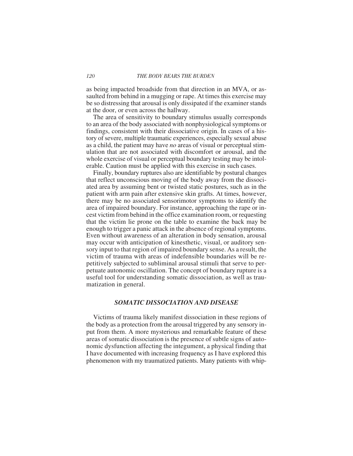as being impacted broadside from that direction in an MVA, or assaulted from behind in a mugging or rape. At times this exercise may be so distressing that arousal is only dissipated if the examiner stands at the door, or even across the hallway.

The area of sensitivity to boundary stimulus usually corresponds to an area of the body associated with nonphysiological symptoms or findings, consistent with their dissociative origin. In cases of a history of severe, multiple traumatic experiences, especially sexual abuse as a child, the patient may have *no* areas of visual or perceptual stimulation that are not associated with discomfort or arousal, and the whole exercise of visual or perceptual boundary testing may be intolerable. Caution must be applied with this exercise in such cases.

Finally, boundary ruptures also are identifiable by postural changes that reflect unconscious moving of the body away from the dissociated area by assuming bent or twisted static postures, such as in the patient with arm pain after extensive skin grafts. At times, however, there may be no associated sensorimotor symptoms to identify the area of impaired boundary. For instance, approaching the rape or incest victim from behind in the office examination room, or requesting that the victim lie prone on the table to examine the back may be enough to trigger a panic attack in the absence of regional symptoms. Even without awareness of an alteration in body sensation, arousal may occur with anticipation of kinesthetic, visual, or auditory sensory input to that region of impaired boundary sense. As a result, the victim of trauma with areas of indefensible boundaries will be repetitively subjected to subliminal arousal stimuli that serve to perpetuate autonomic oscillation. The concept of boundary rupture is a useful tool for understanding somatic dissociation, as well as traumatization in general.

#### *SOMATIC DISSOCIATION AND DISEASE*

Victims of trauma likely manifest dissociation in these regions of the body as a protection from the arousal triggered by any sensory input from them. A more mysterious and remarkable feature of these areas of somatic dissociation is the presence of subtle signs of autonomic dysfunction affecting the integument, a physical finding that I have documented with increasing frequency as I have explored this phenomenon with my traumatized patients. Many patients with whip-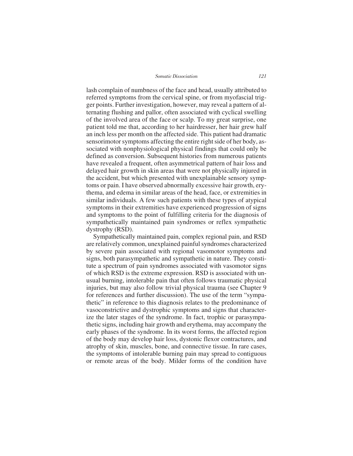lash complain of numbness of the face and head, usually attributed to referred symptoms from the cervical spine, or from myofascial trigger points. Further investigation, however, may reveal a pattern of alternating flushing and pallor, often associated with cyclical swelling of the involved area of the face or scalp. To my great surprise, one patient told me that, according to her hairdresser, her hair grew half an inch less per month on the affected side. This patient had dramatic sensorimotor symptoms affecting the entire right side of her body, associated with nonphysiological physical findings that could only be defined as conversion. Subsequent histories from numerous patients have revealed a frequent, often asymmetrical pattern of hair loss and delayed hair growth in skin areas that were not physically injured in the accident, but which presented with unexplainable sensory symptoms or pain. I have observed abnormally excessive hair growth, erythema, and edema in similar areas of the head, face, or extremities in similar individuals. A few such patients with these types of atypical symptoms in their extremities have experienced progression of signs and symptoms to the point of fulfilling criteria for the diagnosis of sympathetically maintained pain syndromes or reflex sympathetic dystrophy (RSD).

Sympathetically maintained pain, complex regional pain, and RSD are relatively common, unexplained painful syndromes characterized by severe pain associated with regional vasomotor symptoms and signs, both parasympathetic and sympathetic in nature. They constitute a spectrum of pain syndromes associated with vasomotor signs of which RSD is the extreme expression. RSD is associated with unusual burning, intolerable pain that often follows traumatic physical injuries, but may also follow trivial physical trauma (see Chapter 9 for references and further discussion). The use of the term "sympathetic" in reference to this diagnosis relates to the predominance of vasoconstrictive and dystrophic symptoms and signs that characterize the later stages of the syndrome. In fact, trophic or parasympathetic signs, including hair growth and erythema, may accompany the early phases of the syndrome. In its worst forms, the affected region of the body may develop hair loss, dystonic flexor contractures, and atrophy of skin, muscles, bone, and connective tissue. In rare cases, the symptoms of intolerable burning pain may spread to contiguous or remote areas of the body. Milder forms of the condition have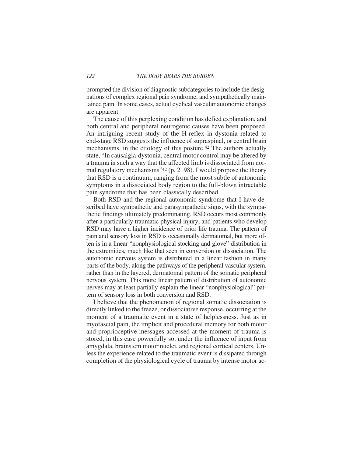prompted the division of diagnostic subcategories to include the designations of complex regional pain syndrome, and sympathetically maintained pain. In some cases, actual cyclical vascular autonomic changes are apparent.

The cause of this perplexing condition has defied explanation, and both central and peripheral neurogenic causes have been proposed. An intriguing recent study of the H-reflex in dystonia related to end-stage RSD suggests the influence of supraspinal, or central brain mechanisms, in the etiology of this posture.42 The authors actually state, "In causalgia-dystonia, central motor control may be altered by a trauma in such a way that the affected limb is dissociated from normal regulatory mechanisms"42 (p. 2198). I would propose the theory that RSD is a continuum, ranging from the most subtle of autonomic symptoms in a dissociated body region to the full-blown intractable pain syndrome that has been classically described.

Both RSD and the regional autonomic syndrome that I have described have sympathetic and parasympathetic signs, with the sympathetic findings ultimately predominating. RSD occurs most commonly after a particularly traumatic physical injury, and patients who develop RSD may have a higher incidence of prior life trauma. The pattern of pain and sensory loss in RSD is occasionally dermatomal, but more often is in a linear "nonphysiological stocking and glove" distribution in the extremities, much like that seen in conversion or dissociation. The autonomic nervous system is distributed in a linear fashion in many parts of the body, along the pathways of the peripheral vascular system, rather than in the layered, dermatomal pattern of the somatic peripheral nervous system. This more linear pattern of distribution of autonomic nerves may at least partially explain the linear "nonphysiological" pattern of sensory loss in both conversion and RSD.

I believe that the phenomenon of regional somatic dissociation is directly linked to the freeze, or dissociative response, occurring at the moment of a traumatic event in a state of helplessness. Just as in myofascial pain, the implicit and procedural memory for both motor and proprioceptive messages accessed at the moment of trauma is stored, in this case powerfully so, under the influence of input from amygdala, brainstem motor nuclei, and regional cortical centers. Unless the experience related to the traumatic event is dissipated through completion of the physiological cycle of trauma by intense motor ac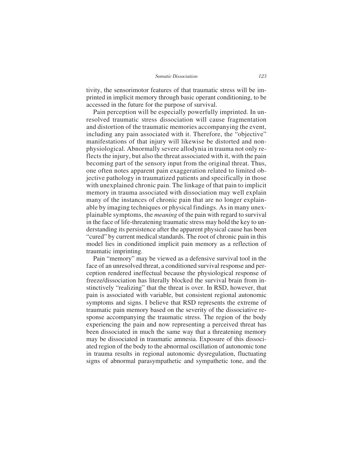tivity, the sensorimotor features of that traumatic stress will be imprinted in implicit memory through basic operant conditioning, to be accessed in the future for the purpose of survival.

Pain perception will be especially powerfully imprinted. In unresolved traumatic stress dissociation will cause fragmentation and distortion of the traumatic memories accompanying the event, including any pain associated with it. Therefore, the "objective" manifestations of that injury will likewise be distorted and nonphysiological. Abnormally severe allodynia in trauma not only reflects the injury, but also the threat associated with it, with the pain becoming part of the sensory input from the original threat. Thus, one often notes apparent pain exaggeration related to limited objective pathology in traumatized patients and specifically in those with unexplained chronic pain. The linkage of that pain to implicit memory in trauma associated with dissociation may well explain many of the instances of chronic pain that are no longer explainable by imaging techniques or physical findings. As in many unexplainable symptoms, the *meaning* of the pain with regard to survival in the face of life-threatening traumatic stress may hold the key to understanding its persistence after the apparent physical cause has been "cured" by current medical standards. The root of chronic pain in this model lies in conditioned implicit pain memory as a reflection of traumatic imprinting.

Pain "memory" may be viewed as a defensive survival tool in the face of an unresolved threat, a conditioned survival response and perception rendered ineffectual because the physiological response of freeze/dissociation has literally blocked the survival brain from instinctively "realizing" that the threat is over. In RSD, however, that pain is associated with variable, but consistent regional autonomic symptoms and signs. I believe that RSD represents the extreme of traumatic pain memory based on the severity of the dissociative response accompanying the traumatic stress. The region of the body experiencing the pain and now representing a perceived threat has been dissociated in much the same way that a threatening memory may be dissociated in traumatic amnesia. Exposure of this dissociated region of the body to the abnormal oscillation of autonomic tone in trauma results in regional autonomic dysregulation, fluctuating signs of abnormal parasympathetic and sympathetic tone, and the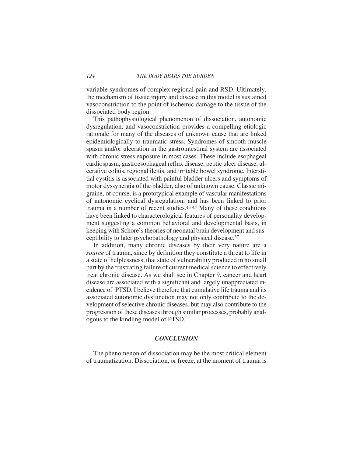variable syndromes of complex regional pain and RSD. Ultimately, the mechanism of tissue injury and disease in this model is sustained vasoconstriction to the point of ischemic damage to the tissue of the dissociated body region.

This pathophysiological phenomenon of dissociation, autonomic dysregulation, and vasoconstriction provides a compelling etiologic rationale for many of the diseases of unknown cause that are linked epidemiologically to traumatic stress. Syndromes of smooth muscle spasm and/or ulceration in the gastrointestinal system are associated with chronic stress exposure in most cases. These include esophageal cardiospasm, gastroesophageal reflux disease, peptic ulcer disease, ulcerative colitis, regional ileitis, and irritable bowel syndrome. Interstitial cystitis is associated with painful bladder ulcers and symptoms of motor dyssynergia of the bladder, also of unknown cause. Classic migraine, of course, is a prototypical example of vascular manifestations of autonomic cyclical dysregulation, and has been linked to prior trauma in a number of recent studies.43-45 Many of these conditions have been linked to characterological features of personality development suggesting a common behavioral and developmental basis, in keeping with Schore's theories of neonatal brain development and susceptibility to later psychopathology and physical disease.37

In addition, many chronic diseases by their very nature are a *source* of trauma, since by definition they constitute a threat to life in a state of helplessness, that state of vulnerability produced in no small part by the frustrating failure of current medical science to effectively treat chronic disease. As we shall see in Chapter 9, cancer and heart disease are associated with a significant and largely unappreciated incidence of PTSD. I believe therefore that cumulative life trauma and its associated autonomic dysfunction may not only contribute to the development of selective chronic diseases, but may also contribute to the progression of these diseases through similar processes, probably analogous to the kindling model of PTSD.

#### *CONCLUSION*

The phenomenon of dissociation may be the most critical element of traumatization. Dissociation, or freeze, at the moment of trauma is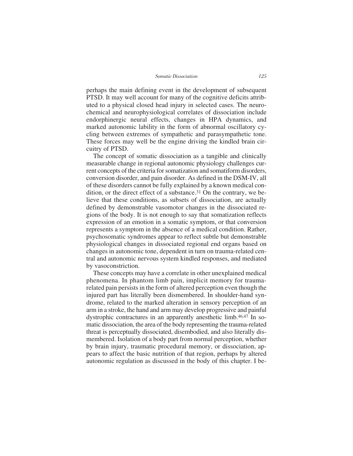perhaps the main defining event in the development of subsequent PTSD. It may well account for many of the cognitive deficits attributed to a physical closed head injury in selected cases. The neurochemical and neurophysiological correlates of dissociation include endorphinergic neural effects, changes in HPA dynamics, and marked autonomic lability in the form of abnormal oscillatory cycling between extremes of sympathetic and parasympathetic tone. These forces may well be the engine driving the kindled brain circuitry of PTSD.

The concept of somatic dissociation as a tangible and clinically measurable change in regional autonomic physiology challenges current concepts of the criteria for somatization and somatiform disorders, conversion disorder, and pain disorder. As defined in the DSM-IV, all of these disorders cannot be fully explained by a known medical condition, or the direct effect of a substance.31 On the contrary, we believe that these conditions, as subsets of dissociation, are actually defined by demonstrable vasomotor changes in the dissociated regions of the body. It is not enough to say that somatization reflects expression of an emotion in a somatic symptom, or that conversion represents a symptom in the absence of a medical condition. Rather, psychosomatic syndromes appear to reflect subtle but demonstrable physiological changes in dissociated regional end organs based on changes in autonomic tone, dependent in turn on trauma-related central and autonomic nervous system kindled responses, and mediated by vasoconstriction.

These concepts may have a correlate in other unexplained medical phenomena. In phantom limb pain, implicit memory for traumarelated pain persists in the form of altered perception even though the injured part has literally been dismembered. In shoulder-hand syndrome, related to the marked alteration in sensory perception of an arm in a stroke, the hand and arm may develop progressive and painful dystrophic contractures in an apparently anesthetic limb.46,47 In somatic dissociation, the area of the body representing the trauma-related threat is perceptually dissociated, disembodied, and also literally dismembered. Isolation of a body part from normal perception, whether by brain injury, traumatic procedural memory, or dissociation, appears to affect the basic nutrition of that region, perhaps by altered autonomic regulation as discussed in the body of this chapter. I be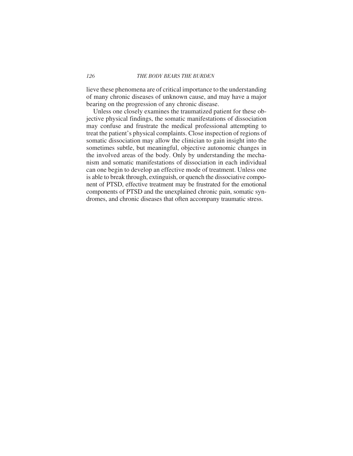lieve these phenomena are of critical importance to the understanding of many chronic diseases of unknown cause, and may have a major bearing on the progression of any chronic disease.

Unless one closely examines the traumatized patient for these objective physical findings, the somatic manifestations of dissociation may confuse and frustrate the medical professional attempting to treat the patient's physical complaints. Close inspection of regions of somatic dissociation may allow the clinician to gain insight into the sometimes subtle, but meaningful, objective autonomic changes in the involved areas of the body. Only by understanding the mechanism and somatic manifestations of dissociation in each individual can one begin to develop an effective mode of treatment. Unless one is able to break through, extinguish, or quench the dissociative component of PTSD, effective treatment may be frustrated for the emotional components of PTSD and the unexplained chronic pain, somatic syndromes, and chronic diseases that often accompany traumatic stress.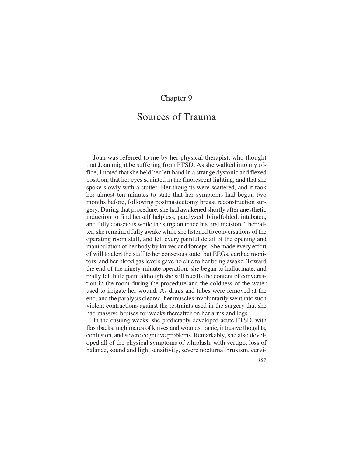# Chapter 9

# Sources of Trauma

Joan was referred to me by her physical therapist, who thought that Joan might be suffering from PTSD. As she walked into my office, I noted that she held her left hand in a strange dystonic and flexed position, that her eyes squinted in the fluorescent lighting, and that she spoke slowly with a stutter. Her thoughts were scattered, and it took her almost ten minutes to state that her symptoms had begun two months before, following postmastectomy breast reconstruction surgery. During that procedure, she had awakened shortly after anesthetic induction to find herself helpless, paralyzed, blindfolded, intubated, and fully conscious while the surgeon made his first incision. Thereafter, she remained fully awake while she listened to conversations of the operating room staff, and felt every painful detail of the opening and manipulation of her body by knives and forceps. She made every effort of will to alert the staff to her conscious state, but EEGs, cardiac monitors, and her blood gas levels gave no clue to her being awake. Toward the end of the ninety-minute operation, she began to hallucinate, and really felt little pain, although she still recalls the content of conversation in the room during the procedure and the coldness of the water used to irrigate her wound. As drugs and tubes were removed at the end, and the paralysis cleared, her muscles involuntarily went into such violent contractions against the restraints used in the surgery that she had massive bruises for weeks thereafter on her arms and legs.

In the ensuing weeks, she predictably developed acute PTSD, with flashbacks, nightmares of knives and wounds, panic, intrusive thoughts, confusion, and severe cognitive problems. Remarkably, she also developed all of the physical symptoms of whiplash, with vertigo, loss of balance, sound and light sensitivity, severe nocturnal bruxism, cervi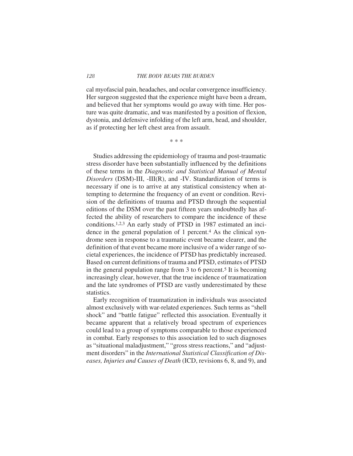cal myofascial pain, headaches, and ocular convergence insufficiency. Her surgeon suggested that the experience might have been a dream, and believed that her symptoms would go away with time. Her posture was quite dramatic, and was manifested by a position of flexion, dystonia, and defensive infolding of the left arm, head, and shoulder, as if protecting her left chest area from assault.

\* \* \*

Studies addressing the epidemiology of trauma and post-traumatic stress disorder have been substantially influenced by the definitions of these terms in the *Diagnostic and Statistical Manual of Mental Disorders* (DSM)-III, -III(R), and -IV. Standardization of terms is necessary if one is to arrive at any statistical consistency when attempting to determine the frequency of an event or condition. Revision of the definitions of trauma and PTSD through the sequential editions of the DSM over the past fifteen years undoubtedly has affected the ability of researchers to compare the incidence of these conditions.1,2,3 An early study of PTSD in 1987 estimated an incidence in the general population of 1 percent.4 As the clinical syndrome seen in response to a traumatic event became clearer, and the definition of that event became more inclusive of a wider range of societal experiences, the incidence of PTSD has predictably increased. Based on current definitions of trauma and PTSD, estimates of PTSD in the general population range from  $3$  to 6 percent.<sup>5</sup> It is becoming increasingly clear, however, that the true incidence of traumatization and the late syndromes of PTSD are vastly underestimated by these statistics.

Early recognition of traumatization in individuals was associated almost exclusively with war-related experiences. Such terms as "shell shock" and "battle fatigue" reflected this association. Eventually it became apparent that a relatively broad spectrum of experiences could lead to a group of symptoms comparable to those experienced in combat. Early responses to this association led to such diagnoses as "situational maladjustment," "gross stress reactions," and "adjustment disorders" in the *International Statistical Classification of Diseases, Injuries and Causes of Death* (ICD, revisions 6, 8, and 9), and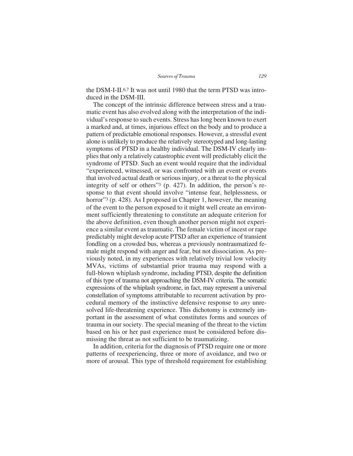the DSM-I-II.6,7 It was not until 1980 that the term PTSD was introduced in the DSM-III.

The concept of the intrinsic difference between stress and a traumatic event has also evolved along with the interpretation of the individual's response to such events. Stress has long been known to exert a marked and, at times, injurious effect on the body and to produce a pattern of predictable emotional responses. However, a stressful event alone is unlikely to produce the relatively stereotyped and long-lasting symptoms of PTSD in a healthy individual. The DSM-IV clearly implies that only a relatively catastrophic event will predictably elicit the syndrome of PTSD. Such an event would require that the individual "experienced, witnessed, or was confronted with an event or events that involved actual death or serious injury, or a threat to the physical integrity of self or others"3 (p. 427). In addition, the person's response to that event should involve "intense fear, helplessness, or horror"<sup>3</sup> (p. 428). As I proposed in Chapter 1, however, the meaning of the event to the person exposed to it might well create an environment sufficiently threatening to constitute an adequate criterion for the above definition, even though another person might not experience a similar event as traumatic. The female victim of incest or rape predictably might develop acute PTSD after an experience of transient fondling on a crowded bus, whereas a previously nontraumatized female might respond with anger and fear, but not dissociation. As previously noted, in my experiences with relatively trivial low velocity MVAs, victims of substantial prior trauma may respond with a full-blown whiplash syndrome, including PTSD, despite the definition of this type of trauma not approaching the DSM-IV criteria. The somatic expressions of the whiplash syndrome, in fact, may represent a universal constellation of symptoms attributable to recurrent activation by procedural memory of the instinctive defensive response to *any* unresolved life-threatening experience. This dichotomy is extremely important in the assessment of what constitutes forms and sources of trauma in our society. The special meaning of the threat to the victim based on his or her past experience must be considered before dismissing the threat as not sufficient to be traumatizing.

In addition, criteria for the diagnosis of PTSD require one or more patterns of reexperiencing, three or more of avoidance, and two or more of arousal. This type of threshold requirement for establishing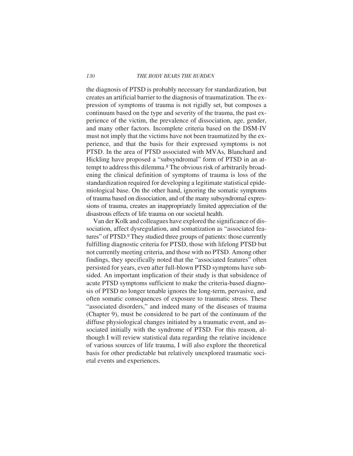the diagnosis of PTSD is probably necessary for standardization, but creates an artificial barrier to the diagnosis of traumatization. The expression of symptoms of trauma is not rigidly set, but composes a continuum based on the type and severity of the trauma, the past experience of the victim, the prevalence of dissociation, age, gender, and many other factors. Incomplete criteria based on the DSM-IV must not imply that the victims have not been traumatized by the experience, and that the basis for their expressed symptoms is not PTSD. In the area of PTSD associated with MVAs, Blanchard and Hickling have proposed a "subsyndromal" form of PTSD in an attempt to address this dilemma.8 The obvious risk of arbitrarily broadening the clinical definition of symptoms of trauma is loss of the standardization required for developing a legitimate statistical epidemiological base. On the other hand, ignoring the somatic symptoms of trauma based on dissociation, and of the many subsyndromal expressions of trauma, creates an inappropriately limited appreciation of the disastrous effects of life trauma on our societal health.

Van der Kolk and colleagues have explored the significance of dissociation, affect dysregulation, and somatization as "associated features" of PTSD.<sup>9</sup> They studied three groups of patients: those currently fulfilling diagnostic criteria for PTSD, those with lifelong PTSD but not currently meeting criteria, and those with no PTSD. Among other findings, they specifically noted that the "associated features" often persisted for years, even after full-blown PTSD symptoms have subsided. An important implication of their study is that subsidence of acute PTSD symptoms sufficient to make the criteria-based diagnosis of PTSD no longer tenable ignores the long-term, pervasive, and often somatic consequences of exposure to traumatic stress. These "associated disorders," and indeed many of the diseases of trauma (Chapter 9), must be considered to be part of the continuum of the diffuse physiological changes initiated by a traumatic event, and associated initially with the syndrome of PTSD. For this reason, although I will review statistical data regarding the relative incidence of various sources of life trauma, I will also explore the theoretical basis for other predictable but relatively unexplored traumatic societal events and experiences.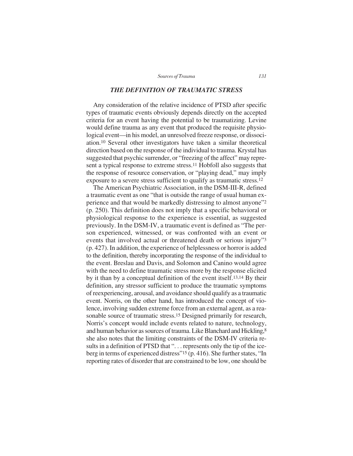# *THE DEFINITION OF TRAUMATIC STRESS*

Any consideration of the relative incidence of PTSD after specific types of traumatic events obviously depends directly on the accepted criteria for an event having the potential to be traumatizing. Levine would define trauma as any event that produced the requisite physiological event—in his model, an unresolved freeze response, or dissociation.10 Several other investigators have taken a similar theoretical direction based on the response of the individual to trauma. Krystal has suggested that psychic surrender, or "freezing of the affect" may represent a typical response to extreme stress.<sup>11</sup> Hobfoll also suggests that the response of resource conservation, or "playing dead," may imply exposure to a severe stress sufficient to qualify as traumatic stress.12

The American Psychiatric Association, in the DSM-III-R, defined a traumatic event as one "that is outside the range of usual human experience and that would be markedly distressing to almost anyone"2 (p. 250). This definition does not imply that a specific behavioral or physiological response to the experience is essential, as suggested previously. In the DSM-IV, a traumatic event is defined as "The person experienced, witnessed, or was confronted with an event or events that involved actual or threatened death or serious injury"3 (p. 427). In addition, the experience of helplessness or horror is added to the definition, thereby incorporating the response of the individual to the event. Breslau and Davis, and Solomon and Canino would agree with the need to define traumatic stress more by the response elicited by it than by a conceptual definition of the event itself.13,14 By their definition, any stressor sufficient to produce the traumatic symptoms of reexperiencing, arousal, and avoidance should qualify as a traumatic event. Norris, on the other hand, has introduced the concept of violence, involving sudden extreme force from an external agent, as a reasonable source of traumatic stress.<sup>15</sup> Designed primarily for research, Norris's concept would include events related to nature, technology, and human behavior as sources of trauma. Like Blanchard and Hickling, 8 she also notes that the limiting constraints of the DSM-IV criteria results in a definition of PTSD that "... represents only the tip of the iceberg in terms of experienced distress"<sup>15</sup> (p. 416). She further states, "In reporting rates of disorder that are constrained to be low, one should be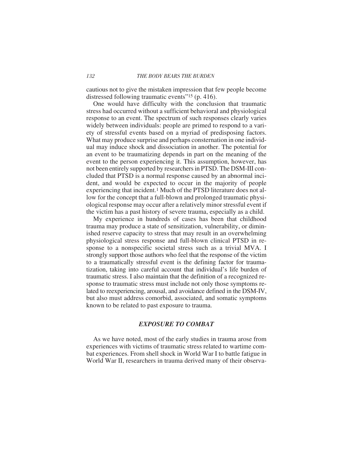cautious not to give the mistaken impression that few people become distressed following traumatic events"15 (p. 416).

One would have difficulty with the conclusion that traumatic stress had occurred without a sufficient behavioral and physiological response to an event. The spectrum of such responses clearly varies widely between individuals: people are primed to respond to a variety of stressful events based on a myriad of predisposing factors. What may produce surprise and perhaps consternation in one individual may induce shock and dissociation in another. The potential for an event to be traumatizing depends in part on the meaning of the event to the person experiencing it. This assumption, however, has not been entirely supported by researchers in PTSD. The DSM-III concluded that PTSD is a normal response caused by an abnormal incident, and would be expected to occur in the majority of people experiencing that incident.1 Much of the PTSD literature does not allow for the concept that a full-blown and prolonged traumatic physiological response may occur after a relatively minor stressful event if the victim has a past history of severe trauma, especially as a child.

My experience in hundreds of cases has been that childhood trauma may produce a state of sensitization, vulnerability, or diminished reserve capacity to stress that may result in an overwhelming physiological stress response and full-blown clinical PTSD in response to a nonspecific societal stress such as a trivial MVA. I strongly support those authors who feel that the response of the victim to a traumatically stressful event is the defining factor for traumatization, taking into careful account that individual's life burden of traumatic stress. I also maintain that the definition of a recognized response to traumatic stress must include not only those symptoms related to reexperiencing, arousal, and avoidance defined in the DSM-IV, but also must address comorbid, associated, and somatic symptoms known to be related to past exposure to trauma.

# *EXPOSURE TO COMBAT*

As we have noted, most of the early studies in trauma arose from experiences with victims of traumatic stress related to wartime combat experiences. From shell shock in World War I to battle fatigue in World War II, researchers in trauma derived many of their observa-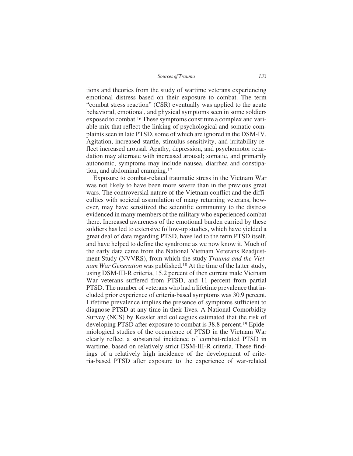tions and theories from the study of wartime veterans experiencing emotional distress based on their exposure to combat. The term "combat stress reaction" (CSR) eventually was applied to the acute behavioral, emotional, and physical symptoms seen in some soldiers exposed to combat.16 These symptoms constitute a complex and variable mix that reflect the linking of psychological and somatic complaints seen in late PTSD, some of which are ignored in the DSM-IV. Agitation, increased startle, stimulus sensitivity, and irritability reflect increased arousal. Apathy, depression, and psychomotor retardation may alternate with increased arousal; somatic, and primarily autonomic, symptoms may include nausea, diarrhea and constipation, and abdominal cramping.17

Exposure to combat-related traumatic stress in the Vietnam War was not likely to have been more severe than in the previous great wars. The controversial nature of the Vietnam conflict and the difficulties with societal assimilation of many returning veterans, however, may have sensitized the scientific community to the distress evidenced in many members of the military who experienced combat there. Increased awareness of the emotional burden carried by these soldiers has led to extensive follow-up studies, which have yielded a great deal of data regarding PTSD, have led to the term PTSD itself, and have helped to define the syndrome as we now know it. Much of the early data came from the National Vietnam Veterans Readjustment Study (NVVRS), from which the study *Trauma and the Vietnam War Generation* was published.18 At the time of the latter study, using DSM-III-R criteria, 15.2 percent of then current male Vietnam War veterans suffered from PTSD, and 11 percent from partial PTSD. The number of veterans who had a lifetime prevalence that included prior experience of criteria-based symptoms was 30.9 percent. Lifetime prevalence implies the presence of symptoms sufficient to diagnose PTSD at any time in their lives. A National Comorbidity Survey (NCS) by Kessler and colleagues estimated that the risk of developing PTSD after exposure to combat is 38.8 percent.19 Epidemiological studies of the occurrence of PTSD in the Vietnam War clearly reflect a substantial incidence of combat-related PTSD in wartime, based on relatively strict DSM-III-R criteria. These findings of a relatively high incidence of the development of criteria-based PTSD after exposure to the experience of war-related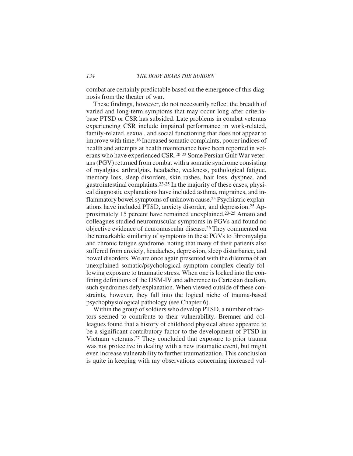combat are certainly predictable based on the emergence of this diagnosis from the theater of war.

These findings, however, do not necessarily reflect the breadth of varied and long-term symptoms that may occur long after criteriabase PTSD or CSR has subsided. Late problems in combat veterans experiencing CSR include impaired performance in work-related, family-related, sexual, and social functioning that does not appear to improve with time.16 Increased somatic complaints, poorer indices of health and attempts at health maintenance have been reported in veterans who have experienced CSR.20-22 Some Persian Gulf War veterans (PGV) returned from combat with a somatic syndrome consisting of myalgias, arthralgias, headache, weakness, pathological fatigue, memory loss, sleep disorders, skin rashes, hair loss, dyspnea, and gastrointestinal complaints.23-25 In the majority of these cases, physical diagnostic explanations have included asthma, migraines, and inflammatory bowel symptoms of unknown cause.25 Psychiatric explanations have included PTSD, anxiety disorder, and depression.25 Approximately 15 percent have remained unexplained.23-25 Amato and colleagues studied neuromuscular symptoms in PGVs and found no objective evidence of neuromuscular disease.26 They commented on the remarkable similarity of symptoms in these PGVs to fibromyalgia and chronic fatigue syndrome, noting that many of their patients also suffered from anxiety, headaches, depression, sleep disturbance, and bowel disorders. We are once again presented with the dilemma of an unexplained somatic/psychological symptom complex clearly following exposure to traumatic stress. When one is locked into the confining definitions of the DSM-IV and adherence to Cartesian dualism, such syndromes defy explanation. When viewed outside of these constraints, however, they fall into the logical niche of trauma-based psychophysiological pathology (see Chapter 6).

Within the group of soldiers who develop PTSD, a number of factors seemed to contribute to their vulnerability. Bremner and colleagues found that a history of childhood physical abuse appeared to be a significant contributory factor to the development of PTSD in Vietnam veterans.27 They concluded that exposure to prior trauma was not protective in dealing with a new traumatic event, but might even increase vulnerability to further traumatization. This conclusion is quite in keeping with my observations concerning increased vul-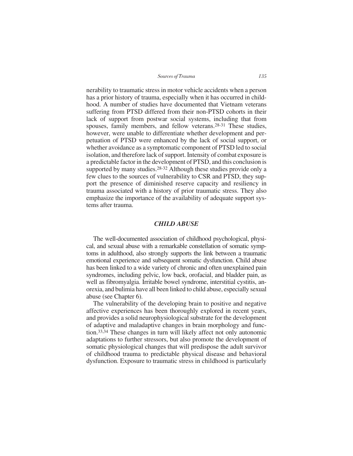nerability to traumatic stress in motor vehicle accidents when a person has a prior history of trauma, especially when it has occurred in childhood. A number of studies have documented that Vietnam veterans suffering from PTSD differed from their non-PTSD cohorts in their lack of support from postwar social systems, including that from spouses, family members, and fellow veterans.28-31 These studies, however, were unable to differentiate whether development and perpetuation of PTSD were enhanced by the lack of social support, or whether avoidance as a symptomatic component of PTSD led to social isolation, and therefore lack of support. Intensity of combat exposure is a predictable factor in the development of PTSD, and this conclusion is supported by many studies.<sup>28-32</sup> Although these studies provide only a few clues to the sources of vulnerability to CSR and PTSD, they support the presence of diminished reserve capacity and resiliency in trauma associated with a history of prior traumatic stress. They also emphasize the importance of the availability of adequate support systems after trauma.

#### *CHILD ABUSE*

The well-documented association of childhood psychological, physical, and sexual abuse with a remarkable constellation of somatic symptoms in adulthood, also strongly supports the link between a traumatic emotional experience and subsequent somatic dysfunction. Child abuse has been linked to a wide variety of chronic and often unexplained pain syndromes, including pelvic, low back, orofacial, and bladder pain, as well as fibromyalgia. Irritable bowel syndrome, interstitial cystitis, anorexia, and bulimia have all been linked to child abuse, especially sexual abuse (see Chapter 6).

The vulnerability of the developing brain to positive and negative affective experiences has been thoroughly explored in recent years, and provides a solid neurophysiological substrate for the development of adaptive and maladaptive changes in brain morphology and function.33,34 These changes in turn will likely affect not only autonomic adaptations to further stressors, but also promote the development of somatic physiological changes that will predispose the adult survivor of childhood trauma to predictable physical disease and behavioral dysfunction. Exposure to traumatic stress in childhood is particularly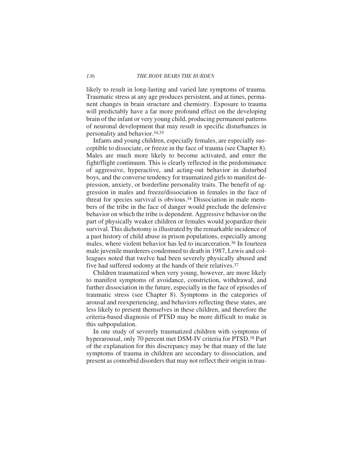likely to result in long-lasting and varied late symptoms of trauma. Traumatic stress at any age produces persistent, and at times, permanent changes in brain structure and chemistry. Exposure to trauma will predictably have a far more profound effect on the developing brain of the infant or very young child, producing permanent patterns of neuronal development that may result in specific disturbances in personality and behavior.34,35

Infants and young children, especially females, are especially susceptible to dissociate, or freeze in the face of trauma (see Chapter 8). Males are much more likely to become activated, and enter the fight/flight continuum. This is clearly reflected in the predominance of aggressive, hyperactive, and acting-out behavior in disturbed boys, and the converse tendency for traumatized girls to manifest depression, anxiety, or borderline personality traits. The benefit of aggression in males and freeze/dissociation in females in the face of threat for species survival is obvious.34 Dissociation in male members of the tribe in the face of danger would preclude the defensive behavior on which the tribe is dependent. Aggressive behavior on the part of physically weaker children or females would jeopardize their survival. This dichotomy is illustrated by the remarkable incidence of a past history of child abuse in prison populations, especially among males, where violent behavior has led to incarceration.36 In fourteen male juvenile murderers condemned to death in 1987, Lewis and colleagues noted that twelve had been severely physically abused and five had suffered sodomy at the hands of their relatives.37

Children traumatized when very young, however, are more likely to manifest symptoms of avoidance, constriction, withdrawal, and further dissociation in the future, especially in the face of episodes of traumatic stress (see Chapter 8). Symptoms in the categories of arousal and reexperiencing, and behaviors reflecting these states, are less likely to present themselves in these children, and therefore the criteria-based diagnosis of PTSD may be more difficult to make in this subpopulation.

In one study of severely traumatized children with symptoms of hyperarousal, only 70 percent met DSM-IV criteria for PTSD.38 Part of the explanation for this discrepancy may be that many of the late symptoms of trauma in children are secondary to dissociation, and present as comorbid disorders that may not reflect their origin in trau-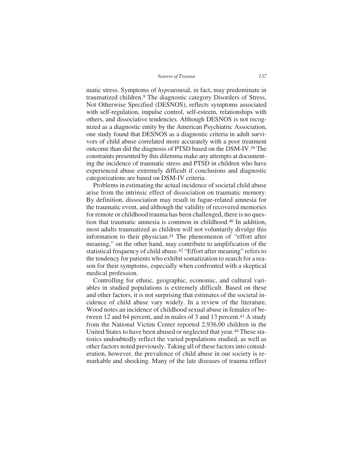matic stress. Symptoms of *hypo*arousal, in fact, may predominate in traumatized children.9 The diagnostic category Disorders of Stress, Not Otherwise Specified (DESNOS), reflects symptoms associated with self-regulation, impulse control, self-esteem, relationships with others, and dissociative tendencies. Although DESNOS is not recognized as a diagnostic entity by the American Psychiatric Association, one study found that DESNOS as a diagnostic criteria in adult survivors of child abuse correlated more accurately with a poor treatment outcome than did the diagnosis of PTSD based on the DSM-IV.39 The constraints presented by this dilemma make any attempts at documenting the incidence of traumatic stress and PTSD in children who have experienced abuse extremely difficult if conclusions and diagnostic categorizations are based on DSM-IV criteria.

Problems in estimating the actual incidence of societal child abuse arise from the intrinsic effect of dissociation on traumatic memory. By definition, dissociation may result in fugue-related amnesia for the traumatic event, and although the validity of recovered memories for remote or childhood trauma has been challenged, there is no question that traumatic amnesia is common in childhood.40 In addition, most adults traumatized as children will not voluntarily divulge this information to their physician.41 The phenomenon of "effort after meaning," on the other hand, may contribute to amplification of the statistical frequency of child abuse.42 "Effort after meaning" refers to the tendency for patients who exhibit somatization to search for a reason for their symptoms, especially when confronted with a skeptical medical profession.

Controlling for ethnic, geographic, economic, and cultural variables in studied populations is extremely difficult. Based on these and other factors, it is not surprising that estimates of the societal incidence of child abuse vary widely. In a review of the literature, Wood notes an incidence of childhood sexual abuse in females of between 12 and 64 percent, and in males of 3 and 13 percent.<sup>43</sup> A study from the National Victim Center reported 2,936,00 children in the United States to have been abused or neglected that year.44 These statistics undoubtedly reflect the varied populations studied, as well as other factors noted previously. Taking all of these factors into consideration, however, the prevalence of child abuse in our society is remarkable and shocking. Many of the late diseases of trauma reflect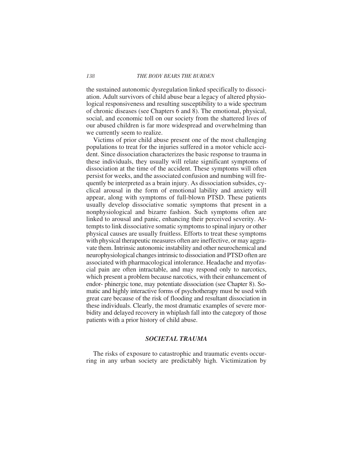the sustained autonomic dysregulation linked specifically to dissociation. Adult survivors of child abuse bear a legacy of altered physiological responsiveness and resulting susceptibility to a wide spectrum of chronic diseases (see Chapters 6 and 8). The emotional, physical, social, and economic toll on our society from the shattered lives of our abused children is far more widespread and overwhelming than we currently seem to realize.

Victims of prior child abuse present one of the most challenging populations to treat for the injuries suffered in a motor vehicle accident. Since dissociation characterizes the basic response to trauma in these individuals, they usually will relate significant symptoms of dissociation at the time of the accident. These symptoms will often persist for weeks, and the associated confusion and numbing will frequently be interpreted as a brain injury. As dissociation subsides, cyclical arousal in the form of emotional lability and anxiety will appear, along with symptoms of full-blown PTSD. These patients usually develop dissociative somatic symptoms that present in a nonphysiological and bizarre fashion. Such symptoms often are linked to arousal and panic, enhancing their perceived severity. Attempts to link dissociative somatic symptoms to spinal injury or other physical causes are usually fruitless. Efforts to treat these symptoms with physical therapeutic measures often are ineffective, or may aggravate them. Intrinsic autonomic instability and other neurochemical and neurophysiological changes intrinsic to dissociation and PTSD often are associated with pharmacological intolerance. Headache and myofascial pain are often intractable, and may respond only to narcotics, which present a problem because narcotics, with their enhancement of endor- phinergic tone, may potentiate dissociation (see Chapter 8). Somatic and highly interactive forms of psychotherapy must be used with great care because of the risk of flooding and resultant dissociation in these individuals. Clearly, the most dramatic examples of severe morbidity and delayed recovery in whiplash fall into the category of those patients with a prior history of child abuse.

#### *SOCIETAL TRAUMA*

The risks of exposure to catastrophic and traumatic events occurring in any urban society are predictably high. Victimization by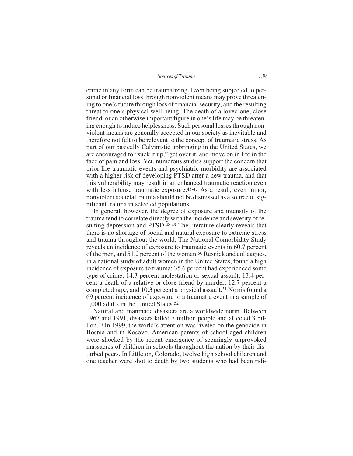crime in any form can be traumatizing. Even being subjected to personal or financial loss through nonviolent means may prove threatening to one's future through loss of financial security, and the resulting threat to one's physical well-being. The death of a loved one, close friend, or an otherwise important figure in one's life may be threatening enough to induce helplessness. Such personal losses through nonviolent means are generally accepted in our society as inevitable and therefore not felt to be relevant to the concept of traumatic stress. As part of our basically Calvinistic upbringing in the United States, we are encouraged to "suck it up," get over it, and move on in life in the face of pain and loss. Yet, numerous studies support the concern that prior life traumatic events and psychiatric morbidity are associated with a higher risk of developing PTSD after a new trauma, and that this vulnerability may result in an enhanced traumatic reaction even with less intense traumatic exposure.<sup>45-47</sup> As a result, even minor, nonviolent societal trauma should not be dismissed as a source of significant trauma in selected populations.

In general, however, the degree of exposure and intensity of the trauma tend to correlate directly with the incidence and severity of resulting depression and PTSD.<sup>48,49</sup> The literature clearly reveals that there is no shortage of social and natural exposure to extreme stress and trauma throughout the world. The National Comorbidity Study reveals an incidence of exposure to traumatic events in 60.7 percent of the men, and 51.2 percent of the women.50 Resnick and colleagues, in a national study of adult women in the United States, found a high incidence of exposure to trauma: 35.6 percent had experienced some type of crime, 14.3 percent molestation or sexual assault, 13.4 percent a death of a relative or close friend by murder, 12.7 percent a completed rape, and 10.3 percent a physical assault.<sup>51</sup> Norris found a 69 percent incidence of exposure to a traumatic event in a sample of 1,000 adults in the United States.52

Natural and manmade disasters are a worldwide norm. Between 1967 and 1991, disasters killed 7 million people and affected 3 billion.53 In 1999, the world's attention was riveted on the genocide in Bosnia and in Kosovo. American parents of school-aged children were shocked by the recent emergence of seemingly unprovoked massacres of children in schools throughout the nation by their disturbed peers. In Littleton, Colorado, twelve high school children and one teacher were shot to death by two students who had been ridi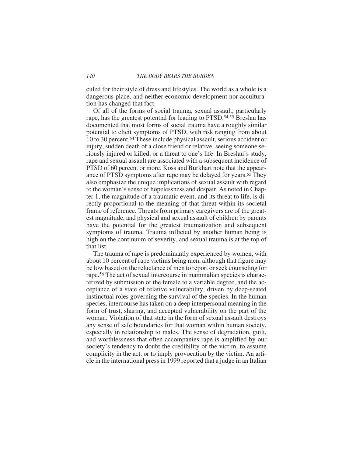culed for their style of dress and lifestyles. The world as a whole is a dangerous place, and neither economic development nor acculturation has changed that fact.

Of all of the forms of social trauma, sexual assault, particularly rape, has the greatest potential for leading to PTSD.54,55 Breslau has documented that most forms of social trauma have a roughly similar potential to elicit symptoms of PTSD, with risk ranging from about 10 to 30 percent.54 These include physical assault, serious accident or injury, sudden death of a close friend or relative, seeing someone seriously injured or killed, or a threat to one's life. In Breslau's study, rape and sexual assault are associated with a subsequent incidence of PTSD of 60 percent or more. Koss and Burkhart note that the appearance of PTSD symptoms after rape may be delayed for years.<sup>55</sup> They also emphasize the unique implications of sexual assault with regard to the woman's sense of hopelessness and despair. As noted in Chapter 1, the magnitude of a traumatic event, and its threat to life, is directly proportional to the meaning of that threat within its societal frame of reference. Threats from primary caregivers are of the greatest magnitude, and physical and sexual assault of children by parents have the potential for the greatest traumatization and subsequent symptoms of trauma. Trauma inflicted by another human being is high on the continuum of severity, and sexual trauma is at the top of that list.

The trauma of rape is predominantly experienced by women, with about 10 percent of rape victims being men, although that figure may be low based on the reluctance of men to report or seek counseling for rape.56 The act of sexual intercourse in mammalian species is characterized by submission of the female to a variable degree, and the acceptance of a state of relative vulnerability, driven by deep-seated instinctual roles governing the survival of the species. In the human species, intercourse has taken on a deep interpersonal meaning in the form of trust, sharing, and accepted vulnerability on the part of the woman. Violation of that state in the form of sexual assault destroys any sense of safe boundaries for that woman within human society, especially in relationship to males. The sense of degradation, guilt, and worthlessness that often accompanies rape is amplified by our society's tendency to doubt the credibility of the victim, to assume complicity in the act, or to imply provocation by the victim. An article in the international press in 1999 reported that a judge in an Italian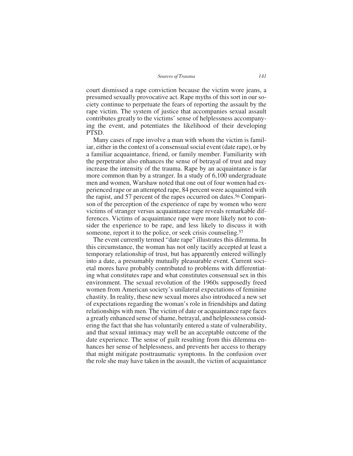court dismissed a rape conviction because the victim wore jeans, a presumed sexually provocative act. Rape myths of this sort in our society continue to perpetuate the fears of reporting the assault by the rape victim. The system of justice that accompanies sexual assault contributes greatly to the victims' sense of helplessness accompanying the event, and potentiates the likelihood of their developing PTSD.

Many cases of rape involve a man with whom the victim is familiar, either in the context of a consensual social event (date rape), or by a familiar acquaintance, friend, or family member. Familiarity with the perpetrator also enhances the sense of betrayal of trust and may increase the intensity of the trauma. Rape by an acquaintance is far more common than by a stranger. In a study of 6,100 undergraduate men and women, Warshaw noted that one out of four women had experienced rape or an attempted rape, 84 percent were acquainted with the rapist, and 57 percent of the rapes occurred on dates.56 Comparison of the perception of the experience of rape by women who were victims of stranger versus acquaintance rape reveals remarkable differences. Victims of acquaintance rape were more likely not to consider the experience to be rape, and less likely to discuss it with someone, report it to the police, or seek crisis counseling.<sup>57</sup>

The event currently termed "date rape" illustrates this dilemma. In this circumstance, the woman has not only tacitly accepted at least a temporary relationship of trust, but has apparently entered willingly into a date, a presumably mutually pleasurable event. Current societal mores have probably contributed to problems with differentiating what constitutes rape and what constitutes consensual sex in this environment. The sexual revolution of the 1960s supposedly freed women from American society's unilateral expectations of feminine chastity. In reality, these new sexual mores also introduced a new set of expectations regarding the woman's role in friendships and dating relationships with men. The victim of date or acquaintance rape faces a greatly enhanced sense of shame, betrayal, and helplessness considering the fact that she has voluntarily entered a state of vulnerability, and that sexual intimacy may well be an acceptable outcome of the date experience. The sense of guilt resulting from this dilemma enhances her sense of helplessness, and prevents her access to therapy that might mitigate posttraumatic symptoms. In the confusion over the role she may have taken in the assault, the victim of acquaintance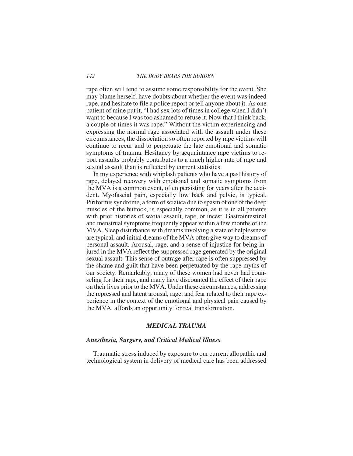rape often will tend to assume some responsibility for the event. She may blame herself, have doubts about whether the event was indeed rape, and hesitate to file a police report or tell anyone about it. As one patient of mine put it, "I had sex lots of times in college when I didn't want to because I was too ashamed to refuse it. Now that I think back, a couple of times it was rape." Without the victim experiencing and expressing the normal rage associated with the assault under these circumstances, the dissociation so often reported by rape victims will continue to recur and to perpetuate the late emotional and somatic symptoms of trauma. Hesitancy by acquaintance rape victims to report assaults probably contributes to a much higher rate of rape and sexual assault than is reflected by current statistics.

In my experience with whiplash patients who have a past history of rape, delayed recovery with emotional and somatic symptoms from the MVA is a common event, often persisting for years after the accident. Myofascial pain, especially low back and pelvic, is typical. Piriformis syndrome, a form of sciatica due to spasm of one of the deep muscles of the buttock, is especially common, as it is in all patients with prior histories of sexual assault, rape, or incest. Gastrointestinal and menstrual symptoms frequently appear within a few months of the MVA. Sleep disturbance with dreams involving a state of helplessness are typical, and initial dreams of the MVA often give way to dreams of personal assault. Arousal, rage, and a sense of injustice for being injured in the MVA reflect the suppressed rage generated by the original sexual assault. This sense of outrage after rape is often suppressed by the shame and guilt that have been perpetuated by the rape myths of our society. Remarkably, many of these women had never had counseling for their rape, and many have discounted the effect of their rape on their lives prior to the MVA. Under these circumstances, addressing the repressed and latent arousal, rage, and fear related to their rape experience in the context of the emotional and physical pain caused by the MVA, affords an opportunity for real transformation.

# *MEDICAL TRAUMA*

# *Anesthesia, Surgery, and Critical Medical Illness*

Traumatic stress induced by exposure to our current allopathic and technological system in delivery of medical care has been addressed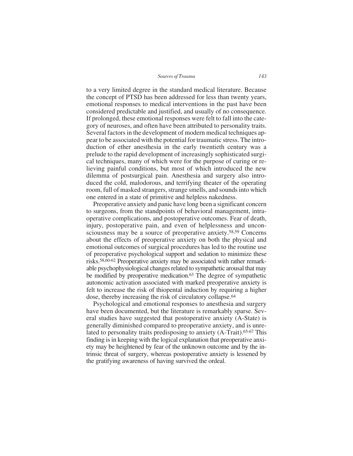to a very limited degree in the standard medical literature. Because the concept of PTSD has been addressed for less than twenty years, emotional responses to medical interventions in the past have been considered predictable and justified, and usually of no consequence. If prolonged, these emotional responses were felt to fall into the category of neuroses, and often have been attributed to personality traits. Several factors in the development of modern medical techniques appear to be associated with the potential for traumatic stress. The introduction of ether anesthesia in the early twentieth century was a prelude to the rapid development of increasingly sophisticated surgical techniques, many of which were for the purpose of curing or relieving painful conditions, but most of which introduced the new dilemma of postsurgical pain. Anesthesia and surgery also introduced the cold, malodorous, and terrifying theater of the operating room, full of masked strangers, strange smells, and sounds into which one entered in a state of primitive and helpless nakedness.

Preoperative anxiety and panic have long been a significant concern to surgeons, from the standpoints of behavioral management, intraoperative complications, and postoperative outcomes. Fear of death, injury, postoperative pain, and even of helplessness and unconsciousness may be a source of preoperative anxiety.58,59 Concerns about the effects of preoperative anxiety on both the physical and emotional outcomes of surgical procedures has led to the routine use of preoperative psychological support and sedation to minimize these risks.58,60-62 Preoperative anxiety may be associated with rather remarkable psychophysiological changes related to sympathetic arousal that may be modified by preoperative medication.<sup>63</sup> The degree of sympathetic autonomic activation associated with marked preoperative anxiety is felt to increase the risk of thiopental induction by requiring a higher dose, thereby increasing the risk of circulatory collapse.64

Psychological and emotional responses to anesthesia and surgery have been documented, but the literature is remarkably sparse. Several studies have suggested that postoperative anxiety (A-State) is generally diminished compared to preoperative anxiety, and is unrelated to personality traits predisposing to anxiety (A-Trait).<sup>65-67</sup> This finding is in keeping with the logical explanation that preoperative anxiety may be heightened by fear of the unknown outcome and by the intrinsic threat of surgery, whereas postoperative anxiety is lessened by the gratifying awareness of having survived the ordeal.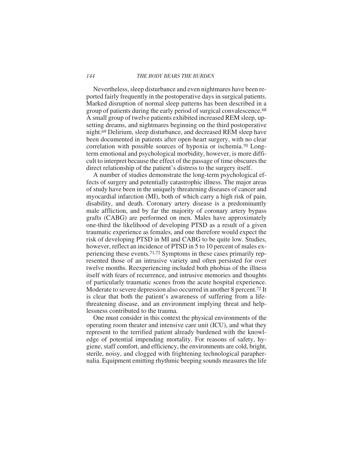Nevertheless, sleep disturbance and even nightmares have been reported fairly frequently in the postoperative days in surgical patients. Marked disruption of normal sleep patterns has been described in a group of patients during the early period of surgical convalescence.<sup>68</sup> A small group of twelve patients exhibited increased REM sleep, upsetting dreams, and nightmares beginning on the third postoperative night.69 Delirium, sleep disturbance, and decreased REM sleep have been documented in patients after open-heart surgery, with no clear correlation with possible sources of hypoxia or ischemia.70 Longterm emotional and psychological morbidity, however, is more difficult to interpret because the effect of the passage of time obscures the direct relationship of the patient's distress to the surgery itself.

A number of studies demonstrate the long-term psychological effects of surgery and potentially catastrophic illness. The major areas of study have been in the uniquely threatening diseases of cancer and myocardial infarction (MI), both of which carry a high risk of pain, disability, and death. Coronary artery disease is a predominantly male affliction, and by far the majority of coronary artery bypass grafts (CABG) are performed on men. Males have approximately one-third the likelihood of developing PTSD as a result of a given traumatic experience as females, and one therefore would expect the risk of developing PTSD in MI and CABG to be quite low. Studies, however, reflect an incidence of PTSD in 5 to 10 percent of males experiencing these events.71,72 Symptoms in these cases primarily represented those of an intrusive variety and often persisted for over twelve months. Reexperiencing included both phobias of the illness itself with fears of recurrence, and intrusive memories and thoughts of particularly traumatic scenes from the acute hospital experience. Moderate to severe depression also occurred in another 8 percent.72 It is clear that both the patient's awareness of suffering from a lifethreatening disease, and an environment implying threat and helplessness contributed to the trauma.

One must consider in this context the physical environments of the operating room theater and intensive care unit (ICU), and what they represent to the terrified patient already burdened with the knowledge of potential impending mortality. For reasons of safety, hygiene, staff comfort, and efficiency, the environments are cold, bright, sterile, noisy, and clogged with frightening technological paraphernalia. Equipment emitting rhythmic beeping sounds measures the life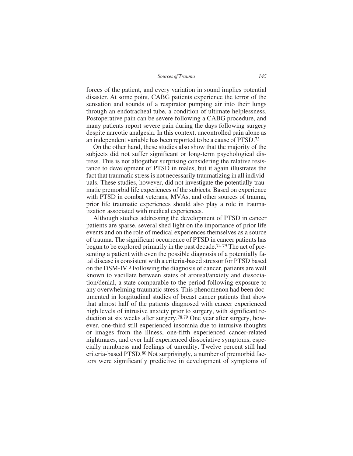forces of the patient, and every variation in sound implies potential disaster. At some point, CABG patients experience the terror of the sensation and sounds of a respirator pumping air into their lungs through an endotracheal tube, a condition of ultimate helplessness. Postoperative pain can be severe following a CABG procedure, and many patients report severe pain during the days following surgery despite narcotic analgesia. In this context, uncontrolled pain alone as an independent variable has been reported to be a cause of PTSD.73

On the other hand, these studies also show that the majority of the subjects did not suffer significant or long-term psychological distress. This is not altogether surprising considering the relative resistance to development of PTSD in males, but it again illustrates the fact that traumatic stress is not necessarily traumatizing in all individuals. These studies, however, did not investigate the potentially traumatic premorbid life experiences of the subjects. Based on experience with PTSD in combat veterans, MVAs, and other sources of trauma, prior life traumatic experiences should also play a role in traumatization associated with medical experiences.

Although studies addressing the development of PTSD in cancer patients are sparse, several shed light on the importance of prior life events and on the role of medical experiences themselves as a source of trauma. The significant occurrence of PTSD in cancer patients has begun to be explored primarily in the past decade.74-79 The act of presenting a patient with even the possible diagnosis of a potentially fatal disease is consistent with a criteria-based stressor for PTSD based on the DSM-IV.3 Following the diagnosis of cancer, patients are well known to vacillate between states of arousal/anxiety and dissociation/denial, a state comparable to the period following exposure to any overwhelming traumatic stress. This phenomenon had been documented in longitudinal studies of breast cancer patients that show that almost half of the patients diagnosed with cancer experienced high levels of intrusive anxiety prior to surgery, with significant reduction at six weeks after surgery.78,79 One year after surgery, however, one-third still experienced insomnia due to intrusive thoughts or images from the illness, one-fifth experienced cancer-related nightmares, and over half experienced dissociative symptoms, especially numbness and feelings of unreality. Twelve percent still had criteria-based PTSD.80 Not surprisingly, a number of premorbid factors were significantly predictive in development of symptoms of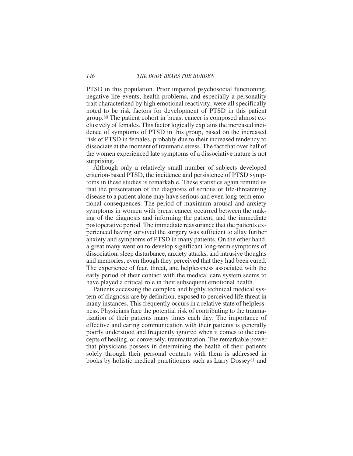PTSD in this population. Prior impaired psychosocial functioning, negative life events, health problems, and especially a personality trait characterized by high emotional reactivity, were all specifically noted to be risk factors for development of PTSD in this patient group.80 The patient cohort in breast cancer is composed almost exclusively of females. This factor logically explains the increased incidence of symptoms of PTSD in this group, based on the increased risk of PTSD in females, probably due to their increased tendency to dissociate at the moment of traumatic stress. The fact that over half of the women experienced late symptoms of a dissociative nature is not surprising.

Although only a relatively small number of subjects developed criterion-based PTSD, the incidence and persistence of PTSD symptoms in these studies is remarkable. These statistics again remind us that the presentation of the diagnosis of serious or life-threatening disease to a patient alone may have serious and even long-term emotional consequences. The period of maximum arousal and anxiety symptoms in women with breast cancer occurred between the making of the diagnosis and informing the patient, and the immediate postoperative period. The immediate reassurance that the patients experienced having survived the surgery was sufficient to allay further anxiety and symptoms of PTSD in many patients. On the other hand, a great many went on to develop significant long-term symptoms of dissociation, sleep disturbance, anxiety attacks, and intrusive thoughts and memories, even though they perceived that they had been cured. The experience of fear, threat, and helplessness associated with the early period of their contact with the medical care system seems to have played a critical role in their subsequent emotional health.

Patients accessing the complex and highly technical medical system of diagnosis are by definition, exposed to perceived life threat in many instances. This frequently occurs in a relative state of helplessness. Physicians face the potential risk of contributing to the traumatization of their patients many times each day. The importance of effective and caring communication with their patients is generally poorly understood and frequently ignored when it comes to the concepts of healing, or conversely, traumatization. The remarkable power that physicians possess in determining the health of their patients solely through their personal contacts with them is addressed in books by holistic medical practitioners such as Larry Dossey81 and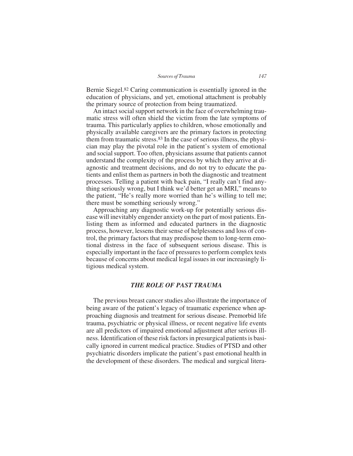Bernie Siegel.82 Caring communication is essentially ignored in the education of physicians, and yet, emotional attachment is probably the primary source of protection from being traumatized.

An intact social support network in the face of overwhelming traumatic stress will often shield the victim from the late symptoms of trauma. This particularly applies to children, whose emotionally and physically available caregivers are the primary factors in protecting them from traumatic stress.83 In the case of serious illness, the physician may play the pivotal role in the patient's system of emotional and social support. Too often, physicians assume that patients cannot understand the complexity of the process by which they arrive at diagnostic and treatment decisions, and do not try to educate the patients and enlist them as partners in both the diagnostic and treatment processes. Telling a patient with back pain, "I really can't find anything seriously wrong, but I think we'd better get an MRI," means to the patient, "He's really more worried than he's willing to tell me; there must be something seriously wrong."

Approaching any diagnostic work-up for potentially serious disease will inevitably engender anxiety on the part of most patients. Enlisting them as informed and educated partners in the diagnostic process, however, lessens their sense of helplessness and loss of control, the primary factors that may predispose them to long-term emotional distress in the face of subsequent serious disease. This is especially important in the face of pressures to perform complex tests because of concerns about medical legal issues in our increasingly litigious medical system.

# *THE ROLE OF PAST TRAUMA*

The previous breast cancer studies also illustrate the importance of being aware of the patient's legacy of traumatic experience when approaching diagnosis and treatment for serious disease. Premorbid life trauma, psychiatric or physical illness, or recent negative life events are all predictors of impaired emotional adjustment after serious illness. Identification of these risk factors in presurgical patients is basically ignored in current medical practice. Studies of PTSD and other psychiatric disorders implicate the patient's past emotional health in the development of these disorders. The medical and surgical litera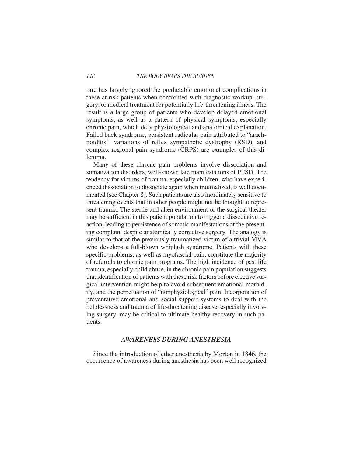ture has largely ignored the predictable emotional complications in these at-risk patients when confronted with diagnostic workup, surgery, or medical treatment for potentially life-threatening illness. The result is a large group of patients who develop delayed emotional symptoms, as well as a pattern of physical symptoms, especially chronic pain, which defy physiological and anatomical explanation. Failed back syndrome, persistent radicular pain attributed to "arachnoiditis," variations of reflex sympathetic dystrophy (RSD), and complex regional pain syndrome (CRPS) are examples of this dilemma.

Many of these chronic pain problems involve dissociation and somatization disorders, well-known late manifestations of PTSD. The tendency for victims of trauma, especially children, who have experienced dissociation to dissociate again when traumatized, is well documented (see Chapter 8). Such patients are also inordinately sensitive to threatening events that in other people might not be thought to represent trauma. The sterile and alien environment of the surgical theater may be sufficient in this patient population to trigger a dissociative reaction, leading to persistence of somatic manifestations of the presenting complaint despite anatomically corrective surgery. The analogy is similar to that of the previously traumatized victim of a trivial MVA who develops a full-blown whiplash syndrome. Patients with these specific problems, as well as myofascial pain, constitute the majority of referrals to chronic pain programs. The high incidence of past life trauma, especially child abuse, in the chronic pain population suggests that identification of patients with these risk factors before elective surgical intervention might help to avoid subsequent emotional morbidity, and the perpetuation of "nonphysiological" pain. Incorporation of preventative emotional and social support systems to deal with the helplessness and trauma of life-threatening disease, especially involving surgery, may be critical to ultimate healthy recovery in such patients.

#### *AWARENESS DURING ANESTHESIA*

Since the introduction of ether anesthesia by Morton in 1846, the occurrence of awareness during anesthesia has been well recognized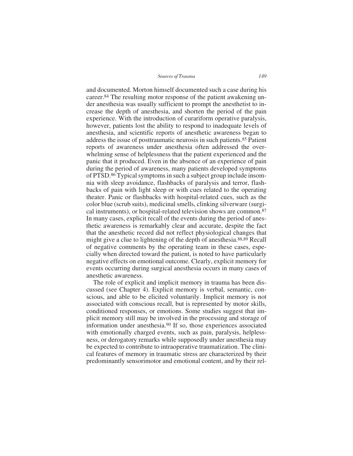and documented. Morton himself documented such a case during his career.84 The resulting motor response of the patient awakening under anesthesia was usually sufficient to prompt the anesthetist to increase the depth of anesthesia, and shorten the period of the pain experience. With the introduction of curariform operative paralysis, however, patients lost the ability to respond to inadequate levels of anesthesia, and scientific reports of anesthetic awareness began to address the issue of posttraumatic neurosis in such patients.85 Patient reports of awareness under anesthesia often addressed the overwhelming sense of helplessness that the patient experienced and the panic that it produced. Even in the absence of an experience of pain during the period of awareness, many patients developed symptoms of PTSD.86 Typical symptoms in such a subject group include insomnia with sleep avoidance, flashbacks of paralysis and terror, flashbacks of pain with light sleep or with cues related to the operating theater. Panic or flashbacks with hospital-related cues, such as the color blue (scrub suits), medicinal smells, clinking silverware (surgical instruments), or hospital-related television shows are common.87 In many cases, explicit recall of the events during the period of anesthetic awareness is remarkably clear and accurate, despite the fact that the anesthetic record did not reflect physiological changes that might give a clue to lightening of the depth of anesthesia.88,89 Recall of negative comments by the operating team in these cases, especially when directed toward the patient, is noted to have particularly negative effects on emotional outcome. Clearly, explicit memory for events occurring during surgical anesthesia occurs in many cases of anesthetic awareness.

The role of explicit and implicit memory in trauma has been discussed (see Chapter 4). Explicit memory is verbal, semantic, conscious, and able to be elicited voluntarily. Implicit memory is not associated with conscious recall, but is represented by motor skills, conditioned responses, or emotions. Some studies suggest that implicit memory still may be involved in the processing and storage of information under anesthesia.90 If so, those experiences associated with emotionally charged events, such as pain, paralysis, helplessness, or derogatory remarks while supposedly under anesthesia may be expected to contribute to intraoperative traumatization. The clinical features of memory in traumatic stress are characterized by their predominantly sensorimotor and emotional content, and by their rel-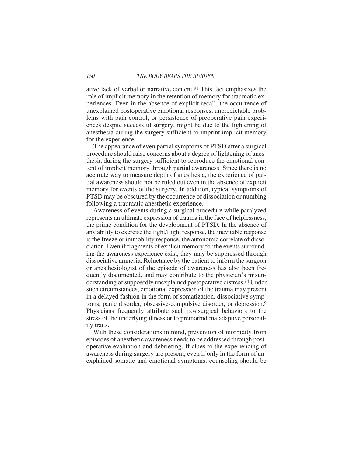ative lack of verbal or narrative content.91 This fact emphasizes the role of implicit memory in the retention of memory for traumatic experiences. Even in the absence of explicit recall, the occurrence of unexplained postoperative emotional responses, unpredictable problems with pain control, or persistence of preoperative pain experiences despite successful surgery, might be due to the lightening of anesthesia during the surgery sufficient to imprint implicit memory for the experience.

The appearance of even partial symptoms of PTSD after a surgical procedure should raise concerns about a degree of lightening of anesthesia during the surgery sufficient to reproduce the emotional content of implicit memory through partial awareness. Since there is no accurate way to measure depth of anesthesia, the experience of partial awareness should not be ruled out even in the absence of explicit memory for events of the surgery. In addition, typical symptoms of PTSD may be obscured by the occurrence of dissociation or numbing following a traumatic anesthetic experience.

Awareness of events during a surgical procedure while paralyzed represents an ultimate expression of trauma in the face of helplessness, the prime condition for the development of PTSD. In the absence of any ability to exercise the fight/flight response, the inevitable response is the freeze or immobility response, the autonomic correlate of dissociation. Even if fragments of explicit memory for the events surrounding the awareness experience exist, they may be suppressed through dissociative amnesia. Reluctance by the patient to inform the surgeon or anesthesiologist of the episode of awareness has also been frequently documented, and may contribute to the physician's misunderstanding of supposedly unexplained postoperative distress.<sup>84</sup> Under such circumstances, emotional expression of the trauma may present in a delayed fashion in the form of somatization, dissociative symptoms, panic disorder, obsessive-compulsive disorder, or depression.9 Physicians frequently attribute such postsurgical behaviors to the stress of the underlying illness or to premorbid maladaptive personality traits.

With these considerations in mind, prevention of morbidity from episodes of anesthetic awareness needs to be addressed through postoperative evaluation and debriefing. If clues to the experiencing of awareness during surgery are present, even if only in the form of unexplained somatic and emotional symptoms, counseling should be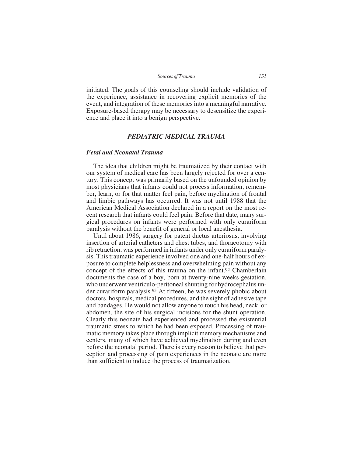initiated. The goals of this counseling should include validation of the experience, assistance in recovering explicit memories of the event, and integration of these memories into a meaningful narrative. Exposure-based therapy may be necessary to desensitize the experience and place it into a benign perspective.

#### *PEDIATRIC MEDICAL TRAUMA*

### *Fetal and Neonatal Trauma*

The idea that children might be traumatized by their contact with our system of medical care has been largely rejected for over a century. This concept was primarily based on the unfounded opinion by most physicians that infants could not process information, remember, learn, or for that matter feel pain, before myelination of frontal and limbic pathways has occurred. It was not until 1988 that the American Medical Association declared in a report on the most recent research that infants could feel pain. Before that date, many surgical procedures on infants were performed with only curariform paralysis without the benefit of general or local anesthesia.

Until about 1986, surgery for patent ductus arteriosus, involving insertion of arterial catheters and chest tubes, and thoracotomy with rib retraction, was performed in infants under only curariform paralysis. This traumatic experience involved one and one-half hours of exposure to complete helplessness and overwhelming pain without any concept of the effects of this trauma on the infant.92 Chamberlain documents the case of a boy, born at twenty-nine weeks gestation, who underwent ventriculo-peritoneal shunting for hydrocephalus under curariform paralysis.93 At fifteen, he was severely phobic about doctors, hospitals, medical procedures, and the sight of adhesive tape and bandages. He would not allow anyone to touch his head, neck, or abdomen, the site of his surgical incisions for the shunt operation. Clearly this neonate had experienced and processed the existential traumatic stress to which he had been exposed. Processing of traumatic memory takes place through implicit memory mechanisms and centers, many of which have achieved myelination during and even before the neonatal period. There is every reason to believe that perception and processing of pain experiences in the neonate are more than sufficient to induce the process of traumatization.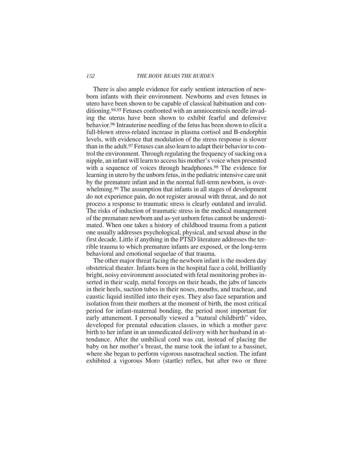There is also ample evidence for early sentient interaction of newborn infants with their environment. Newborns and even fetuses in utero have been shown to be capable of classical habituation and conditioning.94,95 Fetuses confronted with an amniocentesis needle invading the uterus have been shown to exhibit fearful and defensive behavior.96 Intrauterine needling of the fetus has been shown to elicit a full-blown stress-related increase in plasma cortisol and B-endorphin levels, with evidence that modulation of the stress response is slower than in the adult.97 Fetuses can also learn to adapt their behavior to control the environment. Through regulating the frequency of sucking on a nipple, an infant will learn to access his mother's voice when presented with a sequence of voices through headphones.<sup>98</sup> The evidence for learning in utero by the unborn fetus, in the pediatric intensive care unit by the premature infant and in the normal full-term newborn, is overwhelming.<sup>99</sup> The assumption that infants in all stages of development do not experience pain, do not register arousal with threat, and do not process a response to traumatic stress is clearly outdated and invalid. The risks of induction of traumatic stress in the medical management of the premature newborn and as-yet unborn fetus cannot be underestimated. When one takes a history of childhood trauma from a patient one usually addresses psychological, physical, and sexual abuse in the first decade. Little if anything in the PTSD literature addresses the terrible trauma to which premature infants are exposed, or the long-term behavioral and emotional sequelae of that trauma.

The other major threat facing the newborn infant is the modern day obstetrical theater. Infants born in the hospital face a cold, brilliantly bright, noisy environment associated with fetal monitoring probes inserted in their scalp, metal forceps on their heads, the jabs of lancets in their heels, suction tubes in their noses, mouths, and tracheae, and caustic liquid instilled into their eyes. They also face separation and isolation from their mothers at the moment of birth, the most critical period for infant-maternal bonding, the period most important for early attunement. I personally viewed a "natural childbirth" video, developed for prenatal education classes, in which a mother gave birth to her infant in an unmedicated delivery with her husband in attendance. After the umbilical cord was cut, instead of placing the baby on her mother's breast, the nurse took the infant to a bassinet, where she began to perform vigorous nasotracheal suction. The infant exhibited a vigorous Moro (startle) reflex, but after two or three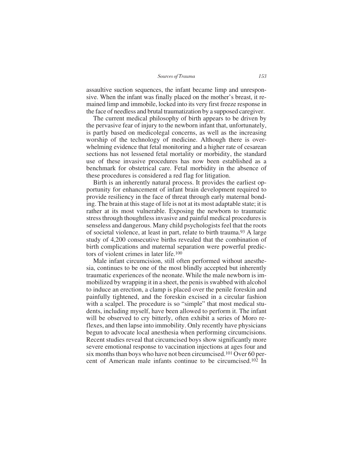assaultive suction sequences, the infant became limp and unresponsive. When the infant was finally placed on the mother's breast, it remained limp and immobile, locked into its very first freeze response in the face of needless and brutal traumatization by a supposed caregiver.

The current medical philosophy of birth appears to be driven by the pervasive fear of injury to the newborn infant that, unfortunately, is partly based on medicolegal concerns, as well as the increasing worship of the technology of medicine. Although there is overwhelming evidence that fetal monitoring and a higher rate of cesarean sections has not lessened fetal mortality or morbidity, the standard use of these invasive procedures has now been established as a benchmark for obstetrical care. Fetal morbidity in the absence of these procedures is considered a red flag for litigation.

Birth is an inherently natural process. It provides the earliest opportunity for enhancement of infant brain development required to provide resiliency in the face of threat through early maternal bonding. The brain at this stage of life is not at its most adaptable state; it is rather at its most vulnerable. Exposing the newborn to traumatic stress through thoughtless invasive and painful medical procedures is senseless and dangerous. Many child psychologists feel that the roots of societal violence, at least in part, relate to birth trauma.93 A large study of 4,200 consecutive births revealed that the combination of birth complications and maternal separation were powerful predictors of violent crimes in later life.100

Male infant circumcision, still often performed without anesthesia, continues to be one of the most blindly accepted but inherently traumatic experiences of the neonate. While the male newborn is immobilized by wrapping it in a sheet, the penis is swabbed with alcohol to induce an erection, a clamp is placed over the penile foreskin and painfully tightened, and the foreskin excised in a circular fashion with a scalpel. The procedure is so "simple" that most medical students, including myself, have been allowed to perform it. The infant will be observed to cry bitterly, often exhibit a series of Moro reflexes, and then lapse into immobility. Only recently have physicians begun to advocate local anesthesia when performing circumcisions. Recent studies reveal that circumcised boys show significantly more severe emotional response to vaccination injections at ages four and six months than boys who have not been circumcised.101 Over 60 percent of American male infants continue to be circumcised.102 In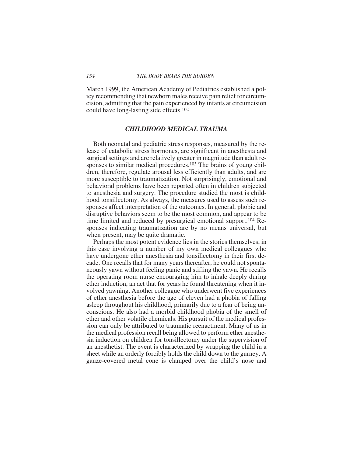March 1999, the American Academy of Pediatrics established a policy recommending that newborn males receive pain relief for circumcision, admitting that the pain experienced by infants at circumcision could have long-lasting side effects.102

#### *CHILDHOOD MEDICAL TRAUMA*

Both neonatal and pediatric stress responses, measured by the release of catabolic stress hormones, are significant in anesthesia and surgical settings and are relatively greater in magnitude than adult responses to similar medical procedures.<sup>103</sup> The brains of young children, therefore, regulate arousal less efficiently than adults, and are more susceptible to traumatization. Not surprisingly, emotional and behavioral problems have been reported often in children subjected to anesthesia and surgery. The procedure studied the most is childhood tonsillectomy. As always, the measures used to assess such responses affect interpretation of the outcomes. In general, phobic and disruptive behaviors seem to be the most common, and appear to be time limited and reduced by presurgical emotional support.104 Responses indicating traumatization are by no means universal, but when present, may be quite dramatic.

Perhaps the most potent evidence lies in the stories themselves, in this case involving a number of my own medical colleagues who have undergone ether anesthesia and tonsillectomy in their first decade. One recalls that for many years thereafter, he could not spontaneously yawn without feeling panic and stifling the yawn. He recalls the operating room nurse encouraging him to inhale deeply during ether induction, an act that for years he found threatening when it involved yawning. Another colleague who underwent five experiences of ether anesthesia before the age of eleven had a phobia of falling asleep throughout his childhood, primarily due to a fear of being unconscious. He also had a morbid childhood phobia of the smell of ether and other volatile chemicals. His pursuit of the medical profession can only be attributed to traumatic reenactment. Many of us in the medical profession recall being allowed to perform ether anesthesia induction on children for tonsillectomy under the supervision of an anesthetist. The event is characterized by wrapping the child in a sheet while an orderly forcibly holds the child down to the gurney. A gauze-covered metal cone is clamped over the child's nose and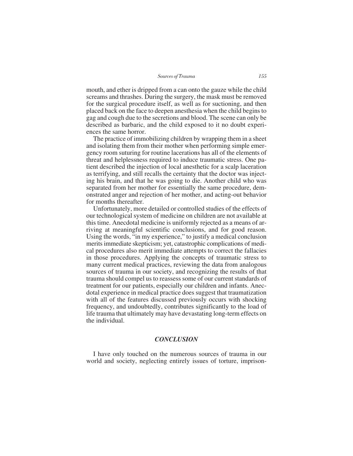mouth, and ether is dripped from a can onto the gauze while the child screams and thrashes. During the surgery, the mask must be removed for the surgical procedure itself, as well as for suctioning, and then placed back on the face to deepen anesthesia when the child begins to gag and cough due to the secretions and blood. The scene can only be described as barbaric, and the child exposed to it no doubt experiences the same horror.

The practice of immobilizing children by wrapping them in a sheet and isolating them from their mother when performing simple emergency room suturing for routine lacerations has all of the elements of threat and helplessness required to induce traumatic stress. One patient described the injection of local anesthetic for a scalp laceration as terrifying, and still recalls the certainty that the doctor was injecting his brain, and that he was going to die. Another child who was separated from her mother for essentially the same procedure, demonstrated anger and rejection of her mother, and acting-out behavior for months thereafter.

Unfortunately, more detailed or controlled studies of the effects of our technological system of medicine on children are not available at this time. Anecdotal medicine is uniformly rejected as a means of arriving at meaningful scientific conclusions, and for good reason. Using the words, "in my experience," to justify a medical conclusion merits immediate skepticism; yet, catastrophic complications of medical procedures also merit immediate attempts to correct the fallacies in those procedures. Applying the concepts of traumatic stress to many current medical practices, reviewing the data from analogous sources of trauma in our society, and recognizing the results of that trauma should compel us to reassess some of our current standards of treatment for our patients, especially our children and infants. Anecdotal experience in medical practice does suggest that traumatization with all of the features discussed previously occurs with shocking frequency, and undoubtedly, contributes significantly to the load of life trauma that ultimately may have devastating long-term effects on the individual.

#### *CONCLUSION*

I have only touched on the numerous sources of trauma in our world and society, neglecting entirely issues of torture, imprison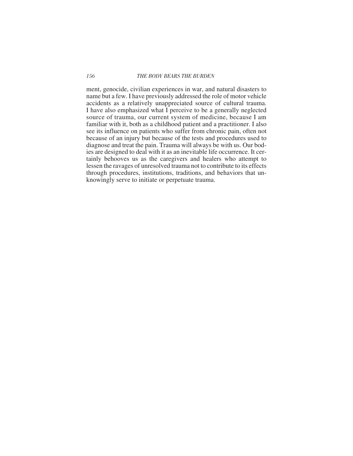ment, genocide, civilian experiences in war, and natural disasters to name but a few. I have previously addressed the role of motor vehicle accidents as a relatively unappreciated source of cultural trauma. I have also emphasized what I perceive to be a generally neglected source of trauma, our current system of medicine, because I am familiar with it, both as a childhood patient and a practitioner. I also see its influence on patients who suffer from chronic pain, often not because of an injury but because of the tests and procedures used to diagnose and treat the pain. Trauma will always be with us. Our bodies are designed to deal with it as an inevitable life occurrence. It certainly behooves us as the caregivers and healers who attempt to lessen the ravages of unresolved trauma not to contribute to its effects through procedures, institutions, traditions, and behaviors that unknowingly serve to initiate or perpetuate trauma.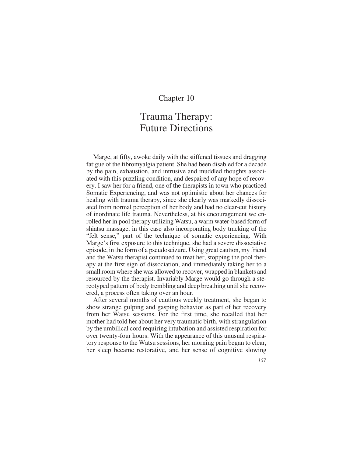# Chapter 10

# Trauma Therapy: Future Directions

Marge, at fifty, awoke daily with the stiffened tissues and dragging fatigue of the fibromyalgia patient. She had been disabled for a decade by the pain, exhaustion, and intrusive and muddled thoughts associated with this puzzling condition, and despaired of any hope of recovery. I saw her for a friend, one of the therapists in town who practiced Somatic Experiencing, and was not optimistic about her chances for healing with trauma therapy, since she clearly was markedly dissociated from normal perception of her body and had no clear-cut history of inordinate life trauma. Nevertheless, at his encouragement we enrolled her in pool therapy utilizing Watsu, a warm water-based form of shiatsu massage, in this case also incorporating body tracking of the "felt sense," part of the technique of somatic experiencing. With Marge's first exposure to this technique, she had a severe dissociative episode, in the form of a pseudoseizure. Using great caution, my friend and the Watsu therapist continued to treat her, stopping the pool therapy at the first sign of dissociation, and immediately taking her to a small room where she was allowed to recover, wrapped in blankets and resourced by the therapist. Invariably Marge would go through a stereotyped pattern of body trembling and deep breathing until she recovered, a process often taking over an hour.

After several months of cautious weekly treatment, she began to show strange gulping and gasping behavior as part of her recovery from her Watsu sessions. For the first time, she recalled that her mother had told her about her very traumatic birth, with strangulation by the umbilical cord requiring intubation and assisted respiration for over twenty-four hours. With the appearance of this unusual respiratory response to the Watsu sessions, her morning pain began to clear, her sleep became restorative, and her sense of cognitive slowing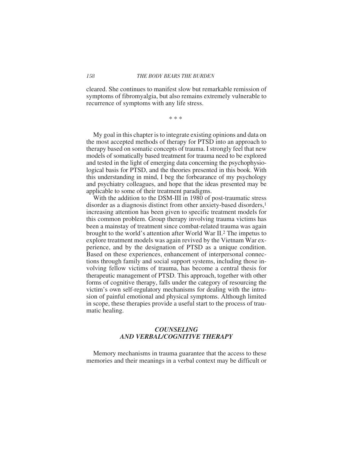cleared. She continues to manifest slow but remarkable remission of symptoms of fibromyalgia, but also remains extremely vulnerable to recurrence of symptoms with any life stress.

\* \* \*

My goal in this chapter is to integrate existing opinions and data on the most accepted methods of therapy for PTSD into an approach to therapy based on somatic concepts of trauma. I strongly feel that new models of somatically based treatment for trauma need to be explored and tested in the light of emerging data concerning the psychophysiological basis for PTSD, and the theories presented in this book. With this understanding in mind, I beg the forbearance of my psychology and psychiatry colleagues, and hope that the ideas presented may be applicable to some of their treatment paradigms.

With the addition to the DSM-III in 1980 of post-traumatic stress disorder as a diagnosis distinct from other anxiety-based disorders,<sup>1</sup> increasing attention has been given to specific treatment models for this common problem. Group therapy involving trauma victims has been a mainstay of treatment since combat-related trauma was again brought to the world's attention after World War II.2 The impetus to explore treatment models was again revived by the Vietnam War experience, and by the designation of PTSD as a unique condition. Based on these experiences, enhancement of interpersonal connections through family and social support systems, including those involving fellow victims of trauma, has become a central thesis for therapeutic management of PTSD. This approach, together with other forms of cognitive therapy, falls under the category of resourcing the victim's own self-regulatory mechanisms for dealing with the intrusion of painful emotional and physical symptoms. Although limited in scope, these therapies provide a useful start to the process of traumatic healing.

## *COUNSELING AND VERBAL/COGNITIVE THERAPY*

Memory mechanisms in trauma guarantee that the access to these memories and their meanings in a verbal context may be difficult or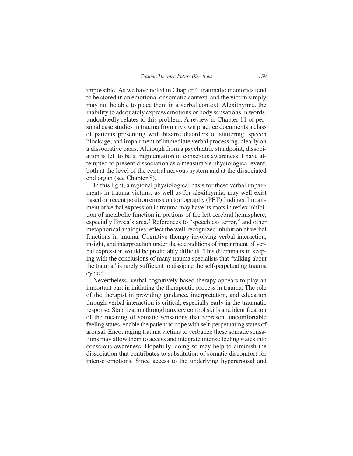impossible. As we have noted in Chapter 4, traumatic memories tend to be stored in an emotional or somatic context, and the victim simply may not be able to place them in a verbal context. Alexithymia, the inability to adequately express emotions or body sensations in words, undoubtedly relates to this problem. A review in Chapter 11 of personal case studies in trauma from my own practice documents a class of patients presenting with bizarre disorders of stuttering, speech blockage, and impairment of immediate verbal processing, clearly on a dissociative basis. Although from a psychiatric standpoint, dissociation is felt to be a fragmentation of conscious awareness, I have attempted to present dissociation as a measurable physiological event, both at the level of the central nervous system and at the dissociated end organ (see Chapter 8).

In this light, a regional physiological basis for these verbal impairments in trauma victims, as well as for alexithymia, may well exist based on recent positron emission tomography (PET) findings. Impairment of verbal expression in trauma may have its roots in reflex inhibition of metabolic function in portions of the left cerebral hemisphere, especially Broca's area.3 References to "speechless terror," and other metaphorical analogies reflect the well-recognized inhibition of verbal functions in trauma. Cognitive therapy involving verbal interaction, insight, and interpretation under these conditions of impairment of verbal expression would be predictably difficult. This dilemma is in keeping with the conclusions of many trauma specialists that "talking about the trauma" is rarely sufficient to dissipate the self-perpetuating trauma cycle.4

Nevertheless, verbal cognitively based therapy appears to play an important part in initiating the therapeutic process in trauma. The role of the therapist in providing guidance, interpretation, and education through verbal interaction is critical, especially early in the traumatic response. Stabilization through anxiety control skills and identification of the meaning of somatic sensations that represent uncomfortable feeling states, enable the patient to cope with self-perpetuating states of arousal. Encouraging trauma victims to verbalize these somatic sensations may allow them to access and integrate intense feeling states into conscious awareness. Hopefully, doing so may help to diminish the dissociation that contributes to substitution of somatic discomfort for intense emotions. Since access to the underlying hyperarousal and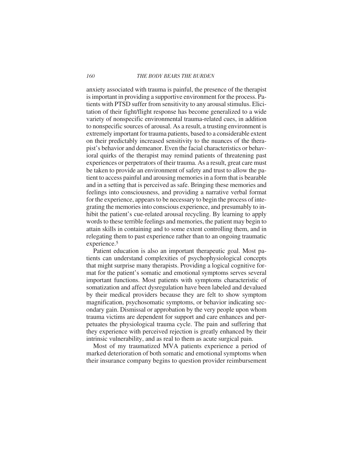anxiety associated with trauma is painful, the presence of the therapist is important in providing a supportive environment for the process. Patients with PTSD suffer from sensitivity to any arousal stimulus. Elicitation of their fight/flight response has become generalized to a wide variety of nonspecific environmental trauma-related cues, in addition to nonspecific sources of arousal. As a result, a trusting environment is extremely important for trauma patients, based to a considerable extent on their predictably increased sensitivity to the nuances of the therapist's behavior and demeanor. Even the facial characteristics or behavioral quirks of the therapist may remind patients of threatening past experiences or perpetrators of their trauma. As a result, great care must be taken to provide an environment of safety and trust to allow the patient to access painful and arousing memories in a form that is bearable and in a setting that is perceived as safe. Bringing these memories and feelings into consciousness, and providing a narrative verbal format for the experience, appears to be necessary to begin the process of integrating the memories into conscious experience, and presumably to inhibit the patient's cue-related arousal recycling. By learning to apply words to these terrible feelings and memories, the patient may begin to attain skills in containing and to some extent controlling them, and in relegating them to past experience rather than to an ongoing traumatic experience.<sup>5</sup>

Patient education is also an important therapeutic goal. Most patients can understand complexities of psychophysiological concepts that might surprise many therapists. Providing a logical cognitive format for the patient's somatic and emotional symptoms serves several important functions. Most patients with symptoms characteristic of somatization and affect dysregulation have been labeled and devalued by their medical providers because they are felt to show symptom magnification, psychosomatic symptoms, or behavior indicating secondary gain. Dismissal or approbation by the very people upon whom trauma victims are dependent for support and care enhances and perpetuates the physiological trauma cycle. The pain and suffering that they experience with perceived rejection is greatly enhanced by their intrinsic vulnerability, and as real to them as acute surgical pain.

Most of my traumatized MVA patients experience a period of marked deterioration of both somatic and emotional symptoms when their insurance company begins to question provider reimbursement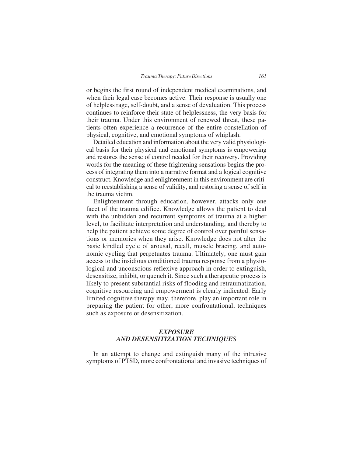or begins the first round of independent medical examinations, and when their legal case becomes active. Their response is usually one of helpless rage, self-doubt, and a sense of devaluation. This process continues to reinforce their state of helplessness, the very basis for their trauma. Under this environment of renewed threat, these patients often experience a recurrence of the entire constellation of physical, cognitive, and emotional symptoms of whiplash.

Detailed education and information about the very valid physiological basis for their physical and emotional symptoms is empowering and restores the sense of control needed for their recovery. Providing words for the meaning of these frightening sensations begins the process of integrating them into a narrative format and a logical cognitive construct. Knowledge and enlightenment in this environment are critical to reestablishing a sense of validity, and restoring a sense of self in the trauma victim.

Enlightenment through education, however, attacks only one facet of the trauma edifice. Knowledge allows the patient to deal with the unbidden and recurrent symptoms of trauma at a higher level, to facilitate interpretation and understanding, and thereby to help the patient achieve some degree of control over painful sensations or memories when they arise. Knowledge does not alter the basic kindled cycle of arousal, recall, muscle bracing, and autonomic cycling that perpetuates trauma. Ultimately, one must gain access to the insidious conditioned trauma response from a physiological and unconscious reflexive approach in order to extinguish, desensitize, inhibit, or quench it. Since such a therapeutic process is likely to present substantial risks of flooding and retraumatization, cognitive resourcing and empowerment is clearly indicated. Early limited cognitive therapy may, therefore, play an important role in preparing the patient for other, more confrontational, techniques such as exposure or desensitization.

#### *EXPOSURE AND DESENSITIZATION TECHNIQUES*

In an attempt to change and extinguish many of the intrusive symptoms of PTSD, more confrontational and invasive techniques of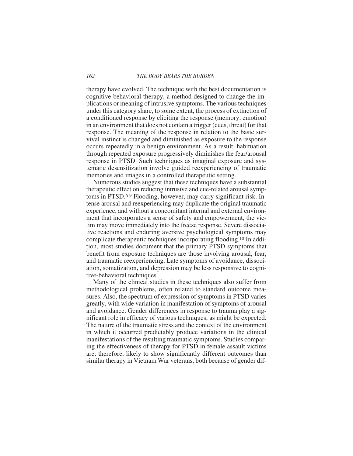therapy have evolved. The technique with the best documentation is cognitive-behavioral therapy, a method designed to change the implications or meaning of intrusive symptoms. The various techniques under this category share, to some extent, the process of extinction of a conditioned response by eliciting the response (memory, emotion) in an environment that does not contain a trigger (cues, threat) for that response. The meaning of the response in relation to the basic survival instinct is changed and diminished as exposure to the response occurs repeatedly in a benign environment. As a result, habituation through repeated exposure progressively diminishes the fear/arousal response in PTSD. Such techniques as imaginal exposure and systematic desensitization involve guided reexperiencing of traumatic memories and images in a controlled therapeutic setting.

Numerous studies suggest that these techniques have a substantial therapeutic effect on reducing intrusive and cue-related arousal symptoms in PTSD.6-9 Flooding, however, may carry significant risk. Intense arousal and reexperiencing may duplicate the original traumatic experience, and without a concomitant internal and external environment that incorporates a sense of safety and empowerment, the victim may move immediately into the freeze response. Severe dissociative reactions and enduring aversive psychological symptoms may complicate therapeutic techniques incorporating flooding.10 In addition, most studies document that the primary PTSD symptoms that benefit from exposure techniques are those involving arousal, fear, and traumatic reexperiencing. Late symptoms of avoidance, dissociation, somatization, and depression may be less responsive to cognitive-behavioral techniques.

Many of the clinical studies in these techniques also suffer from methodological problems, often related to standard outcome measures. Also, the spectrum of expression of symptoms in PTSD varies greatly, with wide variation in manifestation of symptoms of arousal and avoidance. Gender differences in response to trauma play a significant role in efficacy of various techniques, as might be expected. The nature of the traumatic stress and the context of the environment in which it occurred predictably produce variations in the clinical manifestations of the resulting traumatic symptoms. Studies comparing the effectiveness of therapy for PTSD in female assault victims are, therefore, likely to show significantly different outcomes than similar therapy in Vietnam War veterans, both because of gender dif-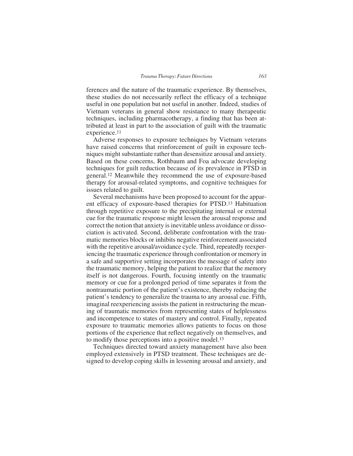ferences and the nature of the traumatic experience. By themselves, these studies do not necessarily reflect the efficacy of a technique useful in one population but not useful in another. Indeed, studies of Vietnam veterans in general show resistance to many therapeutic techniques, including pharmacotherapy, a finding that has been attributed at least in part to the association of guilt with the traumatic experience.11

Adverse responses to exposure techniques by Vietnam veterans have raised concerns that reinforcement of guilt in exposure techniques might substantiate rather than desensitize arousal and anxiety. Based on these concerns, Rothbaum and Foa advocate developing techniques for guilt reduction because of its prevalence in PTSD in general.12 Meanwhile they recommend the use of exposure-based therapy for arousal-related symptoms, and cognitive techniques for issues related to guilt.

Several mechanisms have been proposed to account for the apparent efficacy of exposure-based therapies for PTSD.13 Habituation through repetitive exposure to the precipitating internal or external cue for the traumatic response might lessen the arousal response and correct the notion that anxiety is inevitable unless avoidance or dissociation is activated. Second, deliberate confrontation with the traumatic memories blocks or inhibits negative reinforcement associated with the repetitive arousal/avoidance cycle. Third, repeatedly reexperiencing the traumatic experience through confrontation or memory in a safe and supportive setting incorporates the message of safety into the traumatic memory, helping the patient to realize that the memory itself is not dangerous. Fourth, focusing intently on the traumatic memory or cue for a prolonged period of time separates it from the nontraumatic portion of the patient's existence, thereby reducing the patient's tendency to generalize the trauma to any arousal cue. Fifth, imaginal reexperiencing assists the patient in restructuring the meaning of traumatic memories from representing states of helplessness and incompetence to states of mastery and control. Finally, repeated exposure to traumatic memories allows patients to focus on those portions of the experience that reflect negatively on themselves, and to modify those perceptions into a positive model.13

Techniques directed toward anxiety management have also been employed extensively in PTSD treatment. These techniques are designed to develop coping skills in lessening arousal and anxiety, and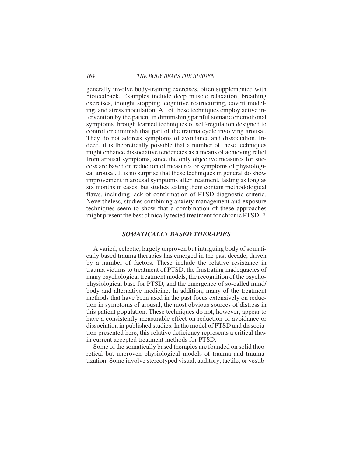generally involve body-training exercises, often supplemented with biofeedback. Examples include deep muscle relaxation, breathing exercises, thought stopping, cognitive restructuring, covert modeling, and stress inoculation. All of these techniques employ active intervention by the patient in diminishing painful somatic or emotional symptoms through learned techniques of self-regulation designed to control or diminish that part of the trauma cycle involving arousal. They do not address symptoms of avoidance and dissociation. Indeed, it is theoretically possible that a number of these techniques might enhance dissociative tendencies as a means of achieving relief from arousal symptoms, since the only objective measures for success are based on reduction of measures or symptoms of physiological arousal. It is no surprise that these techniques in general do show improvement in arousal symptoms after treatment, lasting as long as six months in cases, but studies testing them contain methodological flaws, including lack of confirmation of PTSD diagnostic criteria. Nevertheless, studies combining anxiety management and exposure techniques seem to show that a combination of these approaches might present the best clinically tested treatment for chronic PTSD.12

#### *SOMATICALLY BASED THERAPIES*

A varied, eclectic, largely unproven but intriguing body of somatically based trauma therapies has emerged in the past decade, driven by a number of factors. These include the relative resistance in trauma victims to treatment of PTSD, the frustrating inadequacies of many psychological treatment models, the recognition of the psychophysiological base for PTSD, and the emergence of so-called mind/ body and alternative medicine. In addition, many of the treatment methods that have been used in the past focus extensively on reduction in symptoms of arousal, the most obvious sources of distress in this patient population. These techniques do not, however, appear to have a consistently measurable effect on reduction of avoidance or dissociation in published studies. In the model of PTSD and dissociation presented here, this relative deficiency represents a critical flaw in current accepted treatment methods for PTSD.

Some of the somatically based therapies are founded on solid theoretical but unproven physiological models of trauma and traumatization. Some involve stereotyped visual, auditory, tactile, or vestib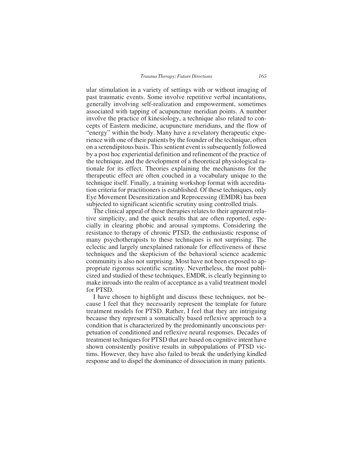ular stimulation in a variety of settings with or without imaging of past traumatic events. Some involve repetitive verbal incantations, generally involving self-realization and empowerment, sometimes associated with tapping of acupuncture meridian points. A number involve the practice of kinesiology, a technique also related to concepts of Eastern medicine, acupuncture meridians, and the flow of "energy" within the body. Many have a revelatory therapeutic experience with one of their patients by the founder of the technique, often on a serendipitous basis. This sentient event is subsequently followed by a post hoc experiential definition and refinement of the practice of the technique, and the development of a theoretical physiological rationale for its effect. Theories explaining the mechanisms for the therapeutic effect are often couched in a vocabulary unique to the technique itself. Finally, a training workshop format with accreditation criteria for practitioners is established. Of these techniques, only Eye Movement Desensitization and Reprocessing (EMDR) has been subjected to significant scientific scrutiny using controlled trials.

The clinical appeal of these therapies relates to their apparent relative simplicity, and the quick results that are often reported, especially in clearing phobic and arousal symptoms. Considering the resistance to therapy of chronic PTSD, the enthusiastic response of many psychotherapists to these techniques is not surprising. The eclectic and largely unexplained rationale for effectiveness of these techniques and the skepticism of the behavioral science academic community is also not surprising. Most have not been exposed to appropriate rigorous scientific scrutiny. Nevertheless, the most publicized and studied of these techniques, EMDR, is clearly beginning to make inroads into the realm of acceptance as a valid treatment model for PTSD.

I have chosen to highlight and discuss these techniques, not because I feel that they necessarily represent the template for future treatment models for PTSD. Rather, I feel that they are intriguing because they represent a somatically based reflexive approach to a condition that is characterized by the predominantly unconscious perpetuation of conditioned and reflexive neural responses. Decades of treatment techniques for PTSD that are based on cognitive intent have shown consistently positive results in subpopulations of PTSD victims. However, they have also failed to break the underlying kindled response and to dispel the dominance of dissociation in many patients.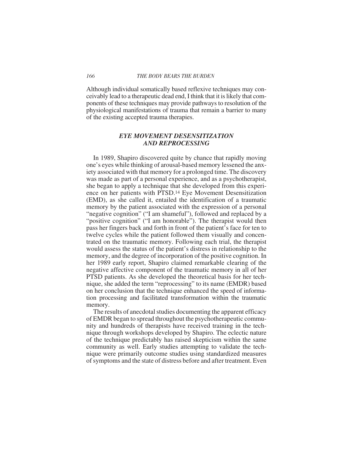Although individual somatically based reflexive techniques may conceivably lead to a therapeutic dead end, I think that it is likely that components of these techniques may provide pathways to resolution of the physiological manifestations of trauma that remain a barrier to many of the existing accepted trauma therapies.

## *EYE MOVEMENT DESENSITIZATION AND REPROCESSING*

In 1989, Shapiro discovered quite by chance that rapidly moving one's eyes while thinking of arousal-based memory lessened the anxiety associated with that memory for a prolonged time. The discovery was made as part of a personal experience, and as a psychotherapist, she began to apply a technique that she developed from this experience on her patients with PTSD.14 Eye Movement Desensitization (EMD), as she called it, entailed the identification of a traumatic memory by the patient associated with the expression of a personal "negative cognition" ("I am shameful"), followed and replaced by a "positive cognition" ("I am honorable"). The therapist would then pass her fingers back and forth in front of the patient's face for ten to twelve cycles while the patient followed them visually and concentrated on the traumatic memory. Following each trial, the therapist would assess the status of the patient's distress in relationship to the memory, and the degree of incorporation of the positive cognition. In her 1989 early report, Shapiro claimed remarkable clearing of the negative affective component of the traumatic memory in all of her PTSD patients. As she developed the theoretical basis for her technique, she added the term "reprocessing" to its name (EMDR) based on her conclusion that the technique enhanced the speed of information processing and facilitated transformation within the traumatic memory.

The results of anecdotal studies documenting the apparent efficacy of EMDR began to spread throughout the psychotherapeutic community and hundreds of therapists have received training in the technique through workshops developed by Shapiro. The eclectic nature of the technique predictably has raised skepticism within the same community as well. Early studies attempting to validate the technique were primarily outcome studies using standardized measures of symptoms and the state of distress before and after treatment. Even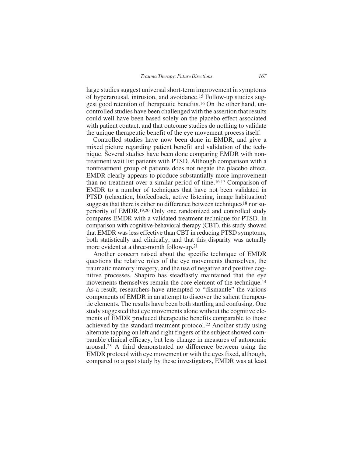large studies suggest universal short-term improvement in symptoms of hyperarousal, intrusion, and avoidance.15 Follow-up studies suggest good retention of therapeutic benefits.<sup>16</sup> On the other hand, uncontrolled studies have been challenged with the assertion that results could well have been based solely on the placebo effect associated with patient contact, and that outcome studies do nothing to validate the unique therapeutic benefit of the eye movement process itself.

Controlled studies have now been done in EMDR, and give a mixed picture regarding patient benefit and validation of the technique. Several studies have been done comparing EMDR with nontreatment wait list patients with PTSD. Although comparison with a nontreatment group of patients does not negate the placebo effect, EMDR clearly appears to produce substantially more improvement than no treatment over a similar period of time.16,17 Comparison of EMDR to a number of techniques that have not been validated in PTSD (relaxation, biofeedback, active listening, image habituation) suggests that there is either no difference between techniques<sup>18</sup> nor superiority of EMDR.19,20 Only one randomized and controlled study compares EMDR with a validated treatment technique for PTSD. In comparison with cognitive-behavioral therapy (CBT), this study showed that EMDR was less effective than CBT in reducing PTSD symptoms, both statistically and clinically, and that this disparity was actually more evident at a three-month follow-up.21

Another concern raised about the specific technique of EMDR questions the relative roles of the eye movements themselves, the traumatic memory imagery, and the use of negative and positive cognitive processes. Shapiro has steadfastly maintained that the eye movements themselves remain the core element of the technique.14 As a result, researchers have attempted to "dismantle" the various components of EMDR in an attempt to discover the salient therapeutic elements. The results have been both startling and confusing. One study suggested that eye movements alone without the cognitive elements of EMDR produced therapeutic benefits comparable to those achieved by the standard treatment protocol.22 Another study using alternate tapping on left and right fingers of the subject showed comparable clinical efficacy, but less change in measures of autonomic arousal.23 A third demonstrated no difference between using the EMDR protocol with eye movement or with the eyes fixed, although, compared to a past study by these investigators, EMDR was at least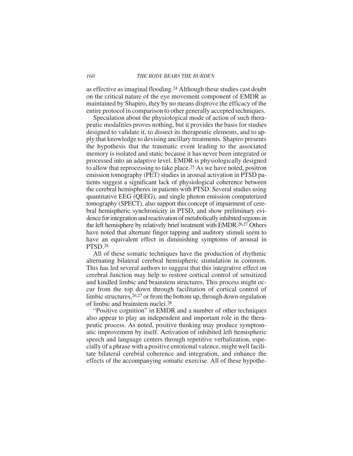as effective as imaginal flooding.24 Although these studies cast doubt on the critical nature of the eye movement component of EMDR as maintained by Shapiro, they by no means disprove the efficacy of the entire protocol in comparison to other generally accepted techniques.

Speculation about the physiological mode of action of such therapeutic modalities proves nothing, but it provides the basis for studies designed to validate it, to dissect its therapeutic elements, and to apply that knowledge to devising ancillary treatments. Shapiro presents the hypothesis that the traumatic event leading to the associated memory is isolated and static because it has never been integrated or processed into an adaptive level. EMDR is physiologically designed to allow that reprocessing to take place.25 As we have noted, positron emission tomography (PET) studies in arousal activation in PTSD patients suggest a significant lack of physiological coherence between the cerebral hemispheres in patients with PTSD. Several studies using quantitative EEG (QEEG), and single photon emission computerized tomography (SPECT), also support this concept of impairment of cerebral hemispheric synchronicity in PTSD, and show preliminary evidence for integration and reactivation of metabolically inhibited regions in the left hemisphere by relatively brief treatment with EMDR.26,27 Others have noted that alternate finger tapping and auditory stimuli seem to have an equivalent effect in diminishing symptoms of arousal in PTSD.28

All of these somatic techniques have the production of rhythmic alternating bilateral cerebral hemispheric stimulation in common. This has led several authors to suggest that this integrative effect on cerebral function may help to restore cortical control of sensitized and kindled limbic and brainstem structures. This process might occur from the top down through facilitation of cortical control of limbic structures,26,27 or from the bottom up, through down-regulation of limbic and brainstem nuclei.28

"Positive cognition" in EMDR and a number of other techniques also appear to play an independent and important role in the therapeutic process. As noted, positive thinking may produce symptomatic improvement by itself. Activation of inhibited left hemispheric speech and language centers through repetitive verbalization, especially of a phrase with a positive emotional valence, might well facilitate bilateral cerebral coherence and integration, and enhance the effects of the accompanying somatic exercise. All of these hypothe-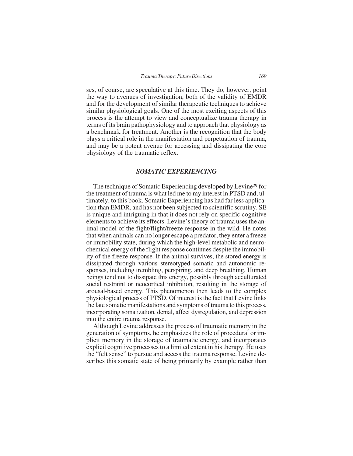ses, of course, are speculative at this time. They do, however, point the way to avenues of investigation, both of the validity of EMDR and for the development of similar therapeutic techniques to achieve similar physiological goals. One of the most exciting aspects of this process is the attempt to view and conceptualize trauma therapy in terms of its brain pathophysiology and to approach that physiology as a benchmark for treatment. Another is the recognition that the body plays a critical role in the manifestation and perpetuation of trauma, and may be a potent avenue for accessing and dissipating the core physiology of the traumatic reflex.

### *SOMATIC EXPERIENCING*

The technique of Somatic Experiencing developed by Levine29 for the treatment of trauma is what led me to my interest in PTSD and, ultimately, to this book. Somatic Experiencing has had far less application than EMDR, and has not been subjected to scientific scrutiny. SE is unique and intriguing in that it does not rely on specific cognitive elements to achieve its effects. Levine's theory of trauma uses the animal model of the fight/flight/freeze response in the wild. He notes that when animals can no longer escape a predator, they enter a freeze or immobility state, during which the high-level metabolic and neurochemical energy of the flight response continues despite the immobility of the freeze response. If the animal survives, the stored energy is dissipated through various stereotyped somatic and autonomic responses, including trembling, perspiring, and deep breathing. Human beings tend not to dissipate this energy, possibly through acculturated social restraint or neocortical inhibition, resulting in the storage of arousal-based energy. This phenomenon then leads to the complex physiological process of PTSD. Of interest is the fact that Levine links the late somatic manifestations and symptoms of trauma to this process, incorporating somatization, denial, affect dysregulation, and depression into the entire trauma response.

Although Levine addresses the process of traumatic memory in the generation of symptoms, he emphasizes the role of procedural or implicit memory in the storage of traumatic energy, and incorporates explicit cognitive processes to a limited extent in his therapy. He uses the "felt sense" to pursue and access the trauma response. Levine describes this somatic state of being primarily by example rather than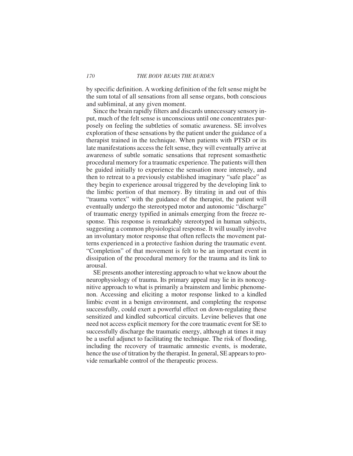by specific definition. A working definition of the felt sense might be the sum total of all sensations from all sense organs, both conscious and subliminal, at any given moment.

Since the brain rapidly filters and discards unnecessary sensory input, much of the felt sense is unconscious until one concentrates purposely on feeling the subtleties of somatic awareness. SE involves exploration of these sensations by the patient under the guidance of a therapist trained in the technique. When patients with PTSD or its late manifestations access the felt sense, they will eventually arrive at awareness of subtle somatic sensations that represent somasthetic procedural memory for a traumatic experience. The patients will then be guided initially to experience the sensation more intensely, and then to retreat to a previously established imaginary "safe place" as they begin to experience arousal triggered by the developing link to the limbic portion of that memory. By titrating in and out of this "trauma vortex" with the guidance of the therapist, the patient will eventually undergo the stereotyped motor and autonomic "discharge" of traumatic energy typified in animals emerging from the freeze response. This response is remarkably stereotyped in human subjects, suggesting a common physiological response. It will usually involve an involuntary motor response that often reflects the movement patterns experienced in a protective fashion during the traumatic event. "Completion" of that movement is felt to be an important event in dissipation of the procedural memory for the trauma and its link to arousal.

SE presents another interesting approach to what we know about the neurophysiology of trauma. Its primary appeal may lie in its noncognitive approach to what is primarily a brainstem and limbic phenomenon. Accessing and eliciting a motor response linked to a kindled limbic event in a benign environment, and completing the response successfully, could exert a powerful effect on down-regulating these sensitized and kindled subcortical circuits. Levine believes that one need not access explicit memory for the core traumatic event for SE to successfully discharge the traumatic energy, although at times it may be a useful adjunct to facilitating the technique. The risk of flooding, including the recovery of traumatic amnestic events, is moderate, hence the use of titration by the therapist. In general, SE appears to provide remarkable control of the therapeutic process.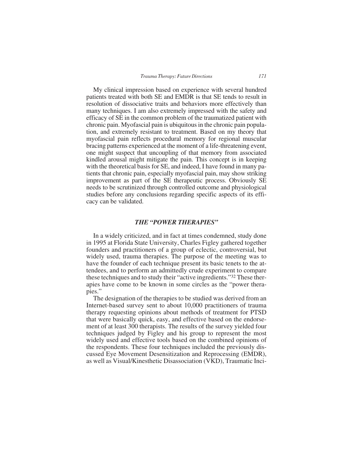My clinical impression based on experience with several hundred patients treated with both SE and EMDR is that SE tends to result in resolution of dissociative traits and behaviors more effectively than many techniques. I am also extremely impressed with the safety and efficacy of SE in the common problem of the traumatized patient with chronic pain. Myofascial pain is ubiquitous in the chronic pain population, and extremely resistant to treatment. Based on my theory that myofascial pain reflects procedural memory for regional muscular bracing patterns experienced at the moment of a life-threatening event, one might suspect that uncoupling of that memory from associated kindled arousal might mitigate the pain. This concept is in keeping with the theoretical basis for SE, and indeed, I have found in many patients that chronic pain, especially myofascial pain, may show striking improvement as part of the SE therapeutic process. Obviously SE needs to be scrutinized through controlled outcome and physiological studies before any conclusions regarding specific aspects of its efficacy can be validated.

#### *THE "POWER THERAPIES"*

In a widely criticized, and in fact at times condemned, study done in 1995 at Florida State University, Charles Figley gathered together founders and practitioners of a group of eclectic, controversial, but widely used, trauma therapies. The purpose of the meeting was to have the founder of each technique present its basic tenets to the attendees, and to perform an admittedly crude experiment to compare these techniques and to study their "active ingredients."32 These therapies have come to be known in some circles as the "power therapies."

The designation of the therapies to be studied was derived from an Internet-based survey sent to about 10,000 practitioners of trauma therapy requesting opinions about methods of treatment for PTSD that were basically quick, easy, and effective based on the endorsement of at least 300 therapists. The results of the survey yielded four techniques judged by Figley and his group to represent the most widely used and effective tools based on the combined opinions of the respondents. These four techniques included the previously discussed Eye Movement Desensitization and Reprocessing (EMDR), as well as Visual/Kinesthetic Disassociation (VKD), Traumatic Inci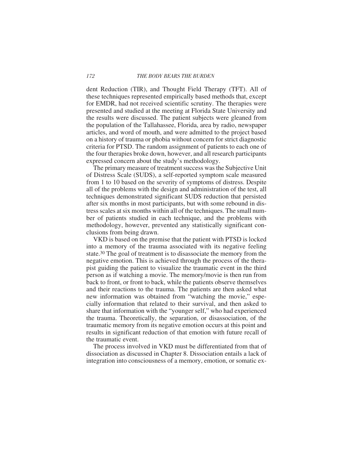dent Reduction (TIR), and Thought Field Therapy (TFT). All of these techniques represented empirically based methods that, except for EMDR, had not received scientific scrutiny. The therapies were presented and studied at the meeting at Florida State University and the results were discussed. The patient subjects were gleaned from the population of the Tallahassee, Florida, area by radio, newspaper articles, and word of mouth, and were admitted to the project based on a history of trauma or phobia without concern for strict diagnostic criteria for PTSD. The random assignment of patients to each one of the four therapies broke down, however, and all research participants expressed concern about the study's methodology.

The primary measure of treatment success was the Subjective Unit of Distress Scale (SUDS), a self-reported symptom scale measured from 1 to 10 based on the severity of symptoms of distress. Despite all of the problems with the design and administration of the test, all techniques demonstrated significant SUDS reduction that persisted after six months in most participants, but with some rebound in distress scales at six months within all of the techniques. The small number of patients studied in each technique, and the problems with methodology, however, prevented any statistically significant conclusions from being drawn.

VKD is based on the premise that the patient with PTSD is locked into a memory of the trauma associated with its negative feeling state.30 The goal of treatment is to disassociate the memory from the negative emotion. This is achieved through the process of the therapist guiding the patient to visualize the traumatic event in the third person as if watching a movie. The memory/movie is then run from back to front, or front to back, while the patients observe themselves and their reactions to the trauma. The patients are then asked what new information was obtained from "watching the movie," especially information that related to their survival, and then asked to share that information with the "younger self," who had experienced the trauma. Theoretically, the separation, or disassociation, of the traumatic memory from its negative emotion occurs at this point and results in significant reduction of that emotion with future recall of the traumatic event.

The process involved in VKD must be differentiated from that of dissociation as discussed in Chapter 8. Dissociation entails a lack of integration into consciousness of a memory, emotion, or somatic ex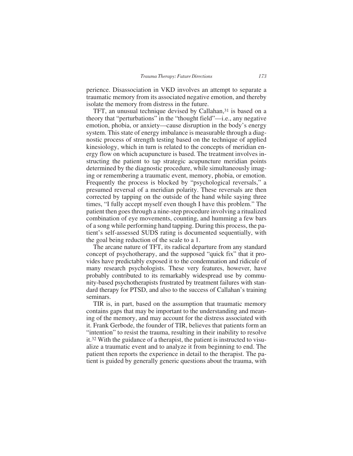perience. Disassociation in VKD involves an attempt to separate a traumatic memory from its associated negative emotion, and thereby isolate the memory from distress in the future.

TFT, an unusual technique devised by Callahan,<sup>31</sup> is based on a theory that "perturbations" in the "thought field"—i.e., any negative emotion, phobia, or anxiety—cause disruption in the body's energy system. This state of energy imbalance is measurable through a diagnostic process of strength testing based on the technique of applied kinesiology, which in turn is related to the concepts of meridian energy flow on which acupuncture is based. The treatment involves instructing the patient to tap strategic acupuncture meridian points determined by the diagnostic procedure, while simultaneously imaging or remembering a traumatic event, memory, phobia, or emotion. Frequently the process is blocked by "psychological reversals," a presumed reversal of a meridian polarity. These reversals are then corrected by tapping on the outside of the hand while saying three times, "I fully accept myself even though I have this problem." The patient then goes through a nine-step procedure involving a ritualized combination of eye movements, counting, and humming a few bars of a song while performing hand tapping. During this process, the patient's self-assessed SUDS rating is documented sequentially, with the goal being reduction of the scale to a 1.

The arcane nature of TFT, its radical departure from any standard concept of psychotherapy, and the supposed "quick fix" that it provides have predictably exposed it to the condemnation and ridicule of many research psychologists. These very features, however, have probably contributed to its remarkably widespread use by community-based psychotherapists frustrated by treatment failures with standard therapy for PTSD, and also to the success of Callahan's training seminars.

TIR is, in part, based on the assumption that traumatic memory contains gaps that may be important to the understanding and meaning of the memory, and may account for the distress associated with it. Frank Gerbode, the founder of TIR, believes that patients form an "intention" to resist the trauma, resulting in their inability to resolve it.32 With the guidance of a therapist, the patient is instructed to visualize a traumatic event and to analyze it from beginning to end. The patient then reports the experience in detail to the therapist. The patient is guided by generally generic questions about the trauma, with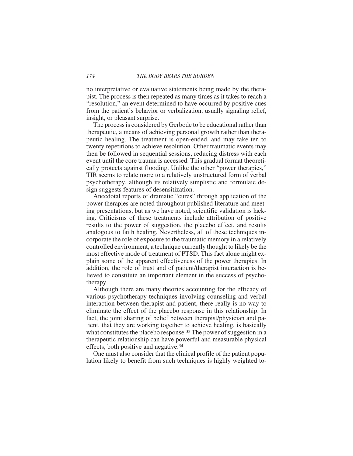no interpretative or evaluative statements being made by the therapist. The process is then repeated as many times as it takes to reach a "resolution," an event determined to have occurred by positive cues from the patient's behavior or verbalization, usually signaling relief, insight, or pleasant surprise.

The process is considered by Gerbode to be educational rather than therapeutic, a means of achieving personal growth rather than therapeutic healing. The treatment is open-ended, and may take ten to twenty repetitions to achieve resolution. Other traumatic events may then be followed in sequential sessions, reducing distress with each event until the core trauma is accessed. This gradual format theoretically protects against flooding. Unlike the other "power therapies," TIR seems to relate more to a relatively unstructured form of verbal psychotherapy, although its relatively simplistic and formulaic design suggests features of desensitization.

Anecdotal reports of dramatic "cures" through application of the power therapies are noted throughout published literature and meeting presentations, but as we have noted, scientific validation is lacking. Criticisms of these treatments include attribution of positive results to the power of suggestion, the placebo effect, and results analogous to faith healing. Nevertheless, all of these techniques incorporate the role of exposure to the traumatic memory in a relatively controlled environment, a technique currently thought to likely be the most effective mode of treatment of PTSD. This fact alone might explain some of the apparent effectiveness of the power therapies. In addition, the role of trust and of patient/therapist interaction is believed to constitute an important element in the success of psychotherapy.

Although there are many theories accounting for the efficacy of various psychotherapy techniques involving counseling and verbal interaction between therapist and patient, there really is no way to eliminate the effect of the placebo response in this relationship. In fact, the joint sharing of belief between therapist/physician and patient, that they are working together to achieve healing, is basically what constitutes the placebo response.<sup>33</sup> The power of suggestion in a therapeutic relationship can have powerful and measurable physical effects, both positive and negative.34

One must also consider that the clinical profile of the patient population likely to benefit from such techniques is highly weighted to-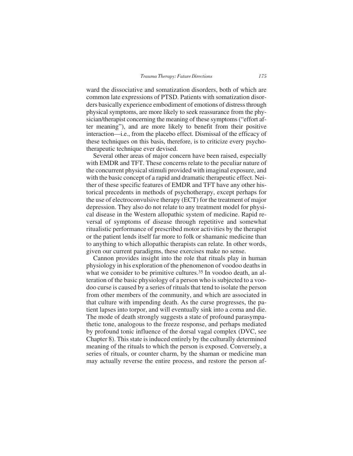ward the dissociative and somatization disorders, both of which are common late expressions of PTSD. Patients with somatization disorders basically experience embodiment of emotions of distress through physical symptoms, are more likely to seek reassurance from the physician/therapist concerning the meaning of these symptoms ("effort after meaning"), and are more likely to benefit from their positive interaction—i.e., from the placebo effect. Dismissal of the efficacy of these techniques on this basis, therefore, is to criticize every psychotherapeutic technique ever devised.

Several other areas of major concern have been raised, especially with EMDR and TFT. These concerns relate to the peculiar nature of the concurrent physical stimuli provided with imaginal exposure, and with the basic concept of a rapid and dramatic therapeutic effect. Neither of these specific features of EMDR and TFT have any other historical precedents in methods of psychotherapy, except perhaps for the use of electroconvulsive therapy (ECT) for the treatment of major depression. They also do not relate to any treatment model for physical disease in the Western allopathic system of medicine. Rapid reversal of symptoms of disease through repetitive and somewhat ritualistic performance of prescribed motor activities by the therapist or the patient lends itself far more to folk or shamanic medicine than to anything to which allopathic therapists can relate. In other words, given our current paradigms, these exercises make no sense.

Cannon provides insight into the role that rituals play in human physiology in his exploration of the phenomenon of voodoo deaths in what we consider to be primitive cultures.<sup>35</sup> In voodoo death, an alteration of the basic physiology of a person who is subjected to a voodoo curse is caused by a series of rituals that tend to isolate the person from other members of the community, and which are associated in that culture with impending death. As the curse progresses, the patient lapses into torpor, and will eventually sink into a coma and die. The mode of death strongly suggests a state of profound parasympathetic tone, analogous to the freeze response, and perhaps mediated by profound tonic influence of the dorsal vagal complex (DVC, see Chapter 8). This state is induced entirely by the culturally determined meaning of the rituals to which the person is exposed. Conversely, a series of rituals, or counter charm, by the shaman or medicine man may actually reverse the entire process, and restore the person af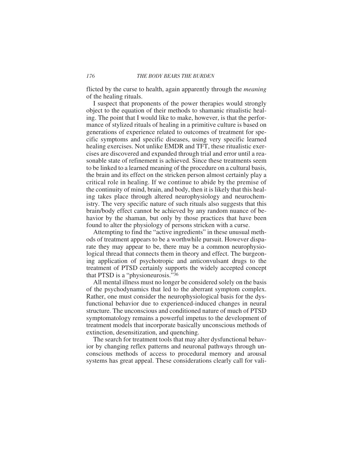flicted by the curse to health, again apparently through the *meaning* of the healing rituals.

I suspect that proponents of the power therapies would strongly object to the equation of their methods to shamanic ritualistic healing. The point that I would like to make, however, is that the performance of stylized rituals of healing in a primitive culture is based on generations of experience related to outcomes of treatment for specific symptoms and specific diseases, using very specific learned healing exercises. Not unlike EMDR and TFT, these ritualistic exercises are discovered and expanded through trial and error until a reasonable state of refinement is achieved. Since these treatments seem to be linked to a learned meaning of the procedure on a cultural basis, the brain and its effect on the stricken person almost certainly play a critical role in healing. If we continue to abide by the premise of the continuity of mind, brain, and body, then it is likely that this healing takes place through altered neurophysiology and neurochemistry. The very specific nature of such rituals also suggests that this brain/body effect cannot be achieved by any random nuance of behavior by the shaman, but only by those practices that have been found to alter the physiology of persons stricken with a curse.

Attempting to find the "active ingredients" in these unusual methods of treatment appears to be a worthwhile pursuit. However disparate they may appear to be, there may be a common neurophysiological thread that connects them in theory and effect. The burgeoning application of psychotropic and anticonvulsant drugs to the treatment of PTSD certainly supports the widely accepted concept that PTSD is a "physioneurosis."36

All mental illness must no longer be considered solely on the basis of the psychodynamics that led to the aberrant symptom complex. Rather, one must consider the neurophysiological basis for the dysfunctional behavior due to experienced-induced changes in neural structure. The unconscious and conditioned nature of much of PTSD symptomatology remains a powerful impetus to the development of treatment models that incorporate basically unconscious methods of extinction, desensitization, and quenching.

The search for treatment tools that may alter dysfunctional behavior by changing reflex patterns and neuronal pathways through unconscious methods of access to procedural memory and arousal systems has great appeal. These considerations clearly call for vali-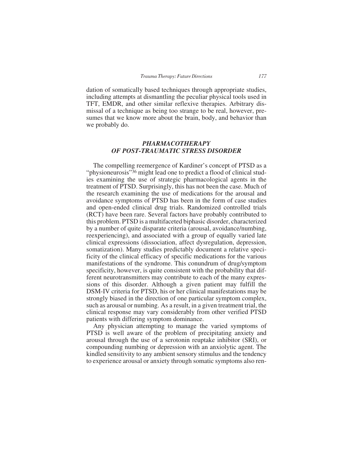dation of somatically based techniques through appropriate studies, including attempts at dismantling the peculiar physical tools used in TFT, EMDR, and other similar reflexive therapies. Arbitrary dismissal of a technique as being too strange to be real, however, presumes that we know more about the brain, body, and behavior than we probably do.

### *PHARMACOTHERAPY OF POST-TRAUMATIC STRESS DISORDER*

The compelling reemergence of Kardiner's concept of PTSD as a "physioneurosis"<sup>36</sup> might lead one to predict a flood of clinical studies examining the use of strategic pharmacological agents in the treatment of PTSD. Surprisingly, this has not been the case. Much of the research examining the use of medications for the arousal and avoidance symptoms of PTSD has been in the form of case studies and open-ended clinical drug trials. Randomized controlled trials (RCT) have been rare. Several factors have probably contributed to this problem. PTSD is a multifaceted biphasic disorder, characterized by a number of quite disparate criteria (arousal, avoidance/numbing, reexperiencing), and associated with a group of equally varied late clinical expressions (dissociation, affect dysregulation, depression, somatization). Many studies predictably document a relative specificity of the clinical efficacy of specific medications for the various manifestations of the syndrome. This conundrum of drug/symptom specificity, however, is quite consistent with the probability that different neurotransmitters may contribute to each of the many expressions of this disorder. Although a given patient may fulfill the DSM-IV criteria for PTSD, his or her clinical manifestations may be strongly biased in the direction of one particular symptom complex, such as arousal or numbing. As a result, in a given treatment trial, the clinical response may vary considerably from other verified PTSD patients with differing symptom dominance.

Any physician attempting to manage the varied symptoms of PTSD is well aware of the problem of precipitating anxiety and arousal through the use of a serotonin reuptake inhibitor (SRI), or compounding numbing or depression with an anxiolytic agent. The kindled sensitivity to any ambient sensory stimulus and the tendency to experience arousal or anxiety through somatic symptoms also ren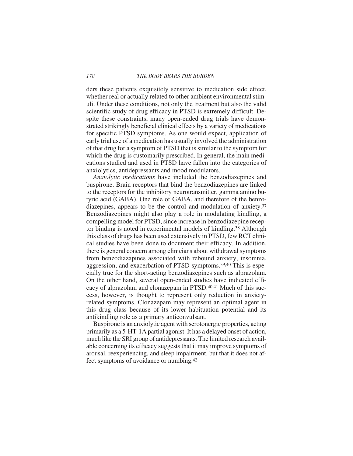ders these patients exquisitely sensitive to medication side effect, whether real or actually related to other ambient environmental stimuli. Under these conditions, not only the treatment but also the valid scientific study of drug efficacy in PTSD is extremely difficult. Despite these constraints, many open-ended drug trials have demonstrated strikingly beneficial clinical effects by a variety of medications for specific PTSD symptoms. As one would expect, application of early trial use of a medication has usually involved the administration of that drug for a symptom of PTSD that is similar to the symptom for which the drug is customarily prescribed. In general, the main medications studied and used in PTSD have fallen into the categories of anxiolytics, antidepressants and mood modulators.

*Anxiolytic medications* have included the benzodiazepines and buspirone. Brain receptors that bind the benzodiazepines are linked to the receptors for the inhibitory neurotransmitter, gamma amino butyric acid (GABA). One role of GABA, and therefore of the benzodiazepines, appears to be the control and modulation of anxiety.37 Benzodiazepines might also play a role in modulating kindling, a compelling model for PTSD, since increase in benzodiazepine receptor binding is noted in experimental models of kindling.38 Although this class of drugs has been used extensively in PTSD, few RCT clinical studies have been done to document their efficacy. In addition, there is general concern among clinicians about withdrawal symptoms from benzodiazapines associated with rebound anxiety, insomnia, aggression, and exacerbation of PTSD symptoms.39,40 This is especially true for the short-acting benzodiazepines such as alprazolam. On the other hand, several open-ended studies have indicated efficacy of alprazolam and clonazepam in PTSD.40,41 Much of this success, however, is thought to represent only reduction in anxietyrelated symptoms. Clonazepam may represent an optimal agent in this drug class because of its lower habituation potential and its antikindling role as a primary anticonvulsant.

Buspirone is an anxiolytic agent with serotonergic properties, acting primarily as a 5-HT-1A partial agonist. It has a delayed onset of action, much like the SRI group of antidepressants. The limited research available concerning its efficacy suggests that it may improve symptoms of arousal, reexperiencing, and sleep impairment, but that it does not affect symptoms of avoidance or numbing.42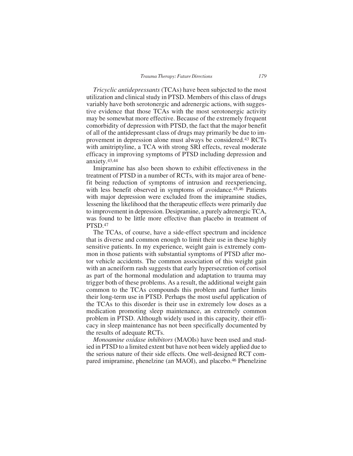*Tricyclic antidepressants* (TCAs) have been subjected to the most utilization and clinical study in PTSD. Members of this class of drugs variably have both serotonergic and adrenergic actions, with suggestive evidence that those TCAs with the most serotonergic activity may be somewhat more effective. Because of the extremely frequent comorbidity of depression with PTSD, the fact that the major benefit of all of the antidepressant class of drugs may primarily be due to improvement in depression alone must always be considered.43 RCTs with amitriptyline, a TCA with strong SRI effects, reveal moderate efficacy in improving symptoms of PTSD including depression and anxiety.43,44

Imipramine has also been shown to exhibit effectiveness in the treatment of PTSD in a number of RCTs, with its major area of benefit being reduction of symptoms of intrusion and reexperiencing, with less benefit observed in symptoms of avoidance.<sup>45,46</sup> Patients with major depression were excluded from the imipramine studies, lessening the likelihood that the therapeutic effects were primarily due to improvement in depression. Desipramine, a purely adrenergic TCA, was found to be little more effective than placebo in treatment of PTSD<sub>47</sub>

The TCAs, of course, have a side-effect spectrum and incidence that is diverse and common enough to limit their use in these highly sensitive patients. In my experience, weight gain is extremely common in those patients with substantial symptoms of PTSD after motor vehicle accidents. The common association of this weight gain with an acneiform rash suggests that early hypersecretion of cortisol as part of the hormonal modulation and adaptation to trauma may trigger both of these problems. As a result, the additional weight gain common to the TCAs compounds this problem and further limits their long-term use in PTSD. Perhaps the most useful application of the TCAs to this disorder is their use in extremely low doses as a medication promoting sleep maintenance, an extremely common problem in PTSD. Although widely used in this capacity, their efficacy in sleep maintenance has not been specifically documented by the results of adequate RCTs.

*Monoamine oxidase inhibitors* (MAOIs) have been used and studied in PTSD to a limited extent but have not been widely applied due to the serious nature of their side effects. One well-designed RCT compared imipramine, phenelzine (an MAOI), and placebo.46 Phenelzine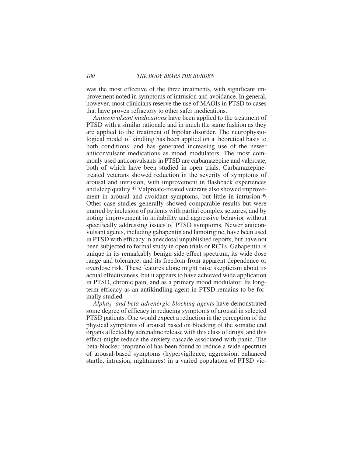was the most effective of the three treatments, with significant improvement noted in symptoms of intrusion and avoidance. In general, however, most clinicians reserve the use of MAOIs in PTSD to cases that have proven refractory to other safer medications.

*Anticonvulsant medications* have been applied to the treatment of PTSD with a similar rationale and in much the same fashion as they are applied to the treatment of bipolar disorder. The neurophysiological model of kindling has been applied on a theoretical basis to both conditions, and has generated increasing use of the newer anticonvulsant medications as mood modulators. The most commonly used anticonvulsants in PTSD are carbamazepine and valproate, both of which have been studied in open trials. Carbamazepinetreated veterans showed reduction in the severity of symptoms of arousal and intrusion, with improvement in flashback experiences and sleep quality.48 Valproate-treated veterans also showed improvement in arousal and avoidant symptoms, but little in intrusion.49 Other case studies generally showed comparable results but were marred by inclusion of patients with partial complex seizures, and by noting improvement in irritability and aggressive behavior without specifically addressing issues of PTSD symptoms. Newer anticonvulsant agents, including gabapentin and lamotrigine, have been used in PTSD with efficacy in anecdotal unpublished reports, but have not been subjected to formal study in open trials or RCTs. Gabapentin is unique in its remarkably benign side effect spectrum, its wide dose range and tolerance, and its freedom from apparent dependence or overdose risk. These features alone might raise skepticism about its actual effectiveness, but it appears to have achieved wide application in PTSD, chronic pain, and as a primary mood modulator. Its longterm efficacy as an antikindling agent in PTSD remains to be formally studied.

*Alpha2- and beta-adrenergic blocking agents* have demonstrated some degree of efficacy in reducing symptoms of arousal in selected PTSD patients. One would expect a reduction in the perception of the physical symptoms of arousal based on blocking of the somatic end organs affected by adrenaline release with this class of drugs, and this effect might reduce the anxiety cascade associated with panic. The beta-blocker propranolol has been found to reduce a wide spectrum of arousal-based symptoms (hypervigilence, aggression, enhanced startle, intrusion, nightmares) in a varied population of PTSD vic-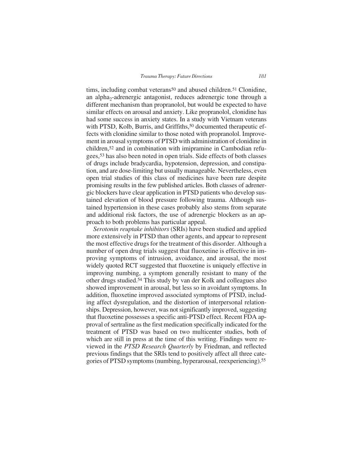tims, including combat veterans<sup>50</sup> and abused children.<sup>51</sup> Clonidine, an alpha<sub>2</sub>-adrenergic antagonist, reduces adrenergic tone through a different mechanism than propranolol, but would be expected to have similar effects on arousal and anxiety. Like propranolol, clonidine has had some success in anxiety states. In a study with Vietnam veterans with PTSD, Kolb, Burris, and Griffiths,<sup>50</sup> documented therapeutic effects with clonidine similar to those noted with propranolol. Improvement in arousal symptoms of PTSD with administration of clonidine in children,52 and in combination with imipramine in Cambodian refugees,53 has also been noted in open trials. Side effects of both classes of drugs include bradycardia, hypotension, depression, and constipation, and are dose-limiting but usually manageable. Nevertheless, even open trial studies of this class of medicines have been rare despite promising results in the few published articles. Both classes of adrenergic blockers have clear application in PTSD patients who develop sustained elevation of blood pressure following trauma. Although sustained hypertension in these cases probably also stems from separate and additional risk factors, the use of adrenergic blockers as an approach to both problems has particular appeal.

*Serotonin reuptake inhibitors* (SRIs) have been studied and applied more extensively in PTSD than other agents, and appear to represent the most effective drugs for the treatment of this disorder. Although a number of open drug trials suggest that fluoxetine is effective in improving symptoms of intrusion, avoidance, and arousal, the most widely quoted RCT suggested that fluoxetine is uniquely effective in improving numbing, a symptom generally resistant to many of the other drugs studied.54 This study by van der Kolk and colleagues also showed improvement in arousal, but less so in avoidant symptoms. In addition, fluoxetine improved associated symptoms of PTSD, including affect dysregulation, and the distortion of interpersonal relationships. Depression, however, was not significantly improved, suggesting that fluoxetine possesses a specific anti-PTSD effect. Recent FDA approval of sertraline as the first medication specifically indicated for the treatment of PTSD was based on two multicenter studies, both of which are still in press at the time of this writing. Findings were reviewed in the *PTSD Research Quarterly* by Friedman, and reflected previous findings that the SRIs tend to positively affect all three categories of PTSD symptoms (numbing, hyperarousal, reexperiencing).55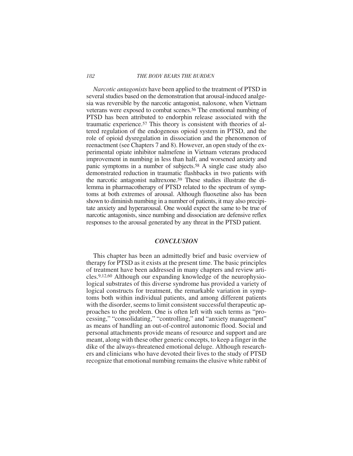*Narcotic antagonists* have been applied to the treatment of PTSD in several studies based on the demonstration that arousal-induced analgesia was reversible by the narcotic antagonist, naloxone, when Vietnam veterans were exposed to combat scenes.56 The emotional numbing of PTSD has been attributed to endorphin release associated with the traumatic experience.57 This theory is consistent with theories of altered regulation of the endogenous opioid system in PTSD, and the role of opioid dysregulation in dissociation and the phenomenon of reenactment (see Chapters 7 and 8). However, an open study of the experimental opiate inhibitor nalmefene in Vietnam veterans produced improvement in numbing in less than half, and worsened anxiety and panic symptoms in a number of subjects.58 A single case study also demonstrated reduction in traumatic flashbacks in two patients with the narcotic antagonist naltrexone.59 These studies illustrate the dilemma in pharmacotherapy of PTSD related to the spectrum of symptoms at both extremes of arousal. Although fluoxetine also has been shown to diminish numbing in a number of patients, it may also precipitate anxiety and hyperarousal. One would expect the same to be true of narcotic antagonists, since numbing and dissociation are defensive reflex responses to the arousal generated by any threat in the PTSD patient.

## *CONCLUSION*

This chapter has been an admittedly brief and basic overview of therapy for PTSD as it exists at the present time. The basic principles of treatment have been addressed in many chapters and review articles.9,12,60 Although our expanding knowledge of the neurophysiological substrates of this diverse syndrome has provided a variety of logical constructs for treatment, the remarkable variation in symptoms both within individual patients, and among different patients with the disorder, seems to limit consistent successful therapeutic approaches to the problem. One is often left with such terms as "processing," "consolidating," "controlling," and "anxiety management" as means of handling an out-of-control autonomic flood. Social and personal attachments provide means of resource and support and are meant, along with these other generic concepts, to keep a finger in the dike of the always-threatened emotional deluge. Although researchers and clinicians who have devoted their lives to the study of PTSD recognize that emotional numbing remains the elusive white rabbit of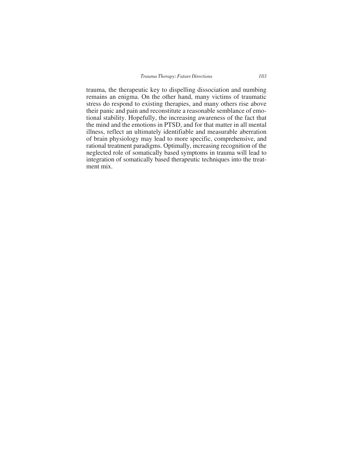trauma, the therapeutic key to dispelling dissociation and numbing remains an enigma. On the other hand, many victims of traumatic stress do respond to existing therapies, and many others rise above their panic and pain and reconstitute a reasonable semblance of emotional stability. Hopefully, the increasing awareness of the fact that the mind and the emotions in PTSD, and for that matter in all mental illness, reflect an ultimately identifiable and measurable aberration of brain physiology may lead to more specific, comprehensive, and rational treatment paradigms. Optimally, increasing recognition of the neglected role of somatically based symptoms in trauma will lead to integration of somatically based therapeutic techniques into the treatment mix.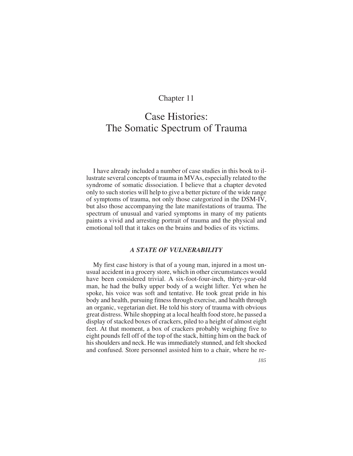# Chapter 11

# Case Histories: The Somatic Spectrum of Trauma

I have already included a number of case studies in this book to illustrate several concepts of trauma in MVAs, especially related to the syndrome of somatic dissociation. I believe that a chapter devoted only to such stories will help to give a better picture of the wide range of symptoms of trauma, not only those categorized in the DSM-IV, but also those accompanying the late manifestations of trauma. The spectrum of unusual and varied symptoms in many of my patients paints a vivid and arresting portrait of trauma and the physical and emotional toll that it takes on the brains and bodies of its victims.

#### *A STATE OF VULNERABILITY*

My first case history is that of a young man, injured in a most unusual accident in a grocery store, which in other circumstances would have been considered trivial. A six-foot-four-inch, thirty-year-old man, he had the bulky upper body of a weight lifter. Yet when he spoke, his voice was soft and tentative. He took great pride in his body and health, pursuing fitness through exercise, and health through an organic, vegetarian diet. He told his story of trauma with obvious great distress. While shopping at a local health food store, he passed a display of stacked boxes of crackers, piled to a height of almost eight feet. At that moment, a box of crackers probably weighing five to eight pounds fell off of the top of the stack, hitting him on the back of his shoulders and neck. He was immediately stunned, and felt shocked and confused. Store personnel assisted him to a chair, where he re-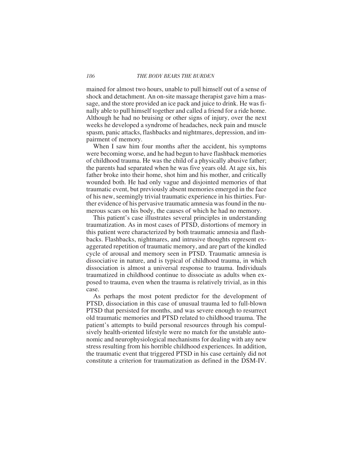mained for almost two hours, unable to pull himself out of a sense of shock and detachment. An on-site massage therapist gave him a massage, and the store provided an ice pack and juice to drink. He was finally able to pull himself together and called a friend for a ride home. Although he had no bruising or other signs of injury, over the next weeks he developed a syndrome of headaches, neck pain and muscle spasm, panic attacks, flashbacks and nightmares, depression, and impairment of memory.

When I saw him four months after the accident, his symptoms were becoming worse, and he had begun to have flashback memories of childhood trauma. He was the child of a physically abusive father; the parents had separated when he was five years old. At age six, his father broke into their home, shot him and his mother, and critically wounded both. He had only vague and disjointed memories of that traumatic event, but previously absent memories emerged in the face of his new, seemingly trivial traumatic experience in his thirties. Further evidence of his pervasive traumatic amnesia was found in the numerous scars on his body, the causes of which he had no memory.

This patient's case illustrates several principles in understanding traumatization. As in most cases of PTSD, distortions of memory in this patient were characterized by both traumatic amnesia and flashbacks. Flashbacks, nightmares, and intrusive thoughts represent exaggerated repetition of traumatic memory, and are part of the kindled cycle of arousal and memory seen in PTSD. Traumatic amnesia is dissociative in nature, and is typical of childhood trauma, in which dissociation is almost a universal response to trauma. Individuals traumatized in childhood continue to dissociate as adults when exposed to trauma, even when the trauma is relatively trivial, as in this case.

As perhaps the most potent predictor for the development of PTSD, dissociation in this case of unusual trauma led to full-blown PTSD that persisted for months, and was severe enough to resurrect old traumatic memories and PTSD related to childhood trauma. The patient's attempts to build personal resources through his compulsively health-oriented lifestyle were no match for the unstable autonomic and neurophysiological mechanisms for dealing with any new stress resulting from his horrible childhood experiences. In addition, the traumatic event that triggered PTSD in his case certainly did not constitute a criterion for traumatization as defined in the DSM-IV.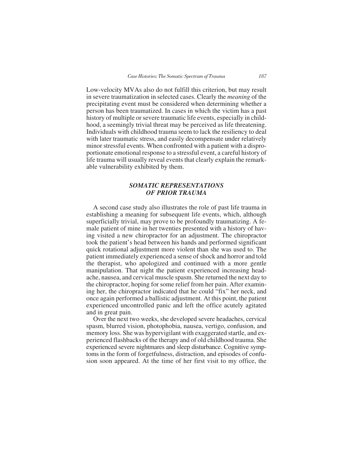Low-velocity MVAs also do not fulfill this criterion, but may result in severe traumatization in selected cases. Clearly the *meaning* of the precipitating event must be considered when determining whether a person has been traumatized. In cases in which the victim has a past history of multiple or severe traumatic life events, especially in childhood, a seemingly trivial threat may be perceived as life threatening. Individuals with childhood trauma seem to lack the resiliency to deal with later traumatic stress, and easily decompensate under relatively minor stressful events. When confronted with a patient with a disproportionate emotional response to a stressful event, a careful history of life trauma will usually reveal events that clearly explain the remarkable vulnerability exhibited by them.

# *SOMATIC REPRESENTATIONS OF PRIOR TRAUMA*

A second case study also illustrates the role of past life trauma in establishing a meaning for subsequent life events, which, although superficially trivial, may prove to be profoundly traumatizing. A female patient of mine in her twenties presented with a history of having visited a new chiropractor for an adjustment. The chiropractor took the patient's head between his hands and performed significant quick rotational adjustment more violent than she was used to. The patient immediately experienced a sense of shock and horror and told the therapist, who apologized and continued with a more gentle manipulation. That night the patient experienced increasing headache, nausea, and cervical muscle spasm. She returned the next day to the chiropractor, hoping for some relief from her pain. After examining her, the chiropractor indicated that he could "fix" her neck, and once again performed a ballistic adjustment. At this point, the patient experienced uncontrolled panic and left the office acutely agitated and in great pain.

Over the next two weeks, she developed severe headaches, cervical spasm, blurred vision, photophobia, nausea, vertigo, confusion, and memory loss. She was hypervigilant with exaggerated startle, and experienced flashbacks of the therapy and of old childhood trauma. She experienced severe nightmares and sleep disturbance. Cognitive symptoms in the form of forgetfulness, distraction, and episodes of confusion soon appeared. At the time of her first visit to my office, the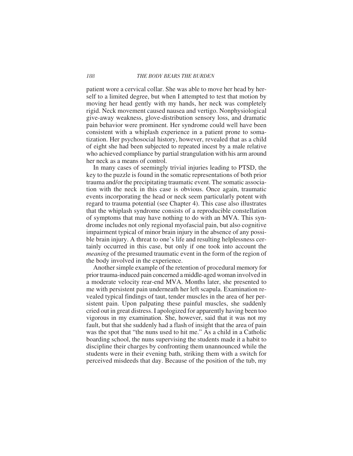patient wore a cervical collar. She was able to move her head by herself to a limited degree, but when I attempted to test that motion by moving her head gently with my hands, her neck was completely rigid. Neck movement caused nausea and vertigo. Nonphysiological give-away weakness, glove-distribution sensory loss, and dramatic pain behavior were prominent. Her syndrome could well have been consistent with a whiplash experience in a patient prone to somatization. Her psychosocial history, however, revealed that as a child of eight she had been subjected to repeated incest by a male relative who achieved compliance by partial strangulation with his arm around her neck as a means of control.

In many cases of seemingly trivial injuries leading to PTSD, the key to the puzzle is found in the somatic representations of both prior trauma and/or the precipitating traumatic event. The somatic association with the neck in this case is obvious. Once again, traumatic events incorporating the head or neck seem particularly potent with regard to trauma potential (see Chapter 4). This case also illustrates that the whiplash syndrome consists of a reproducible constellation of symptoms that may have nothing to do with an MVA. This syndrome includes not only regional myofascial pain, but also cognitive impairment typical of minor brain injury in the absence of any possible brain injury. A threat to one's life and resulting helplessness certainly occurred in this case, but only if one took into account the *meaning* of the presumed traumatic event in the form of the region of the body involved in the experience.

Another simple example of the retention of procedural memory for prior trauma-induced pain concerned a middle-aged woman involved in a moderate velocity rear-end MVA. Months later, she presented to me with persistent pain underneath her left scapula. Examination revealed typical findings of taut, tender muscles in the area of her persistent pain. Upon palpating these painful muscles, she suddenly cried out in great distress. I apologized for apparently having been too vigorous in my examination. She, however, said that it was not my fault, but that she suddenly had a flash of insight that the area of pain was the spot that "the nuns used to hit me." As a child in a Catholic boarding school, the nuns supervising the students made it a habit to discipline their charges by confronting them unannounced while the students were in their evening bath, striking them with a switch for perceived misdeeds that day. Because of the position of the tub, my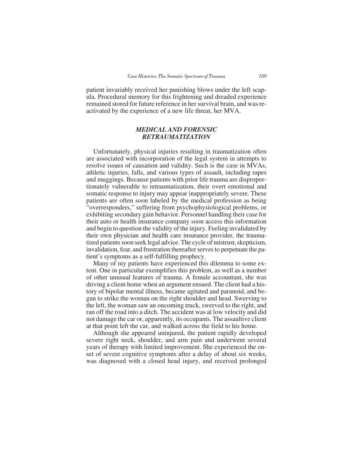patient invariably received her punishing blows under the left scapula. Procedural memory for this frightening and dreaded experience remained stored for future reference in her survival brain, and was reactivated by the experience of a new life threat, her MVA.

# *MEDICAL AND FORENSIC RETRAUMATIZATION*

Unfortunately, physical injuries resulting in traumatization often are associated with incorporation of the legal system in attempts to resolve issues of causation and validity. Such is the case in MVAs, athletic injuries, falls, and various types of assault, including rapes and muggings. Because patients with prior life trauma are disproportionately vulnerable to retraumatization, their overt emotional and somatic response to injury may appear inappropriately severe. These patients are often soon labeled by the medical profession as being "overresponders," suffering from psychophysiological problems, or exhibiting secondary gain behavior. Personnel handling their case for their auto or health insurance company soon access this information and begin to question the validity of the injury. Feeling invalidated by their own physician and health care insurance provider, the traumatized patients soon seek legal advice. The cycle of mistrust, skepticism, invalidation, fear, and frustration thereafter serves to perpetuate the patient's symptoms as a self-fulfilling prophecy.

Many of my patients have experienced this dilemma to some extent. One in particular exemplifies this problem, as well as a number of other unusual features of trauma. A female accountant, she was driving a client home when an argument ensued. The client had a history of bipolar mental illness, became agitated and paranoid, and began to strike the woman on the right shoulder and head. Swerving to the left, the woman saw an oncoming truck, swerved to the right, and ran off the road into a ditch. The accident was at low velocity and did not damage the car or, apparently, its occupants. The assaultive client at that point left the car, and walked across the field to his home.

Although she appeared uninjured, the patient rapidly developed severe right neck, shoulder, and arm pain and underwent several years of therapy with limited improvement. She experienced the onset of severe cognitive symptoms after a delay of about six weeks, was diagnosed with a closed head injury, and received prolonged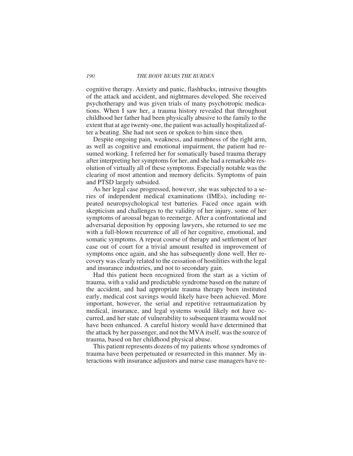cognitive therapy. Anxiety and panic, flashbacks, intrusive thoughts of the attack and accident, and nightmares developed. She received psychotherapy and was given trials of many psychotropic medications. When I saw her, a trauma history revealed that throughout childhood her father had been physically abusive to the family to the extent that at age twenty-one, the patient was actually hospitalized after a beating. She had not seen or spoken to him since then.

Despite ongoing pain, weakness, and numbness of the right arm, as well as cognitive and emotional impairment, the patient had resumed working. I referred her for somatically based trauma therapy after interpreting her symptoms for her, and she had a remarkable resolution of virtually all of these symptoms. Especially notable was the clearing of most attention and memory deficits. Symptoms of pain and PTSD largely subsided.

As her legal case progressed, however, she was subjected to a series of independent medical examinations (IMEs), including repeated neuropsychological test batteries. Faced once again with skepticism and challenges to the validity of her injury, some of her symptoms of arousal began to reemerge. After a confrontational and adversarial deposition by opposing lawyers, she returned to see me with a full-blown recurrence of all of her cognitive, emotional, and somatic symptoms. A repeat course of therapy and settlement of her case out of court for a trivial amount resulted in improvement of symptoms once again, and she has subsequently done well. Her recovery was clearly related to the cessation of hostilities with the legal and insurance industries, and not to secondary gain.

Had this patient been recognized from the start as a victim of trauma, with a valid and predictable syndrome based on the nature of the accident, and had appropriate trauma therapy been instituted early, medical cost savings would likely have been achieved. More important, however, the serial and repetitive retraumatization by medical, insurance, and legal systems would likely not have occurred, and her state of vulnerability to subsequent trauma would not have been enhanced. A careful history would have determined that the attack by her passenger, and not the MVA itself, was the source of trauma, based on her childhood physical abuse.

This patient represents dozens of my patients whose syndromes of trauma have been perpetuated or resurrected in this manner. My interactions with insurance adjustors and nurse case managers have re-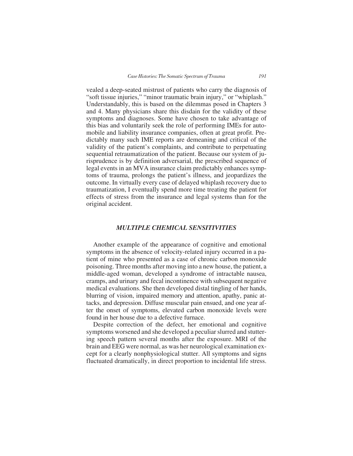vealed a deep-seated mistrust of patients who carry the diagnosis of "soft tissue injuries," "minor traumatic brain injury," or "whiplash." Understandably, this is based on the dilemmas posed in Chapters 3 and 4. Many physicians share this disdain for the validity of these symptoms and diagnoses. Some have chosen to take advantage of this bias and voluntarily seek the role of performing IMEs for automobile and liability insurance companies, often at great profit. Predictably many such IME reports are demeaning and critical of the validity of the patient's complaints, and contribute to perpetuating sequential retraumatization of the patient. Because our system of jurisprudence is by definition adversarial, the prescribed sequence of legal events in an MVA insurance claim predictably enhances symptoms of trauma, prolongs the patient's illness, and jeopardizes the outcome. In virtually every case of delayed whiplash recovery due to traumatization, I eventually spend more time treating the patient for effects of stress from the insurance and legal systems than for the original accident.

# *MULTIPLE CHEMICAL SENSITIVITIES*

Another example of the appearance of cognitive and emotional symptoms in the absence of velocity-related injury occurred in a patient of mine who presented as a case of chronic carbon monoxide poisoning. Three months after moving into a new house, the patient, a middle-aged woman, developed a syndrome of intractable nausea, cramps, and urinary and fecal incontinence with subsequent negative medical evaluations. She then developed distal tingling of her hands, blurring of vision, impaired memory and attention, apathy, panic attacks, and depression. Diffuse muscular pain ensued, and one year after the onset of symptoms, elevated carbon monoxide levels were found in her house due to a defective furnace.

Despite correction of the defect, her emotional and cognitive symptoms worsened and she developed a peculiar slurred and stuttering speech pattern several months after the exposure. MRI of the brain and EEG were normal, as was her neurological examination except for a clearly nonphysiological stutter. All symptoms and signs fluctuated dramatically, in direct proportion to incidental life stress.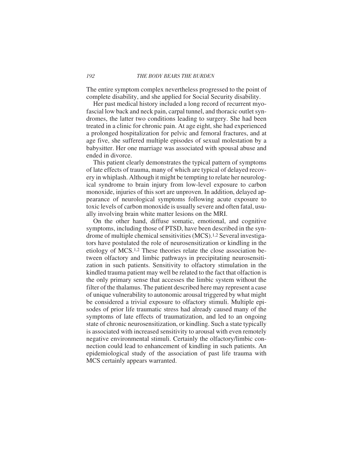The entire symptom complex nevertheless progressed to the point of complete disability, and she applied for Social Security disability.

Her past medical history included a long record of recurrent myofascial low back and neck pain, carpal tunnel, and thoracic outlet syndromes, the latter two conditions leading to surgery. She had been treated in a clinic for chronic pain. At age eight, she had experienced a prolonged hospitalization for pelvic and femoral fractures, and at age five, she suffered multiple episodes of sexual molestation by a babysitter. Her one marriage was associated with spousal abuse and ended in divorce.

This patient clearly demonstrates the typical pattern of symptoms of late effects of trauma, many of which are typical of delayed recovery in whiplash. Although it might be tempting to relate her neurological syndrome to brain injury from low-level exposure to carbon monoxide, injuries of this sort are unproven. In addition, delayed appearance of neurological symptoms following acute exposure to toxic levels of carbon monoxide is usually severe and often fatal, usually involving brain white matter lesions on the MRI.

On the other hand, diffuse somatic, emotional, and cognitive symptoms, including those of PTSD, have been described in the syndrome of multiple chemical sensitivities (MCS).1,2 Several investigators have postulated the role of neurosensitization or kindling in the etiology of MCS.1,2 These theories relate the close association between olfactory and limbic pathways in precipitating neurosensitization in such patients. Sensitivity to olfactory stimulation in the kindled trauma patient may well be related to the fact that olfaction is the only primary sense that accesses the limbic system without the filter of the thalamus. The patient described here may represent a case of unique vulnerability to autonomic arousal triggered by what might be considered a trivial exposure to olfactory stimuli. Multiple episodes of prior life traumatic stress had already caused many of the symptoms of late effects of traumatization, and led to an ongoing state of chronic neurosensitization, or kindling. Such a state typically is associated with increased sensitivity to arousal with even remotely negative environmental stimuli. Certainly the olfactory/limbic connection could lead to enhancement of kindling in such patients. An epidemiological study of the association of past life trauma with MCS certainly appears warranted.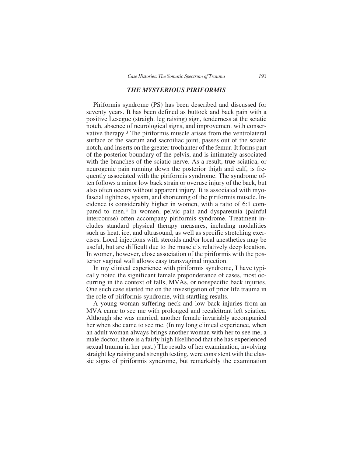### *THE MYSTERIOUS PIRIFORMIS*

Piriformis syndrome (PS) has been described and discussed for seventy years. It has been defined as buttock and back pain with a positive Lesegue (straight leg raising) sign, tenderness at the sciatic notch, absence of neurological signs, and improvement with conservative therapy.3 The piriformis muscle arises from the ventrolateral surface of the sacrum and sacroiliac joint, passes out of the sciatic notch, and inserts on the greater trochanter of the femur. It forms part of the posterior boundary of the pelvis, and is intimately associated with the branches of the sciatic nerve. As a result, true sciatica, or neurogenic pain running down the posterior thigh and calf, is frequently associated with the piriformis syndrome. The syndrome often follows a minor low back strain or overuse injury of the back, but also often occurs without apparent injury. It is associated with myofascial tightness, spasm, and shortening of the piriformis muscle. Incidence is considerably higher in women, with a ratio of 6:1 compared to men.3 In women, pelvic pain and dyspareunia (painful intercourse) often accompany piriformis syndrome. Treatment includes standard physical therapy measures, including modalities such as heat, ice, and ultrasound, as well as specific stretching exercises. Local injections with steroids and/or local anesthetics may be useful, but are difficult due to the muscle's relatively deep location. In women, however, close association of the piriformis with the posterior vaginal wall allows easy transvaginal injection.

In my clinical experience with piriformis syndrome, I have typically noted the significant female preponderance of cases, most occurring in the context of falls, MVAs, or nonspecific back injuries. One such case started me on the investigation of prior life trauma in the role of piriformis syndrome, with startling results.

A young woman suffering neck and low back injuries from an MVA came to see me with prolonged and recalcitrant left sciatica. Although she was married, another female invariably accompanied her when she came to see me. (In my long clinical experience, when an adult woman always brings another woman with her to see me, a male doctor, there is a fairly high likelihood that she has experienced sexual trauma in her past.) The results of her examination, involving straight leg raising and strength testing, were consistent with the classic signs of piriformis syndrome, but remarkably the examination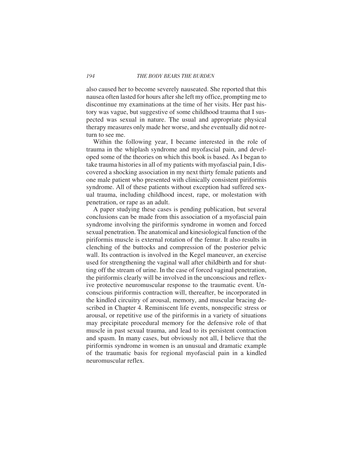also caused her to become severely nauseated. She reported that this nausea often lasted for hours after she left my office, prompting me to discontinue my examinations at the time of her visits. Her past history was vague, but suggestive of some childhood trauma that I suspected was sexual in nature. The usual and appropriate physical therapy measures only made her worse, and she eventually did not return to see me.

Within the following year, I became interested in the role of trauma in the whiplash syndrome and myofascial pain, and developed some of the theories on which this book is based. As I began to take trauma histories in all of my patients with myofascial pain, I discovered a shocking association in my next thirty female patients and one male patient who presented with clinically consistent piriformis syndrome. All of these patients without exception had suffered sexual trauma, including childhood incest, rape, or molestation with penetration, or rape as an adult.

A paper studying these cases is pending publication, but several conclusions can be made from this association of a myofascial pain syndrome involving the piriformis syndrome in women and forced sexual penetration. The anatomical and kinesiological function of the piriformis muscle is external rotation of the femur. It also results in clenching of the buttocks and compression of the posterior pelvic wall. Its contraction is involved in the Kegel maneuver, an exercise used for strengthening the vaginal wall after childbirth and for shutting off the stream of urine. In the case of forced vaginal penetration, the piriformis clearly will be involved in the unconscious and reflexive protective neuromuscular response to the traumatic event. Unconscious piriformis contraction will, thereafter, be incorporated in the kindled circuitry of arousal, memory, and muscular bracing described in Chapter 4. Reminiscent life events, nonspecific stress or arousal, or repetitive use of the piriformis in a variety of situations may precipitate procedural memory for the defensive role of that muscle in past sexual trauma, and lead to its persistent contraction and spasm. In many cases, but obviously not all, I believe that the piriformis syndrome in women is an unusual and dramatic example of the traumatic basis for regional myofascial pain in a kindled neuromuscular reflex.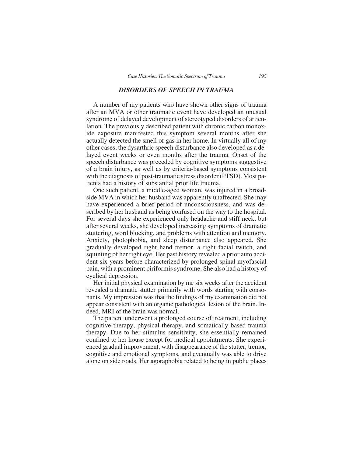### *DISORDERS OF SPEECH IN TRAUMA*

A number of my patients who have shown other signs of trauma after an MVA or other traumatic event have developed an unusual syndrome of delayed development of stereotyped disorders of articulation. The previously described patient with chronic carbon monoxide exposure manifested this symptom several months after she actually detected the smell of gas in her home. In virtually all of my other cases, the dysarthric speech disturbance also developed as a delayed event weeks or even months after the trauma. Onset of the speech disturbance was preceded by cognitive symptoms suggestive of a brain injury, as well as by criteria-based symptoms consistent with the diagnosis of post-traumatic stress disorder (PTSD). Most patients had a history of substantial prior life trauma.

One such patient, a middle-aged woman, was injured in a broadside MVA in which her husband was apparently unaffected. She may have experienced a brief period of unconsciousness, and was described by her husband as being confused on the way to the hospital. For several days she experienced only headache and stiff neck, but after several weeks, she developed increasing symptoms of dramatic stuttering, word blocking, and problems with attention and memory. Anxiety, photophobia, and sleep disturbance also appeared. She gradually developed right hand tremor, a right facial twitch, and squinting of her right eye. Her past history revealed a prior auto accident six years before characterized by prolonged spinal myofascial pain, with a prominent piriformis syndrome. She also had a history of cyclical depression.

Her initial physical examination by me six weeks after the accident revealed a dramatic stutter primarily with words starting with consonants. My impression was that the findings of my examination did not appear consistent with an organic pathological lesion of the brain. Indeed, MRI of the brain was normal.

The patient underwent a prolonged course of treatment, including cognitive therapy, physical therapy, and somatically based trauma therapy. Due to her stimulus sensitivity, she essentially remained confined to her house except for medical appointments. She experienced gradual improvement, with disappearance of the stutter, tremor, cognitive and emotional symptoms, and eventually was able to drive alone on side roads. Her agoraphobia related to being in public places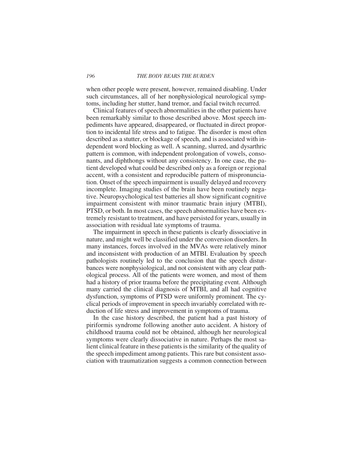when other people were present, however, remained disabling. Under such circumstances, all of her nonphysiological neurological symptoms, including her stutter, hand tremor, and facial twitch recurred.

Clinical features of speech abnormalities in the other patients have been remarkably similar to those described above. Most speech impediments have appeared, disappeared, or fluctuated in direct proportion to incidental life stress and to fatigue. The disorder is most often described as a stutter, or blockage of speech, and is associated with independent word blocking as well. A scanning, slurred, and dysarthric pattern is common, with independent prolongation of vowels, consonants, and diphthongs without any consistency. In one case, the patient developed what could be described only as a foreign or regional accent, with a consistent and reproducible pattern of mispronunciation. Onset of the speech impairment is usually delayed and recovery incomplete. Imaging studies of the brain have been routinely negative. Neuropsychological test batteries all show significant cognitive impairment consistent with minor traumatic brain injury (MTBI), PTSD, or both. In most cases, the speech abnormalities have been extremely resistant to treatment, and have persisted for years, usually in association with residual late symptoms of trauma.

The impairment in speech in these patients is clearly dissociative in nature, and might well be classified under the conversion disorders. In many instances, forces involved in the MVAs were relatively minor and inconsistent with production of an MTBI. Evaluation by speech pathologists routinely led to the conclusion that the speech disturbances were nonphysiological, and not consistent with any clear pathological process. All of the patients were women, and most of them had a history of prior trauma before the precipitating event. Although many carried the clinical diagnosis of MTBI, and all had cognitive dysfunction, symptoms of PTSD were uniformly prominent. The cyclical periods of improvement in speech invariably correlated with reduction of life stress and improvement in symptoms of trauma.

In the case history described, the patient had a past history of piriformis syndrome following another auto accident. A history of childhood trauma could not be obtained, although her neurological symptoms were clearly dissociative in nature. Perhaps the most salient clinical feature in these patients is the similarity of the quality of the speech impediment among patients. This rare but consistent association with traumatization suggests a common connection between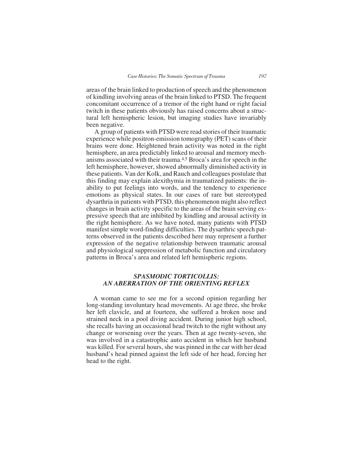areas of the brain linked to production of speech and the phenomenon of kindling involving areas of the brain linked to PTSD. The frequent concomitant occurrence of a tremor of the right hand or right facial twitch in these patients obviously has raised concerns about a structural left hemispheric lesion, but imaging studies have invariably been negative.

A group of patients with PTSD were read stories of their traumatic experience while positron-emission tomography (PET) scans of their brains were done. Heightened brain activity was noted in the right hemisphere, an area predictably linked to arousal and memory mechanisms associated with their trauma.4,5 Broca's area for speech in the left hemisphere, however, showed abnormally diminished activity in these patients. Van der Kolk, and Rauch and colleagues postulate that this finding may explain alexithymia in traumatized patients: the inability to put feelings into words, and the tendency to experience emotions as physical states. In our cases of rare but stereotyped dysarthria in patients with PTSD, this phenomenon might also reflect changes in brain activity specific to the areas of the brain serving expressive speech that are inhibited by kindling and arousal activity in the right hemisphere. As we have noted, many patients with PTSD manifest simple word-finding difficulties. The dysarthric speech patterns observed in the patients described here may represent a further expression of the negative relationship between traumatic arousal and physiological suppression of metabolic function and circulatory patterns in Broca's area and related left hemispheric regions.

# *SPASMODIC TORTICOLLIS: AN ABERRATION OF THE ORIENTING REFLEX*

A woman came to see me for a second opinion regarding her long-standing involuntary head movements. At age three, she broke her left clavicle, and at fourteen, she suffered a broken nose and strained neck in a pool diving accident. During junior high school, she recalls having an occasional head twitch to the right without any change or worsening over the years. Then at age twenty-seven, she was involved in a catastrophic auto accident in which her husband was killed. For several hours, she was pinned in the car with her dead husband's head pinned against the left side of her head, forcing her head to the right.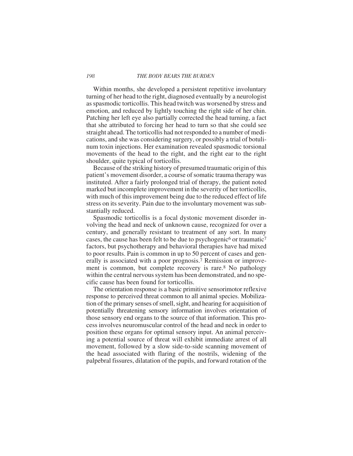Within months, she developed a persistent repetitive involuntary turning of her head to the right, diagnosed eventually by a neurologist as spasmodic torticollis. This head twitch was worsened by stress and emotion, and reduced by lightly touching the right side of her chin. Patching her left eye also partially corrected the head turning, a fact that she attributed to forcing her head to turn so that she could see straight ahead. The torticollis had not responded to a number of medications, and she was considering surgery, or possibly a trial of botulinum toxin injections. Her examination revealed spasmodic torsional movements of the head to the right, and the right ear to the right shoulder, quite typical of torticollis.

Because of the striking history of presumed traumatic origin of this patient's movement disorder, a course of somatic trauma therapy was instituted. After a fairly prolonged trial of therapy, the patient noted marked but incomplete improvement in the severity of her torticollis, with much of this improvement being due to the reduced effect of life stress on its severity. Pain due to the involuntary movement was substantially reduced.

Spasmodic torticollis is a focal dystonic movement disorder involving the head and neck of unknown cause, recognized for over a century, and generally resistant to treatment of any sort. In many cases, the cause has been felt to be due to psychogenic<sup>6</sup> or traumatic<sup>7</sup> factors, but psychotherapy and behavioral therapies have had mixed to poor results. Pain is common in up to 50 percent of cases and generally is associated with a poor prognosis.<sup>7</sup> Remission or improvement is common, but complete recovery is rare.8 No pathology within the central nervous system has been demonstrated, and no specific cause has been found for torticollis.

The orientation response is a basic primitive sensorimotor reflexive response to perceived threat common to all animal species. Mobilization of the primary senses of smell, sight, and hearing for acquisition of potentially threatening sensory information involves orientation of those sensory end organs to the source of that information. This process involves neuromuscular control of the head and neck in order to position these organs for optimal sensory input. An animal perceiving a potential source of threat will exhibit immediate arrest of all movement, followed by a slow side-to-side scanning movement of the head associated with flaring of the nostrils, widening of the palpebral fissures, dilatation of the pupils, and forward rotation of the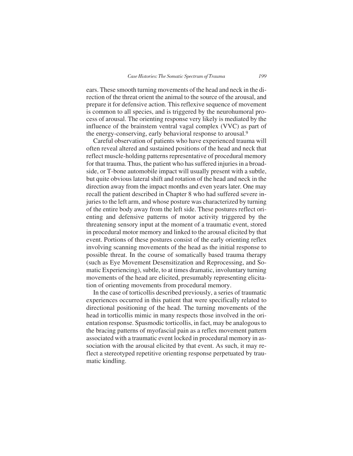ears. These smooth turning movements of the head and neck in the direction of the threat orient the animal to the source of the arousal, and prepare it for defensive action. This reflexive sequence of movement is common to all species, and is triggered by the neurohumoral process of arousal. The orienting response very likely is mediated by the influence of the brainstem ventral vagal complex (VVC) as part of the energy-conserving, early behavioral response to arousal.9

Careful observation of patients who have experienced trauma will often reveal altered and sustained positions of the head and neck that reflect muscle-holding patterns representative of procedural memory for that trauma. Thus, the patient who has suffered injuries in a broadside, or T-bone automobile impact will usually present with a subtle, but quite obvious lateral shift and rotation of the head and neck in the direction away from the impact months and even years later. One may recall the patient described in Chapter 8 who had suffered severe injuries to the left arm, and whose posture was characterized by turning of the entire body away from the left side. These postures reflect orienting and defensive patterns of motor activity triggered by the threatening sensory input at the moment of a traumatic event, stored in procedural motor memory and linked to the arousal elicited by that event. Portions of these postures consist of the early orienting reflex involving scanning movements of the head as the initial response to possible threat. In the course of somatically based trauma therapy (such as Eye Movement Desensitization and Reprocessing, and Somatic Experiencing), subtle, to at times dramatic, involuntary turning movements of the head are elicited, presumably representing elicitation of orienting movements from procedural memory.

In the case of torticollis described previously, a series of traumatic experiences occurred in this patient that were specifically related to directional positioning of the head. The turning movements of the head in torticollis mimic in many respects those involved in the orientation response. Spasmodic torticollis, in fact, may be analogous to the bracing patterns of myofascial pain as a reflex movement pattern associated with a traumatic event locked in procedural memory in association with the arousal elicited by that event. As such, it may reflect a stereotyped repetitive orienting response perpetuated by traumatic kindling.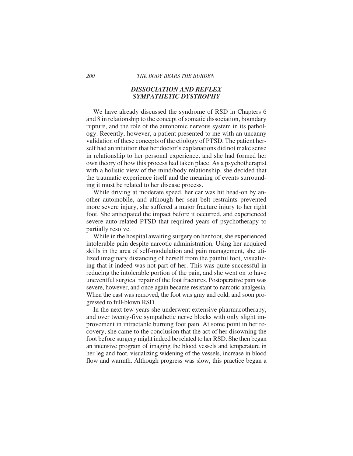# *DISSOCIATION AND REFLEX SYMPATHETIC DYSTROPHY*

We have already discussed the syndrome of RSD in Chapters 6 and 8 in relationship to the concept of somatic dissociation, boundary rupture, and the role of the autonomic nervous system in its pathology. Recently, however, a patient presented to me with an uncanny validation of these concepts of the etiology of PTSD. The patient herself had an intuition that her doctor's explanations did not make sense in relationship to her personal experience, and she had formed her own theory of how this process had taken place. As a psychotherapist with a holistic view of the mind/body relationship, she decided that the traumatic experience itself and the meaning of events surrounding it must be related to her disease process.

While driving at moderate speed, her car was hit head-on by another automobile, and although her seat belt restraints prevented more severe injury, she suffered a major fracture injury to her right foot. She anticipated the impact before it occurred, and experienced severe auto-related PTSD that required years of psychotherapy to partially resolve.

While in the hospital awaiting surgery on her foot, she experienced intolerable pain despite narcotic administration. Using her acquired skills in the area of self-modulation and pain management, she utilized imaginary distancing of herself from the painful foot, visualizing that it indeed was not part of her. This was quite successful in reducing the intolerable portion of the pain, and she went on to have uneventful surgical repair of the foot fractures. Postoperative pain was severe, however, and once again became resistant to narcotic analgesia. When the cast was removed, the foot was gray and cold, and soon progressed to full-blown RSD.

In the next few years she underwent extensive pharmacotherapy, and over twenty-five sympathetic nerve blocks with only slight improvement in intractable burning foot pain. At some point in her recovery, she came to the conclusion that the act of her disowning the foot before surgery might indeed be related to her RSD. She then began an intensive program of imaging the blood vessels and temperature in her leg and foot, visualizing widening of the vessels, increase in blood flow and warmth. Although progress was slow, this practice began a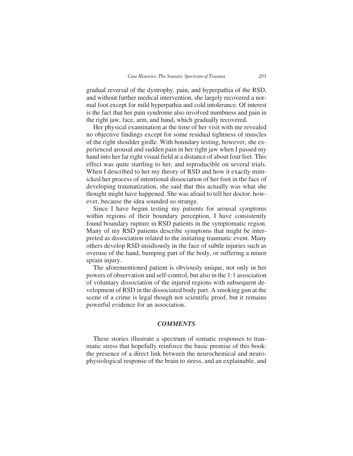gradual reversal of the dystrophy, pain, and hyperpathia of the RSD, and without further medical intervention, she largely recovered a normal foot except for mild hyperpathia and cold intolerance. Of interest is the fact that her pain syndrome also involved numbness and pain in the right jaw, face, arm, and hand, which gradually recovered.

Her physical examination at the time of her visit with me revealed no objective findings except for some residual tightness of muscles of the right shoulder girdle. With boundary testing, however, she experienced arousal and sudden pain in her right jaw when I passed my hand into her far right visual field at a distance of about four feet. This effect was quite startling to her, and reproducible on several trials. When I described to her my theory of RSD and how it exactly mimicked her process of intentional dissociation of her foot in the face of developing traumatization, she said that this actually was what she thought might have happened. She was afraid to tell her doctor, however, because the idea sounded so strange.

Since I have begun testing my patients for arousal symptoms within regions of their boundary perception, I have consistently found boundary rupture in RSD patients in the symptomatic region. Many of my RSD patients describe symptoms that might be interpreted as dissociation related to the initiating traumatic event. Many others develop RSD insidiously in the face of subtle injuries such as overuse of the hand, bumping part of the body, or suffering a minor sprain injury.

The aforementioned patient is obviously unique, not only in her powers of observation and self-control, but also in the 1:1 association of voluntary dissociation of the injured regions with subsequent development of RSD in the dissociated body part. A smoking gun at the scene of a crime is legal though not scientific proof, but it remains powerful evidence for an association.

## *COMMENTS*

These stories illustrate a spectrum of somatic responses to traumatic stress that hopefully reinforce the basic premise of this book: the presence of a direct link between the neurochemical and neurophysiological response of the brain to stress, and an explainable, and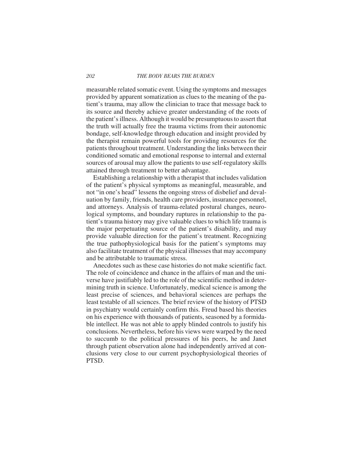measurable related somatic event. Using the symptoms and messages provided by apparent somatization as clues to the meaning of the patient's trauma, may allow the clinician to trace that message back to its source and thereby achieve greater understanding of the roots of the patient's illness. Although it would be presumptuous to assert that the truth will actually free the trauma victims from their autonomic bondage, self-knowledge through education and insight provided by the therapist remain powerful tools for providing resources for the patients throughout treatment. Understanding the links between their conditioned somatic and emotional response to internal and external sources of arousal may allow the patients to use self-regulatory skills attained through treatment to better advantage.

Establishing a relationship with a therapist that includes validation of the patient's physical symptoms as meaningful, measurable, and not "in one's head" lessens the ongoing stress of disbelief and devaluation by family, friends, health care providers, insurance personnel, and attorneys. Analysis of trauma-related postural changes, neurological symptoms, and boundary ruptures in relationship to the patient's trauma history may give valuable clues to which life trauma is the major perpetuating source of the patient's disability, and may provide valuable direction for the patient's treatment. Recognizing the true pathophysiological basis for the patient's symptoms may also facilitate treatment of the physical illnesses that may accompany and be attributable to traumatic stress.

Anecdotes such as these case histories do not make scientific fact. The role of coincidence and chance in the affairs of man and the universe have justifiably led to the role of the scientific method in determining truth in science. Unfortunately, medical science is among the least precise of sciences, and behavioral sciences are perhaps the least testable of all sciences. The brief review of the history of PTSD in psychiatry would certainly confirm this. Freud based his theories on his experience with thousands of patients, seasoned by a formidable intellect. He was not able to apply blinded controls to justify his conclusions. Nevertheless, before his views were warped by the need to succumb to the political pressures of his peers, he and Janet through patient observation alone had independently arrived at conclusions very close to our current psychophysiological theories of PTSD.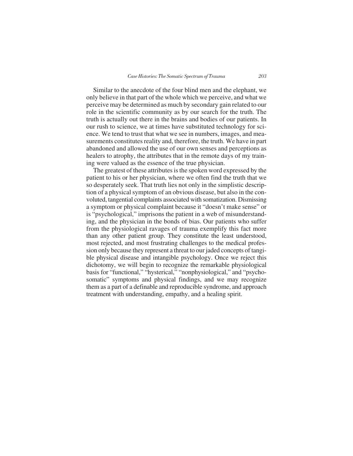Similar to the anecdote of the four blind men and the elephant, we only believe in that part of the whole which we perceive, and what we perceive may be determined as much by secondary gain related to our role in the scientific community as by our search for the truth. The truth is actually out there in the brains and bodies of our patients. In our rush to science, we at times have substituted technology for science. We tend to trust that what we see in numbers, images, and measurements constitutes reality and, therefore, the truth. We have in part abandoned and allowed the use of our own senses and perceptions as healers to atrophy, the attributes that in the remote days of my training were valued as the essence of the true physician.

The greatest of these attributes is the spoken word expressed by the patient to his or her physician, where we often find the truth that we so desperately seek. That truth lies not only in the simplistic description of a physical symptom of an obvious disease, but also in the convoluted, tangential complaints associated with somatization. Dismissing a symptom or physical complaint because it "doesn't make sense" or is "psychological," imprisons the patient in a web of misunderstanding, and the physician in the bonds of bias. Our patients who suffer from the physiological ravages of trauma exemplify this fact more than any other patient group. They constitute the least understood, most rejected, and most frustrating challenges to the medical profession only because they represent a threat to our jaded concepts of tangible physical disease and intangible psychology. Once we reject this dichotomy, we will begin to recognize the remarkable physiological basis for "functional," "hysterical," "nonphysiological," and "psychosomatic" symptoms and physical findings, and we may recognize them as a part of a definable and reproducible syndrome, and approach treatment with understanding, empathy, and a healing spirit.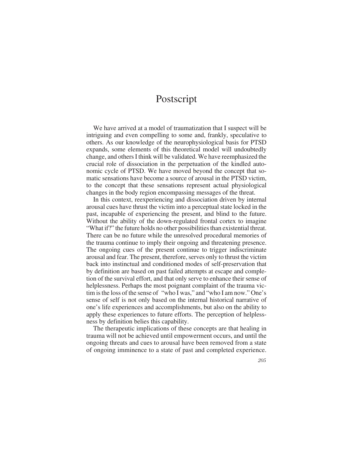# Postscript Postscript

We have arrived at a model of traumatization that I suspect will be intriguing and even compelling to some and, frankly, speculative to others. As our knowledge of the neurophysiological basis for PTSD expands, some elements of this theoretical model will undoubtedly change, and others I think will be validated. We have reemphasized the crucial role of dissociation in the perpetuation of the kindled autonomic cycle of PTSD. We have moved beyond the concept that somatic sensations have become a source of arousal in the PTSD victim, to the concept that these sensations represent actual physiological changes in the body region encompassing messages of the threat.

In this context, reexperiencing and dissociation driven by internal arousal cues have thrust the victim into a perceptual state locked in the past, incapable of experiencing the present, and blind to the future. Without the ability of the down-regulated frontal cortex to imagine "What if?" the future holds no other possibilities than existential threat. There can be no future while the unresolved procedural memories of the trauma continue to imply their ongoing and threatening presence. The ongoing cues of the present continue to trigger indiscriminate arousal and fear. The present, therefore, serves only to thrust the victim back into instinctual and conditioned modes of self-preservation that by definition are based on past failed attempts at escape and completion of the survival effort, and that only serve to enhance their sense of helplessness. Perhaps the most poignant complaint of the trauma victim is the loss of the sense of "who I was," and "who I am now." One's sense of self is not only based on the internal historical narrative of one's life experiences and accomplishments, but also on the ability to apply these experiences to future efforts. The perception of helplessness by definition belies this capability.

The therapeutic implications of these concepts are that healing in trauma will not be achieved until empowerment occurs, and until the ongoing threats and cues to arousal have been removed from a state of ongoing imminence to a state of past and completed experience.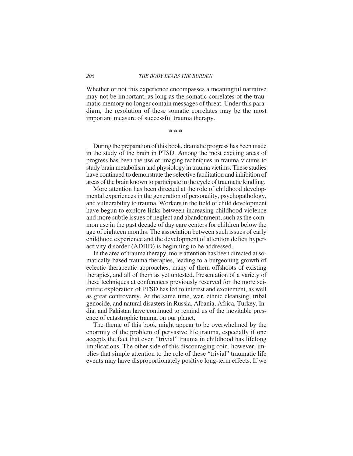Whether or not this experience encompasses a meaningful narrative may not be important, as long as the somatic correlates of the traumatic memory no longer contain messages of threat. Under this paradigm, the resolution of these somatic correlates may be the most important measure of successful trauma therapy.

\* \* \*

During the preparation of this book, dramatic progress has been made in the study of the brain in PTSD. Among the most exciting areas of progress has been the use of imaging techniques in trauma victims to study brain metabolism and physiology in trauma victims. These studies have continued to demonstrate the selective facilitation and inhibition of areas of the brain known to participate in the cycle of traumatic kindling.

More attention has been directed at the role of childhood developmental experiences in the generation of personality, psychopathology, and vulnerability to trauma. Workers in the field of child development have begun to explore links between increasing childhood violence and more subtle issues of neglect and abandonment, such as the common use in the past decade of day care centers for children below the age of eighteen months. The association between such issues of early childhood experience and the development of attention deficit hyperactivity disorder (ADHD) is beginning to be addressed.

In the area of trauma therapy, more attention has been directed at somatically based trauma therapies, leading to a burgeoning growth of eclectic therapeutic approaches, many of them offshoots of existing therapies, and all of them as yet untested. Presentation of a variety of these techniques at conferences previously reserved for the more scientific exploration of PTSD has led to interest and excitement, as well as great controversy. At the same time, war, ethnic cleansing, tribal genocide, and natural disasters in Russia, Albania, Africa, Turkey, India, and Pakistan have continued to remind us of the inevitable presence of catastrophic trauma on our planet.

The theme of this book might appear to be overwhelmed by the enormity of the problem of pervasive life trauma, especially if one accepts the fact that even "trivial" trauma in childhood has lifelong implications. The other side of this discouraging coin, however, implies that simple attention to the role of these "trivial" traumatic life events may have disproportionately positive long-term effects. If we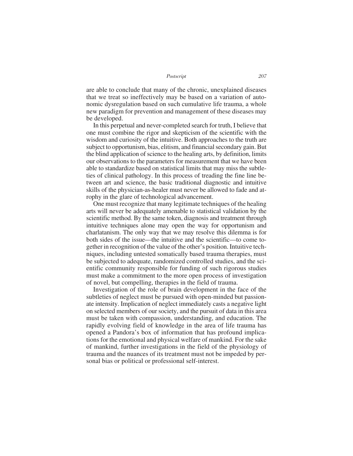are able to conclude that many of the chronic, unexplained diseases that we treat so ineffectively may be based on a variation of autonomic dysregulation based on such cumulative life trauma, a whole new paradigm for prevention and management of these diseases may be developed.

In this perpetual and never-completed search for truth, I believe that one must combine the rigor and skepticism of the scientific with the wisdom and curiosity of the intuitive. Both approaches to the truth are subject to opportunism, bias, elitism, and financial secondary gain. But the blind application of science to the healing arts, by definition, limits our observations to the parameters for measurement that we have been able to standardize based on statistical limits that may miss the subtleties of clinical pathology. In this process of treading the fine line between art and science, the basic traditional diagnostic and intuitive skills of the physician-as-healer must never be allowed to fade and atrophy in the glare of technological advancement.

One must recognize that many legitimate techniques of the healing arts will never be adequately amenable to statistical validation by the scientific method. By the same token, diagnosis and treatment through intuitive techniques alone may open the way for opportunism and charlatanism. The only way that we may resolve this dilemma is for both sides of the issue—the intuitive and the scientific—to come together in recognition of the value of the other's position. Intuitive techniques, including untested somatically based trauma therapies, must be subjected to adequate, randomized controlled studies, and the scientific community responsible for funding of such rigorous studies must make a commitment to the more open process of investigation of novel, but compelling, therapies in the field of trauma.

Investigation of the role of brain development in the face of the subtleties of neglect must be pursued with open-minded but passionate intensity. Implication of neglect immediately casts a negative light on selected members of our society, and the pursuit of data in this area must be taken with compassion, understanding, and education. The rapidly evolving field of knowledge in the area of life trauma has opened a Pandora's box of information that has profound implications for the emotional and physical welfare of mankind. For the sake of mankind, further investigations in the field of the physiology of trauma and the nuances of its treatment must not be impeded by personal bias or political or professional self-interest.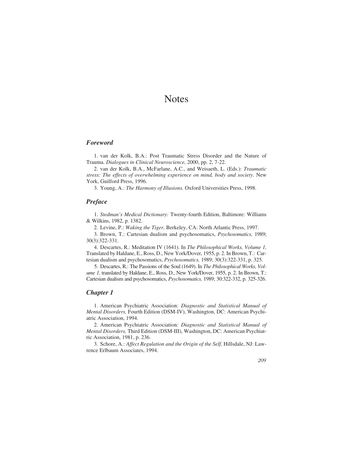# **Notes**

### *Foreword*

1. van der Kolk, B.A.: Post Traumatic Stress Disorder and the Nature of Trauma. *Dialogues in Clinical Neuroscience,* 2000, pp. 2, 7-22.

2. van der Kolk, B.A., McFarlane, A.C., and Weisaeth, L. (Eds.): *Traumatic stress: The effects of overwhelming experience on mind, body and society.* New York, Guilford Press, 1996.

3. Young, A.: *The Harmony of Illusions.* Oxford Universities Press, 1998.

### *Preface*

1. *Stedman's Medical Dictionary:* Twenty-fourth Edition, Baltimore: Williams & Wilkins, 1982, p. 1382.

2. Levine, P.: *Waking the Tiger,* Berkeley, CA: North Atlantic Press, 1997.

3. Brown, T.: Cartesian dualism and psychosomatics, *Psychosomatics,* 1989; 30(3):322-331.

4. Descartes, R.: Meditation IV (1641). In *The Philosophical Works, Volume 1,* Translated by Haldane, E., Ross, D., New York/Dover, 1955, p. 2. In Brown, T.: Cartesian dualism and psychosomatics, *Psychosomatics,* 1989; 30(3):322-331, p. 325.

5. Descartes, R.: The Passions of the Soul (1649). In *The Philosophical Works, Volume 1,* translated by Haldane, E., Ross, D., New York/Dover, 1955, p. 2. In Brown, T.: Cartesian dualism and psychosomatics, *Psychosomatics,* 1989; 30:322-332, p. 325-326.

## *Chapter 1*

1. American Psychiatric Association: *Diagnostic and Statistical Manual of Mental Disorders,* Fourth Edition (DSM-IV), Washington, DC: American Psychiatric Association, 1994.

2. American Psychiatric Association: *Diagnostic and Statistical Manual of Mental Disorders,* Third Edition (DSM-III), Washington, DC: American Psychiatric Association, 1981, p. 236.

3. Schore, A.: *Affect Regulation and the Origin of the Self,* Hillsdale, NJ: Lawrence Erlbaum Associates, 1994.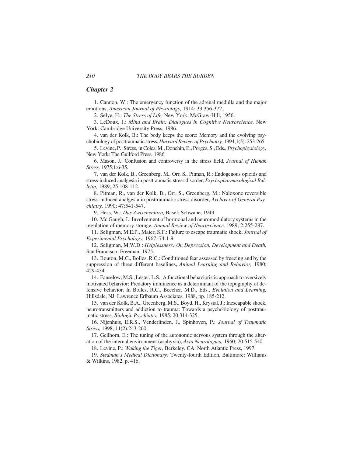## *Chapter 2*

1. Cannon, W.: The emergency function of the adrenal medulla and the major emotions, *American Journal of Physiology,* 1914; 33:356-372.

2. Selye, H.: *The Stress of Life,* New York: McGraw-Hill, 1956.

3. LeDoux, J.: *Mind and Brain: Dialogues in Cognitive Neuroscience,* New York: Cambridge University Press, 1986.

4. van der Kolk, B.: The body keeps the score: Memory and the evolving psychobiology of posttraumatic stress, *Harvard Review of Psychiatry,* 1994;1(5): 253-265.

5. Levine, P.: Stress, in Coles, M., Donchin, E., Porges, S., Eds., *Psychophysiology,* New York: The Guilford Press, 1986.

6. Mason, J.: Confusion and controversy in the stress field, *Journal of Human Stress,* 1975;1:6-35.

7. van der Kolk, B., Greenberg, M., Orr, S., Pitman, R.: Endogenous opioids and stress-induced analgesia in posttraumatic stress disorder, *Psychopharmacological Bulletin,* 1989; 25:108-112.

8. Pitman, R., van der Kolk, B., Orr, S., Greenberg, M.: Naloxone reversible stress-induced analgesia in posttraumatic stress disorder, *Archives of General Psychiatry,* 1990; 47:541-547.

9. Hess, W.: *Das Zwischenhirn,* Basel: Schwabe, 1949.

10. Mc Gaugh, J.: Involvement of hormonal and neuromodulatory systems in the regulation of memory storage, *Annual Review of Neuroscience,* 1989; 2:255-287.

11. Seligman, M.E.P., Maier, S.F.: Failure to escape traumatic shock, *Journal of Experimental Psychology,* 1967; 74:1-9.

12. Seligman, M.W.D.: *Helplessness: On Depression, Development and Death,* San Francisco: Freeman, 1975.

13. Bouton, M.C., Bolles, R.C.: Conditioned fear assessed by freezing and by the suppression of three different baselines, *Animal Learning and Behavior,* 1980; 429-434.

14. Fanselow, M.S., Lester, L.S.: A functional behavioristic approach to aversively motivated behavior: Predatory imminence as a determinant of the topography of defensive behavior. In Bolles, R.C., Beecher, M.D., Eds., *Evolution and Learning,* Hillsdale, NJ: Lawrence Erlbaum Associates, 1988, pp. 185-212.

15. van der Kolk, B.A., Greenberg, M.S., Boyd, H., Krystal, J.: Inescapable shock, neurotransmitters and addiction to trauma: Towards a psychobiology of posttraumatic stress, *Biologic Psychiatry,* 1985; 20:314-325.

16. Nijenhuis, E.R.S., Venderlinden, J., Spinhoven, P.: *Journal of Traumatic Stress,* 1998; 11(2):243-260.

17. Gellhorn, E.: The tuning of the autonomic nervous system through the alteration of the internal environment (asphyxia), *Acta Neurologica,* 1960; 20:515-540.

18. Levine, P.: *Waking the Tiger,* Berkeley, CA: North Atlantic Press, 1997.

19. *Stedman's Medical Dictionary:* Twenty-fourth Edition, Baltimore: Williams & Wilkins, 1982, p. 416.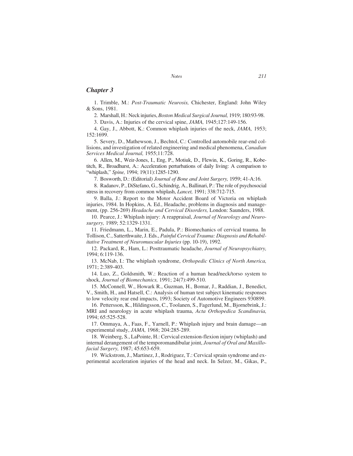### *Chapter 3*

1. Trimble, M.: *Post-Traumatic Neurosis,* Chichester, England: John Wiley & Sons, 1981.

2. Marshall, H.: Neck injuries, *Boston Medical Surgical Journal,* 1919; 180:93-98.

3. Davis, A.: Injuries of the cervical spine, *JAMA,* 1945;127:149-156.

4. Gay, J., Abbott, K.: Common whiplash injuries of the neck, *JAMA,* 1953; 152:1699.

5. Severy, D., Mathewson, J., Bechtol, C.: Controlled automobile rear-end collisions, and investigation of related engineering and medical phenomena, *Canadian Services Medical Journal,* 1955;11:728.

6. Allen, M., Weir-Jones, I., Eng, P., Motiuk, D., Flewin, K., Goring, R., Kobetitch, R., Broadhurst, A.: Acceleration perturbations of daily living: A comparison to "whiplash," *Spine,* 1994; 19(11):1285-1290.

7. Bosworth, D.: (Editorial) *Journal of Bone and Joint Surgery,* 1959; 41-A:16.

8. Radanov, P., DiStefano, G., Schindrig, A., Ballinari, P.: The role of psychosocial stress in recovery from common whiplash, *Lancet,* 1991; 338:712-715.

9. Balla, J.: Report to the Motor Accident Board of Victoria on whiplash injuries, 1984. In Hopkins, A. Ed., Headache, problems in diagnosis and management, (pp. 256-269) *Headache and Cervical Disorders,* London: Saunders, 1988.

10. Pearce, J.: Whiplash injury: A reappraisal, *Journal of Neurology and Neurosurgery,* 1989; 52:1329-1331.

11. Friedmann, L., Marin, E., Padula, P.: Biomechanics of cervical trauma. In Tollison, C., Satterthwaite, J. Eds., *Painful Cervical Trauma: Diagnosis and Rehabilitative Treatment of Neuromuscular Injuries* (pp. 10-19), 1992.

12. Packard, R., Ham, L.: Posttraumatic headache, *Journal of Neuropsychiatry,* 1994; 6:119-136.

13. McNab, I.: The whiplash syndrome, *Orthopedic Clinics of North America,* 1971; 2:389-403.

14. Luo, Z., Goldsmith, W.: Reaction of a human head/neck/torso system to shock, *Journal of Biomechanics,* 1991; 24(7):499-510.

15. McConnell, W., Howark R., Guzman, H., Bomar, J., Raddian, J., Benedict, V., Smith, H., and Hatsell, C.: Analysis of human test subject kinematic responses to low velocity rear end impacts, 1993; Society of Automotive Engineers 930899.

16. Pettersson, K., Hildingsson, C., Toolanen, S., Fagerlund, M., Bjornebrink, J.: MRI and neurology in acute whiplash trauma, *Acta Orthopedica Scandinavia,* 1994; 65:525-528.

17. Ommaya, A., Faas, F., Yarnell, P.: Whiplash injury and brain damage—an experimental study, *JAMA,* 1968; 204:285-289.

18. Weinberg, S., LaPointe, H.: Cervical extension-flexion injury (whiplash) and internal derangement of the temporomandibular joint, *Journal of Oral and Maxillofacial Surgery,* 1987; 45:653-659.

19. Wickstrom, J., Martinez, J., Rodriguez, T.: Cervical sprain syndrome and experimental acceleration injuries of the head and neck. In Selzer, M., Gikas, P.,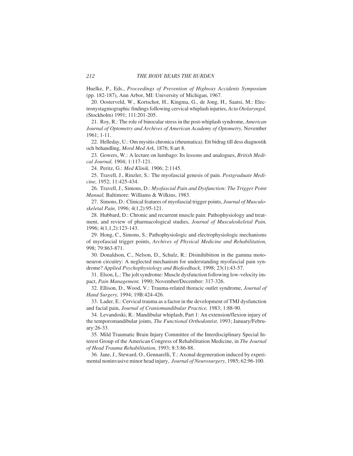Huelke, P., Eds., *Proceedings of Prevention of Highway Accidents Symposium* (pp. 182-187), Ann Arbor, MI: University of Michigan, 1967.

20. Oosterveld, W., Kortschot, H., Kingma, G., de Jong, H., Saatsi, M.: Electronystagmographic findings following cervical whiplash injuries, *Acta Otolaryngol,* (Stockholm) 1991; 111:201-205.

21. Roy, R.: The role of binocular stress in the post-whiplash syndrome, *American Journal of Optometry and Archives of American Academy of Optometry,* November 1961; 1-11.

22. Helleday, U.: Om mysitis chronica (rheumatica). Ett bidrag till dess diagnostik och behandling, *Mord Med Ark,* 1876; 8:art 8.

23. Gowers, W.: A lecture on lumbago: Its lessons and analogues, *British Medical Journal,* 1904; 1:117-121.

24. Peritz, G.: *Med Klinik,* 1906; 2:1145.

25. Travell, J., Rinzler, S.: The myofascial genesis of pain. *Postgraduate Medicine,* 1952; 11:425-434.

26. Travell, J., Simons, D.: *Myofascial Pain and Dysfunction: The Trigger Point Manual,* Baltimore: Williams & Wilkins, 1983.

27. Simons, D.: Clinical features of myofascial trigger points, *Journal of Musculoskeletal Pain,* 1996; 4(1,2):95-121.

28. Hubbard, D.: Chronic and recurrent muscle pain: Pathophysiology and treatment, and review of pharmacological studies, *Journal of Musculoskeletal Pain,* 1996; 4(1,1,2):123-143.

29. Hong, C., Simons, S.: Pathophysiologic and electrophysiologic mechanisms of myofascial trigger points, *Archives of Physical Medicine and Rehabilitation,* 998; 79:863-871.

30. Donaldson, C., Nelson, D., Schulz, R.: Disinihibition in the gamma motoneuron circuitry: A neglected mechanism for understanding myofascial pain syndrome? *Applied Psychophysiology and Biofeedback,* 1998; 23(1):43-57.

31. Elson, L.: The jolt syndrome: Muscle dysfunction following low-velocity impact, *Pain Management,* 1990; November/December: 317-326.

32. Ellison, D., Wood, V.: Trauma-related thoracic outlet syndrome, *Journal of Hand Surgery,* 1994; 19B:424-426.

33. Lader, E.: Cervical trauma as a factor in the development of TMJ dysfunction and facial pain, *Journal of Craniomandibular Practice,* 1983; 1:88-90.

34. Levandoski, R.: Mandibular whiplash, Part 1: An extension/flexion injury of the temporomandibular joints, *The Functional Orthodontist,* 1993; January/February:26-33.

35. Mild Traumatic Brain Injury Committee of the Interdisciplinary Special Interest Group of the American Congress of Rehabilitation Medicine, in *The Journal of Head Trauma Rehabilitation,* 1993; 8:3:86-88.

36. Jane, J., Steward, O., Gennarelli, T.: Axonal degeneration induced by experimental noninvasive minor head injury, *Journal of Neurosurgery,* 1985; 62:96-100.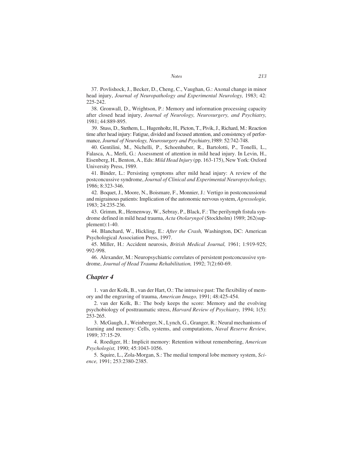37. Povlishock, J., Becker, D., Cheng, C., Vaughan, G.: Axonal change in minor head injury, *Journal of Neuropathology and Experimental Neurology,* 1983; 42: 225-242.

38. Gronwall, D., Wrightson, P.: Memory and information processing capacity after closed head injury, *Journal of Neurology, Neurosurgery, and Psychiatry,* 1981; 44:889-895.

39. Stuss, D., Stethem, L., Hugenholtz, H., Picton, T., Pivik, J., Richard, M.: Reaction time after head injury: Fatigue, divided and focused attention, and consistency of performance, *Journal of Neurology, Neurosurgery and Psychiatry,*1989: 52:742-748.

40. Gentilini, M., Nichelli, P., Schoenhuber, R., Bartolotti, P., Tonelli, L., Falasca, A., Merli, G.: Assessment of attention in mild head injury. In Levin, H., Eisenberg, H., Benton, A., Eds: *Mild Head Injury* (pp. 163-175), New York: Oxford University Press, 1989.

41. Binder, L.: Persisting symptoms after mild head injury: A review of the postconcussive syndrome, *Journal of Clinical and Experimental Neuropsychology,* 1986; 8:323-346.

42. Boquet, J., Moore, N., Boismare, F., Monnier, J.: Vertigo in postconcussional and migrainous patients: Implication of the autonomic nervous system, *Agressologie,* 1983; 24:235-236.

43. Grimm, R., Hemenway, W., Sebray, P., Black, F.: The perilymph fistula syndrome defined in mild head trauma, *Acta Otolaryngol* (Stockholm) 1989; 262(supplement):1-40.

44. Blanchard, W., Hickling, E.: *After the Crash,* Washington, DC: American Psychological Association Press, 1997.

45. Miller, H.: Accident neurosis, *British Medical Journal,* 1961; 1:919-925; 992-998.

46. Alexander, M.: Neuropsychiatric correlates of persistent postconcussive syndrome, *Journal of Head Trauma Rehabilitation,* 1992; 7(2):60-69.

#### *Chapter 4*

1. van der Kolk, B., van der Hart, O.: The intrusive past: The flexibility of memory and the engraving of trauma, *American Imago,* 1991; 48:425-454.

2. van der Kolk, B.: The body keeps the score: Memory and the evolving psychobiology of posttraumatic stress, *Harvard Review of Psychiatry,* 1994; 1(5): 253-265.

3. McGaugh, J., Weinberger, N., Lynch, G., Granger, R.: Neural mechanisms of learning and memory: Cells, systems, and computations, *Naval Reserve Review,* 1989; 37:15-29.

4. Roediger, H.: Implicit memory: Retention without remembering, *American Psychologist,* 1990; 45:1043-1056.

5. Squire, L., Zola-Morgan, S.: The medial temporal lobe memory system, *Science,* 1991; 253:2380-2385.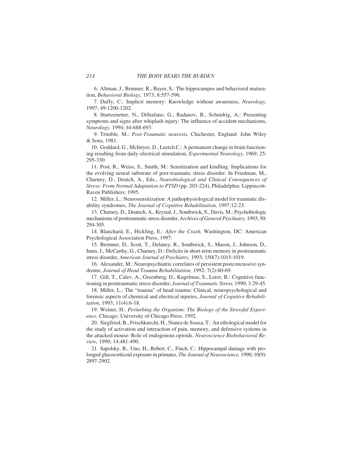6. Altman, J., Brunner, R., Bayer, S.: The hippocampus and behavioral maturation, *Behavioral Biology,* 1973; 8:557-596.

7. Duffy, C.: Implicit memory: Knowledge without awareness, *Neurology,* 1997; 49:1200-1202.

8. Sturtzenetter, N., DiStafano, G., Radanov, B., Schnidrig, A.: Presenting symptoms and signs after whiplash injury: The influence of accident mechanisms, *Neurology,* 1994; 44:688-693.

9. Trimble, M.: *Post-Traumatic neurosis,* Chichester, England: John Wiley & Sons, 1981.

10. Goddard, G., McIntyre, D., Leetch C.: A permanent change in brain functioning resulting from daily electrical stimulation, *Experimental Neurology,* 1969; 25: 295-330.

11. Post, R., Weiss, S., Smith, M.: Sensitization and kindling: Implications for the evolving neural substrate of post-traumatic stress disorder. In Friedman, M., Charney, D., Deutch, A., Eds., *Neurobiological and Clinical Consequences of Stress: From Normal Adaptation to PTSD* (pp. 203-224), Philadelphia: Lippincott-Raven Publishers: 1995.

12. Miller, L.: Neurosensitization: A pathophysiological model for traumatic disability syndromes, *The Journal of Cognitive Rehabilitation,* 1997;12-23.

13. Charney, D., Deutsch, A., Krystal, J., Southwick, S., Davis, M.: Psychobiologic mechanisms of posttraumatic stress disorder, *Archives of General Psychiatry,* 1993; 50: 294-305.

14. Blanchard, E., Hickling, E.: *After the Crash,* Washington, DC: American Psychological Association Press, 1997.

15. Bremner, D., Scott, T., Delaney, R., Southwick, S., Mason, J., Johnson, D., Innis, J., McCarthy, G., Charney, D.: Deficits in short-term memory in posttraumatic stress disorder, *American Journal of Psychiatry,* 1993; 150(7):1015-1019.

16. Alexander, M.: Neuropsychiatric correlates of persistent postconcussive syndrome, *Journal of Head Trauma Rehabilitation,* 1992; 7(2):60-69.

17. Gill, T., Calev, A., Greenberg, D., Kugelmas, S., Lerer, B.: Cognitive functioning in posttraumatic stress disorder, *Journal of Traumatic Stress,* 1990; 3:29-45.

18. Miller, L.: The "trauma" of head trauma: Clinical, neuropsychological and forensic aspects of chemical and electrical injuries, *Journal of Cognitive Rehabilitation,* 1993; 11(4):6-18.

19. Weiner, H.: *Perturbing the Organism: The Biology of the Stressful Experience,* Chicago: University of Chicago Press, 1992.

20. Siegfried, B., Frischknecht, H., Nunez de Souza, T.: An ethological model for the study of activation and interaction of pain, memory, and defensive systems in the attacked mouse: Role of endogenous opioids. *Neuroscience Biobehavioral Review,* 1990; 14:481-490.

21. Sapolsky, R., Uno, H., Rebert, C., Finch, C.: Hippocampal damage with prolonged glucocorticoid exposure in primates, *The Journal of Neuroscience,* 1990; 10(9): 2897-2902.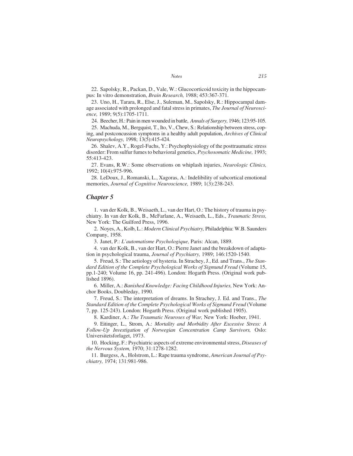22. Sapolsky, R., Packan, D., Vale, W.: Glucocorticoid toxicity in the hippocampus: In vitro demonstration, *Brain Research,* 1988; 453:367-371.

23. Uno, H., Tarara, R., Else, J., Suleman, M., Sapolsky, R.: Hippocampal damage associated with prolonged and fatal stress in primates, *The Journal of Neuroscience,* 1989; 9(5):1705-1711.

24. Beecher, H.: Pain in men wounded in battle, *Annals of Surgery,* 1946; 123:95-105.

25. Machuda, M., Bergquist, T., Ito, V., Chew, S.: Relationship between stress, coping, and postconcussion symptoms in a healthy adult population, *Archives of Clinical Neuropsychology,* 1998; 13(5):415-424.

26. Shalev, A.Y., Rogel-Fuchs, Y.: Psychophysiology of the posttraumatic stress disorder: From sulfur fumes to behavioral genetics, *Psychosomatic Medicine,* 1993; 55:413-423.

27. Evans, R.W.: Some observations on whiplash injuries, *Neurologic Clinics,* 1992; 10(4):975-996.

28. LeDoux, J., Romanski, L., Xagoras, A.: Indelibility of subcortical emotional memories, *Journal of Cognitive Neuroscience,* 1989; 1(3):238-243.

# *Chapter 5*

1. van der Kolk, B., Weisaeth, L., van der Hart, O.: The history of trauma in psychiatry. In van der Kolk, B., McFarlane, A., Weisaeth, L., Eds., *Traumatic Stress,* New York: The Guilford Press, 1996.

2. Noyes, A., Kolb, L.: *Modern Clinical Psychiatry,* Philadelphia: W.B. Saunders Company, 1958.

3. Janet, P.: *L'automatisme Psychologique,* Paris: Alcan, 1889.

4. van der Kolk, B., van der Hart, O.: Pierre Janet and the breakdown of adaptation in psychological trauma, *Journal of Psychiatry,* 1989; 146:1520-1540.

5. Freud, S.: The aetiology of hysteria. In Strachey, J., Ed. and Trans., *The Standard Edition of the Complete Psychological Works of Sigmund Freud* (Volume 15, pp.1-240; Volume 16, pp. 241-496). London: Hogarth Press. (Original work published 1896).

6. Miller, A.: *Banished Knowledge: Facing Childhood Injuries,* New York: Anchor Books, Doubleday, 1990.

7. Freud, S.: The interpretation of dreams. In Strachey, J. Ed. and Trans., *The Standard Edition of the Complete Psychological Works of Sigmund Freud* (Volume 7, pp. 125-243). London: Hogarth Press. (Original work published 1905).

8. Kardiner, A.: *The Traumatic Neuroses of War,* New York: Hoeber, 1941.

9. Eitinger, L., Strom, A.: *Mortality and Morbidity After Excessive Stress: A Follow-Up Investigation of Norwegian Concentration Camp Survivors,* Oslo: Universitetsforlaget, 1973.

10. Hocking, F.: Psychiatric aspects of extreme environmental stress, *Diseases of the Nervous System,* 1970; 31:1278-1282.

11. Burgess, A., Holstrom, L.: Rape trauma syndrome, *American Journal of Psychiatry,* 1974; 131:981-986.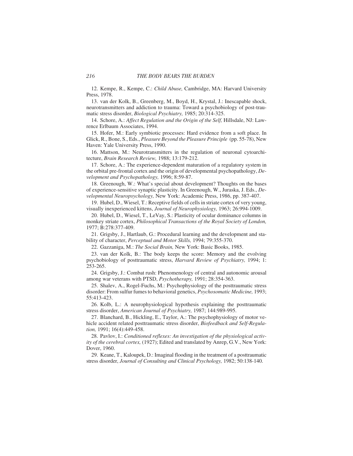12. Kempe, R., Kempe, C.: *Child Abuse,* Cambridge, MA: Harvard University Press, 1978.

13. van der Kolk, B., Greenberg, M., Boyd, H., Krystal, J.: Inescapable shock, neurotransmitters and addiction to trauma: Toward a psychobiology of post-traumatic stress disorder, *Biological Psychiatry,* 1985; 20:314-325.

14. Schore, A.: *Affect Regulation and the Origin of the Self,* Hillsdale, NJ: Lawrence Erlbaum Associates, 1994.

15. Hofer, M.: Early symbiotic processes: Hard evidence from a soft place. In Glick, R., Bone, S., Eds., *Pleasure Beyond the Pleasure Principle* (pp. 55-78), New Haven: Yale University Press, 1990.

16. Mattson, M.: Neurotransmitters in the regulation of neuronal cytoarchitecture, *Brain Research Review,* 1988; 13:179-212.

17. Schore, A.: The experience-dependent maturation of a regulatory system in the orbital pre-frontal cortex and the origin of developmental psychopathology, *Development and Psychopathology,* 1996; 8:59-87.

18. Greenough, W.: What's special about development? Thoughts on the bases of experience-sensitive synaptic plasticity. In Greenough, W., Juraska, J. Eds., *Developmental Neuropsychology,* New York: Academic Press, 1986, pp. 387-407.

19. Hubel, D., Wiesel, T.: Receptive fields of cells in striate cortex of very young, visually inexperienced kittens, *Journal of Neurophysiology,* 1963; 26:994-1009.

20. Hubel, D., Wiesel, T., LeVay, S.: Plasticity of ocular dominance columns in monkey striate cortex, *Philosophical Transactions of the Royal Society of London,* 1977; B:278:377-409.

21. Grigsby, J., Hartlaub, G.: Procedural learning and the development and stability of character, *Perceptual and Motor Skills,* 1994; 79:355-370.

22. Gazzaniga, M.: *The Social Brain,* New York: Basic Books, 1985.

23. van der Kolk, B.: The body keeps the score: Memory and the evolving psychobiology of posttraumatic stress, *Harvard Review of Psychiatry,* 1994; 1: 253-265.

24. Grigsby, J.: Combat rush: Phenomenology of central and autonomic arousal among war veterans with PTSD, *Psychotherapy,* 1991; 28:354-363.

25. Shalev, A., Rogel-Fuchs, M.: Psychophysiology of the posttraumatic stress disorder: From sulfur fumes to behavioral genetics, *Psychosomatic Medicine,* 1993; 55:413-423.

26. Kolb, L.: A neurophysiological hypothesis explaining the posttraumatic stress disorder, *American Journal of Psychiatry,* 1987; 144:989-995.

27. Blanchard, B., Hickling, E., Taylor, A.: The psychophysiology of motor vehicle accident related posttraumatic stress disorder, *Biofeedback and Self-Regulation,* 1991; 16(4):449-458.

28. Pavlov, I.: *Conditioned reflexes: An investigation of the physiological activity of the cerebral cortex,* (1927); Edited and translated by Anrep, G.V., New York: Dover, 1960.

29. Keane, T., Kaloupek, D.: Imaginal flooding in the treatment of a posttraumatic stress disorder, *Journal of Consulting and Clinical Psychology,* 1982; 50:138-140.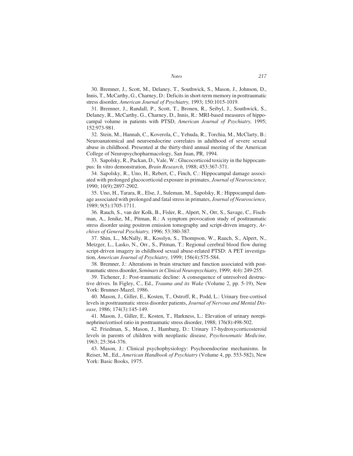30. Bremner, J., Scott, M., Delaney, T., Southwick, S., Mason, J., Johnson, D., Innis, T., McCarthy, G., Charney, D.: Deficits in short-term memory in posttraumatic stress disorder, *American Journal of Psychiatry,* 1993; 150:1015-1019.

31. Bremner, J., Randall, P., Scott, T., Bronen, R., Seibyl, J., Southwick, S., Delaney, R., McCarthy, G., Charney, D., Innis, R.: MRI-based measures of hippocampal volume in patients with PTSD, *American Journal of Psychiatry,* 1995; 152:973-981.

32. Stein, M., Hannah, C., Koverola, C., Yehuda, R., Torchia, M., McClarty, B.: Neuroanatomical and neuroendocrine correlates in adulthood of severe sexual abuse in childhood. Presented at the thirty-third annual meeting of the American College of Neuropsychopharmacology, San Juan, PR, 1994.

33. Sapolsky, R., Packan, D., Vale, W.: Glucocorticoid toxicity in the hippocampus: In vitro demonstration, *Brain Research,* 1988; 453:367-371.

34. Sapolsky, R., Uno, H., Rebert, C., Finch, C.: Hippocampal damage associated with prolonged glucocorticoid exposure in primates, *Journal of Neuroscience,* 1990; 10(9):2897-2902.

35. Uno, H., Tarara, R., Else, J., Suleman, M., Sapolsky, R.: Hippocampal damage associated with prolonged and fatal stress in primates, *Journal of Neuroscience,* 1989; 9(5):1705-1711.

36. Rauch, S., van der Kolk, B., Fisler, R., Alpert, N., Orr, S., Savage, C., Fischman, A., Jenike, M., Pitman, R.: A symptom provocation study of posttraumatic stress disorder using positron emission tomography and script-driven imagery, *Archives of General Psychiatry,* 1996; 53:380-387.

37. Shin, L., McNally, R., Kosslyn, S., Thompson, W., Rauch, S., Alpert, N., Metzger, L., Lasko, N., Orr., S., Pitman, T.: Regional cerebral blood flow during script-driven imagery in childhood sexual abuse-related PTSD: A PET investigation, *American Journal of Psychiatry,* 1999; 156(4):575-584.

38. Bremner, J.: Alterations in brain structure and function associated with posttraumatic stress disorder, *Seminars in Clinical Neuropsychiatry,* 1999; 4(4): 249-255.

39. Tichener, J.: Post-traumatic decline: A consequence of unresolved destructive drives. In Figley, C., Ed., *Trauma and its Wake* (Volume 2, pp. 5-19), New York: Brunner-Mazel, 1986.

40. Mason, J., Giller, E., Kosten, T., Ostroff, R., Podd, L.: Urinary free-cortisol levels in posttraumatic stress disorder patients, *Journal of Nervous and Mental Disease,* 1986; 174(3):145-149.

41. Mason, J., Giller, E., Kosten, T., Harkness, L.: Elevation of urinary norepinephrine/cortisol ratio in posttraumatic stress disorder, 1988; 176(8):498-502.

42. Friedman, S., Mason, J., Hamburg, D.: Urinary 17-hydroxycorticosteroid levels in parents of children with neoplastic disease, *Psychosomatic Medicine,* 1963; 25:364-376.

43. Mason, J.: Clinical psychophysiology: Psychoendocrine mechanisms. In Reiser, M., Ed., *American Handbook of Psychiatry* (Volume 4, pp. 553-582), New York: Basic Books, 1975.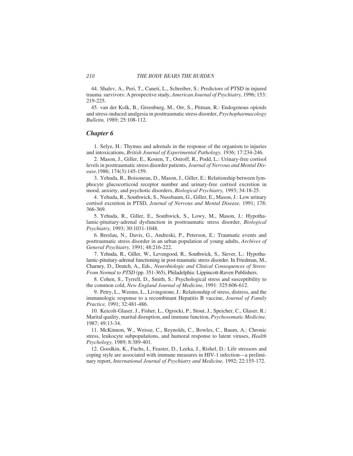44. Shalev, A., Peri, T., Caneti, L., Schreiber, S.: Predictors of PTSD in injured trauma survivors: A prospective study, *American Journal of Psychiatry,* 1996; 153: 219-225.

45. van der Kolk, B., Greenburg, M., Orr, S., Pitman, R.: Endogenous opioids and stress-induced analgesia in posttraumatic stress disorder, *Psychopharmacology Bulletin,* 1989; 25:108-112.

### *Chapter 6*

1. Selye, H.: Thymus and adrenals in the response of the organism to injuries and intoxications, *British Journal of Experimental Pathology,* 1936; 17:234-246.

2. Mason, J., Giller, E., Kosten, T., Ostroff, R., Podd, L.: Urinary-free cortisol levels in posttraumatic stress disorder patients, *Journal of Nervous and Mental Disease,*1986; 174(3):145-159.

3. Yehuda, R., Boisoneau, D., Mason, J., Giller, E.: Relationship between lymphocyte glucocorticoid receptor number and urinary-free cortisol excretion in mood, anxiety, and psychotic disorders, *Biological Psychiatry,* 1993; 34:18-25.

4. Yehuda, R., Southwick, S., Nussbaum, G., Giller, E., Mason, J.: Low urinary cortisol excretion in PTSD, *Journal of Nervous and Mental Disease,* 1991; 178: 366-369.

5. Yehuda, R., Giller, E., Southwick, S., Lowy, M., Mason, J.: Hypothalamic-pituitary-adrenal dysfunction in posttraumatic stress disorder, *Biological Psychiatry,* 1993; 30:1031-1048.

6. Breslau, N., Davis, G., Andreski, P., Peterson, E.: Traumatic events and posttraumatic stress disorder in an urban population of young adults, *Archives of General Psychiatry,* 1991; 48:216-222.

7. Yehuda, R., Giller, W., Levengood, R., Southwick, S., Siever, L.: Hypothalamic-pituitary-adrenal functioning in post-traumatic stress disorder. In Friedman, M., Charney, D., Deutch, A., Eds., *Neurobiologic and Clinical Consequences of Stress: From Normal to PTSD* (pp. 351-365), Philadelphia: Lippincott-Raven Publishers.

8. Cohen, S., Tyrrell, D., Smith, S.: Psychological stress and susceptibility to the common cold, *New England Journal of Medicine,* 1991: 325:606-612.

9. Petry, L., Weems, L., Livingstone, J.: Relationship of stress, distress, and the immunologic response to a recombinant Hepatitis B vaccine, *Journal of Family Practice,* 1991; 32:481-486.

10. Keicolt-Glaser, J., Fisher, L., Ogrocki, P., Stout, J., Speicher, C., Glaser, R.: Marital quality, marital disruption, and immune function, *Psychosomatic Medicine,* 1987; 49:13-34.

11. McKinnon, W., Weisse, C., Reynolds, C., Bowles, C., Baum, A.: Chronic stress, leukocyte subpopulations, and humoral response to latent viruses, *Health Psychology,* 1989; 8:389-401.

12. Goodkin, K., Fuchs, I., Feaster, D., Leeka, J., Rishel, D.: Life stressors and coping style are associated with immune measures in HIV-1 infection—a preliminary report, *International Journal of Psychiatry and Medicine,* 1992; 22:155-172.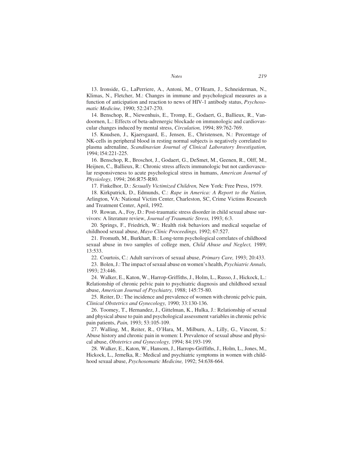13. Ironside, G., LaPerriere, A., Antoni, M., O'Hearn, J., Schneiderman, N., Klimas, N., Fletcher, M.: Changes in immune and psychological measures as a function of anticipation and reaction to news of HIV-1 antibody status, *Psychosomatic Medicine,* 1990; 52:247-270.

14. Benschop, R., Niewenhuis, E., Tromp, E., Godaert, G., Ballieux, R., Vandoornen, L.: Effects of beta-adrenergic blockade on immunologic and cardiovascular changes induced by mental stress, *Circulation,* 1994; 89:762-769.

15. Knudsen, J., Kjaersgaard, E., Jensen, E., Christensen, N.: Percentage of NK-cells in peripheral blood in resting normal subjects is negatively correlated to plasma adrenaline, *Scandinavian Journal of Clinical Laboratory Investigation,* 1994; l54:221-225.

16. Benschop, R., Broschot, J., Godaert, G., DeSmet, M., Geenen, R., Olff, M., Heijnen, C., Ballieux, R.: Chronic stress affects immunologic but not cardiovascular responsiveness to acute psychological stress in humans, *American Journal of Physiology,* 1994; 266:R75-R80.

17. Finkelhor, D.: *Sexually Victimized Children,* New York: Free Press, 1979.

18. Kirkpatrick, D., Edmunds, C.: *Rape in America: A Report to the Nation,* Arlington, VA: National Victim Center, Charleston, SC, Crime Victims Research and Treatment Center, April, 1992.

19. Rowan, A., Foy, D.: Post-traumatic stress disorder in child sexual abuse survivors: A literature review, *Journal of Traumatic Stress,* 1993; 6:3.

20. Springs, F., Friedrich, W.: Health risk behaviors and medical sequelae of childhood sexual abuse, *Mayo Clinic Proceedings,* 1992; 67:527.

21. Fromuth, M., Burkhart, B.: Long-term psychological correlates of childhood sexual abuse in two samples of college men, *Child Abuse and Neglect,* 1989; 13:533.

22. Courtois, C.: Adult survivors of sexual abuse, *Primary Care,* 1993; 20:433.

23. Bolen, J.: The impact of sexual abuse on women's health, *Psychiatric Annals,* 1993; 23:446.

24. Walker, E., Katon, W., Harrop-Griffiths, J., Holm, L., Russo, J., Hickock, L.: Relationship of chronic pelvic pain to psychiatric diagnosis and childhood sexual abuse, *American Journal of Psychiatry,* 1988; 145:75-80.

25. Reiter, D.: The incidence and prevalence of women with chronic pelvic pain, *Clinical Obstetrics and Gynecology,* 1990; 33:130-136.

26. Toomey, T., Hernandez, J., Gittelman, K., Hulka, J.: Relationship of sexual and physical abuse to pain and psychological assessment variables in chronic pelvic pain patients, *Pain,* 1993; 53:105-109.

27. Walling, M., Reiter, R., O'Hara, M., Milburn, A., Lilly, G., Vincent, S.: Abuse history and chronic pain in women: I. Prevalence of sexual abuse and physical abuse, *Obstetrics and Gynecology,* 1994; 84:193-199.

28. Walker, E., Katon, W., Hansom, J., Harrops-Griffiths, J., Holm, L., Jones, M., Hickock, L., Jemelka, R.: Medical and psychiatric symptoms in women with childhood sexual abuse, *Psychosomatic Medicine,* 1992; 54:638-664.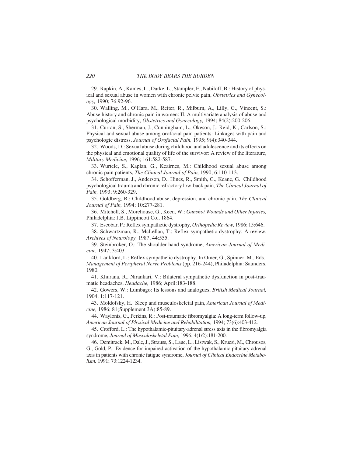29. Rapkin, A., Kames, L., Darke, L., Stampler, F., Nabiloff, B.: History of physical and sexual abuse in women with chronic pelvic pain, *Obstetrics and Gynecology,* 1990; 76:92-96.

30. Walling, M., O'Hara, M., Reiter, R., Milburn, A., Lilly, G., Vincent, S.: Abuse history and chronic pain in women: II. A multivariate analysis of abuse and psychological morbidity, *Obstetrics and Gynecology,* 1994; 84(2):200-206.

31. Curran, S., Sherman, J., Cunningham, L., Okeson, J., Reid, K., Carlson, S.: Physical and sexual abuse among orofacial pain patients: Linkages with pain and psychologic distress, *Journal of Orofacial Pain,* 1995; 9(4):340-344.

32. Woods, D.: Sexual abuse during childhood and adolescence and its effects on the physical and emotional quality of life of the survivor: A review of the literature, *Military Medicine,* 1996; 161:582-587.

33. Wurtele, S., Kaplan, G., Keairnes, M.: Childhood sexual abuse among chronic pain patients, *The Clinical Journal of Pain,* 1990; 6:110-113.

34. Schofferman, J., Anderson, D., Hines, R., Smith, G., Keane, G.: Childhood psychological trauma and chronic refractory low-back pain, *The Clinical Journal of Pain,* 1993; 9:260-329.

35. Goldberg, R.: Childhood abuse, depression, and chronic pain, *The Clinical Journal of Pain,* 1994; 10:277-281.

36. Mitchell, S., Morehouse, G., Keen, W.: *Gunshot Wounds and Other Injuries,* Philadelphia: J.B. Lippincott Co., 1864.

37. Escobar, P.: Reflex sympathetic dystrophy, *Orthopedic Review,* 1986; 15:646.

38. Schwartzman, R., McLellan, T.: Reflex sympathetic dystrophy: A review, *Archives of Neurology,* 1987; 44:555.

39. Steinbroker, O.: The shoulder-hand syndrome, *American Journal of Medicine,* 1947; 3:403.

40. Lankford, L.: Reflex sympathetic dystrophy. In Omer, G., Spinner, M., Eds., *Management of Peripheral Nerve Problems* (pp. 216-244), Philadelphia: Saunders, 1980.

41. Khurana, R., Nirankari, V.: Bilateral sympathetic dysfunction in post-traumatic headaches, *Headache,* 1986; April:183-188.

42. Gowers, W.: Lumbago: Its lessons and analogues, *British Medical Journal,* 1904; 1:117-121.

43. Moldofsky, H.: Sleep and musculoskeletal pain, *American Journal of Medicine,* 1986; 81(Supplement 3A):85-89.

44. Waylonis, G., Perkins, R.: Post-traumatic fibromyalgia: A long-term follow-up, *American Journal of Physical Medicine and Rehabilitation,* 1994; 73(6):403-412.

45. Crofford, L.: The hypothalamic-pituitary-adrenal stress axis in the fibromyalgia syndrome, *Journal of Musculoskeletal Pain,* 1996; 4(1/2):181-200.

46. Demitrack, M., Dale, J., Strauss, S., Laue, L., Listwak, S., Kruesi, M., Chrousos, G., Gold, P.: Evidence for impaired activation of the hypothalamic-pituitary-adrenal axis in patients with chronic fatigue syndrome, *Journal of Clinical Endocrine Metabolism,* 1991; 73:1224-1234.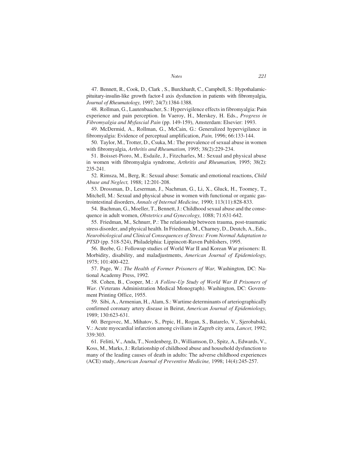47. Bennett, R., Cook, D., Clark , S., Burckhardt, C., Campbell, S.: Hypothalamicpituitary-insulin-like growth factor-I axis dysfunction in patients with fibromyalgia, *Journal of Rheumatology,* 1997; 24(7):1384-1388.

48. Rollman, G., Lautenbaacher, S.: Hypervigilence effects in fibromyalgia: Pain experience and pain perception. In Vaeroy, H., Merskey, H. Eds., *Progress in Fibromyalgia and Myfascial Pain* (pp. 149-159), Amsterdam: Elsevier: 1993.

49. McDermid, A., Rollman, G., McCain, G.: Generalized hypervigilance in fibromyalgia: Evidence of perceptual amplification, *Pain,* 1996; 66:133-144.

50. Taylor, M., Trotter, D., Csuka, M.: The prevalence of sexual abuse in women with fibromyalgia, *Arthritis and Rheumatism,* 1995; 38(2):229-234.

51. Boisset-Pioro, M., Esdaile, J., Fitzcharles, M.: Sexual and physical abuse in women with fibromyalgia syndrome, *Arthritis and Rheumatism,* 1995; 38(2): 235-241.

52. Rimsza, M., Berg, R.: Sexual abuse: Somatic and emotional reactions, *Child Abuse and Neglect,* 1988; 12:201-208.

53. Drossman, D., Leserman, J., Nachman, G., Li, X., Gluck, H., Toomey, T., Mitchell, M.: Sexual and physical abuse in women with functional or organic gastrointestinal disorders, *Annals of Internal Medicine,* 1990; 113(11):828-833.

54. Bachman, G., Moeller, T., Bennett, J.: Childhood sexual abuse and the consequence in adult women, *Obstetrics and Gynecology,* 1088; 71:631-642.

55. Friedman, M., Schnurr, P.: The relationship between trauma, post-traumatic stress disorder, and physical health. In Friedman, M., Charney, D., Deutch, A., Eds., *Neurobiological and Clinical Consequences of Stress: From Normal Adaptation to PTSD* (pp. 518-524), Philadelphia: Lippincott-Raven Publishers, 1995.

56. Beebe, G.: Followup studies of World War II and Korean War prisoners: II. Morbidity, disability, and maladjustments, *American Journal of Epidemiology,* 1975; 101:400-422.

57. Page, W.: *The Health of Former Prisoners of War,* Washington, DC: National Academy Press, 1992.

58. Cohen, B., Cooper, M.: *A Follow-Up Study of World War II Prisoners of War.* (Veterans Administration Medical Monograph). Washington, DC: Government Printing Office, 1955.

59. Sibi, A., Armenian, H., Alam, S.: Wartime determinants of arteriographically confirmed coronary artery disease in Beirut, *American Journal of Epidemiology,* 1989; 130:623-631.

60. Bergovec, M., Mihatov, S., Prpic, H., Rogan, S., Batarelo, V., Sjerobabski, V.: Acute myocardial infarction among civilians in Zagreb city area, *Lancet,* 1992; 339:303.

61. Felitti, V., Anda, T., Nordenberg, D., Williamson, D., Spitz, A., Edwards, V., Koss, M., Marks, J.: Relationship of childhood abuse and household dysfunction to many of the leading causes of death in adults: The adverse childhood experiences (ACE) study, *American Journal of Preventive Medicine,* 1998; 14(4):245-257.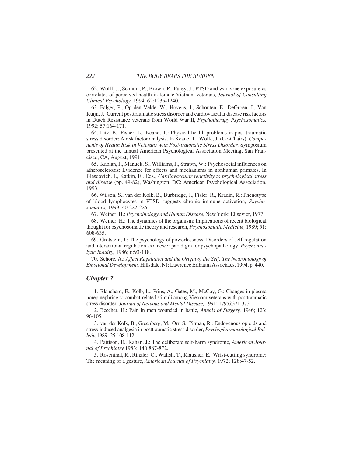62. Wolff, J., Schnurr, P., Brown, P., Furey, J.: PTSD and war-zone exposure as correlates of perceived health in female Vietnam veterans, *Journal of Consulting Clinical Psychology,* 1994; 62:1235-1240.

63. Falger, P., Op den Velde, W., Hovens, J., Schouten, E., DeGroen, J., Van Kuijn, J.: Current posttraumatic stress disorder and cardiovascular disease risk factors in Dutch Resistance veterans from World War II, *Psychotherapy Psychosomatics,* 1992; 57:164-171.

64. Litz, B., Fisher, L., Keane, T.: Physical health problems in post-traumatic stress disorder: A risk factor analysis. In Keane, T., Wolfe, J. (Co-Chairs), *Components of Health Risk in Veterans with Post-traumatic Stress Disorder.* Symposium presented at the annual American Psychological Association Meeting, San Francisco, CA, August, 1991.

65. Kaplan, J., Manuck, S., Williams, J., Strawn, W.: Psychosocial influences on atherosclerosis: Evidence for effects and mechanisms in nonhuman primates. In Blascovich, J., Katkin, E., Eds., *Cardiovascular reactivity to psychological stress and disease* (pp. 49-82), Washington, DC: American Psychological Association, 1993.

66. Wilson, S., van der Kolk, B., Burbridge, J., Fisler, R., Kradin, R.: Phenotype of blood lymphocytes in PTSD suggests chronic immune activation, *Psychosomatics,* 1999; 40:222-225.

67. Weiner, H.: *Psychobiology and Human Disease,* New York: Elisevier, 1977.

68. Weiner, H.: The dynamics of the organism: Implications of recent biological thought for psychosomatic theory and research, *Psychosomatic Medicine,* 1989; 51: 608-635.

69. Grotstein, J.: The psychology of powerlessness: Disorders of self-regulation and interactional regulation as a newer paradigm for psychopathology, *Psychoanalytic Inquiry,* 1986; 6:93-118.

70. Schore, A.: *Affect Regulation and the Origin of the Self: The Neurobiology of Emotional Development,* Hillsdale, NJ: Lawrence Erlbaum Associates, 1994, p. 440.

# *Chapter 7*

1. Blanchard, E., Kolb, L., Prins, A., Gates, M., McCoy, G.: Changes in plasma norepinephrine to combat-related stimuli among Vietnam veterans with posttraumatic stress disorder, *Journal of Nervous and Mental Disease,* 1991; 179:6:371-373.

2. Beecher, H.: Pain in men wounded in battle, *Annals of Surgery,* 1946; 123: 96-105.

3. van der Kolk, B., Greenberg, M., Orr, S., Pitman, R.: Endogenous opioids and stress-induced analgesia in posttraumatic stress disorder, *Psychopharmocological Bulletin,*1989; 25:108-112.

4. Pattison, E., Kahan, J.: The deliberate self-harm syndrome, *American Journal of Psychiatry,*1983; 140:867-872.

5. Rosenthal, R., Rinzler, C., Wallsh, T., Klausner, E.: Wrist-cutting syndrome: The meaning of a gesture, *American Journal of Psychiatry,* 1972; 128:47-52.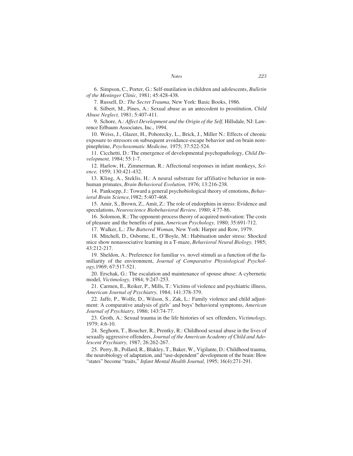6. Simpson, C., Porter, G.: Self-mutilation in children and adolescents, *Bulletin of the Meninger Clinic,* 1981; 45:428-438.

7. Russell, D.: *The Secret Trauma,* New York: Basic Books, 1986.

8. Silbert, M., Pines, A.: Sexual abuse as an antecedent to prostitution, *Child Abuse Neglect,* 1981; 5:407-411.

9. Schore, A.: *Affect Development and the Origin of the Self,* Hillsdale, NJ: Lawrence Erlbaum Associates, Inc., 1994.

10. Weiss, J., Glazer, H., Pohorecky, L., Brick, J., Miller N.: Effects of chronic exposure to stressors on subsequent avoidance-escape behavior and on brain norepinephrine, *Psychosomatic Medicine,* 1975; 37:522-524.

11. Cicchetti, D.: The emergence of developmental psychopathology, *Child Development,* 1984; 55:1-7.

12. Harlow, H., Zimmerman, R.: Affectional responses in infant monkeys, *Science,* 1959; 130:421-432.

13. Kling, A., Steklis, H.: A neural substrate for affiliative behavior in nonhuman primates, *Brain Behavioral Evolution,* 1976; 13:216-238.

14. Panksepp, J.: Toward a general psychobiological theory of emotions, *Behavioral Brain Science,*1982; 5:407-468.

15. Amir, S., Brown, Z., Amit, Z.: The role of endorphins in stress: Evidence and speculations, *Neuroscience Biobehavioral Review,* 1980; 4:77-86.

16. Solomon, R.: The opponent-process theory of acquired motivation: The costs of pleasure and the benefits of pain, *American Psychology,* 1980; 35:691-712.

17. Walker, L.: *The Battered Woman,* New York: Harper and Row, 1979.

18. Mitchell, D., Osborne, E., O'Boyle, M.: Habituation under stress: Shocked mice show nonassociative learning in a T-maze, *Behavioral Neural Biology,* 1985; 43:212-217.

19. Sheldon, A.: Preference for familiar vs. novel stimuli as a function of the familiarity of the environment, *Journal of Comparative Physiological Psychology,*1969; 67:517-521.

20. Erschak, G.: The escalation and maintenance of spouse abuse: A cybernetic model, *Victimology,* 1984; 9:247-253.

21. Carmen, E., Reiker, P., Mills, T.: Victims of violence and psychiatric illness, *American Journal of Psychiatry,* 1984; 141:378-379.

22. Jaffe, P., Wolfe, D., Wilson, S., Zak, L.: Family violence and child adjustment: A comparative analysis of girls' and boys' behavioral symptoms, *American Journal of Psychiatry,* 1986; 143:74-77.

23. Groth, A.: Sexual trauma in the life histories of sex offenders, *Victimology,* 1979; 4:6-10.

24. Seghorn, T., Boucher, R., Prentky, R.: Childhood sexual abuse in the lives of sexually aggressive offenders, *Journal of the American Academy of Child and Adolescent Psychiatry,* 1987; 26:262-267.

25. Perry, B., Pollard, R., Blakley, T., Baker, W., Vigilante, D.: Childhood trauma, the neurobiology of adaptation, and "use-dependent" development of the brain: How "states" become "traits," *Infant Mental Health Journal,* 1995; 16(4):271-291.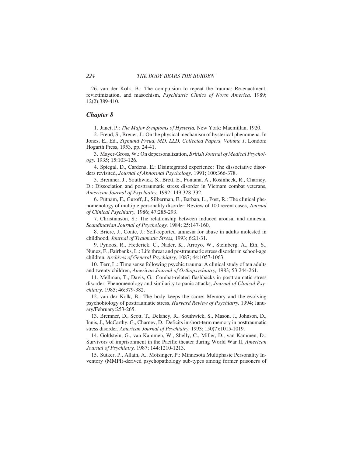26. van der Kolk, B.: The compulsion to repeat the trauma: Re-enactment, revictimization, and masochism, *Psychiatric Clinics of North America,* 1989; 12(2):389-410.

# *Chapter 8*

1. Janet, P.: *The Major Symptoms of Hysteria,* New York: Macmillan, 1920.

2. Freud, S., Breuer, J.: On the physical mechanism of hysterical phenomena. In Jones, E., Ed., *Sigmund Freud, MD, LLD. Collected Papers, Volume 1.* London: Hogarth Press, 1953, pp. 24-41.

3. Mayer-Gross, W.: On depersonalization, *British Journal of Medical Psychology,* 1935; 15:103-126.

4. Spiegal, D., Cardena, E.: Disintegrated experience: The dissociative disorders revisited, *Journal of Abnormal Psychology,* 1991; 100:366-378.

5. Bremner, J., Southwick, S., Brett, E., Fontana, A., Rosinheck, R., Charney, D.: Dissociation and posttraumatic stress disorder in Vietnam combat veterans, *American Journal of Psychiatry,* 1992; 149:328-332.

6. Putnam, F., Guroff, J., Silberman, E., Barban, L., Post, R.: The clinical phenomenology of multiple personality disorder: Review of 100 recent cases, *Journal of Clinical Psychiatry,* 1986; 47:285-293.

7. Christianson, S.: The relationship between induced arousal and amnesia, *Scandinavian Journal of Psychology,* 1984; 25:147-160.

8. Briere, J., Conte, J.: Self-reported amnesia for abuse in adults molested in childhood, *Journal of Traumatic Stress,* 1993; 6:21-31.

9. Pynoos, R., Frederick, C., Nader, K., Arroyo, W., Steinberg, A., Eth, S., Nunez, F., Fairbanks, L.: Life threat and posttraumatic stress disorder in school-age children, *Archives of General Psychiatry,* 1087; 44:1057-1063.

10. Terr, L.: Time sense following psychic trauma: A clinical study of ten adults and twenty children, *American Journal of Orthopsychiatry,* 1983; 53:244-261.

11. Mellman, T., Davis, G.: Combat-related flashbacks in posttraumatic stress disorder: Phenomenology and similarity to panic attacks, *Journal of Clinical Psychiatry,* 1985; 46:379-382.

12. van der Kolk, B.: The body keeps the score: Memory and the evolving psychobiology of posttraumatic stress, *Harvard Review of Psychiatry,* 1994; January/February:253-265.

13. Bremner, D., Scott, T., Delaney, R., Southwick, S., Mason, J., Johnson, D., Innis, J., McCarthy, G., Charney, D.: Deficits in short-term memory in posttraumatic stress disorder, *American Journal of Psychiatry,* 1993; 150(7):1015-1019.

14. Goldstein, G., van Kammen, W., Shelly, C., Miller, D., van Kammen, D.: Survivors of imprisonment in the Pacific theater during World War II, *American Journal of Psychiatry,* 1987; 144:1210-1213.

15. Sutker, P., Allain, A., Motsinger, P.: Minnesota Multiphasic Personality Inventory (MMPI)-derived psychopathology sub-types among former prisoners of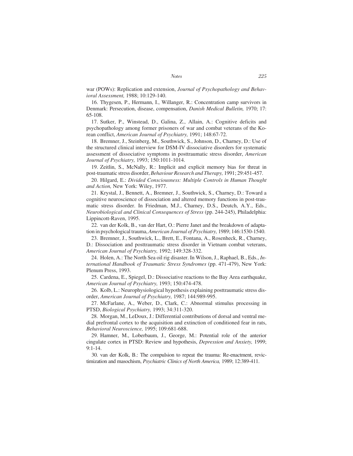war (POWs): Replication and extension, *Journal of Psychopathology and Behavioral Assessment,* 1988; 10:129-140.

16. Thygesen, P., Hermann, I., Willanger, R.: Concentration camp survivors in Denmark: Persecution, disease, compensation, *Danish Medical Bulletin,* 1970; 17: 65-108.

17. Sutker, P., Winstead, D., Galina, Z., Allain, A.: Cognitive deficits and psychopathology among former prisoners of war and combat veterans of the Korean conflict, *American Journal of Psychiatry,* 1991; 148:67-72.

18. Bremner, J., Steinberg, M., Southwick, S., Johnson, D., Charney, D.: Use of the structured clinical interview for DSM-IV dissociative disorders for systematic assessment of dissociative symptoms in posttraumatic stress disorder, *American Journal of Psychiatry,* 1993; 150:1011-1014.

19. Zeitlin, S., McNally, R.: Implicit and explicit memory bias for threat in post-traumatic stress disorder, *Behaviour Research and Therapy,* 1991; 29:451-457.

20. Hilgard, E.: *Divided Consciousness: Multiple Controls in Human Thought and Action,* New York: Wiley, 1977.

21. Krystal, J., Bennett, A., Bremner, J., Southwick, S., Charney, D.: Toward a cognitive neuroscience of dissociation and altered memory functions in post-traumatic stress disorder. In Friedman, M.J., Charney, D.S., Deutch, A.Y., Eds., *Neurobiological and Clinical Consequences of Stress* (pp. 244-245), Philadelphia: Lippincott-Raven, 1995.

22. van der Kolk, B., van der Hart, O.: Pierre Janet and the breakdown of adaptation in psychological trauma, *American Journal of Psychiatry,* 1989; 146:1530-1540.

23. Bremner, J., Southwick, L., Brett, E., Fontana, A., Rosenheck, R., Charney, D.: Dissociation and posttraumatic stress disorder in Vietnam combat veterans, *American Journal of Psychiatry,* 1992; 149:328-332.

24. Holen, A.: The North Sea oil rig disaster. In Wilson, J., Raphael, B., Eds., *International Handbook of Traumatic Stress Syndromes* (pp. 471-479), New York: Plenum Press, 1993.

25. Cardena, E., Spiegel, D.: Dissociative reactions to the Bay Area earthquake, *American Journal of Psychiatry,* 1993; 150:474-478.

26. Kolb, L.: Neurophysiological hypothesis explaining posttraumatic stress disorder, *American Journal of Psychiatry,* 1987; 144:989-995.

27. McFarlane, A., Weber, D., Clark, C.: Abnormal stimulus processing in PTSD, *Biological Psychiatry,* 1993; 34:311-320.

28. Morgan, M., LeDoux, J.: Differential contributions of dorsal and ventral medial prefrontal cortex to the acquisition and extinction of conditioned fear in rats, *Behavioral Neuroscience,* 1995; 109:681-688.

29. Hamner, M., Loberbaum, J., George, M.: Potential role of the anterior cingulate cortex in PTSD: Review and hypothesis, *Depression and Anxiety,* 1999;  $9:1-14.$ 

30. van der Kolk, B.: The compulsion to repeat the trauma: Re-enactment, revictimization and masochism, *Psychiatric Clinics of North America,* 1989; 12:389-411.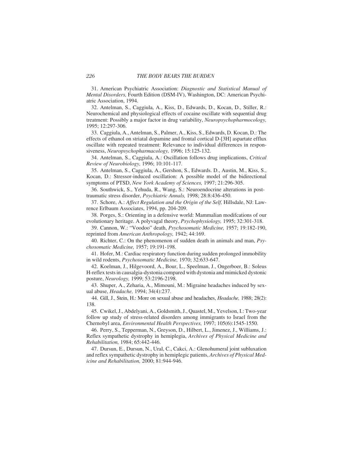31. American Psychiatric Association: *Diagnostic and Statistical Manual of Mental Disorders,* Fourth Edition (DSM-IV), Washington, DC: American Psychiatric Association, 1994.

32. Antelman, S., Caggiula, A., Kiss, D., Edwards, D., Kocan, D., Stiller, R.: Neurochemical and physiological effects of cocaine oscillate with sequential drug treatment: Possibly a major factor in drug variability, *Neuropsychopharmocology,* 1995; 12:297-306.

33. Caggiula, A., Antelman, S., Palmer, A., Kiss, S., Edwards, D. Kocan, D.: The effects of ethanol on striatal dopamine and frontal cortical D-[3H] aspartate efflux oscillate with repeated treatment: Relevance to individual differences in responsiveness, *Neuropsychopharmacology,* 1996; 15:125-132.

34. Antelman, S., Caggiula, A.: Oscillation follows drug implications, *Critical Review of Neurobiology,* 1996; 10:101-117.

35. Antelman, S., Caggiula, A., Gershon, S., Edwards. D., Austin, M., Kiss, S., Kocan, D.: Stressor-induced oscillation: A possible model of the bidirectional symptoms of PTSD, *New York Academy of Sciences,* 1997; 21:296-305.

36. Southwick, S., Yehuda, R., Wang, S.: Neuroendocrine alterations in posttraumatic stress disorder, *Psychiatric Annals,* 1998; 28:8:436-450.

37. Schore, A.: *Affect Regulation and the Origin of the Self,* Hillsdale, NJ: Lawrence Erlbaum Associates, 1994, pp. 204-209.

38. Porges, S.: Orienting in a defensive world: Mammalian modifcations of our evolutionary heritage. A polyvagal theory, *Psychophysiology,* 1995; 32:301-318.

39. Cannon, W.: "Voodoo" death, *Psychosomatic Medicine,* 1957; 19:182-190, reprinted from *American Anthropology,* 1942; 44:169.

40. Richter, C.: On the phenomenon of sudden death in animals and man, *Psychosomatic Medicine,* 1957; 19:191-198.

41. Hofer, M.: Cardiac respiratory function during sudden prolonged immobility in wild rodents, *Psychosomatic Medicine,* 1970; 32:633-647.

42. Koelman, J., Hilgevoord, A., Bour, L., Speelman, J., Ongerboer, B.: Soleus H-reflex tests in causalgia-dystonia compared with dystonia and mimicked dystonic posture, *Neurology,* 1999; 53:2196-2198.

43. Shuper, A., Zeharia, A., Mimouni, M.: Migraine headaches induced by sexual abuse, *Headache,* 1994; 34(4):237.

44. Gill, J., Stein, H.: More on sexual abuse and headaches, *Headache,* 1988; 28(2): 138.

45. Cwikel, J., Abdelyani, A., Goldsmith, J., Quastel, M., Yevelson, I.: Two-year follow up study of stress-related disorders among immigrants to Israel from the Chernobyl area, *Environmental Health Perspectives,* 1997; 105(6):1545-1550.

46. Perry, S., Tepperman, N., Greyson, D., Hilbert, L., Jimenez, J., Williams, J.: Reflex sympathetic dystrophy in hemiplegia, *Archives of Physical Medicine and Rehabilitation,* 1984; 65:442-446.

47. Dursun, E., Dursun, N., Ural, C., Cakci, A.: Glenohumeral joint subluxation and reflex sympathetic dystrophy in hemiplegic patients, *Archives of Physical Medicine and Rehabilitation,* 2000; 81:944-946.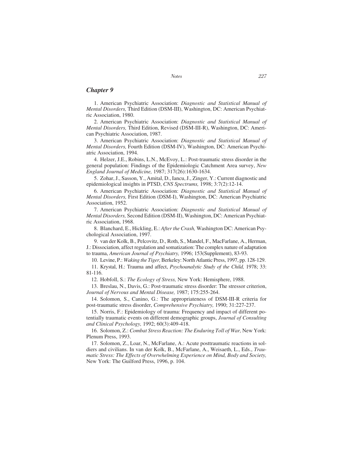# *Chapter 9*

1. American Psychiatric Association: *Diagnostic and Statistical Manual of Mental Disorders,* Third Edition (DSM-III), Washington, DC: American Psychiatric Association, 1980.

2. American Psychiatric Association: *Diagnostic and Statistical Manual of Mental Disorders,* Third Edition, Revised (DSM-III-R), Washington, DC: American Psychiatric Association, 1987.

3. American Psychiatric Association: *Diagnostic and Statistical Manual of Mental Disorders,* Fourth Edition (DSM-IV), Washington, DC: American Psychiatric Association, 1994.

4. Helzer, J.E., Robins, L.N., McEvoy, L.: Post-traumatic stress disorder in the general population: Findings of the Epidemiologic Catchment Area survey, *New England Journal of Medicine,* 1987; 317(26):1630-1634.

5. Zohar, J., Sasson, Y., Amital, D., Iancu, J., Zinger, Y.: Current diagnostic and epidemiological insights in PTSD, *CNS Spectrums,* 1998; 3:7(2):12-14.

6. American Psychiatric Association: *Diagnostic and Statistical Manual of Mental Disorders,* First Edition (DSM-I), Washington, DC: American Psychiatric Association, 1952.

7. American Psychiatric Association: *Diagnostic and Statistical Manual of Mental Disorders,* Second Edition (DSM-II), Washington, DC: American Psychiatric Association, 1968.

8. Blanchard, E., Hickling, E.: *After the Crash,* Washington DC: American Psychological Association, 1997.

9. van der Kolk, B., Pelcovitz, D., Roth, S., Mandel, F., MacFarlane, A., Herman, J.: Dissociation, affect regulation and somatization: The complex nature of adaptation to trauma, *American Journal of Psychiatry,* 1996; 153(Supplement), 83-93.

10. Levine, P.: *Waking the Tiger*, Berkeley: North Atlantic Press, 1997, pp. 128-129.

11. Krystal, H.: Trauma and affect, *Psychoanalytic Study of the Child,* 1978; 33: 81-116.

12. Hobfoll, S.: *The Ecology of Stress,* New York: Hemisphere, 1988.

13. Breslau, N., Davis, G.: Post-traumatic stress disorder: The stressor criterion, *Journal of Nervous and Mental Disease,* 1987; 175:255-264.

14. Solomon, S., Canino, G.: The appropriateness of DSM-III-R criteria for post-traumatic stress disorder, *Comprehensive Psychiatry,* 1990; 31:227-237.

15. Norris, F.: Epidemiology of trauma: Frequency and impact of different potentially traumatic events on different demographic groups, *Journal of Consulting and Clinical Psychology,* 1992; 60(3):409-418.

16. Solomon, Z.: *Combat Stress Reaction: The Enduring Toll of War,* New York: Plenum Press, 1993.

17. Solomon, Z., Loar, N., McFarlane, A.: Acute posttraumatic reactions in soldiers and civilians. In van der Kolk, B., McFarlane, A., Weisaeth, L., Eds., *Traumatic Stress: The Effects of Overwhelming Experience on Mind, Body and Society,* New York: The Guilford Press, 1996, p. 104.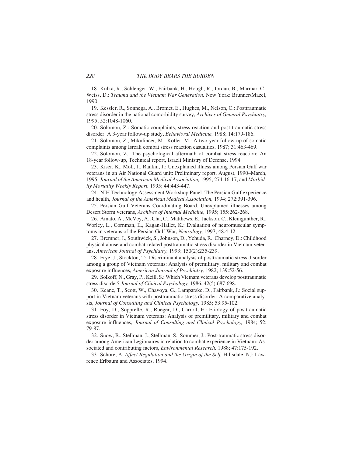18. Kulka, R., Schlenger, W., Fairbank, H., Hough, R., Jordan, B., Marmar, C., Weiss, D.: *Trauma and the Vietnam War Generation,* New York: Brunner/Mazel, 1990.

19. Kessler, R., Sonnega, A., Bromet, E., Hughes, M., Nelson, C.: Posttraumatic stress disorder in the national comorbidity survey, *Archives of General Psychiatry,* 1995; 52:1048-1060.

20. Solomon, Z.: Somatic complaints, stress reaction and post-traumatic stress disorder: A 3-year follow-up study, *Behavioral Medicine,* 1988; 14:179-186.

21. Solomon, Z., Mikulincer, M., Kotler, M.: A two-year follow-up of somatic complaints among Isreali combat stress reaction casualties, 1987; 31:463-469.

22. Solomon, Z.: The psychological aftermath of combat stress reaction: An 18-year follow-up, Technical report, Israeli Ministry of Defense, 1994.

23. Kiser, K., Moll, J., Rankin, J.: Unexplained illness among Persian Gulf war veterans in an Air National Guard unit: Preliminary report, August, 1990–March, 1995, *Journal of the American Medical Association,* 1995; 274:16-17, and *Morbidity Mortality Weekly Report,* 1995; 44:443-447.

24. NIH Technology Assessment Workshop Panel. The Persian Gulf experience and health, *Journal of the American Medical Association,* 1994; 272:391-396.

25. Persian Gulf Veterans Coordinating Board. Unexplained illnesses among Desert Storm veterans, *Archives of Internal Medicine,* 1995; 155:262-268.

26. Amato, A., McVey, A., Cha, C., Matthews, E., Jackson, C., Kleingunther, R., Worley, L., Cornman, E., Kagan-Hallet, K.: Evaluation of neuromuscular symptoms in veterans of the Persian Gulf War, *Neurology,* 1997; 48:4-12

27. Bremner, J., Southwick, S., Johnson, D., Yehuda, R., Charney, D.: Childhood physical abuse and combat-related posttraumatic stress disorder in Vietnam veterans, *American Journal of Psychiatry,* 1993; 150(2):235-239.

28. Frye, J., Stockton, T:. Discriminant analysis of posttraumatic stress disorder among a group of Vietnam veterans: Analysis of premilitary, military and combat exposure influences, *American Journal of Psychiatry,* 1982; 139:52-56.

29. Solkoff, N., Gray, P., Keill, S.: Which Vietnam veterans develop posttraumatic stress disorder? *Journal of Clinical Psychology,* 1986; 42(5):687-698.

30. Keane, T., Scott, W., Chavoya, G., Lamparske, D., Fairbank, J.: Social support in Vietnam veterans with posttraumatic stress disorder: A comparative analysis, *Journal of Consulting and Clinical Psychology,* 1985; 53:95-102.

31. Foy, D., Sopprelle, R., Rueger, D., Carroll, E.: Etiology of posttraumatic stress disorder in Vietnam veterans: Analysis of premilitary, military and combat exposure influences, *Journal of Consulting and Clinical Psychology,* 1984; 52: 79-87.

32. Snow, B., Stellman, J., Stellman, S., Sommer, J.: Post-traumatic stress disorder among American Legionaires in relation to combat experience in Vietnam: Associated and contributing factors, *Environmental Research,* 1988; 47:175-192.

33. Schore, A. *Affect Regulation and the Origin of the Self,* Hillsdale, NJ: Lawrence Erlbaum and Associates, 1994.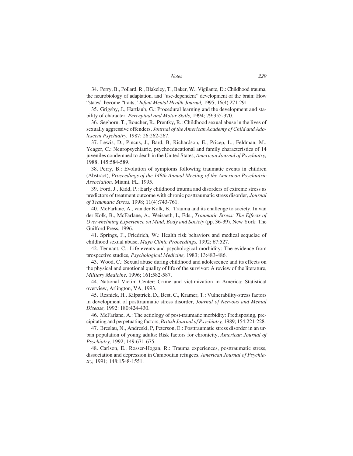34. Perry, B., Pollard, R., Blakeley, T., Baker, W., Vigilante, D.: Childhood trauma, the neurobiology of adaptation, and "use-dependent" development of the brain: How "states" become "traits," *Infant Mental Health Journal,* 1995; 16(4):271-291.

35. Grigsby, J., Hartlaub, G.: Procedural learning and the development and stability of character, *Perceptual and Motor Skills,* 1994; 79:355-370.

36. Seghorn, T., Boucher, R., Prentky, R.: Childhood sexual abuse in the lives of sexually aggressive offenders, *Journal of the American Academy of Child and Adolescent Psychiatry,* 1987; 26:262-267.

37. Lewis, D., Pincus, J., Bard, B, Richardson, E., Pricep, L., Feldman, M., Yeager, C.: Neuropsychiatric, psychoeducational and family characteristics of 14 juveniles condemned to death in the United States, *American Journal of Psychiatry,* 1988; 145:584-589.

38. Perry, B.: Evolution of symptoms following traumatic events in children (Abstract), *Proceedings of the 148th Annual Meeting of the American Psychiatric Association,* Miami, FL, 1995.

39. Ford, J., Kidd, P.: Early childhood trauma and disorders of extreme stress as predictors of treatment outcome with chronic posttraumatic stress disorder, *Journal of Traumatic Stress,* 1998; 11(4):743-761.

40. McFarlane, A., van der Kolk, B.: Trauma and its challenge to society. In van der Kolk, B., McFarlane, A., Weisaeth, L, Eds., *Traumatic Stress: The Effects of Overwhelming Experience on Mind, Body and Society* (pp. 36-39), New York: The Guilford Press, 1996.

41. Springs, F., Friedrich, W.: Health risk behaviors and medical sequelae of childhood sexual abuse, *Mayo Clinic Proceedings,* 1992; 67:527.

42. Tennant, C.: Life events and psychological morbidity: The evidence from prospective studies, *Psychological Medicine,* 1983; 13:483-486.

43. Wood, C.: Sexual abuse during childhood and adolescence and its effects on the physical and emotional quality of life of the survivor: A review of the literature, *Military Medicine,* 1996; 161:582-587.

44. National Victim Center: Crime and victimization in America: Statistical overview, Arlington, VA, 1993.

45. Resnick, H., Kilpatrick, D., Best, C., Kramer, T.: Vulnerability-stress factors in development of posttraumatic stress disorder, *Journal of Nervous and Mental Disease,* 1992: 180:424-430.

46. McFarlane, A.: The aetiology of post-traumatic morbidity: Predisposing, precipitating and perpetuating factors, *British Journal of Psychiatry,* 1989; 154:221-228.

47. Breslau, N., Andreski, P, Peterson, E.: Posttraumatic stress disorder in an urban population of young adults: Risk factors for chronicity, *American Journal of Psychiatry,* 1992; 149:671-675.

48. Carlson, E., Rosser-Hogan, R.: Trauma experiences, posttraumatic stress, dissociation and depression in Cambodian refugees, *American Journal of Psychiatry,* 1991; 148:1548-1551.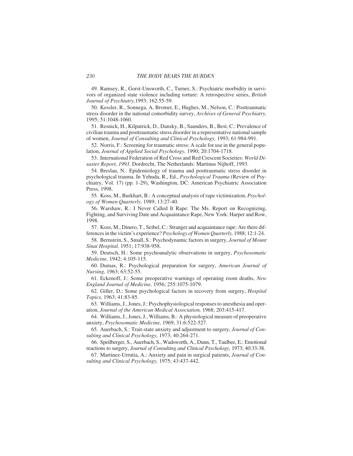49. Ramsey, R., Gorst-Unsworth, C., Turner, S.: Psychiatric morbidity in survivors of organized state violence including torture: A retrospective series, *British Journal of Psychiatry,*1993; 162:55-59.

50. Kessler, R., Sonnega, A, Bromet, E., Hughes, M., Nelson, C.: Posttraumatic stress disorder in the national comorbidity survey, *Archives of General Psychiatry,* 1995; 51:1048-1060.

51. Resnick, H., Kilpatrick, D., Dansky, B., Saunders, B., Best, C.: Prevalence of civilian trauma and posttraumatic stress disorder in a representative national sample of women, *Journal of Consulting and Clinical Psychology,* 1993; 61:984-991.

52. Norris, F.: Screening for traumatic stress: A scale for use in the general population, *Journal of Applied Social Psychology,* 1990; 20:1704-1718.

53. International Federation of Red Cross and Red Crescent Societies: *World Disaster Report, 1993.* Dordrecht, The Netherlands: Martinus Nijhoff, 1993.

54. Breslau, N.: Epidemiology of trauma and posttraumatic stress disorder in psychological trauma. In Yehuda, R., Ed., *Psychological Trauma* (Review of Psychiatry, Vol. 17) (pp. 1-29), Washington, DC: American Psychiatric Association Press, 1998.

55. Koss, M., Burkhart, B.: A conceptual analysis of rape victimization, *Psychology of Women Quarterly,* 1989; 13:27-40.

56. Warshaw, R.: I Never Called It Rape: The Ms. Report on Recognizing, Fighting, and Surviving Date and Acquaintance Rape, New York: Harper and Row, 1998.

57. Koss, M., Dinero, T., Seibel, C.: Stranger and acquaintance rape: Are there differences in the victim's experience? *Psychology of Women Quarterly,* 1988; 12:1-24.

58. Bernstein, S., Small, S.: Psychodynamic factors in surgery, *Journal of Mount Sinai Hospital,* 1951; 17:938-958.

59. Deutsch, H.: Some psychoanalytic observations in surgery, *Psychosomatic Medicine,* 1942; 4:105-115.

60. Dumas, R.: Psychological preparation for surgery, *American Journal of Nursing,* 1963; 63:52-55.

61. Eckenoff, J.: Some preoperative warnings of operating room deaths, *New England Journal of Medicine,* 1956; 255:1075-1079.

62. Giller, D.: Some psychological factors in recovery from surgery, *Hospital Topics,* 1963; 41:83-85.

63. Williams, J., Jones, J.: Psychophysiological responses to anesthesia and operation, *Journal of the American Medical Association,* 1968; 203:415-417.

64. Williams, J., Jones, J., Williams, B.: A physiological measure of preoperative anxiety, *Psychosomatic Medicine,* 1969; 31:6:522-527.

65. Auerbach, S.: Trait-state anxiety and adjustment to surgery, *Journal of Consulting and Clinical Psychology,* 1973; 40:264-271.

66. Speilberger, S., Auerbach, S., Wadsworth, A., Dunn, T., Taulbee, E.: Emotional reactions to surgery, *Journal of Consulting and Clinical Psychology,* 1973; 40:33-38.

67. Martinez-Urrutia, A.: Anxiety and pain in surgical patients, *Journal of Consulting and Clinical Psychology,* 1975; 43:437-442.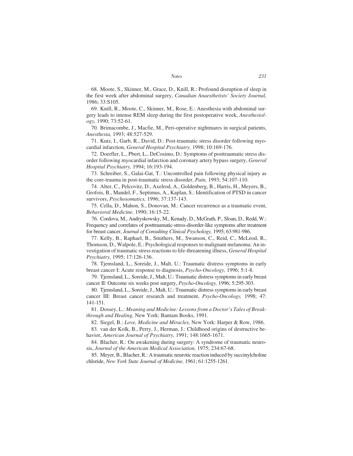68. Moote, S., Skinner, M., Grace, D., Knill, R.: Profound disruption of sleep in the first week after abdominal surgery, *Canadian Anaesthetists' Society Journal,* 1986; 33:S105.

69. Knill, R., Moote, C., Skinner, M., Rose, E.: Anesthesia with abdominal surgery leads to intense REM sleep during the first postoperative week, *Anesthesiology,* 1990; 73:52-61.

70. Brimacombe, J., Macfie, M., Peri-operative nightmares in surgical patients, *Anesthesia,* 1993; 48:527-529.

71. Kutz, I., Garb, R., David, D.: Post-traumatic stress disorder following myocardial infarction, *General Hospital Psychiatry,* 1998; 10:169-176.

72. Doerfler, L., Pbert, L., DeCosimo, D.: Symptoms of posttraumatic stress disorder following myocardial infarction and coronary artery bypass surgery, *General Hospital Psychiatry,* 1994; 16:193-194.

73. Schreiber, S., Galai-Gat, T.: Uncontrolled pain following physical injury as the core-trauma in post-traumatic stress disorder, *Pain,* 1993; 54:107-110.

74. Alter, C., Pelcovitz, D., Axelrod, A., Goldenberg, B., Harris, H., Meyers, B., Grofois, B., Mandel, F., Septimus, A., Kaplan, S.: Identification of PTSD in cancer survivors, *Psychosomatics,* 1996; 37:137-143.

75. Cella, D., Mahon, S., Donovan, M.: Cancer recurrence as a traumatic event, *Behavioral Medicine,* 1990; 16:15-22.

76. Cordova, M., Andryskowsky, M., Kenady, D., McGrath, P., Sloan, D., Redd, W.: Frequency and correlates of posttraumatic-stress-disorder-like symptoms after treatment for breast cancer, *Journal of Consulting Clinical Psychology,* 1995; 63:981-986.

77. Kelly, B., Raphael, B., Smithers, M., Swanson, C., Reid, C., McLeod, R., Thomson, D., Walpole, E.: Psychological responses to malignant melanoma: An investigation of traumatic stress reactions to life-threatening illness, *General Hospital Psychiatry,* 1995; 17:126-136.

78. Tjemsland, L., Soreide, J., Malt, U.: Traumatic distress symptoms in early breast cancer I: Acute response to diagnosis, *Psycho-Oncology,* 1996; 5:1-8.

79. Tjemsland, L., Soreide, J., Malt, U.: Traumatic distress symptoms in early breast cancer II: Outcome six weeks post surgery, *Psycho-Oncology,* 1996; 5:295-303.

80. Tjemsland, L., Soreide, J., Malt, U.: Traumatic distress symptoms in early breast cancer III: Breast cancer research and treatment, *Psycho-Oncology,* 1998; 47: 141-151.

81. Dossey, L.: *Meaning and Medicine: Lessons from a Doctor's Tales of Breakthrough and Healing,* New York: Bantam Books, 1991.

82. Siegel, B.: *Love, Medicine and Miracles,* New York: Harper & Row, 1986.

83. van der Kolk, B., Perry, J., Herman, J.: Childhood origins of destructive behavior, *American Journal of Psychiatry,* 1991; 148:1665-1671.

84. Blacher, R.: On awakening during surgery: A syndrome of traumatic neurosis, *Journal of the American Medical Association,* 1975; 234:67-68.

85. Meyer, B., Blacher, R.: A traumatic neurotic reaction induced by succinylcholine chloride, *New York State Journal of Medicine,* 1961; 61:1255-1261.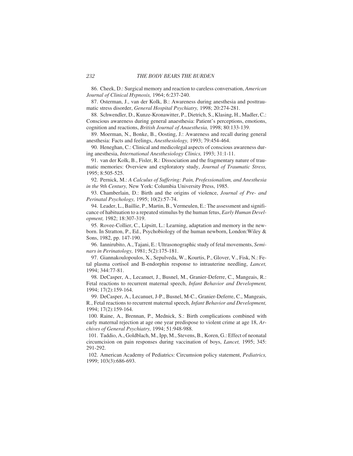86. Cheek, D.: Surgical memory and reaction to careless conversation, *American Journal of Clinical Hypnosis,* 1964; 6:237-240.

87. Osterman, J., van der Kolk, B.: Awareness during anesthesia and posttraumatic stress disorder, *General Hospital Psychiatry,* 1998; 20:274-281.

88. Schwendler, D., Kunze-Kronawitter, P., Dietrich, S., Klasing, H., Madler, C.: Conscious awareness during general anaesthesia: Patient's perceptions, emotions, cognition and reactions, *British Journal of Anaesthesia,* 1998; 80:133-139.

89. Moerman, N., Bonke, B., Oosting, J.: Awareness and recall during general anesthesia: Facts and feelings, *Anesthesiology,* 1993; 79:454-464.

90. Heneghan, C.: Clinical and medicolegal aspects of conscious awareness during anesthesia, *International Anesthesiology Clinics,* 1993; 31:1-11.

91. van der Kolk, B., Fisler, R.: Dissociation and the fragmentary nature of traumatic memories: Overview and exploratory study, *Journal of Traumatic Stress,* 1995; 8:505-525.

92. Pernick, M.: *A Calculus of Suffering: Pain, Professionalism, and Anesthesia in the 9th Century,* New York: Columbia University Press, 1985.

93. Chamberlain, D.: Birth and the origins of violence, *Journal of Pre- and Perinatal Psychology,* 1995; 10(2):57-74.

94. Leader, L., Baillie, P., Martin, B., Vermeulen, E.: The assessment and significance of habituation to a repeated stimulus by the human fetus, *Early Human Development,* 1982; 18:307-319.

95. Rovee-Collier, C., Lipsitt, L.: Learning, adaptation and memory in the newborn. In Stratton, P., Ed., Psychobiology of the human newborn, London:Wiley & Sons, 1982, pp. 147-190.

96. Iannirubito, A., Tajani, E.: Ultrasonographic study of fetal movements, *Seminars in Perinatology,* 1981; 5(2):175-181.

97. Giannakoulopoulos, X., Sepulveda, W., Kourtis, P., Glover, V., Fisk, N.: Fetal plasma cortisol and B-endorphin response to intrauterine needling, *Lancet,* 1994; 344:77-81.

98. DeCasper, A., Lecanuet, J., Busnel, M., Granier-Deferre, C., Mangeais, R.: Fetal reactions to recurrent maternal speech, *Infant Behavior and Development,* 1994; 17(2):159-164.

99. DeCasper, A., Lecanuet, J-P., Busnel, M-C., Granier-Deferre, C., Mangeais, R., Fetal reactions to recurrent maternal speech, *Infant Behavior and Development,* 1994; 17(2):159-164.

100. Raine, A., Brennan, P., Mednick, S.: Birth complications combined with early maternal rejection at age one year predispose to violent crime at age 18, *Archives of General Psychiatry,* 1994; 51:948-988.

101. Taddio, A., Goldblach, M., Ipp, M., Stevens, B., Koren, G.: Effect of neonatal circumcision on pain responses during vaccination of boys, *Lancet,* 1995; 345: 291-292.

102. American Academy of Pediatrics: Circumsion policy statement, *Pediatrics,* 1999; 103(3):686-693.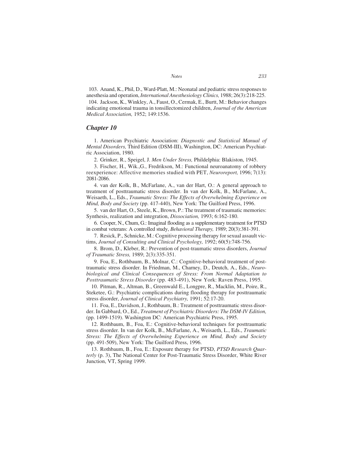103. Anand, K., Phil, D., Ward-Platt, M.: Neonatal and pediatric stress responses to anesthesia and operation,*International Anesthesiology Clinics,* 1988; 26(3):218-225.

104. Jackson, K., Winkley, A., Faust, O., Cermak, E., Burtt, M.: Behavior changes indicating emotional trauma in tonsillectomized children, *Journal of the American Medical Association,* 1952; 149:1536.

## *Chapter 10*

1. American Psychiatric Association: *Diagnostic and Statistical Manual of Mental Disorders,* Third Edition (DSM-III), Washington, DC: American Psychiatric Association, 1980.

2. Grinker, R., Speigel, J. *Men Under Stress,* Phildelphia: Blakiston, 1945.

3. Fischer, H., Wik.,G., Fredrikson, M.: Functional neuroanatomy of robbery reexperience: Affective memories studied with PET, *Neuroreport,* 1996; 7(13): 2081-2086.

4. van der Kolk, B., McFarlane, A., van der Hart, O.: A general approach to treatment of posttraumatic stress disorder. In van der Kolk, B., McFarlane, A., Weisaeth, L., Eds., *Traumatic Stress: The Effects of Overwhelming Experience on Mind, Body and Society* (pp. 417-440), New York: The Guilford Press, 1996.

5. van der Hart, O., Steele, K., Brown, P.: The treatment of traumatic memories: Synthesis, realization and integration, *Dissociation,* 1993; 6:162-180.

6. Cooper, N., Chum, G.: Imaginal flooding as a supplementary treatment for PTSD in combat veterans: A controlled study, *Behavioral Therapy,* 1989; 20(3):381-391.

7. Resick, P., Schnicke, M.: Cognitive processing therapy for sexual assault victims, *Journal of Consulting and Clinical Psychology,* 1992; 60(5):748-756.

8. Brom, D., Kleber, R.: Prevention of post-traumatic stress disorders, *Journal of Traumatic Stress,* 1989; 2(3):335-351.

9. Foa, E., Rothbaum, B., Molnar, C.: Cognitive-behavioral treatment of posttraumatic stress disorder. In Friedman, M., Charney, D., Deutch, A., Eds., *Neurobiological and Clinical Consequences of Stress: From Normal Adaptation to Posttraumatic Stress Disorder* (pp. 483-491), New York: Raven Press, 1995.

10. Pitman, R., Altman, B., Greenwald E., Longpre, R., Macklin, M., Poire, R., Steketee, G.: Psychiatric complications during flooding therapy for posttraumatic stress disorder, *Journal of Clinical Psychiatry,* 1991; 52:17-20.

11. Foa, E., Davidson, J., Rothbaum, B.: Treatment of posttraumatic stress disorder. In Gabbard, O., Ed., *Treatment of Psychiatric Disorders: The DSM-IV Edition,* (pp. 1499-1519). Washington DC: American Psychiatric Press, 1995.

12. Rothbaum, B., Foa, E.: Cognitive-behavioral techniques for posttraumatic stress disorder. In van der Kolk, B., McFarlane, A., Weisaeth, L., Eds., *Traumatic Stress: The Effects of Overwhelming Experience on Mind, Body and Society* (pp. 491-509), New York: The Guilford Press, 1996.

13. Rothbaum, B., Foa, E.: Exposure therapy for PTSD, *PTSD Research Quarterly* (p. 3), The National Center for Post-Traumatic Stress Disorder, White River Junction, VT, Spring 1999.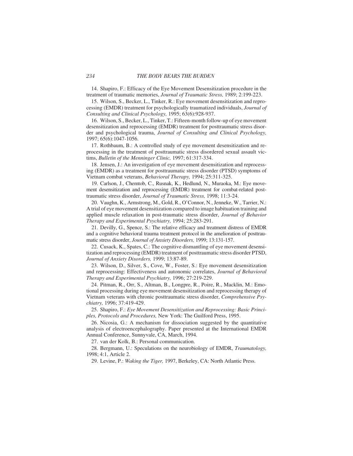14. Shapiro, F.: Efficacy of the Eye Movement Desensitization procedure in the treatment of traumatic memories, *Journal of Traumatic Stress,* 1989; 2:199-223.

15. Wilson, S., Becker, L., Tinker, R.: Eye movement desensitization and reprocessing (EMDR) treatment for psychologically traumatized individuals, *Journal of Consulting and Clinical Psychology,* 1995; 63(6):928-937.

16. Wilson, S., Becker, L., Tinker, T.: Fifteen-month follow-up of eye movement desensitization and reprocessing (EMDR) treatment for posttraumatic stress disorder and psychological trauma, *Journal of Consulting and Clinical Psychology,* 1997; 65(6):1047-1056.

17. Rothbaum, B.: A controlled study of eye movement desensitization and reprocessing in the treatment of posttraumatic stress disordered sexual assault victims, *Bulletin of the Menninger Clinic,* 1997; 61:317-334.

18. Jensen, J.: An investigation of eye movement desensitization and reprocessing (EMDR) as a treatment for posttraumatic stress disorder (PTSD) symptoms of Vietnam combat veterans, *Behavioral Therapy,* 1994; 25:311-325.

19. Carlson, J., Chemtob, C., Rusnak, K., Hedlund, N., Muraoka, M.: Eye movement desensitization and reprocessing (EMDR) treatment for combat-related posttraumatic stress disorder, *Journal of Traumatic Stress,* 1998; 11:3-24.

20. Vaughn, K., Armstrong, M., Gold, R., O'Connor, N., Jenneke, W., Tarrier, N.: A trial of eye movement desensitization compared to image habituation training and applied muscle relaxation in post-traumatic stress disorder, *Journal of Behavior Therapy and Experimental Psychiatry,* 1994; 25:283-291.

21. Devilly, G., Spence, S.: The relative efficacy and treatment distress of EMDR and a cognitive behavioral trauma treatment protocol in the amelioration of posttraumatic stress disorder, *Journal of Anxiety Disorders,* 1999; 13:131-157.

22. Cusack, K., Spates, C.: The cognitive dismantling of eye movement desensitization and reprocessing (EMDR) treatment of posttraumatic stress disorder PTSD, *Journal of Anxiety Disorders,* 1999; 13:87-89.

23. Wilson, D., Silver, S., Cove, W., Foster, S.: Eye movement desensitization and reprocessing: Effectiveness and autonomic correlates, *Journal of Behavioral Therapy and Experimental Psychiatry,* 1996; 27:219-229.

24. Pitman, R., Orr, S., Altman, B., Longpre, R., Poire, R., Macklin, M.: Emotional processing during eye movement desensitization and reprocessing therapy of Vietnam veterans with chronic posttraumatic stress disorder, *Comprehensive Psychiatry,* 1996; 37:419-429.

25. Shapiro, F.: *Eye Movement Desensitization and Reprocessing: Basic Principles, Protocols and Procedures,* New York: The Guilford Press, 1995.

26. Nicosia, G.: A mechanism for dissociation suggested by the quantitative analysis of electroencephalography. Paper presented at the International EMDR Annual Conference, Sunnyvale, CA, March, 1994.

27. van der Kolk, B.: Personal communication.

28. Bergmann, U.: Speculations on the neurobiology of EMDR, *Traumatology,* 1998; 4:1, Article 2.

29. Levine, P.: *Waking the Tiger,* 1997, Berkeley, CA: North Atlantic Press.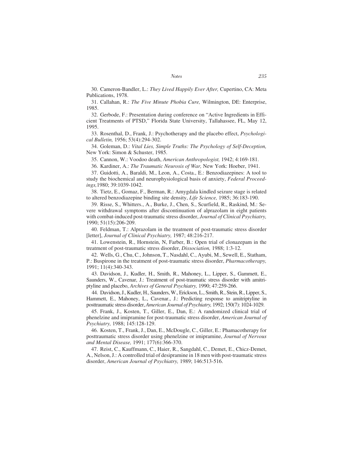30. Cameron-Bandler, L.: *They Lived Happily Ever After,* Cupertino, CA: Meta Publications, 1978.

31. Callahan, R.: *The Five Minute Phobia Cure,* Wilmington, DE: Enterprise, 1985.

32. Gerbode, F.: Presentation during conference on "Active Ingredients in Efficient Treatments of PTSD," Florida State University, Tallahassee, FL, May 12, 1995.

33. Rosenthal, D., Frank, J.: Psychotherapy and the placebo effect, *Psychological Bulletin,* 1956; 53(4):294-302.

34. Goleman, D.: *Vital Lies, Simple Truths: The Psychology of Self-Deception,* New York: Simon & Schuster, 1985.

35. Cannon, W.: Voodoo death, *American Anthropologist,* 1942; 4:169-181.

36. Kardiner, A.: *The Traumatic Neurosis of War,* New York: Hoeber, 1941.

37. Guidotti, A., Baraldi, M., Leon, A., Costa., E.: Benzodiazepines: A tool to study the biochemical and neurophysiological basis of anxiety, *Federal Proceedings,*1980; 39:1039-1042.

38. Tietz, E., Gomaz, F., Berman, R.: Amygdala kindled seizure stage is related to altered benzodiazepine binding site density, *Life Science,* 1985; 36:183-190.

39. Risse, S., Whitters., A., Burke, J., Chen, S., Scurfield, R., Raskind, M.: Severe withdrawal symptoms after discontinuation of alprazolam in eight patients with combat-induced post-traumatic stress disorder, *Journal of Clinical Psychiatry,* 1990; 51(15):206-209.

40. Feldman, T.: Alprazolam in the treatment of post-traumatic stress disorder [letter], *Journal of Clinical Psychiatry,* 1987; 48:216-217.

41. Lowenstein, R., Hornstein, N, Farber, B.: Open trial of clonazepam in the treatment of post-traumatic stress disorder, *Dissociation,* 1988; 1:3-12.

42. Wells, G., Chu, C., Johnson, T., Nasdahl, C., Ayubi, M., Sewell, E., Statham, P.: Buspirone in the treatment of post-traumatic stress disorder, *Pharmacotherapy,* 1991; 11(4):340-343.

43. Davidson, J., Kudler, H., Smith, R., Mahoney, L., Lipper, S., Gammett, E., Saunders, W., Cavenar, J.: Treatment of post-traumatic stress disorder with amitriptyline and placebo, *Archives of General Psychiatry,* 1990; 47:259-266.

44. Davidson, J., Kudler, H., Saunders, W., Erickson, L., Smith, R., Stein, R., Lipper, S., Hammett, E., Mahoney, L., Cavenar., J.: Predicting response to amitriptyline in posttraumatic stress disorder,*American Journal of Psychiatry,* 1992; 150(7): 1024-1029.

45. Frank, J., Kosten, T., Giller, E., Dan, E.: A randomized clinical trial of phenelzine and imipramine for post-traumatic stress disorder, *American Journal of Psychiatry,* 1988; 145:128-129.

46. Kosten, T., Frank, J., Dan, E., McDougle, C., Giller, E.: Phamacotherapy for posttraumatic stress disorder using phenelzine or imipramine, *Journal of Nervous and Mental Disease,* 1991; 177(6):366-370.

47. Reist, C., Kauffmann, C., Haier, R., Sangdahl, C., Demet, E., Chicz-Demet, A., Nelson, J.: A controlled trial of desipramine in 18 men with post-traumatic stress disorder, *American Journal of Psychiatry,* 1989; 146:513-516.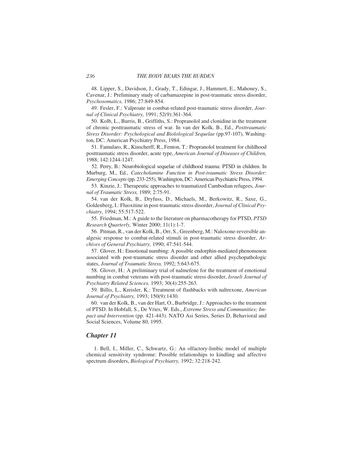48. Lipper, S., Davidson, J., Grady, T., Edingar, J., Hammett, E., Mahoney, S., Cavenar, J.: Preliminary study of carbamazepine in post-traumatic stress disorder, *Psychosomatics,* 1986; 27:849-854.

49. Fesler, F.: Valproate in combat-related post-traumatic stress disorder, *Journal of Clinical Psychiatry,* 1991; 52(9):361-364.

50. Kolb, L., Burris, B., Griffiths, S.: Propranolol and clonidine in the treatment of chronic posttraumatic stress of war. In van der Kolk, B., Ed., *Posttraumatic Stress Disorder: Psychological and Biolological Sequelae* (pp.97-107), Washington, DC: American Psychiatry Press, 1984.

51. Famularo, R., Kinscherff, R., Fenton, T.: Propranolol treatment for childhood posttraumatic stress disorder, acute type, *American Journal of Diseases of Children,* 1988; 142:1244-1247.

52. Perry, B.: Neurobiological sequelae of childhood trauma: PTSD in children. In Murburg, M., Ed., *Catecholamine Function in Post-traumatic Stress Disorder: Emerging Concepts*(pp. 233-255), Washington, DC: American Psychiatric Press, 1994.

53. Kinzie, J.: Therapeutic approaches to traumatized Cambodian refugees, *Journal of Traumatic Stress,* 1989; 2:75-91.

54. van der Kolk, B., Dryfuss, D., Michaels, M., Berkowitz, R., Saxe, G., Goldenberg, I.: Fluoxitine in post-traumatic stress disorder, *Journal of Clinical Psychiatry,* 1994; 55:517-522.

55. Friedman, M.: A guide to the literature on pharmacotherapy for PTSD, *PTSD Research Quarterly,* Winter 2000; 11(1):1-7.

56. Pitman, R., van der Kolk, B., Orr, S., Greenberg, M.: Naloxone-reversible analgesic response to combat-related stimuli in post-traumatic stress disorder, *Archives of General Psychiatry,* 1990; 47:541-544.

57. Glover, H.: Emotional numbing: A possible endorphin-mediated phenomenon associated with post-traumatic stress disorder and other allied psychopathologic states, *Journal of Traumatic Stress,* 1992; 5:643-675.

58. Glover, H.: A preliminary trial of nalmefene for the treatment of emotional numbing in combat veterans with post-traumatic stress disorder, *Israeli Journal of Psychiatry Related Sciences,* 1993; 30(4):255-263.

59. Billis, L., Kreisler, K.: Treatment of flashbacks with naltrexone, *American Journal of Psychiatry,* 1993; 150(9):1430.

60. van der Kolk, B., van der Hart, O., Burbridge, J.: Approaches to the treatment of PTSD. In Hobfall, S., De Vries, W. Eds., *Extreme Stress and Communities; Impact and Intervention* (pp. 421-443). NATO Asi Series, Series D, Behavioral and Social Sciences, Volume 80, 1995.

# *Chapter 11*

1. Bell, I., Miller, C., Schwartz, G.: An olfactory-limbic model of multiple chemical sensitivity syndrome: Possible relationships to kindling and affective spectrum disorders, *Biological Psychiatry,* 1992; 32:218-242.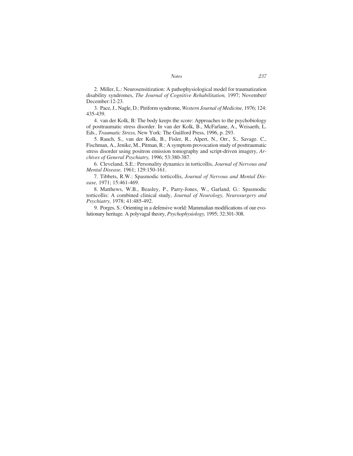2. Miller, L.: Neurosensitization: A pathophysiological model for traumatization disability syndromes, *The Journal of Cognitive Rehabilitation,* 1997; November/ December:12-23.

3. Pace, J., Nagle, D.: Piriform syndrome, *Western Journal of Medicine,* 1976; 124: 435-439.

4. van der Kolk, B: The body keeps the score: Approaches to the psychobiology of posttraumatic stress disorder. In van der Kolk, B., McFarlane, A., Weisaeth, L. Eds., *Traumatic Stress,* New York: The Guilford Press, 1996, p. 293.

5. Rauch, S., van der Kolk, B., Fisler, R., Alpert, N., Orr., S., Savage. C., Fischman, A., Jenike, M., Pitman, R.: A symptom provocation study of posttraumatic stress disorder using positron emission tomography and script-driven imagery, *Archives of General Psychiatry,* 1996; 53:380-387.

6. Cleveland, S.E.: Personality dynamics in torticollis, *Journal of Nervous and Mental Disease,* 1961; 129:150-161.

7. Tibbets, R.W.: Spasmodic torticollis, *Journal of Nervous and Mental Disease,* 1971; 15:461-469.

8. Matthews, W.B., Beasley, P., Parry-Jones, W., Garland, G.: Spasmodic torticollis: A combined clinical study, *Journal of Neurology, Neurosurgery and Psychiatry,* 1978; 41:485-492.

9. Porges, S.: Orienting in a defensive world: Mammalian modifications of our evolutionary heritage. A polyvagal theory, *Psychophysiology,* 1995; 32:301-308.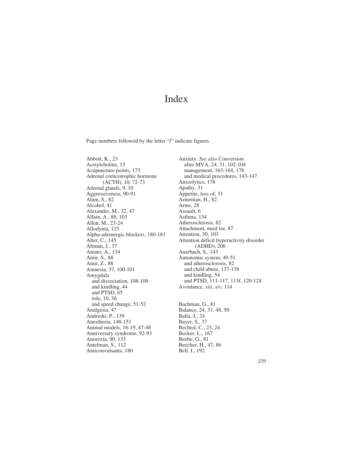# Index

Page numbers followed by the letter "f" indicate figures.

Abbott, K., 23 Acetylcholine, 15 Acupuncture points, 173 Adrenal corticotrophic hormone (ACTH), 10, 72-73 Adrenal glands, 9, 10 Aggressiveness, 90-91 Alam, S., 82 Alcohol, 41 Alexander, M., 32, 47 Allain, A., 88, 103 Allen, M., 23-24 Allodynia, 123 Alpha-adrenergic blockers, 180-181 Alter, C., 145 Altman, J., 37 Amato, A., 134 Amir, S., 88 Amit, Z., 88 Amnesia, 37, 100-101 Amygdala and dissociation, 108-109 and kindling, 44 and PTSD, 65 role, 10, 36 and speed change, 51-52 Analgesia, 47 Andreski, P., 139 Anesthesia, 148-151 Animal models, 16-19, 47-48 Anniversary syndrome, 92-93 Anorexia, 90, 135 Antelman, S., 112 Anticonvulsants, 180

Anxiety. *See also* Conversion after MVA, 24, 31, 102-104 management, 163-164, 178 and medical procedures, 143-147 Anxiolytics, 178 Apathy, 31 Appetite, loss of, 31 Armenian, H., 82 Arms, 28 Assault, 6 Asthma, 134 Atherosclerosis, 82 Attachment, need for, 87 Attention, 30, 103 Attention deficit hyperactivity disorder (ADHD), 206 Auerbach, S., 143 Autonomic system, 49-51 and atherosclerosis, 82 and child abuse, 137-138 and kindling, 54 and PTSD, 111-117, 113f, 120-124 Avoidance, *xiii, xiv,* 114

Bachman, G., 81 Balance, 24, 31, 48, 50 Balla, J., 24 Bayer, S., 37 Bechtol, C., 23, 24 Becker, L., 167 Beebe, G., 81 Beecher, H., 47, 86 Bell, I., 192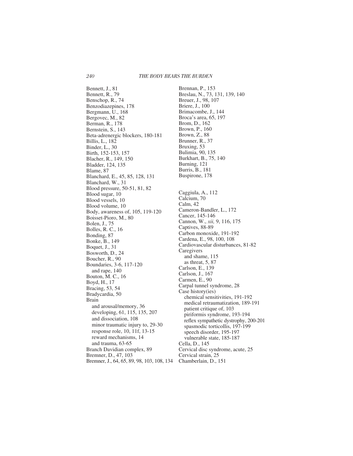Bennett, J., 81 Bennett, R., 79 Benschop, R., 74 Benzodiazepines, 178 Bergmann, U., 168 Bergovec, M., 82 Berman, R., 178 Bernstein, S., 143 Beta-adrenergic blockers, 180-181 Billis, L., 182 Binder, L., 30 Birth, 152-153, 157 Blacher, R., 149, 150 Bladder, 124, 135 Blame, 87 Blanchard, E., 45, 85, 128, 131 Blanchard, W., 31 Blood pressure, 50-51, 81, 82 Blood sugar, 10 Blood vessels, 10 Blood volume, 10 Body, awareness of, 105, 119-120 Boisset-Pioro, M., 80 Bolen, J., 75 Bolles, R. C., 16 Bonding, 87 Bonke, B., 149 Boquet, J., 31 Bosworth, D., 24 Boucher, R., 90 Boundaries, 3-6, 117-120 and rape, 140 Bouton, M. C., 16 Boyd, H., 17 Bracing, 53, 54 Bradycardia, 50 Brain and arousal/memory, 36 developing, 61, 115, 135, 207 and dissociation, 108 minor traumatic injury to, 29-30 response role, 10, 11f, 13-15 reward mechanisms, 14 and trauma, 63-65 Branch Davidian complex, 89 Bremner, D., 47, 103 Bremner, J., 64, 65, 89, 98, 103, 108, 134 Brennan, P., 153 Breslau, N., 73, 131, 139, 140 Breuer, J., 98, 107 Briere, J., 100 Brimacombe, J., 144 Broca's area, 65, 197 Brom, D., 162 Brown, P., 160 Brown, Z., 88 Brunner, R., 37 Bruxing, 53 Bulimia, 90, 135 Burkhart, B., 75, 140 Burning, 121 Burris, B., 181 Buspirone, 178 Caggiula, A., 112 Calcium, 70 Calm, 42 Cameron-Bandler, L., 172 Cancer, 145-146 Cannon, W., *xii,* 9, 116, 175 Captives, 88-89 Carbon monoxide, 191-192 Cardena, E., 98, 100, 108 Cardiovascular disturbances, 81-82 Caregivers and shame, 115 as threat, 5, 87 Carlson, E., 139 Carlson, J., 167 Carmen, E., 90 Carpal tunnel syndrome, 28 Case history(ies) chemical sensitivities, 191-192 medical retraumatization, 189-191 patient critique of, 103 piriformis syndrome, 193-194 reflex sympathetic dystrophy, 200-201 spasmodic torticollis, 197-199 speech disorder, 195-197 vulnerable state, 185-187 Cella, D., 145 Cervical disc syndrome, acute, 25 Cervical strain, 25 Chamberlain, D., 151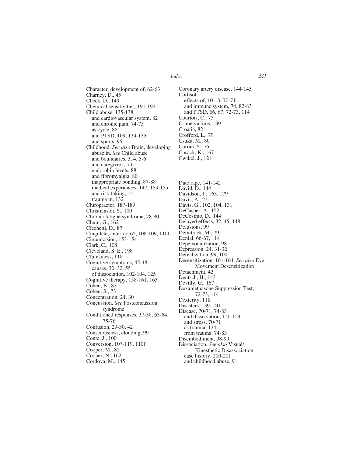Character, development of, 62-63 Charney, D., 45 Cheek, D., 149 Chemical sensitivities, 191-192 Child abuse, 135-138 and cardiovascular system, 82 and chronic pain, 74-75 as cycle, 88 and PTSD, 109, 134-135 and sports, 95 Childhood. *See also* Brain, developing abuse in. *See* Child abuse and boundaries, 3, 4, 5-6 and caregivers, 5-6 endorphin levels, 88 and fibromyalgia, 80 inappropriate bonding, 87-88 medical experiences, 147, 154-155 and risk-taking, 14 trauma in, 132 Chiropractor, 187-189 Christianson, S., 100 Chronic fatigue syndrome, 78-80 Chum, G., 162 Cicchetti, D., 87 Cingulate, anterior, 65, 108-109, 110f Circumcision, 153-154 Clark, C., 108 Cleveland, S. E., 198 Clumsiness, 118 Cognitive symptoms, 45-48 causes, 30, 32, 55 of dissociation, 102-104, 125 Cognitive therapy, 158-161, 163 Cohen, B., 82 Cohen, S., 73 Concentration, 24, 30 Concussion. *See* Postconcussion syndrome Conditioned responses, 37-38, 63-64, 75-76 Confusion, 29-30, 42 Consciousness, clouding, 99 Conte, J., 100 Conversion, 107-119, 110f Cooper, M., 82 Cooper, N., 162 Cordova, M., 145

Coronary artery disease, 144-145 **Cortisol** effects of, 10-13, 70-71 and immune system, 74, 82-83 and PTSD, 66, 67, 72-73, 114 Courtois, C., 75 Crime victims, 139 Croatia, 82 Crofford, L., 79 Csuka, M., 80 Curran, S., 75 Cusack, K., 167 Cwikel, J., 124

Date rape, 141-142 David, D., 144 Davidson, J., 163, 179 Davis, A., 23 Davis, G., 102, 104, 131 DeCasper, A., 152 DeCosimo, D., 144 Delayed effects, 32, 45, 148 Delusions, 99 Demitrack, M., 79 Denial, 66-67, 114 Depersonalization, 98 Depression, 24, 31-32 Derealization, 99, 100 Desensitization, 161-164. *See also* Eye Movement Desensitization Detachment, 42 Deutsch, H., 143 Devilly, G., 167 Dexamethasone Suppression Test, 72-73, 114 Dexterity, 118 Disasters, 139-140 Disease, 70-71, 74-83 and dissociation, 120-124 and stress, 70-71 as trauma, 124 from trauma, 74-83 Disembodiment, 98-99 Dissociation. *See also* Visual/ Kinesthetic Disassociation case history, 200-201 and childhood abuse, 91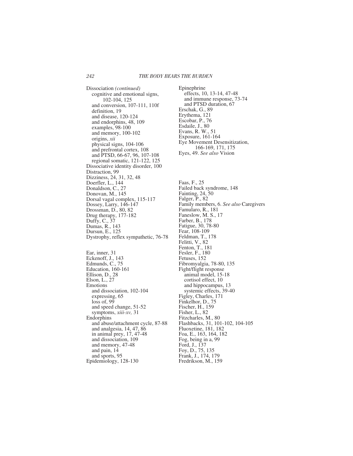Dissociation *(continued)* cognitive and emotional signs, 102-104, 125 and conversion, 107-111, 110f definition, 19 and disease, 120-124 and endorphins, 48, 109 examples, 98-100 and memory, 100-102 origins, *xii* physical signs, 104-106 and prefrontal cortex, 108 and PTSD, 66-67, 96, 107-108 regional somatic, 121-122, 125 Dissociative identity disorder, 100 Distraction, 99 Dizziness, 24, 31, 32, 48 Doerfler, L., 144 Donaldson, C., 27 Donovan, M., 145 Dorsal vagal complex, 115-117 Dossey, Larry, 146-147 Drossman, D., 80, 82 Drug therapy, 177-182 Duffy, C., 37 Dumas, R., 143 Dursun, E., 125 Dystrophy, reflex sympathetic, 76-78 Ear, inner, 31 Eckenoff, J., 143 Edmunds, C., 75 Education, 160-161 Ellison, D., 28 Elson, L., 27 Emotions and dissociation, 102-104 expressing, 65 loss of, 99 and speed change, 51-52 symptoms, *xiii-xv,* 31 Endorphins and abuse/attachment cycle, 87-88 and analgesia, 14, 47, 86 in animal prey, 17, 47-48 and dissociation, 109 and memory, 47-48 and pain, 14 and sports, 95 Epidemiology, 128-130

Epinephrine effects, 10, 13-14, 47-48 and immune response, 73-74 and PTSD duration, 67 Erschak, G., 89 Erythema, 121 Escobar, P., 76 Esdaile, J., 80 Evans, R. W., 51 Exposure, 161-164 Eye Movement Desensitization, 166-169, 171, 175 Eyes, 49. *See also* Vision

Faas, F., 25 Failed back syndrome, 148 Fainting, 24, 50 Falger, P., 82 Family members, 6. *See also* Caregivers Famularo, R., 181 Faneslow, M. S., 17 Farber, B., 178 Fatigue, 30, 78-80 Fear, 108-109 Feldman, T., 178 Felitti, V., 82 Fenton, T., 181 Fesler, F., 180 Fetuses, 152 Fibromyalgia, 78-80, 135 Fight/flight response animal model, 15-18 cortisol effect, 10 and hippocampus, 13 systemic effects, 39-40 Figley, Charles, 171 Finkelhor, D., 75 Fischer, H., 159 Fisher, L., 82 Fitzcharles, M., 80 Flashbacks, 31, 101-102, 104-105 Fluoxetine, 181, 182 Foa, E., 163, 164, 182 Fog, being in a, 99 Ford, J., 137 Foy, D., 75, 135 Frank, J., 174, 179 Fredrikson, M., 159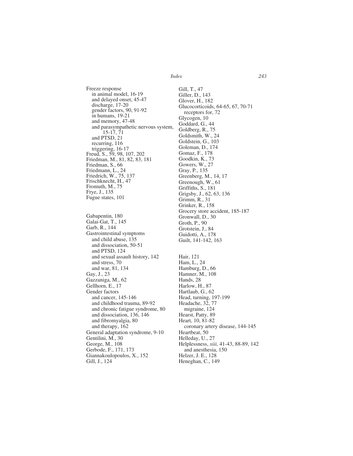Freeze response in animal model, 16-19 and delayed onset, 45-47 discharge, 17-20 gender factors, 90, 91-92 in humans, 19-21 and memory, 47-48 and parasympathetic nervous system, 15-17, 71 and PTSD, 21 recurring, 116 triggering, 16-17 Freud, S., 59, 98, 107, 202 Friedman, M., 81, 82, 83, 181 Friedman, S., 66 Friedmann, L., 24 Friedrich, W., 75, 137 Frischknecht, H., 47 Fromuth, M., 75 Frye, J., 135 Fugue states, 101

Gabapentin, 180 Galai-Gat, T., 145 Garb, R., 144 Gastrointestinal symptoms and child abuse, 135 and dissociation, 50-51 and PTSD, 124 and sexual assault history, 142 and stress, 70 and war, 81, 134 Gay, J., 23 Gazzaniga, M., 62 Gellhorn, E., 17 Gender factors and cancer, 145-146 and childhood trauma, 89-92 and chronic fatigue syndrome, 80 and dissociation, 136, 146 and fibromyalgia, 80 and therapy, 162 General adaptation syndrome, 9-10 Gentilini, M., 30 George, M., 108 Gerbode, F., 171, 173 Giannakoulopoulos, X., 152 Gill, J., 124

Gill, T., 47 Giller, D., 143 Glover, H., 182 Glucocorticoids, 64-65, 67, 70-71 receptors for, 72 Glycogen, 10 Goddard, G., 44 Goldberg, R., 75 Goldsmith, W., 24 Goldstein, G., 103 Goleman, D., 174 Gomaz, F., 178 Goodkin, K., 73 Gowers, W., 27 Gray, P., 135 Greenberg, M., 14, 17 Greenough, W., 61 Griffiths, S., 181 Grigsby, J., 62, 63, 136 Grimm, R., 31 Grinker, R., 158 Grocery store accident, 185-187 Gronwall, D., 30 Groth, P., 90 Grotstein, J., 84 Guidotti, A., 178 Guilt, 141-142, 163 Hair, 121 Ham, L., 24 Hamburg, D., 66

Hamner, M., 108 Hands, 28 Harlow, H., 87 Hartlaub, G., 62 Head, turning, 197-199 Headache, 32, 77 migraine, 124 Hearst, Patty, 89 Heart, 10, 81-82 coronary artery disease, 144-145 Heartbeat, 50 Helleday, U., 27 Helplessness, *xiii,* 41-43, 88-89, 142 and anesthesia, 150 Helzer, J. E., 128 Heneghan, C., 149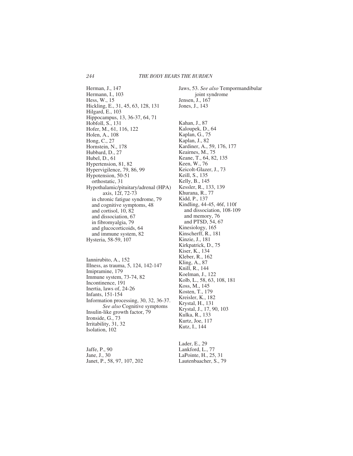Herman, J., 147 Hermann, I., 103 Hess, W., 15 Hickling, E., 31, 45, 63, 128, 131 Hilgard, E., 103 Hippocampus, 13, 36-37, 64, 71 Hobfoll, S., 131 Hofer, M., 61, 116, 122 Holen, A., 108 Hong, C., 27 Hornstein, N., 178 Hubbard, D., 27 Hubel, D., 61 Hypertension, 81, 82 Hypervigilence, 79, 86, 99 Hypotension, 50-51 orthostatic, 31 Hypothalamic/pituitary/adrenal (HPA) axis, 12f, 72-73 in chronic fatigue syndrome, 79 and cognitive symptoms, 48 and cortisol, 10, 82 and dissociation, 67 in fibromyalgia, 79 and glucocorticoids, 64 and immune system, 82 Hysteria, 58-59, 107

Iannirubito, A., 152 Illness, as trauma, 5, 124, 142-147 Imipramine, 179 Immune system, 73-74, 82 Incontinence, 191 Inertia, laws of, 24-26 Infants, 151-154 Information processing, 30, 32, 36-37. *See also* Cognitive symptoms Insulin-like growth factor, 79 Ironside, G., 73 Irritability, 31, 32 Isolation, 102

Jaffe, P., 90 Jane, J., 30 Janet, P., 58, 97, 107, 202

joint syndrome Jensen, J., 167 Jones, J., 143 Kahan, J., 87 Kaloupek, D., 64 Kaplan, G., 75 Kaplan, J., 82 Kardiner, A., 59, 176, 177 Keairnes, M., 75 Keane, T., 64, 82, 135 Keen, W., 76 Keicolt-Glazer, J., 73 Keill, S., 135 Kelly, B., 145 Kessler, R., 133, 139 Khurana, R., 77 Kidd, P., 137 Kindling, 44-45, 46f, 110f and dissociation, 108-109 and memory, 76 and PTSD, 54, 67 Kinesiology, 165 Kinscherff, R., 181 Kinzie, J., 181 Kirkpatrick, D., 75 Kiser, K., 134 Kleber, R., 162 Kling, A., 87 Knill, R., 144 Koelman, J., 122 Kolb, L., 58, 63, 108, 181 Koss, M., 145 Kosten, T., 179 Kreisler, K., 182 Krystal, H., 131 Krystal, J., 17, 90, 103 Kulka, R., 133 Kurtz, Joe, 117 Kutz, I., 144

Jaws, 53. *See also* Tempormandibular

Lader, E., 29 Lankford, L., 77 LaPointe, H., 25, 31 Lautenbaacher, S., 79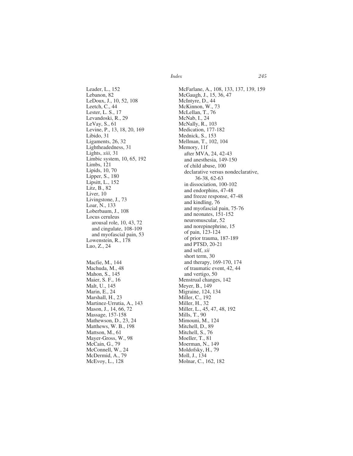Leader, L., 152 Lebanon, 82 LeDoux, J., 10, 52, 108 Leetch, C., 44 Lester, L. S., 17 Levandoski, R., 29 LeVay, S., 61 Levine, P., 13, 18, 20, 169 Libido, 31 Ligaments, 26, 32 Lightheadedness, 31 Lights, *xiii,* 31 Limbic system, 10, 65, 192 Limbs, 121 Lipids, 10, 70 Lipper, S., 180 Lipsitt, L., 152 Litz, B., 82 Liver, 10 Livingstone, J., 73 Loar, N., 133 Loberbaum, J., 108 Locus ceruleus arousal role, 10, 43, 72 and cingulate, 108-109 and myofascial pain, 53 Lowenstein, R., 178 Luo, Z., 24 Macfie, M., 144 Machuda, M., 48 Mahon, S., 145 Maier, S. F., 16 Malt, U., 145 Marin, E., 24 Marshall, H., 23 Martinez-Urrutia, A., 143 Mason, J., 14, 66, 72 Massage, 157-158 Mathewson, D., 23, 24 Matthews, W. B., 198 Mattson, M., 61 Mayer-Gross, W., 98 McCain, G., 79 McConnell, W., 24 McDermid, A., 79 McEvoy, L., 128

McFarlane, A., 108, 133, 137, 139, 159 McGaugh, J., 15, 36, 47 McIntyre, D., 44 McKinnon, W., 73 McLellan, T., 76 McNab, I., 24 McNally, R., 103 Medication, 177-182 Mednick, S., 153 Mellman, T., 102, 104 Memory, 11f after MVA, 24, 42-43 and anesthesia, 149-150 of child abuse, 100 declarative versus nondeclarative, 36-38, 62-63 in dissociation, 100-102 and endorphins, 47-48 and freeze response, 47-48 and kindling, 76 and myofascial pain, 75-76 and neonates, 151-152 neuromuscular, 52 and norepinephrine, 15 of pain, 123-124 of prior trauma, 187-189 and PTSD, 20-21 and self, *xii* short term, 30 and therapy, 169-170, 174 of traumatic event, 42, 44 and vertigo, 50 Menstrual changes, 142 Meyer, B., 149 Migraine, 124, 134 Miller, C., 192 Miller, H., 32 Miller, L., 45, 47, 48, 192 Mills, T., 90 Mimouni, M., 124 Mitchell, D., 89 Mitchell, S., 76 Moeller, T., 81 Moerman, N., 149 Moldofsky, H., 79 Moll, J., 134 Molnar, C., 162, 182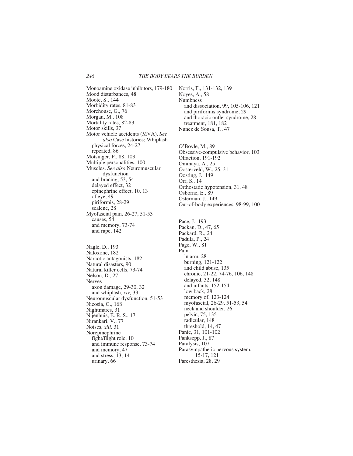Monoamine oxidase inhibitors, 179-180 Mood disturbances, 48 Moote, S., 144 Morbidity rates, 81-83 Morehouse, G., 76 Morgan, M., 108 Mortality rates, 82-83 Motor skills, 37 Motor vehicle accidents (MVA). *See also* Case histories; Whiplash physical forces, 24-27 repeated, 86 Motsinger, P., 88, 103 Multiple personalities, 100 Muscles. *See also* Neuromuscular dysfunction and bracing, 53, 54 delayed effect, 32 epinephrine effect, 10, 13 of eye, 49 piriformis, 28-29 scalene, 28 Myofascial pain, 26-27, 51-53 causes, 54 and memory, 73-74 and rape, 142 Nagle, D., 193 Naloxone, 182 Narcotic antagonists, 182 Natural disasters, 90 Natural killer cells, 73-74 Nelson, D., 27 Nerves axon damage, 29-30, 32 and whiplash, *xiv,* 33 Neuromuscular dysfunction, 51-53 Nicosia, G., 168 Nightmares, 31 Nijenhuis, E. R. S., 17 Nirankari, V., 77 Noises, *xiii,* 31 Norepinephrine fight/flight role, 10 and immune response, 73-74 and memory, 47 and stress, 13, 14 urinary, 66

Norris, F., 131-132, 139 Noyes, A., 58 Numbness and dissociation, 99, 105-106, 121 and piriformis syndrome, 29 and thoracic outlet syndrome, 28 treatment, 181, 182 Nunez de Sousa, T., 47

O'Boyle, M., 89 Obsessive-compulsive behavior, 103 Olfaction, 191-192 Ommaya, A., 25 Oosterveld, W., 25, 31 Oosting, J., 149 Orr, S., 14 Orthostatic hypotension, 31, 48 Osborne, E., 89 Osterman, J., 149 Out-of-body experiences, 98-99, 100

Pace, J., 193 Packan, D., 47, 65 Packard, R., 24 Padula, P., 24 Page, W., 81 Pain in arm, 28 burning, 121-122 and child abuse, 135 chronic, 21-22, 74-76, 106, 148 delayed, 32, 148 and infants, 152-154 low back, 28 memory of, 123-124 myofascial, 26-29, 51-53, 54 neck and shoulder, 26 pelvic, 75, 135 radicular, 148 threshold, 14, 47 Panic, 31, 101-102 Panksepp, J., 87 Paralysis, 107 Parasympathetic nervous system, 15-17, 121 Paresthesia, 28, 29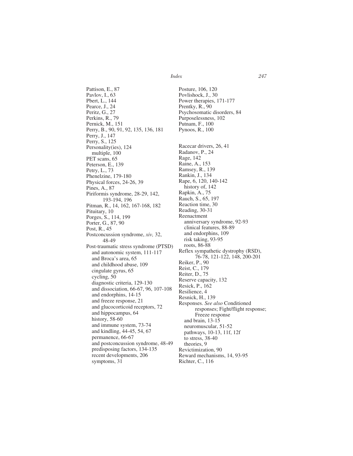Pattison, E., 87 Pavlov, I., 63 Pbert, L., 144 Pearce, J., 24 Peritz, G., 27 Perkins, R., 79 Pernick, M., 151 Perry, B., 90, 91, 92, 135, 136, 181 Perry, J., 147 Perry, S., 125 Personality(ies), 124 multiple, 100 PET scans, 65 Peterson, E., 139 Petry, L., 73 Phenelzine, 179-180 Physical forces, 24-26, 39 Pines, A., 87 Piriformis syndrome, 28-29, 142, 193-194, 196 Pitman, R., 14, 162, 167-168, 182 Pituitary, 10 Porges, S., 114, 199 Porter, G., 87, 90 Post, R., 45 Postconcussion syndrome, *xiv,* 32, 48-49 Post-traumatic stress syndrome (PTSD) and autonomic system, 111-117 and Broca's area, 65 and childhood abuse, 109 cingulate gyrus, 65 cycling, 50 diagnostic criteria, 129-130 and dissociation, 66-67, 96, 107-108 and endorphins, 14-15 and freeze response, 21 and glucocorticoid receptors, 72 and hippocampus, 64 history, 58-60 and immune system, 73-74 and kindling, 44-45, 54, 67 permanence, 66-67 and postconcussion syndrome, 48-49 predisposing factors, 134-135 recent developments, 206 symptoms, 31

Posture, 106, 120 Povlishock, J., 30 Power therapies, 171-177 Prentky, R., 90 Psychosomatic disorders, 84 Purposelessness, 102 Putnam, F., 100 Pynoos, R., 100 Racecar drivers, 26, 41 Radanov, P., 24 Rage, 142 Raine, A., 153 Ramsey, R., 139 Rankin, J., 134 Rape, 6, 120, 140-142 history of, 142 Rapkin, A., 75 Rauch, S., 65, 197 Reaction time, 30 Reading, 30-31 Reenactment anniversary syndrome, 92-93 clinical features, 88-89 and endorphins, 109 risk taking, 93-95 roots, 86-88 Reflex sympathetic dystrophy (RSD), 76-78, 121-122, 148, 200-201 Reiker, P., 90 Reist, C., 179 Reiter, D., 75 Reserve capacity, 132 Resick, P., 162 Resilience, 4 Resnick, H., 139 Responses. *See also* Conditioned responses; Fight/flight response; Freeze response and brain, 13-15 neuromuscular, 51-52 pathways, 10-13, 11f, 12f to stress, 38-40 theories, 9 Revictimization, 90 Reward mechanisms, 14, 93-95 Richter, C., 116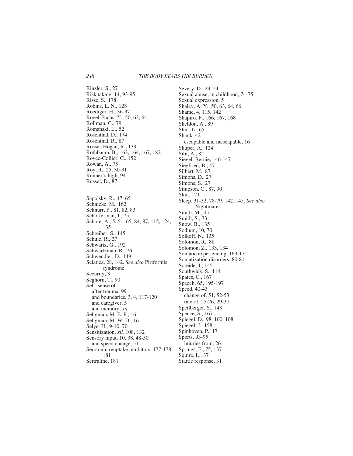Rinzler, S., 27 Risk taking, 14, 93-95 Risse, S., 178 Robins, L. N., 128 Roediger, H., 36-37 Rogel-Fuchs, Y., 50, 63, 64 Rollman, G., 79 Romanski, L., 52 Rosenthal, D., 174 Rosenthal, R., 87 Rosser-Hogan, R., 139 Rothbaum, B., 163, 164, 167, 182 Rovee-Collier, C., 152 Rowan, A., 75 Roy, R., 25, 30-31 Runner's high, 94 Russel, D., 87 Sapolsky, R., 47, 65 Schnicke, M., 162 Schnurr, P., 81, 82, 83 Schofferman, J., 75 Schore, A., 5, 51, 65, 84, 87, 115, 124, 135 Schreiber, S., 145 Schulz, R., 27 Schwartz, G., 192 Schwartzman, R., 76 Schwendler, D., 149 Sciatica, 28, 142. *See also* Piriformis syndrome Security, 3 Seghorn, T., 90 Self, sense of after trauma, 99 and boundaries, 3, 4, 117-120 and caregiver, 5 and memory, *xii* Seligman, M. E. P., 16 Seligman, M. W. D., 16 Selye, H., 9-10, 70 Sensitization, *xii,* 108, 132 Sensory input, 10, 38, 48-50 and speed change, 51 Serotonin reuptake inhibitors, 177-178, 181 Sertraline, 181

Severy, D., 23, 24 Sexual abuse, in childhood, 74-75 Sexual expression, 5 Shalev, A. Y., 50, 63, 64, 66 Shame, 4, 115, 142 Shapiro, F., 166, 167, 168 Sheldon, A., 89 Shin, L., 65 Shock, 42 escapable and inescapable, 16 Shuper, A., 124 Sibi, A., 82 Siegel, Bernie, 146-147 Siegfried, B., 47 Silbert, M., 87 Simons, D., 27 Simons, S., 27 Simpson, C., 87, 90 Skin, 121 Sleep, 31-32, 78-79, 142, 145. *See also* Nightmares Smith, M., 45 Smith, S., 73 Snow, B., 135 Sodium, 10, 70 Solkoff, N., 135 Solomon, R., 88 Solomon, Z., 133, 134 Somatic experiencing, 169-171 Somatization disorders, 80-81 Soreide, J., 145 Southwick, S., 114 Spates, C., 167 Speech, 65, 195-197 Speed, 40-43 change of, 51, 52-53 rate of, 25-26, 29-30 Speilberger, S., 143 Spence, S., 167 Spiegel, D., 98, 100, 108 Spiegel, J., 158 Spinhoven, P., 17 Sports, 93-95 injuries from, 26 Springs, F., 75, 137 Squire, L., 37 Startle response, 31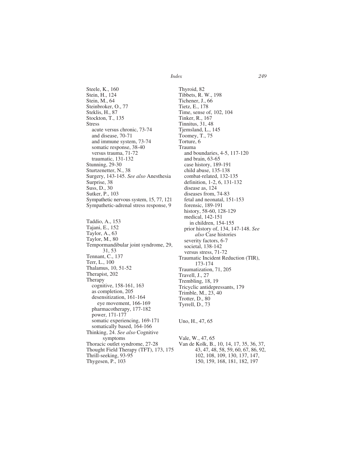Steele, K., 160 Stein, H., 124 Stein, M., 64 Steinbroker, O., 77 Steklis, H., 87 Stockton, T., 135 Stress acute versus chronic, 73-74 and disease, 70-71 and immune system, 73-74 somatic response, 38-40 versus trauma, 71-72 traumatic, 131-132 Stunning, 29-30 Sturtzenetter, N., 38 Surgery, 143-145. *See also* Anesthesia Surprise, 38 Suss, D., 30 Sutker, P., 103 Sympathetic nervous system, 15, 77, 121 Sympathetic-adrenal stress response, 9

Taddio, A., 153 Tajani, E., 152 Taylor, A., 63 Taylor, M., 80 Tempormandibular joint syndrome, 29, 31, 53 Tennant, C., 137 Terr, L., 100 Thalamus, 10, 51-52 Therapist, 202 Therapy cognitive, 158-161, 163 as completion, 205 desensitization, 161-164 eye movement, 166-169 pharmacotherapy, 177-182 power, 171-177 somatic experiencing, 169-171 somatically based, 164-166 Thinking, 24. *See also* Cognitive symptoms Thoracic outlet syndrome, 27-28 Thought Field Therapy (TFT), 173, 175 Thrill-seeking, 93-95 Thygesen, P., 103

Thyroid, 82 Tibbets, R. W., 198 Tichener, J., 66 Tietz, E., 178 Time, sense of, 102, 104 Tinker, R., 167 Tinnitus, 31, 48 Tjemsland, L., 145 Toomey, T., 75 Torture, 6 Trauma and boundaries, 4-5, 117-120 and brain, 63-65 case history, 189-191 child abuse, 135-138 combat-related, 132-135 definition, 1-2, 6, 131-132 disease as, 124 diseases from, 74-83 fetal and neonatal, 151-153 forensic, 189-191 history, 58-60, 128-129 medical, 142-151 in children, 154-155 prior history of, 134, 147-148. *See also* Case histories severity factors, 6-7 societal, 138-142 versus stress, 71-72 Traumatic Incident Reduction (TIR), 173-174 Traumatization, 71, 205 Travell, J., 27 Trembling, 18, 19 Tricyclic antidepressants, 179 Trimble, M., 23, 40 Trotter, D., 80 Tyrrell, D., 73

### Uno, H., 47, 65

Vale, W., 47, 65 Van de Kolk, B., 10, 14, 17, 35, 36, 37, 43, 47, 48, 58, 59, 60, 67, 86, 92, 102, 108, 109, 130, 137, 147, 150, 159, 168, 181, 182, 197